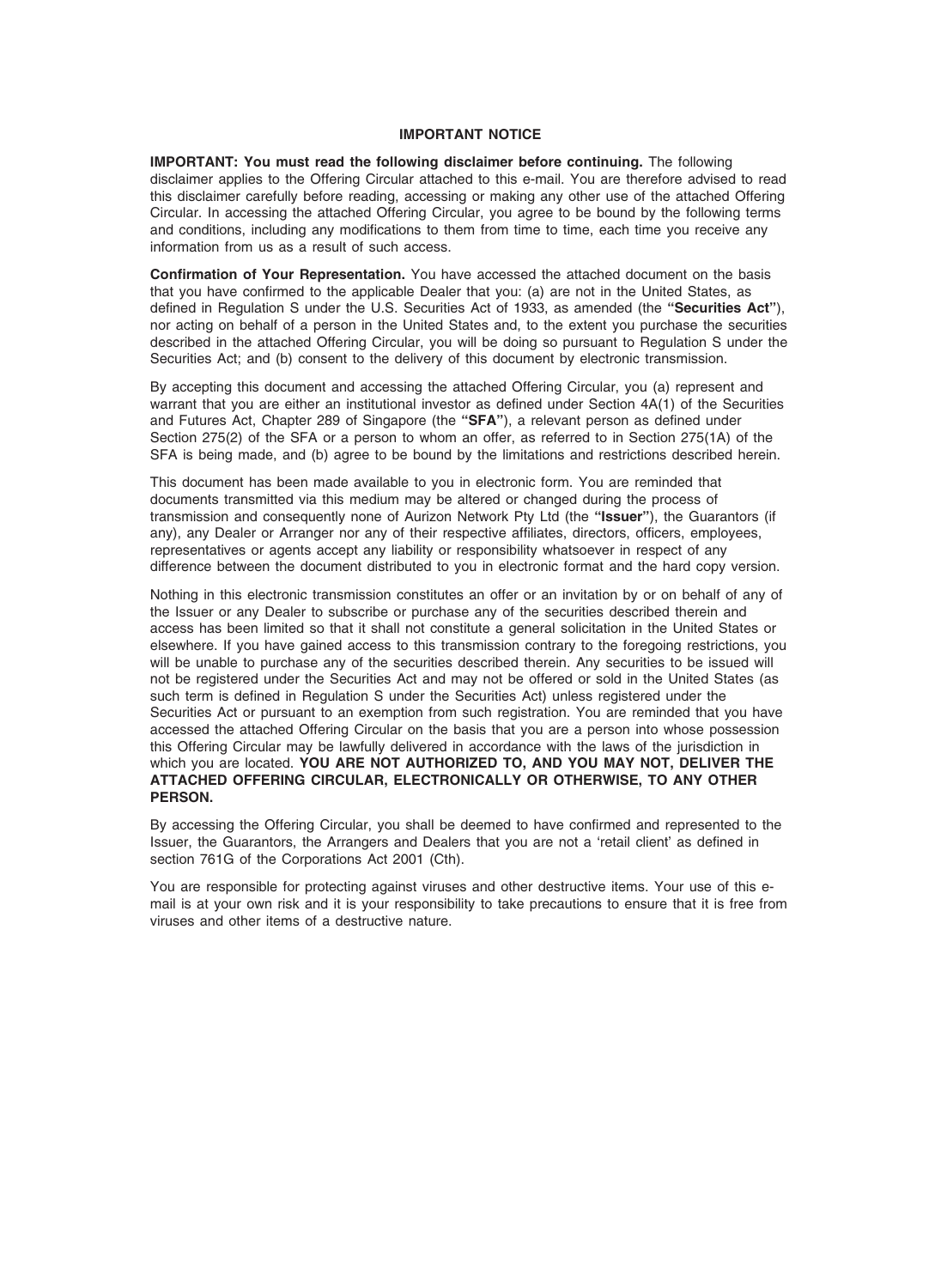# IMPORTANT NOTICE

IMPORTANT: You must read the following disclaimer before continuing. The following disclaimer applies to the Offering Circular attached to this e-mail. You are therefore advised to read this disclaimer carefully before reading, accessing or making any other use of the attached Offering Circular. In accessing the attached Offering Circular, you agree to be bound by the following terms and conditions, including any modifications to them from time to time, each time you receive any information from us as a result of such access.

Confirmation of Your Representation. You have accessed the attached document on the basis that you have confirmed to the applicable Dealer that you: (a) are not in the United States, as defined in Regulation S under the U.S. Securities Act of 1933, as amended (the "Securities Act"), nor acting on behalf of a person in the United States and, to the extent you purchase the securities described in the attached Offering Circular, you will be doing so pursuant to Regulation S under the Securities Act; and (b) consent to the delivery of this document by electronic transmission.

By accepting this document and accessing the attached Offering Circular, you (a) represent and warrant that you are either an institutional investor as defined under Section 4A(1) of the Securities and Futures Act, Chapter 289 of Singapore (the "SFA"), a relevant person as defined under Section 275(2) of the SFA or a person to whom an offer, as referred to in Section 275(1A) of the SFA is being made, and (b) agree to be bound by the limitations and restrictions described herein.

This document has been made available to you in electronic form. You are reminded that documents transmitted via this medium may be altered or changed during the process of transmission and consequently none of Aurizon Network Pty Ltd (the "Issuer"), the Guarantors (if any), any Dealer or Arranger nor any of their respective affiliates, directors, officers, employees, representatives or agents accept any liability or responsibility whatsoever in respect of any difference between the document distributed to you in electronic format and the hard copy version.

Nothing in this electronic transmission constitutes an offer or an invitation by or on behalf of any of the Issuer or any Dealer to subscribe or purchase any of the securities described therein and access has been limited so that it shall not constitute a general solicitation in the United States or elsewhere. If you have gained access to this transmission contrary to the foregoing restrictions, you will be unable to purchase any of the securities described therein. Any securities to be issued will not be registered under the Securities Act and may not be offered or sold in the United States (as such term is defined in Regulation S under the Securities Act) unless registered under the Securities Act or pursuant to an exemption from such registration. You are reminded that you have accessed the attached Offering Circular on the basis that you are a person into whose possession this Offering Circular may be lawfully delivered in accordance with the laws of the jurisdiction in which you are located. YOU ARE NOT AUTHORIZED TO, AND YOU MAY NOT, DELIVER THE ATTACHED OFFERING CIRCULAR, ELECTRONICALLY OR OTHERWISE, TO ANY OTHER PERSON.

By accessing the Offering Circular, you shall be deemed to have confirmed and represented to the Issuer, the Guarantors, the Arrangers and Dealers that you are not a 'retail client' as defined in section 761G of the Corporations Act 2001 (Cth).

You are responsible for protecting against viruses and other destructive items. Your use of this email is at your own risk and it is your responsibility to take precautions to ensure that it is free from viruses and other items of a destructive nature.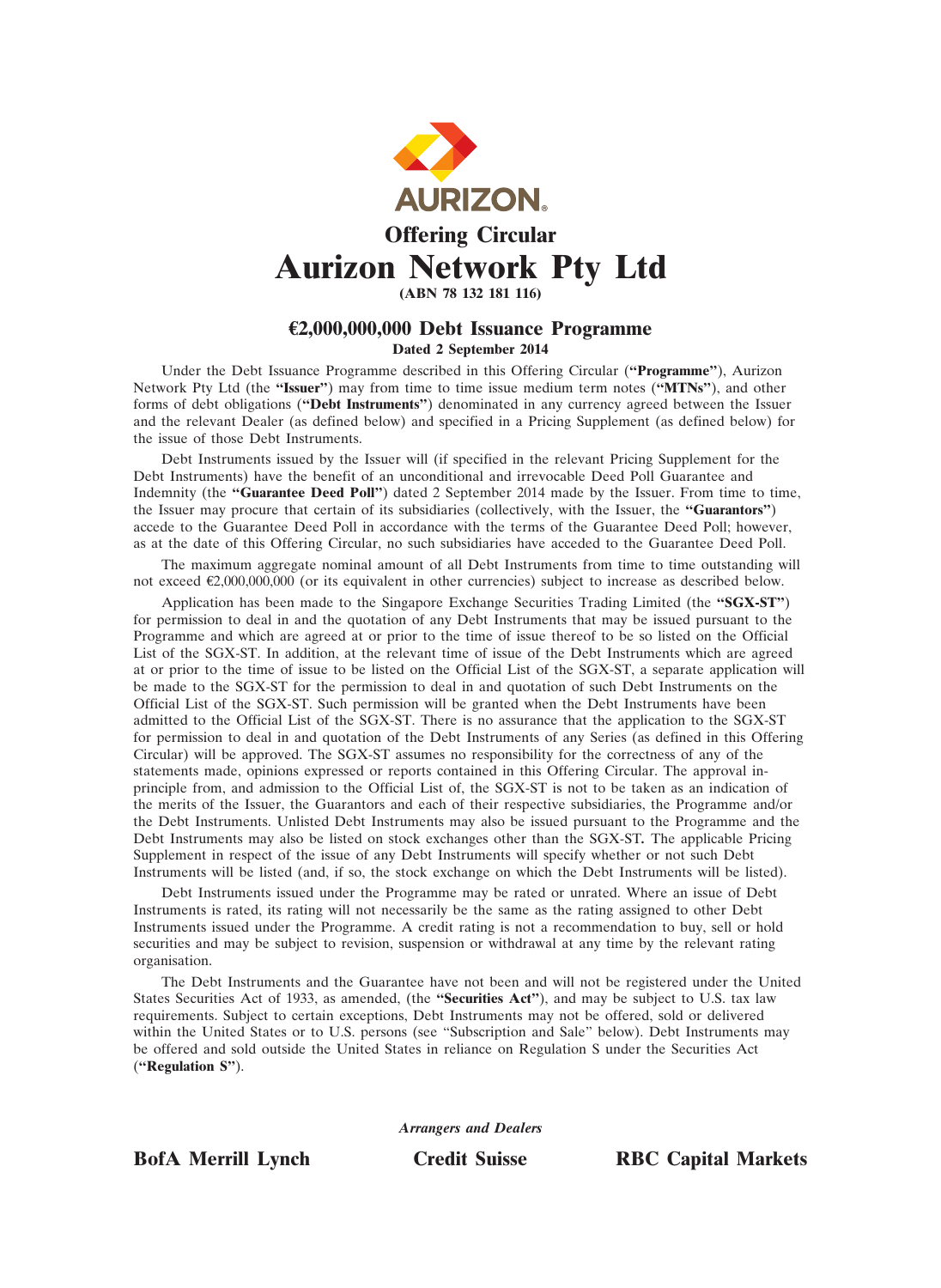

Aurizon Network Pty Ltd (ABN 78 132 181 116)

# €2,000,000,000 Debt Issuance Programme

# Dated 2 September 2014

Under the Debt Issuance Programme described in this Offering Circular ("Programme"), Aurizon Network Pty Ltd (the "Issuer") may from time to time issue medium term notes ("MTNs"), and other forms of debt obligations ("Debt Instruments") denominated in any currency agreed between the Issuer and the relevant Dealer (as defined below) and specified in a Pricing Supplement (as defined below) for the issue of those Debt Instruments.

Debt Instruments issued by the Issuer will (if specified in the relevant Pricing Supplement for the Debt Instruments) have the benefit of an unconditional and irrevocable Deed Poll Guarantee and Indemnity (the "Guarantee Deed Poll") dated 2 September 2014 made by the Issuer. From time to time, the Issuer may procure that certain of its subsidiaries (collectively, with the Issuer, the "Guarantors") accede to the Guarantee Deed Poll in accordance with the terms of the Guarantee Deed Poll; however, as at the date of this Offering Circular, no such subsidiaries have acceded to the Guarantee Deed Poll.

The maximum aggregate nominal amount of all Debt Instruments from time to time outstanding will not exceed €2,000,000,000 (or its equivalent in other currencies) subject to increase as described below.

Application has been made to the Singapore Exchange Securities Trading Limited (the "SGX-ST") for permission to deal in and the quotation of any Debt Instruments that may be issued pursuant to the Programme and which are agreed at or prior to the time of issue thereof to be so listed on the Official List of the SGX-ST. In addition, at the relevant time of issue of the Debt Instruments which are agreed at or prior to the time of issue to be listed on the Official List of the SGX-ST, a separate application will be made to the SGX-ST for the permission to deal in and quotation of such Debt Instruments on the Official List of the SGX-ST. Such permission will be granted when the Debt Instruments have been admitted to the Official List of the SGX-ST. There is no assurance that the application to the SGX-ST for permission to deal in and quotation of the Debt Instruments of any Series (as defined in this Offering Circular) will be approved. The SGX-ST assumes no responsibility for the correctness of any of the statements made, opinions expressed or reports contained in this Offering Circular. The approval inprinciple from, and admission to the Official List of, the SGX-ST is not to be taken as an indication of the merits of the Issuer, the Guarantors and each of their respective subsidiaries, the Programme and/or the Debt Instruments. Unlisted Debt Instruments may also be issued pursuant to the Programme and the Debt Instruments may also be listed on stock exchanges other than the SGX-ST. The applicable Pricing Supplement in respect of the issue of any Debt Instruments will specify whether or not such Debt Instruments will be listed (and, if so, the stock exchange on which the Debt Instruments will be listed).

Debt Instruments issued under the Programme may be rated or unrated. Where an issue of Debt Instruments is rated, its rating will not necessarily be the same as the rating assigned to other Debt Instruments issued under the Programme. A credit rating is not a recommendation to buy, sell or hold securities and may be subject to revision, suspension or withdrawal at any time by the relevant rating organisation.

The Debt Instruments and the Guarantee have not been and will not be registered under the United States Securities Act of 1933, as amended, (the "Securities Act"), and may be subject to U.S. tax law requirements. Subject to certain exceptions, Debt Instruments may not be offered, sold or delivered within the United States or to U.S. persons (see "Subscription and Sale" below). Debt Instruments may be offered and sold outside the United States in reliance on Regulation S under the Securities Act ("Regulation S").

Arrangers and Dealers

BofA Merrill Lynch Credit Suisse RBC Capital Markets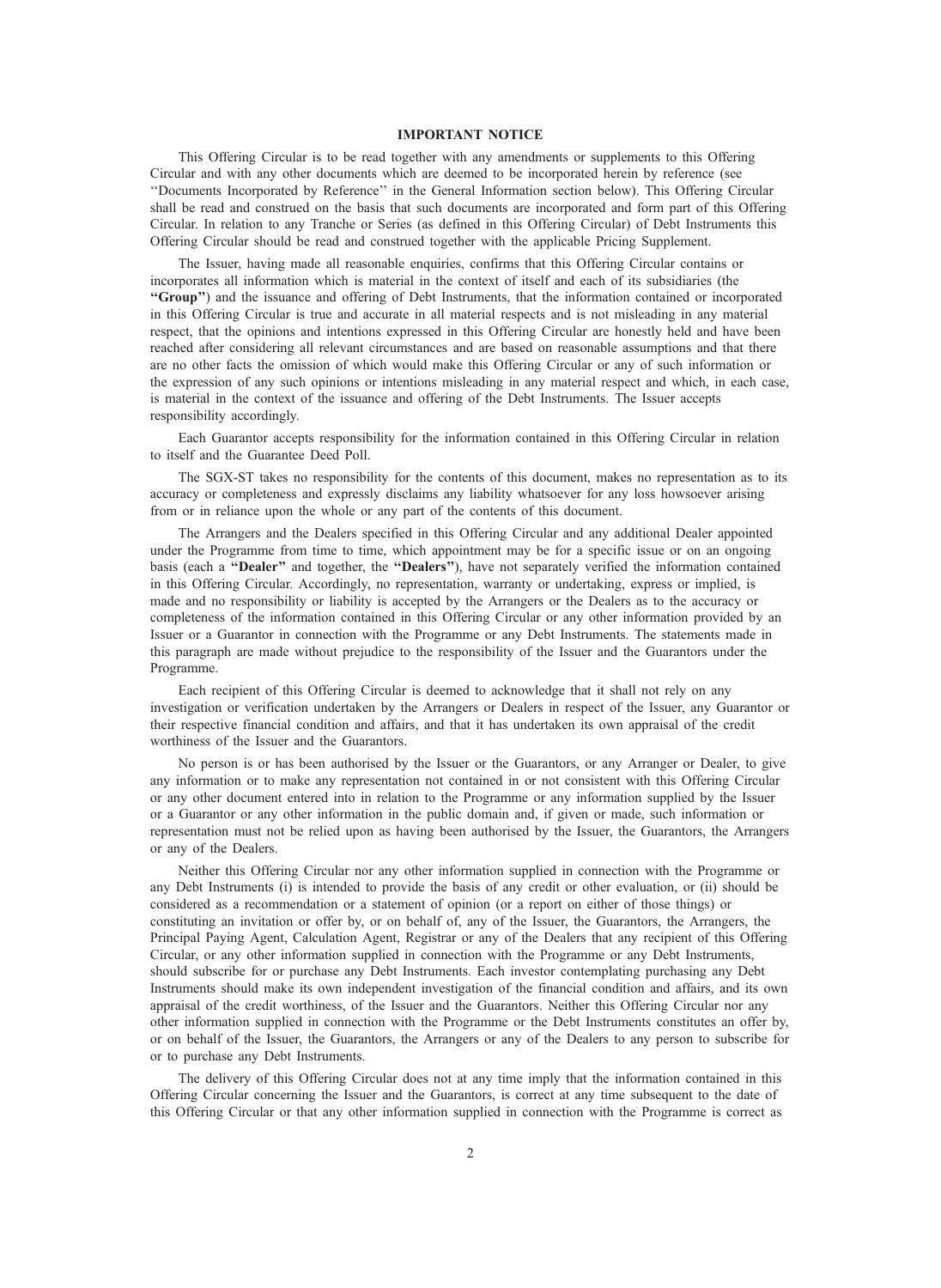# IMPORTANT NOTICE

This Offering Circular is to be read together with any amendments or supplements to this Offering Circular and with any other documents which are deemed to be incorporated herein by reference (see ''Documents Incorporated by Reference'' in the General Information section below). This Offering Circular shall be read and construed on the basis that such documents are incorporated and form part of this Offering Circular. In relation to any Tranche or Series (as defined in this Offering Circular) of Debt Instruments this Offering Circular should be read and construed together with the applicable Pricing Supplement.

The Issuer, having made all reasonable enquiries, confirms that this Offering Circular contains or incorporates all information which is material in the context of itself and each of its subsidiaries (the ''Group'') and the issuance and offering of Debt Instruments, that the information contained or incorporated in this Offering Circular is true and accurate in all material respects and is not misleading in any material respect, that the opinions and intentions expressed in this Offering Circular are honestly held and have been reached after considering all relevant circumstances and are based on reasonable assumptions and that there are no other facts the omission of which would make this Offering Circular or any of such information or the expression of any such opinions or intentions misleading in any material respect and which, in each case, is material in the context of the issuance and offering of the Debt Instruments. The Issuer accepts responsibility accordingly.

Each Guarantor accepts responsibility for the information contained in this Offering Circular in relation to itself and the Guarantee Deed Poll.

The SGX-ST takes no responsibility for the contents of this document, makes no representation as to its accuracy or completeness and expressly disclaims any liability whatsoever for any loss howsoever arising from or in reliance upon the whole or any part of the contents of this document.

The Arrangers and the Dealers specified in this Offering Circular and any additional Dealer appointed under the Programme from time to time, which appointment may be for a specific issue or on an ongoing basis (each a "Dealer" and together, the "Dealers"), have not separately verified the information contained in this Offering Circular. Accordingly, no representation, warranty or undertaking, express or implied, is made and no responsibility or liability is accepted by the Arrangers or the Dealers as to the accuracy or completeness of the information contained in this Offering Circular or any other information provided by an Issuer or a Guarantor in connection with the Programme or any Debt Instruments. The statements made in this paragraph are made without prejudice to the responsibility of the Issuer and the Guarantors under the Programme.

Each recipient of this Offering Circular is deemed to acknowledge that it shall not rely on any investigation or verification undertaken by the Arrangers or Dealers in respect of the Issuer, any Guarantor or their respective financial condition and affairs, and that it has undertaken its own appraisal of the credit worthiness of the Issuer and the Guarantors.

No person is or has been authorised by the Issuer or the Guarantors, or any Arranger or Dealer, to give any information or to make any representation not contained in or not consistent with this Offering Circular or any other document entered into in relation to the Programme or any information supplied by the Issuer or a Guarantor or any other information in the public domain and, if given or made, such information or representation must not be relied upon as having been authorised by the Issuer, the Guarantors, the Arrangers or any of the Dealers.

Neither this Offering Circular nor any other information supplied in connection with the Programme or any Debt Instruments (i) is intended to provide the basis of any credit or other evaluation, or (ii) should be considered as a recommendation or a statement of opinion (or a report on either of those things) or constituting an invitation or offer by, or on behalf of, any of the Issuer, the Guarantors, the Arrangers, the Principal Paying Agent, Calculation Agent, Registrar or any of the Dealers that any recipient of this Offering Circular, or any other information supplied in connection with the Programme or any Debt Instruments, should subscribe for or purchase any Debt Instruments. Each investor contemplating purchasing any Debt Instruments should make its own independent investigation of the financial condition and affairs, and its own appraisal of the credit worthiness, of the Issuer and the Guarantors. Neither this Offering Circular nor any other information supplied in connection with the Programme or the Debt Instruments constitutes an offer by, or on behalf of the Issuer, the Guarantors, the Arrangers or any of the Dealers to any person to subscribe for or to purchase any Debt Instruments.

The delivery of this Offering Circular does not at any time imply that the information contained in this Offering Circular concerning the Issuer and the Guarantors, is correct at any time subsequent to the date of this Offering Circular or that any other information supplied in connection with the Programme is correct as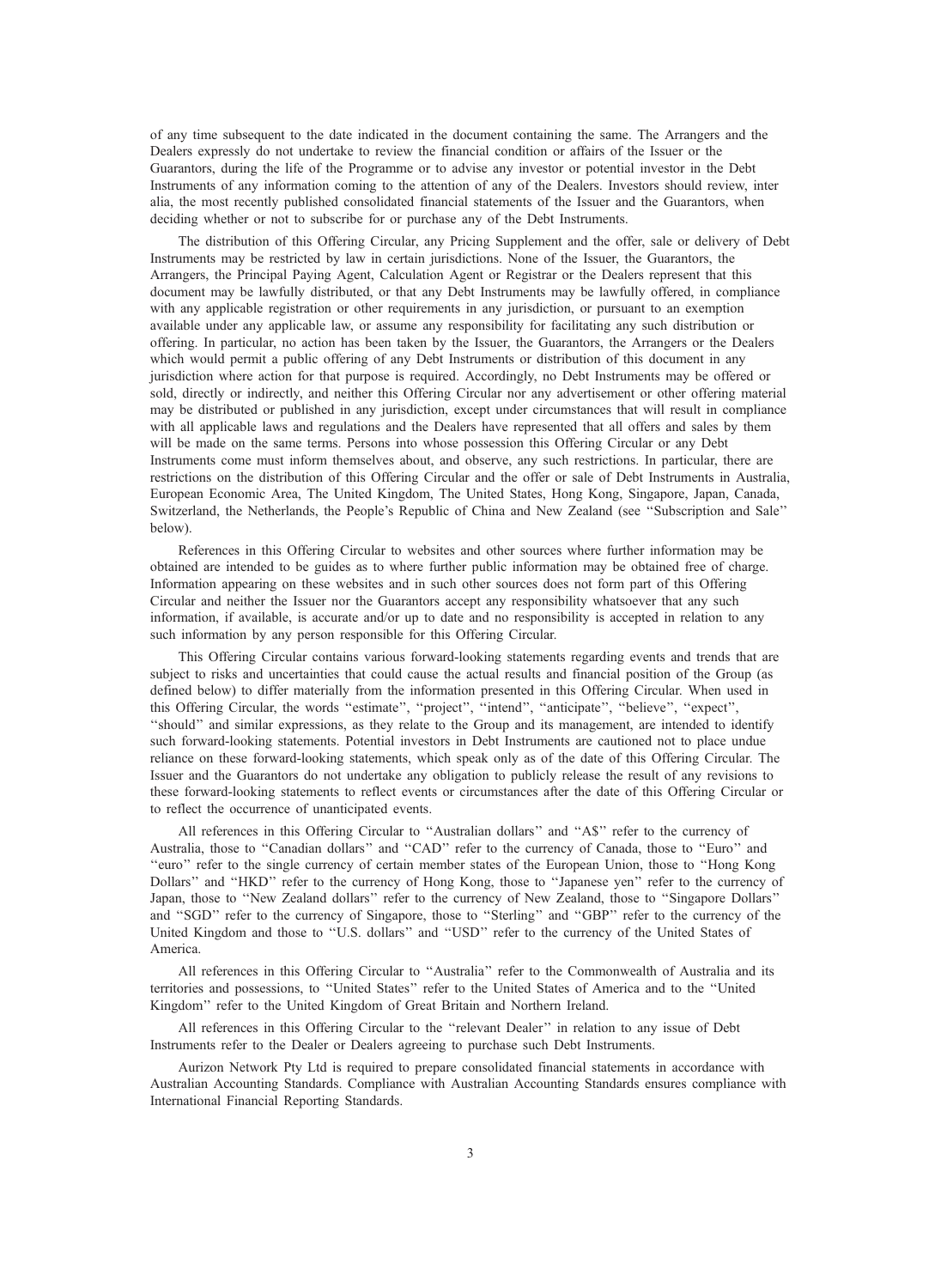of any time subsequent to the date indicated in the document containing the same. The Arrangers and the Dealers expressly do not undertake to review the financial condition or affairs of the Issuer or the Guarantors, during the life of the Programme or to advise any investor or potential investor in the Debt Instruments of any information coming to the attention of any of the Dealers. Investors should review, inter alia, the most recently published consolidated financial statements of the Issuer and the Guarantors, when deciding whether or not to subscribe for or purchase any of the Debt Instruments.

The distribution of this Offering Circular, any Pricing Supplement and the offer, sale or delivery of Debt Instruments may be restricted by law in certain jurisdictions. None of the Issuer, the Guarantors, the Arrangers, the Principal Paying Agent, Calculation Agent or Registrar or the Dealers represent that this document may be lawfully distributed, or that any Debt Instruments may be lawfully offered, in compliance with any applicable registration or other requirements in any jurisdiction, or pursuant to an exemption available under any applicable law, or assume any responsibility for facilitating any such distribution or offering. In particular, no action has been taken by the Issuer, the Guarantors, the Arrangers or the Dealers which would permit a public offering of any Debt Instruments or distribution of this document in any jurisdiction where action for that purpose is required. Accordingly, no Debt Instruments may be offered or sold, directly or indirectly, and neither this Offering Circular nor any advertisement or other offering material may be distributed or published in any jurisdiction, except under circumstances that will result in compliance with all applicable laws and regulations and the Dealers have represented that all offers and sales by them will be made on the same terms. Persons into whose possession this Offering Circular or any Debt Instruments come must inform themselves about, and observe, any such restrictions. In particular, there are restrictions on the distribution of this Offering Circular and the offer or sale of Debt Instruments in Australia, European Economic Area, The United Kingdom, The United States, Hong Kong, Singapore, Japan, Canada, Switzerland, the Netherlands, the People's Republic of China and New Zealand (see ''Subscription and Sale'' below).

References in this Offering Circular to websites and other sources where further information may be obtained are intended to be guides as to where further public information may be obtained free of charge. Information appearing on these websites and in such other sources does not form part of this Offering Circular and neither the Issuer nor the Guarantors accept any responsibility whatsoever that any such information, if available, is accurate and/or up to date and no responsibility is accepted in relation to any such information by any person responsible for this Offering Circular.

This Offering Circular contains various forward-looking statements regarding events and trends that are subject to risks and uncertainties that could cause the actual results and financial position of the Group (as defined below) to differ materially from the information presented in this Offering Circular. When used in this Offering Circular, the words ''estimate'', ''project'', ''intend'', ''anticipate'', ''believe'', ''expect'', ''should'' and similar expressions, as they relate to the Group and its management, are intended to identify such forward-looking statements. Potential investors in Debt Instruments are cautioned not to place undue reliance on these forward-looking statements, which speak only as of the date of this Offering Circular. The Issuer and the Guarantors do not undertake any obligation to publicly release the result of any revisions to these forward-looking statements to reflect events or circumstances after the date of this Offering Circular or to reflect the occurrence of unanticipated events.

All references in this Offering Circular to "Australian dollars" and "A\$" refer to the currency of Australia, those to "Canadian dollars" and "CAD" refer to the currency of Canada, those to "Euro" and ''euro'' refer to the single currency of certain member states of the European Union, those to ''Hong Kong Dollars'' and ''HKD'' refer to the currency of Hong Kong, those to ''Japanese yen'' refer to the currency of Japan, those to ''New Zealand dollars'' refer to the currency of New Zealand, those to ''Singapore Dollars'' and ''SGD'' refer to the currency of Singapore, those to ''Sterling'' and ''GBP'' refer to the currency of the United Kingdom and those to ''U.S. dollars'' and ''USD'' refer to the currency of the United States of America.

All references in this Offering Circular to ''Australia'' refer to the Commonwealth of Australia and its territories and possessions, to ''United States'' refer to the United States of America and to the ''United Kingdom'' refer to the United Kingdom of Great Britain and Northern Ireland.

All references in this Offering Circular to the ''relevant Dealer'' in relation to any issue of Debt Instruments refer to the Dealer or Dealers agreeing to purchase such Debt Instruments.

Aurizon Network Pty Ltd is required to prepare consolidated financial statements in accordance with Australian Accounting Standards. Compliance with Australian Accounting Standards ensures compliance with International Financial Reporting Standards.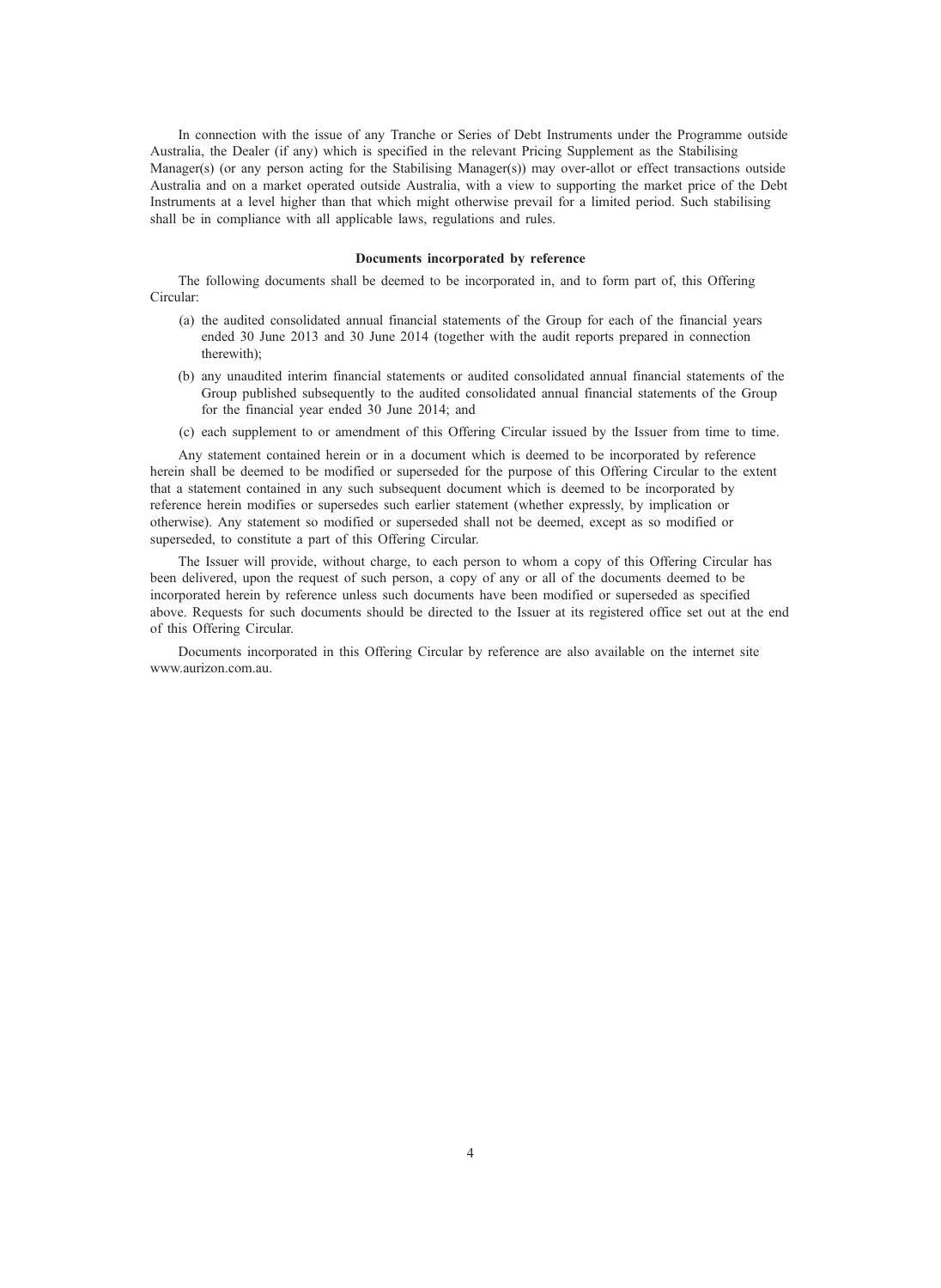In connection with the issue of any Tranche or Series of Debt Instruments under the Programme outside Australia, the Dealer (if any) which is specified in the relevant Pricing Supplement as the Stabilising Manager(s) (or any person acting for the Stabilising Manager(s)) may over-allot or effect transactions outside Australia and on a market operated outside Australia, with a view to supporting the market price of the Debt Instruments at a level higher than that which might otherwise prevail for a limited period. Such stabilising shall be in compliance with all applicable laws, regulations and rules.

# Documents incorporated by reference

The following documents shall be deemed to be incorporated in, and to form part of, this Offering Circular:

- (a) the audited consolidated annual financial statements of the Group for each of the financial years ended 30 June 2013 and 30 June 2014 (together with the audit reports prepared in connection therewith);
- (b) any unaudited interim financial statements or audited consolidated annual financial statements of the Group published subsequently to the audited consolidated annual financial statements of the Group for the financial year ended 30 June 2014; and
- (c) each supplement to or amendment of this Offering Circular issued by the Issuer from time to time.

Any statement contained herein or in a document which is deemed to be incorporated by reference herein shall be deemed to be modified or superseded for the purpose of this Offering Circular to the extent that a statement contained in any such subsequent document which is deemed to be incorporated by reference herein modifies or supersedes such earlier statement (whether expressly, by implication or otherwise). Any statement so modified or superseded shall not be deemed, except as so modified or superseded, to constitute a part of this Offering Circular.

The Issuer will provide, without charge, to each person to whom a copy of this Offering Circular has been delivered, upon the request of such person, a copy of any or all of the documents deemed to be incorporated herein by reference unless such documents have been modified or superseded as specified above. Requests for such documents should be directed to the Issuer at its registered office set out at the end of this Offering Circular.

Documents incorporated in this Offering Circular by reference are also available on the internet site www.aurizon.com.au.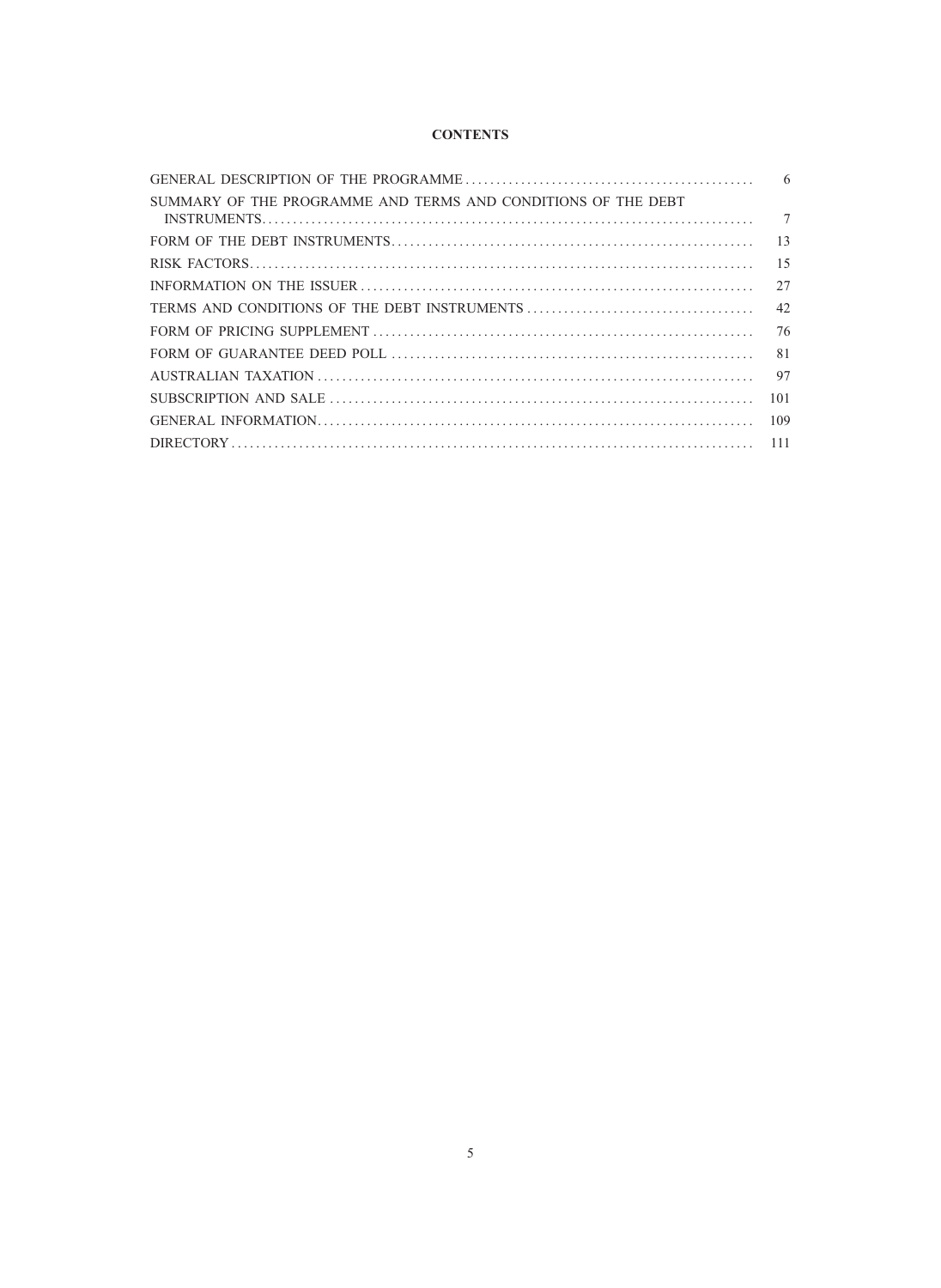# **CONTENTS**

| SUMMARY OF THE PROGRAMME AND TERMS AND CONDITIONS OF THE DEBT | $\tau$ |
|---------------------------------------------------------------|--------|
|                                                               |        |
|                                                               |        |
|                                                               |        |
|                                                               | 42     |
|                                                               |        |
|                                                               | 81     |
|                                                               | 97     |
|                                                               | 101    |
|                                                               | 109    |
|                                                               |        |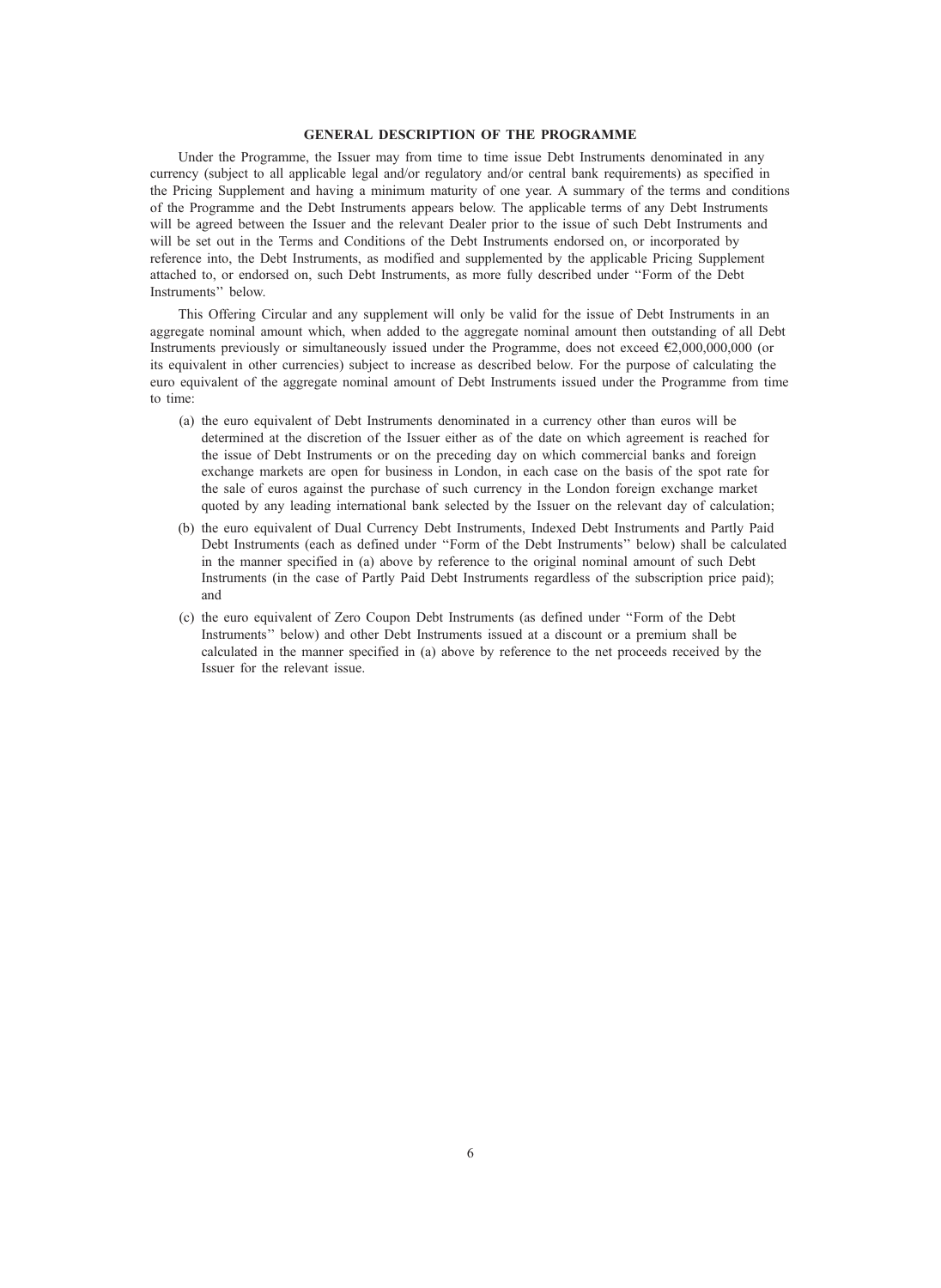# GENERAL DESCRIPTION OF THE PROGRAMME

Under the Programme, the Issuer may from time to time issue Debt Instruments denominated in any currency (subject to all applicable legal and/or regulatory and/or central bank requirements) as specified in the Pricing Supplement and having a minimum maturity of one year. A summary of the terms and conditions of the Programme and the Debt Instruments appears below. The applicable terms of any Debt Instruments will be agreed between the Issuer and the relevant Dealer prior to the issue of such Debt Instruments and will be set out in the Terms and Conditions of the Debt Instruments endorsed on, or incorporated by reference into, the Debt Instruments, as modified and supplemented by the applicable Pricing Supplement attached to, or endorsed on, such Debt Instruments, as more fully described under ''Form of the Debt Instruments'' below.

This Offering Circular and any supplement will only be valid for the issue of Debt Instruments in an aggregate nominal amount which, when added to the aggregate nominal amount then outstanding of all Debt Instruments previously or simultaneously issued under the Programme, does not exceed €2,000,000,000 (or its equivalent in other currencies) subject to increase as described below. For the purpose of calculating the euro equivalent of the aggregate nominal amount of Debt Instruments issued under the Programme from time to time:

- (a) the euro equivalent of Debt Instruments denominated in a currency other than euros will be determined at the discretion of the Issuer either as of the date on which agreement is reached for the issue of Debt Instruments or on the preceding day on which commercial banks and foreign exchange markets are open for business in London, in each case on the basis of the spot rate for the sale of euros against the purchase of such currency in the London foreign exchange market quoted by any leading international bank selected by the Issuer on the relevant day of calculation;
- (b) the euro equivalent of Dual Currency Debt Instruments, Indexed Debt Instruments and Partly Paid Debt Instruments (each as defined under ''Form of the Debt Instruments'' below) shall be calculated in the manner specified in (a) above by reference to the original nominal amount of such Debt Instruments (in the case of Partly Paid Debt Instruments regardless of the subscription price paid); and
- (c) the euro equivalent of Zero Coupon Debt Instruments (as defined under ''Form of the Debt Instruments'' below) and other Debt Instruments issued at a discount or a premium shall be calculated in the manner specified in (a) above by reference to the net proceeds received by the Issuer for the relevant issue.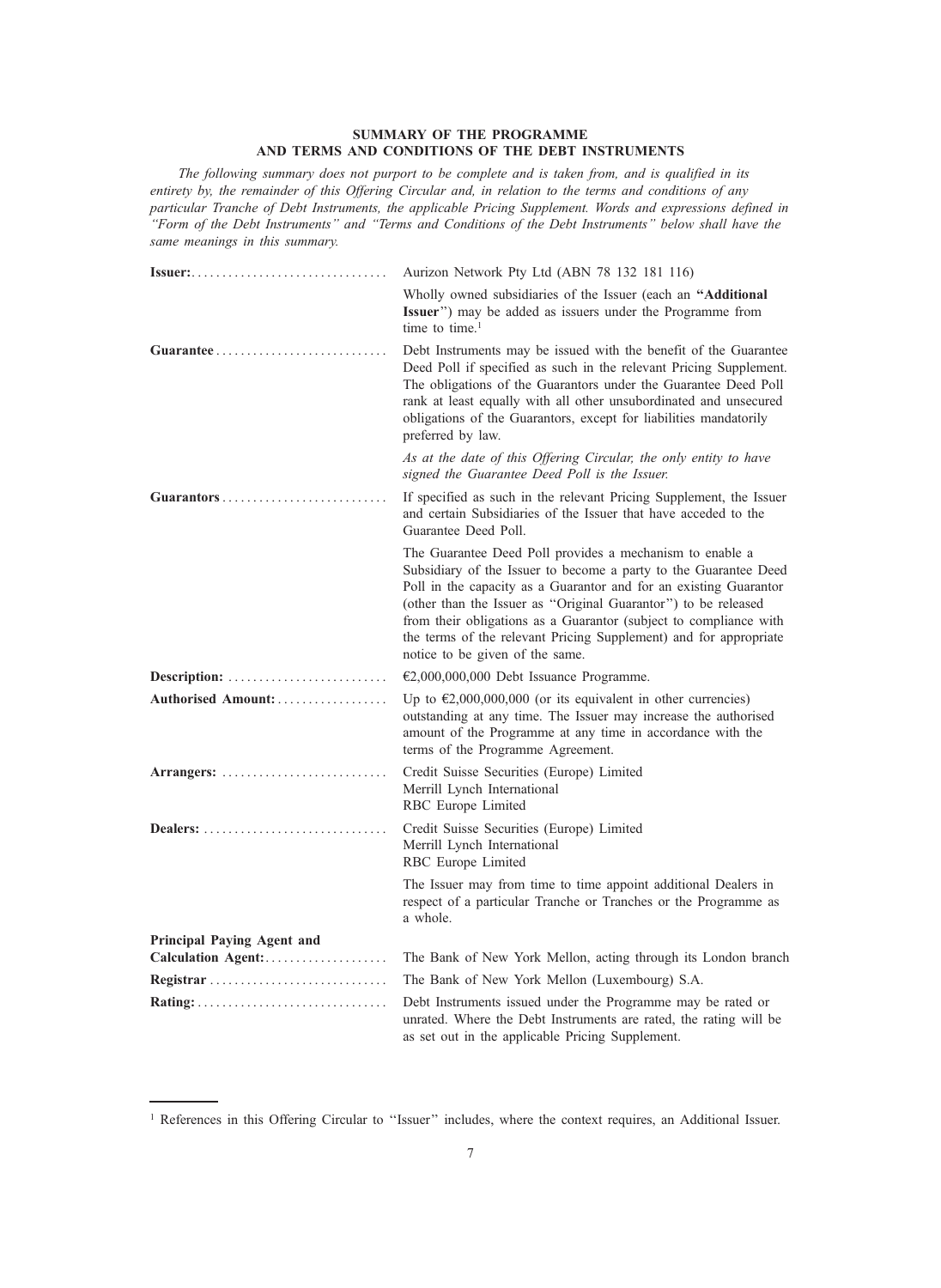# SUMMARY OF THE PROGRAMME AND TERMS AND CONDITIONS OF THE DEBT INSTRUMENTS

The following summary does not purport to be complete and is taken from, and is qualified in its entirety by, the remainder of this Offering Circular and, in relation to the terms and conditions of any particular Tranche of Debt Instruments, the applicable Pricing Supplement. Words and expressions defined in ''Form of the Debt Instruments'' and ''Terms and Conditions of the Debt Instruments'' below shall have the same meanings in this summary.

| Issuer:                    | Aurizon Network Pty Ltd (ABN 78 132 181 116)                                                                                                                                                                                                                                                                                                                                                                                                     |
|----------------------------|--------------------------------------------------------------------------------------------------------------------------------------------------------------------------------------------------------------------------------------------------------------------------------------------------------------------------------------------------------------------------------------------------------------------------------------------------|
|                            | Wholly owned subsidiaries of the Issuer (each an "Additional<br>Issuer") may be added as issuers under the Programme from<br>time to time. <sup>1</sup>                                                                                                                                                                                                                                                                                          |
|                            | Debt Instruments may be issued with the benefit of the Guarantee<br>Deed Poll if specified as such in the relevant Pricing Supplement.<br>The obligations of the Guarantors under the Guarantee Deed Poll<br>rank at least equally with all other unsubordinated and unsecured<br>obligations of the Guarantors, except for liabilities mandatorily<br>preferred by law.                                                                         |
|                            | As at the date of this Offering Circular, the only entity to have<br>signed the Guarantee Deed Poll is the Issuer.                                                                                                                                                                                                                                                                                                                               |
| Guarantors                 | If specified as such in the relevant Pricing Supplement, the Issuer<br>and certain Subsidiaries of the Issuer that have acceded to the<br>Guarantee Deed Poll.                                                                                                                                                                                                                                                                                   |
|                            | The Guarantee Deed Poll provides a mechanism to enable a<br>Subsidiary of the Issuer to become a party to the Guarantee Deed<br>Poll in the capacity as a Guarantor and for an existing Guarantor<br>(other than the Issuer as "Original Guarantor") to be released<br>from their obligations as a Guarantor (subject to compliance with<br>the terms of the relevant Pricing Supplement) and for appropriate<br>notice to be given of the same. |
| Description:               | €2,000,000,000 Debt Issuance Programme.                                                                                                                                                                                                                                                                                                                                                                                                          |
| Authorised Amount:         | Up to $\epsilon$ 2,000,000,000 (or its equivalent in other currencies)<br>outstanding at any time. The Issuer may increase the authorised<br>amount of the Programme at any time in accordance with the<br>terms of the Programme Agreement.                                                                                                                                                                                                     |
| Arrangers:                 | Credit Suisse Securities (Europe) Limited<br>Merrill Lynch International<br>RBC Europe Limited                                                                                                                                                                                                                                                                                                                                                   |
| Dealers:                   | Credit Suisse Securities (Europe) Limited<br>Merrill Lynch International<br>RBC Europe Limited                                                                                                                                                                                                                                                                                                                                                   |
|                            | The Issuer may from time to time appoint additional Dealers in<br>respect of a particular Tranche or Tranches or the Programme as<br>a whole.                                                                                                                                                                                                                                                                                                    |
| Principal Paying Agent and |                                                                                                                                                                                                                                                                                                                                                                                                                                                  |
|                            | The Bank of New York Mellon, acting through its London branch                                                                                                                                                                                                                                                                                                                                                                                    |
| Registrar                  | The Bank of New York Mellon (Luxembourg) S.A.                                                                                                                                                                                                                                                                                                                                                                                                    |
|                            | Debt Instruments issued under the Programme may be rated or<br>unrated. Where the Debt Instruments are rated, the rating will be<br>as set out in the applicable Pricing Supplement.                                                                                                                                                                                                                                                             |

<sup>&</sup>lt;sup>1</sup> References in this Offering Circular to "Issuer" includes, where the context requires, an Additional Issuer.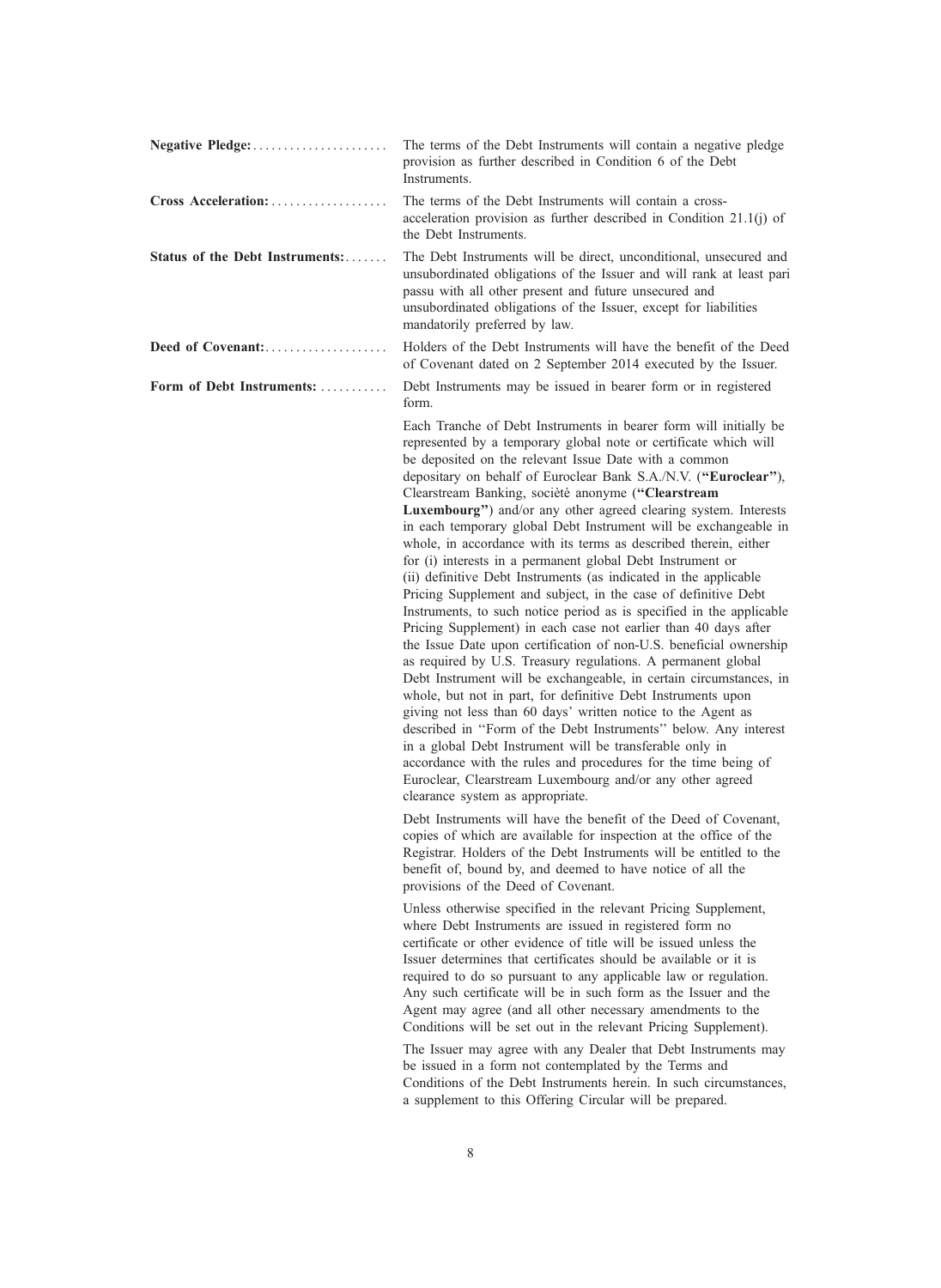|                                 | The terms of the Debt Instruments will contain a negative pledge<br>provision as further described in Condition 6 of the Debt<br>Instruments.                                                                                                                                                                                                                                                                                                                                                                                                                                                                                                                                                                                                                                                                                                                                                                                                                                                                                                                                                                                                                                                                                                                                                                                                                                                                                                                                                                                   |
|---------------------------------|---------------------------------------------------------------------------------------------------------------------------------------------------------------------------------------------------------------------------------------------------------------------------------------------------------------------------------------------------------------------------------------------------------------------------------------------------------------------------------------------------------------------------------------------------------------------------------------------------------------------------------------------------------------------------------------------------------------------------------------------------------------------------------------------------------------------------------------------------------------------------------------------------------------------------------------------------------------------------------------------------------------------------------------------------------------------------------------------------------------------------------------------------------------------------------------------------------------------------------------------------------------------------------------------------------------------------------------------------------------------------------------------------------------------------------------------------------------------------------------------------------------------------------|
| Cross Acceleration:             | The terms of the Debt Instruments will contain a cross-<br>acceleration provision as further described in Condition $21.1(j)$ of<br>the Debt Instruments.                                                                                                                                                                                                                                                                                                                                                                                                                                                                                                                                                                                                                                                                                                                                                                                                                                                                                                                                                                                                                                                                                                                                                                                                                                                                                                                                                                       |
| Status of the Debt Instruments: | The Debt Instruments will be direct, unconditional, unsecured and<br>unsubordinated obligations of the Issuer and will rank at least pari<br>passu with all other present and future unsecured and<br>unsubordinated obligations of the Issuer, except for liabilities<br>mandatorily preferred by law.                                                                                                                                                                                                                                                                                                                                                                                                                                                                                                                                                                                                                                                                                                                                                                                                                                                                                                                                                                                                                                                                                                                                                                                                                         |
| Deed of Covenant:               | Holders of the Debt Instruments will have the benefit of the Deed<br>of Covenant dated on 2 September 2014 executed by the Issuer.                                                                                                                                                                                                                                                                                                                                                                                                                                                                                                                                                                                                                                                                                                                                                                                                                                                                                                                                                                                                                                                                                                                                                                                                                                                                                                                                                                                              |
| Form of Debt Instruments:       | Debt Instruments may be issued in bearer form or in registered<br>form.                                                                                                                                                                                                                                                                                                                                                                                                                                                                                                                                                                                                                                                                                                                                                                                                                                                                                                                                                                                                                                                                                                                                                                                                                                                                                                                                                                                                                                                         |
|                                 | Each Tranche of Debt Instruments in bearer form will initially be<br>represented by a temporary global note or certificate which will<br>be deposited on the relevant Issue Date with a common<br>depositary on behalf of Euroclear Bank S.A./N.V. ("Euroclear"),<br>Clearstream Banking, socièté anonyme ("Clearstream<br>Luxembourg") and/or any other agreed clearing system. Interests<br>in each temporary global Debt Instrument will be exchangeable in<br>whole, in accordance with its terms as described therein, either<br>for (i) interests in a permanent global Debt Instrument or<br>(ii) definitive Debt Instruments (as indicated in the applicable<br>Pricing Supplement and subject, in the case of definitive Debt<br>Instruments, to such notice period as is specified in the applicable<br>Pricing Supplement) in each case not earlier than 40 days after<br>the Issue Date upon certification of non-U.S. beneficial ownership<br>as required by U.S. Treasury regulations. A permanent global<br>Debt Instrument will be exchangeable, in certain circumstances, in<br>whole, but not in part, for definitive Debt Instruments upon<br>giving not less than 60 days' written notice to the Agent as<br>described in "Form of the Debt Instruments" below. Any interest<br>in a global Debt Instrument will be transferable only in<br>accordance with the rules and procedures for the time being of<br>Euroclear, Clearstream Luxembourg and/or any other agreed<br>clearance system as appropriate. |
|                                 | Debt Instruments will have the benefit of the Deed of Covenant,<br>copies of which are available for inspection at the office of the<br>Registrar. Holders of the Debt Instruments will be entitled to the<br>benefit of, bound by, and deemed to have notice of all the<br>provisions of the Deed of Covenant.                                                                                                                                                                                                                                                                                                                                                                                                                                                                                                                                                                                                                                                                                                                                                                                                                                                                                                                                                                                                                                                                                                                                                                                                                 |
|                                 | Unless otherwise specified in the relevant Pricing Supplement,<br>where Debt Instruments are issued in registered form no<br>certificate or other evidence of title will be issued unless the<br>Issuer determines that certificates should be available or it is<br>required to do so pursuant to any applicable law or regulation.<br>Any such certificate will be in such form as the Issuer and the<br>Agent may agree (and all other necessary amendments to the<br>Conditions will be set out in the relevant Pricing Supplement).<br>The Issuer may agree with any Dealer that Debt Instruments may<br>be issued in a form not contemplated by the Terms and                                                                                                                                                                                                                                                                                                                                                                                                                                                                                                                                                                                                                                                                                                                                                                                                                                                             |
|                                 | Conditions of the Debt Instruments herein. In such circumstances,<br>a supplement to this Offering Circular will be prepared.                                                                                                                                                                                                                                                                                                                                                                                                                                                                                                                                                                                                                                                                                                                                                                                                                                                                                                                                                                                                                                                                                                                                                                                                                                                                                                                                                                                                   |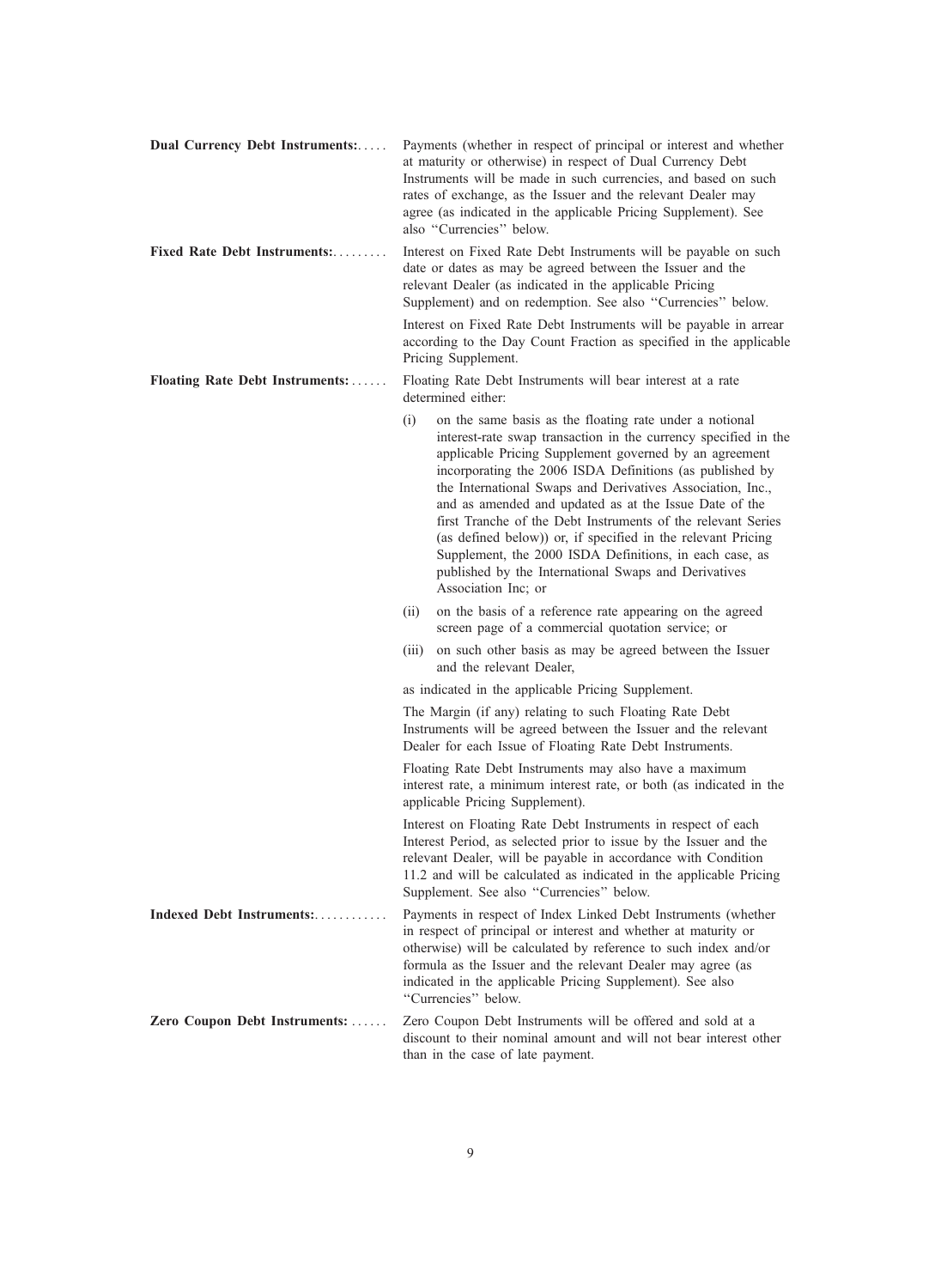| Dual Currency Debt Instruments: | Payments (whether in respect of principal or interest and whether<br>at maturity or otherwise) in respect of Dual Currency Debt<br>Instruments will be made in such currencies, and based on such<br>rates of exchange, as the Issuer and the relevant Dealer may<br>agree (as indicated in the applicable Pricing Supplement). See<br>also "Currencies" below.                                                                                                                                                                                                                                                                                           |
|---------------------------------|-----------------------------------------------------------------------------------------------------------------------------------------------------------------------------------------------------------------------------------------------------------------------------------------------------------------------------------------------------------------------------------------------------------------------------------------------------------------------------------------------------------------------------------------------------------------------------------------------------------------------------------------------------------|
| Fixed Rate Debt Instruments:    | Interest on Fixed Rate Debt Instruments will be payable on such<br>date or dates as may be agreed between the Issuer and the<br>relevant Dealer (as indicated in the applicable Pricing<br>Supplement) and on redemption. See also "Currencies" below.                                                                                                                                                                                                                                                                                                                                                                                                    |
|                                 | Interest on Fixed Rate Debt Instruments will be payable in arrear<br>according to the Day Count Fraction as specified in the applicable<br>Pricing Supplement.                                                                                                                                                                                                                                                                                                                                                                                                                                                                                            |
| Floating Rate Debt Instruments: | Floating Rate Debt Instruments will bear interest at a rate<br>determined either:                                                                                                                                                                                                                                                                                                                                                                                                                                                                                                                                                                         |
|                                 | on the same basis as the floating rate under a notional<br>(i)<br>interest-rate swap transaction in the currency specified in the<br>applicable Pricing Supplement governed by an agreement<br>incorporating the 2006 ISDA Definitions (as published by<br>the International Swaps and Derivatives Association, Inc.,<br>and as amended and updated as at the Issue Date of the<br>first Tranche of the Debt Instruments of the relevant Series<br>(as defined below)) or, if specified in the relevant Pricing<br>Supplement, the 2000 ISDA Definitions, in each case, as<br>published by the International Swaps and Derivatives<br>Association Inc; or |
|                                 | on the basis of a reference rate appearing on the agreed<br>(ii)<br>screen page of a commercial quotation service; or                                                                                                                                                                                                                                                                                                                                                                                                                                                                                                                                     |
|                                 | on such other basis as may be agreed between the Issuer<br>(iii)<br>and the relevant Dealer,                                                                                                                                                                                                                                                                                                                                                                                                                                                                                                                                                              |
|                                 | as indicated in the applicable Pricing Supplement.                                                                                                                                                                                                                                                                                                                                                                                                                                                                                                                                                                                                        |
|                                 | The Margin (if any) relating to such Floating Rate Debt<br>Instruments will be agreed between the Issuer and the relevant<br>Dealer for each Issue of Floating Rate Debt Instruments.                                                                                                                                                                                                                                                                                                                                                                                                                                                                     |
|                                 | Floating Rate Debt Instruments may also have a maximum<br>interest rate, a minimum interest rate, or both (as indicated in the<br>applicable Pricing Supplement).                                                                                                                                                                                                                                                                                                                                                                                                                                                                                         |
|                                 | Interest on Floating Rate Debt Instruments in respect of each<br>Interest Period, as selected prior to issue by the Issuer and the<br>relevant Dealer, will be payable in accordance with Condition<br>11.2 and will be calculated as indicated in the applicable Pricing<br>Supplement. See also "Currencies" below.                                                                                                                                                                                                                                                                                                                                     |
| Indexed Debt Instruments:       | Payments in respect of Index Linked Debt Instruments (whether<br>in respect of principal or interest and whether at maturity or<br>otherwise) will be calculated by reference to such index and/or<br>formula as the Issuer and the relevant Dealer may agree (as<br>indicated in the applicable Pricing Supplement). See also<br>"Currencies" below.                                                                                                                                                                                                                                                                                                     |
| Zero Coupon Debt Instruments:   | Zero Coupon Debt Instruments will be offered and sold at a<br>discount to their nominal amount and will not bear interest other<br>than in the case of late payment.                                                                                                                                                                                                                                                                                                                                                                                                                                                                                      |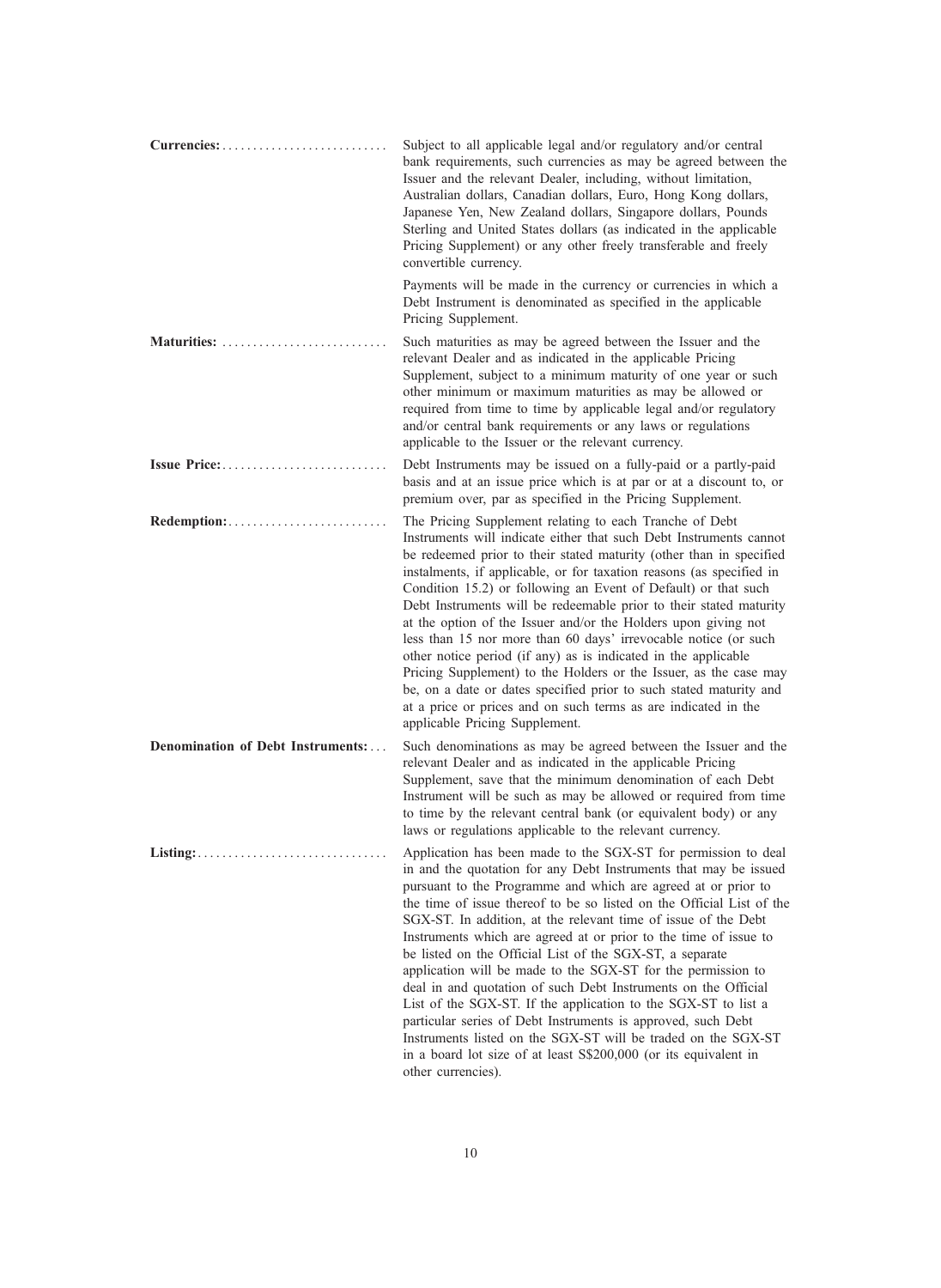|                                   | Subject to all applicable legal and/or regulatory and/or central<br>bank requirements, such currencies as may be agreed between the<br>Issuer and the relevant Dealer, including, without limitation,<br>Australian dollars, Canadian dollars, Euro, Hong Kong dollars,<br>Japanese Yen, New Zealand dollars, Singapore dollars, Pounds<br>Sterling and United States dollars (as indicated in the applicable<br>Pricing Supplement) or any other freely transferable and freely<br>convertible currency.                                                                                                                                                                                                                                                                                                                                                                                                     |
|-----------------------------------|---------------------------------------------------------------------------------------------------------------------------------------------------------------------------------------------------------------------------------------------------------------------------------------------------------------------------------------------------------------------------------------------------------------------------------------------------------------------------------------------------------------------------------------------------------------------------------------------------------------------------------------------------------------------------------------------------------------------------------------------------------------------------------------------------------------------------------------------------------------------------------------------------------------|
|                                   | Payments will be made in the currency or currencies in which a<br>Debt Instrument is denominated as specified in the applicable<br>Pricing Supplement.                                                                                                                                                                                                                                                                                                                                                                                                                                                                                                                                                                                                                                                                                                                                                        |
| Maturities:                       | Such maturities as may be agreed between the Issuer and the<br>relevant Dealer and as indicated in the applicable Pricing<br>Supplement, subject to a minimum maturity of one year or such<br>other minimum or maximum maturities as may be allowed or<br>required from time to time by applicable legal and/or regulatory<br>and/or central bank requirements or any laws or regulations<br>applicable to the Issuer or the relevant currency.                                                                                                                                                                                                                                                                                                                                                                                                                                                               |
| Issue Price:                      | Debt Instruments may be issued on a fully-paid or a partly-paid<br>basis and at an issue price which is at par or at a discount to, or<br>premium over, par as specified in the Pricing Supplement.                                                                                                                                                                                                                                                                                                                                                                                                                                                                                                                                                                                                                                                                                                           |
|                                   | The Pricing Supplement relating to each Tranche of Debt<br>Instruments will indicate either that such Debt Instruments cannot<br>be redeemed prior to their stated maturity (other than in specified<br>instalments, if applicable, or for taxation reasons (as specified in<br>Condition 15.2) or following an Event of Default) or that such<br>Debt Instruments will be redeemable prior to their stated maturity<br>at the option of the Issuer and/or the Holders upon giving not<br>less than 15 nor more than 60 days' irrevocable notice (or such<br>other notice period (if any) as is indicated in the applicable<br>Pricing Supplement) to the Holders or the Issuer, as the case may<br>be, on a date or dates specified prior to such stated maturity and<br>at a price or prices and on such terms as are indicated in the<br>applicable Pricing Supplement.                                    |
| Denomination of Debt Instruments: | Such denominations as may be agreed between the Issuer and the<br>relevant Dealer and as indicated in the applicable Pricing<br>Supplement, save that the minimum denomination of each Debt<br>Instrument will be such as may be allowed or required from time<br>to time by the relevant central bank (or equivalent body) or any<br>laws or regulations applicable to the relevant currency.                                                                                                                                                                                                                                                                                                                                                                                                                                                                                                                |
|                                   | Application has been made to the SGX-ST for permission to deal<br>in and the quotation for any Debt Instruments that may be issued<br>pursuant to the Programme and which are agreed at or prior to<br>the time of issue thereof to be so listed on the Official List of the<br>SGX-ST. In addition, at the relevant time of issue of the Debt<br>Instruments which are agreed at or prior to the time of issue to<br>be listed on the Official List of the SGX-ST, a separate<br>application will be made to the SGX-ST for the permission to<br>deal in and quotation of such Debt Instruments on the Official<br>List of the SGX-ST. If the application to the SGX-ST to list a<br>particular series of Debt Instruments is approved, such Debt<br>Instruments listed on the SGX-ST will be traded on the SGX-ST<br>in a board lot size of at least S\$200,000 (or its equivalent in<br>other currencies). |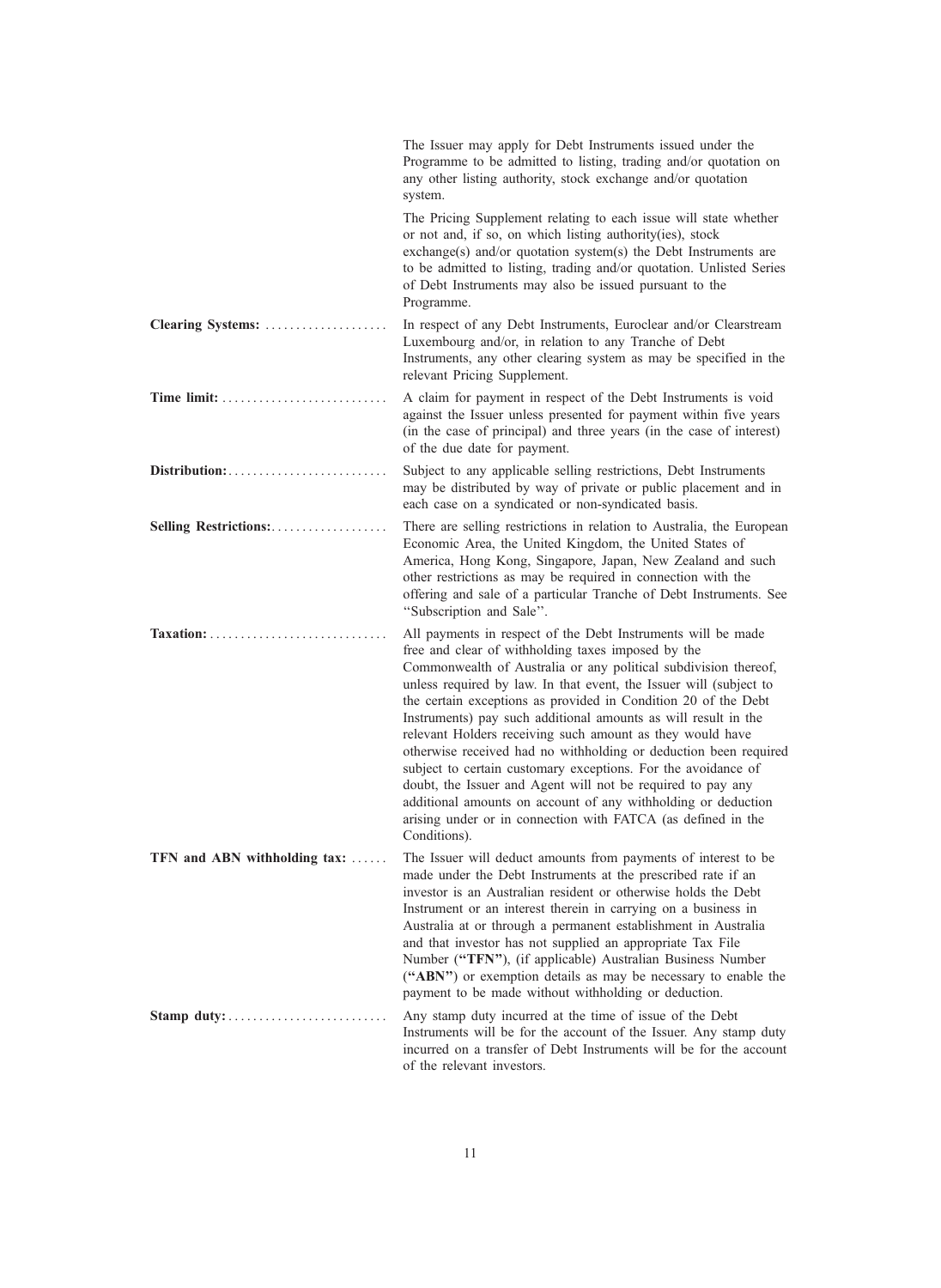|                              | The Issuer may apply for Debt Instruments issued under the<br>Programme to be admitted to listing, trading and/or quotation on<br>any other listing authority, stock exchange and/or quotation<br>system.                                                                                                                                                                                                                                                                                                                                                                                                                                                                                                                                                                                                         |
|------------------------------|-------------------------------------------------------------------------------------------------------------------------------------------------------------------------------------------------------------------------------------------------------------------------------------------------------------------------------------------------------------------------------------------------------------------------------------------------------------------------------------------------------------------------------------------------------------------------------------------------------------------------------------------------------------------------------------------------------------------------------------------------------------------------------------------------------------------|
|                              | The Pricing Supplement relating to each issue will state whether<br>or not and, if so, on which listing authority(ies), stock<br>exchange(s) and/or quotation system(s) the Debt Instruments are<br>to be admitted to listing, trading and/or quotation. Unlisted Series<br>of Debt Instruments may also be issued pursuant to the<br>Programme.                                                                                                                                                                                                                                                                                                                                                                                                                                                                  |
| Clearing Systems:            | In respect of any Debt Instruments, Euroclear and/or Clearstream<br>Luxembourg and/or, in relation to any Tranche of Debt<br>Instruments, any other clearing system as may be specified in the<br>relevant Pricing Supplement.                                                                                                                                                                                                                                                                                                                                                                                                                                                                                                                                                                                    |
|                              | A claim for payment in respect of the Debt Instruments is void<br>against the Issuer unless presented for payment within five years<br>(in the case of principal) and three years (in the case of interest)<br>of the due date for payment.                                                                                                                                                                                                                                                                                                                                                                                                                                                                                                                                                                       |
|                              | Subject to any applicable selling restrictions, Debt Instruments<br>may be distributed by way of private or public placement and in<br>each case on a syndicated or non-syndicated basis.                                                                                                                                                                                                                                                                                                                                                                                                                                                                                                                                                                                                                         |
| Selling Restrictions:        | There are selling restrictions in relation to Australia, the European<br>Economic Area, the United Kingdom, the United States of<br>America, Hong Kong, Singapore, Japan, New Zealand and such<br>other restrictions as may be required in connection with the<br>offering and sale of a particular Tranche of Debt Instruments. See<br>"Subscription and Sale".                                                                                                                                                                                                                                                                                                                                                                                                                                                  |
|                              | All payments in respect of the Debt Instruments will be made<br>free and clear of withholding taxes imposed by the<br>Commonwealth of Australia or any political subdivision thereof,<br>unless required by law. In that event, the Issuer will (subject to<br>the certain exceptions as provided in Condition 20 of the Debt<br>Instruments) pay such additional amounts as will result in the<br>relevant Holders receiving such amount as they would have<br>otherwise received had no withholding or deduction been required<br>subject to certain customary exceptions. For the avoidance of<br>doubt, the Issuer and Agent will not be required to pay any<br>additional amounts on account of any withholding or deduction<br>arising under or in connection with FATCA (as defined in the<br>Conditions). |
| TFN and ABN withholding tax: | The Issuer will deduct amounts from payments of interest to be<br>made under the Debt Instruments at the prescribed rate if an<br>investor is an Australian resident or otherwise holds the Debt<br>Instrument or an interest therein in carrying on a business in<br>Australia at or through a permanent establishment in Australia<br>and that investor has not supplied an appropriate Tax File<br>Number ("TFN"), (if applicable) Australian Business Number<br>("ABN") or exemption details as may be necessary to enable the<br>payment to be made without withholding or deduction.                                                                                                                                                                                                                        |
| Stamp duty:                  | Any stamp duty incurred at the time of issue of the Debt<br>Instruments will be for the account of the Issuer. Any stamp duty<br>incurred on a transfer of Debt Instruments will be for the account<br>of the relevant investors.                                                                                                                                                                                                                                                                                                                                                                                                                                                                                                                                                                                 |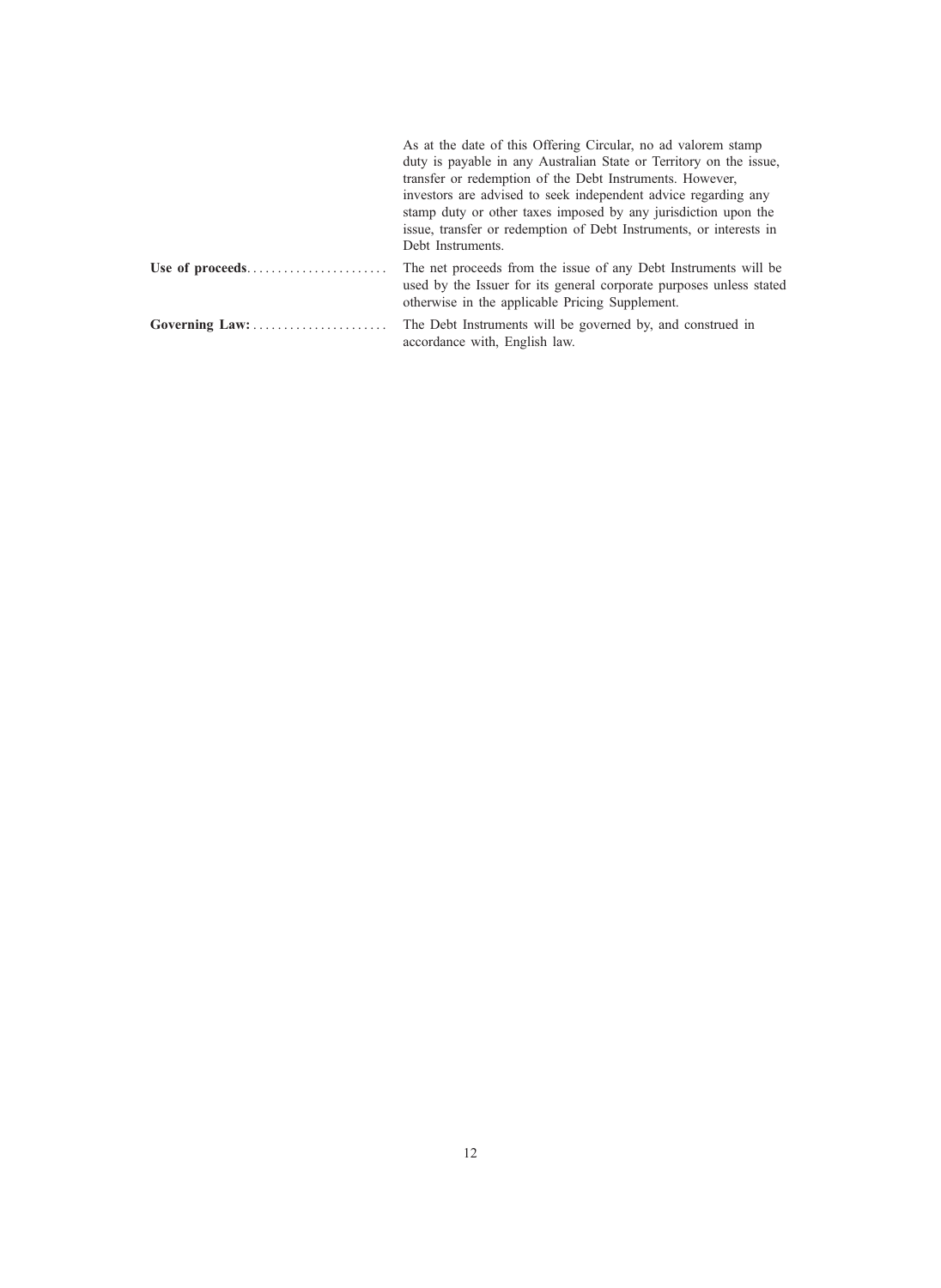| As at the date of this Offering Circular, no ad valorem stamp<br>duty is payable in any Australian State or Territory on the issue,<br>transfer or redemption of the Debt Instruments. However,<br>investors are advised to seek independent advice regarding any<br>stamp duty or other taxes imposed by any jurisdiction upon the<br>issue, transfer or redemption of Debt Instruments, or interests in<br>Debt Instruments. |
|--------------------------------------------------------------------------------------------------------------------------------------------------------------------------------------------------------------------------------------------------------------------------------------------------------------------------------------------------------------------------------------------------------------------------------|
| The net proceeds from the issue of any Debt Instruments will be<br>used by the Issuer for its general corporate purposes unless stated<br>otherwise in the applicable Pricing Supplement.                                                                                                                                                                                                                                      |
| The Debt Instruments will be governed by, and construed in<br>accordance with, English law.                                                                                                                                                                                                                                                                                                                                    |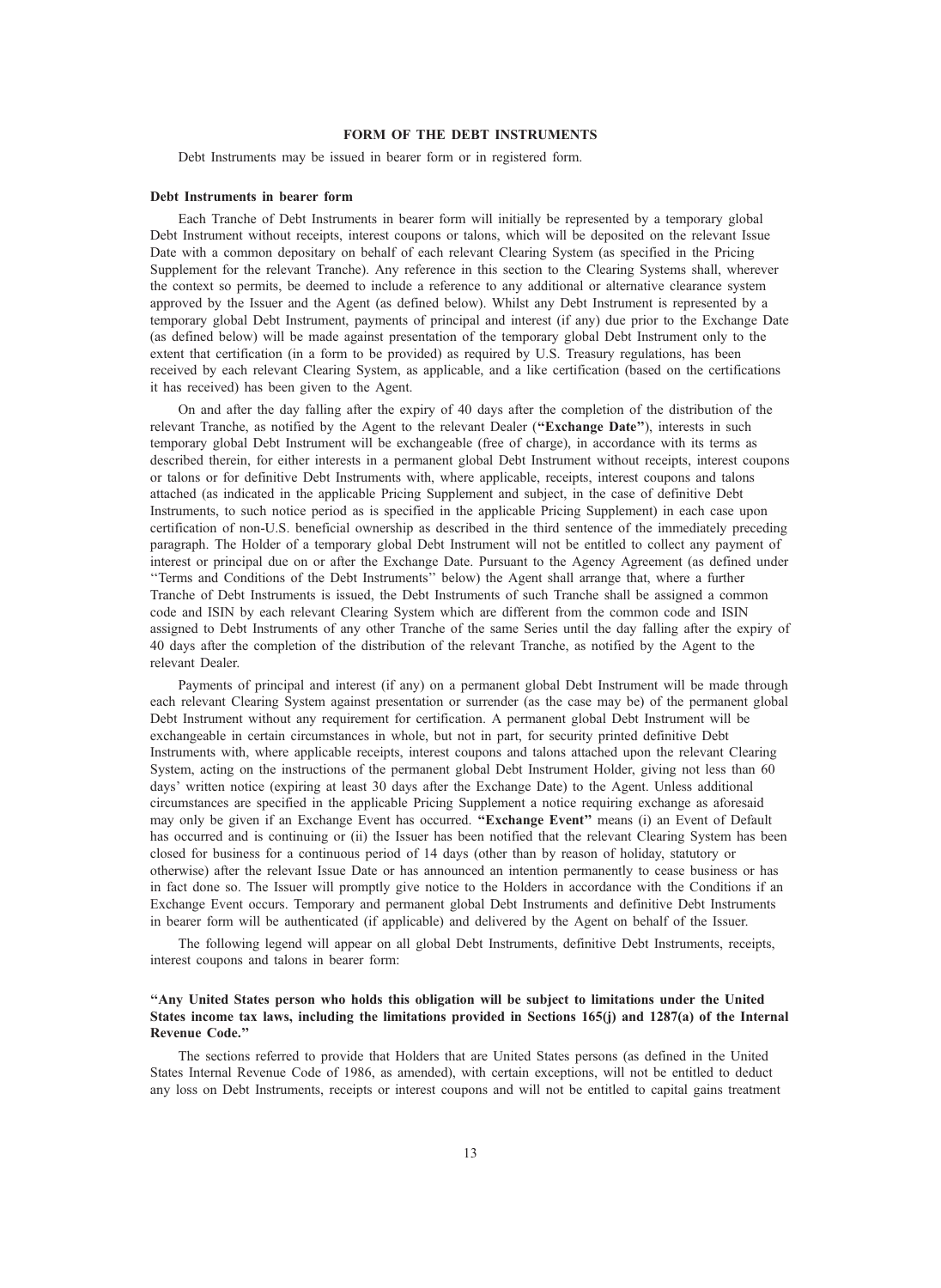# FORM OF THE DEBT INSTRUMENTS

Debt Instruments may be issued in bearer form or in registered form.

#### Debt Instruments in bearer form

Each Tranche of Debt Instruments in bearer form will initially be represented by a temporary global Debt Instrument without receipts, interest coupons or talons, which will be deposited on the relevant Issue Date with a common depositary on behalf of each relevant Clearing System (as specified in the Pricing Supplement for the relevant Tranche). Any reference in this section to the Clearing Systems shall, wherever the context so permits, be deemed to include a reference to any additional or alternative clearance system approved by the Issuer and the Agent (as defined below). Whilst any Debt Instrument is represented by a temporary global Debt Instrument, payments of principal and interest (if any) due prior to the Exchange Date (as defined below) will be made against presentation of the temporary global Debt Instrument only to the extent that certification (in a form to be provided) as required by U.S. Treasury regulations, has been received by each relevant Clearing System, as applicable, and a like certification (based on the certifications it has received) has been given to the Agent.

On and after the day falling after the expiry of 40 days after the completion of the distribution of the relevant Tranche, as notified by the Agent to the relevant Dealer ("Exchange Date"), interests in such temporary global Debt Instrument will be exchangeable (free of charge), in accordance with its terms as described therein, for either interests in a permanent global Debt Instrument without receipts, interest coupons or talons or for definitive Debt Instruments with, where applicable, receipts, interest coupons and talons attached (as indicated in the applicable Pricing Supplement and subject, in the case of definitive Debt Instruments, to such notice period as is specified in the applicable Pricing Supplement) in each case upon certification of non-U.S. beneficial ownership as described in the third sentence of the immediately preceding paragraph. The Holder of a temporary global Debt Instrument will not be entitled to collect any payment of interest or principal due on or after the Exchange Date. Pursuant to the Agency Agreement (as defined under ''Terms and Conditions of the Debt Instruments'' below) the Agent shall arrange that, where a further Tranche of Debt Instruments is issued, the Debt Instruments of such Tranche shall be assigned a common code and ISIN by each relevant Clearing System which are different from the common code and ISIN assigned to Debt Instruments of any other Tranche of the same Series until the day falling after the expiry of 40 days after the completion of the distribution of the relevant Tranche, as notified by the Agent to the relevant Dealer.

Payments of principal and interest (if any) on a permanent global Debt Instrument will be made through each relevant Clearing System against presentation or surrender (as the case may be) of the permanent global Debt Instrument without any requirement for certification. A permanent global Debt Instrument will be exchangeable in certain circumstances in whole, but not in part, for security printed definitive Debt Instruments with, where applicable receipts, interest coupons and talons attached upon the relevant Clearing System, acting on the instructions of the permanent global Debt Instrument Holder, giving not less than 60 days' written notice (expiring at least 30 days after the Exchange Date) to the Agent. Unless additional circumstances are specified in the applicable Pricing Supplement a notice requiring exchange as aforesaid may only be given if an Exchange Event has occurred. "Exchange Event" means (i) an Event of Default has occurred and is continuing or (ii) the Issuer has been notified that the relevant Clearing System has been closed for business for a continuous period of 14 days (other than by reason of holiday, statutory or otherwise) after the relevant Issue Date or has announced an intention permanently to cease business or has in fact done so. The Issuer will promptly give notice to the Holders in accordance with the Conditions if an Exchange Event occurs. Temporary and permanent global Debt Instruments and definitive Debt Instruments in bearer form will be authenticated (if applicable) and delivered by the Agent on behalf of the Issuer.

The following legend will appear on all global Debt Instruments, definitive Debt Instruments, receipts, interest coupons and talons in bearer form:

# ''Any United States person who holds this obligation will be subject to limitations under the United States income tax laws, including the limitations provided in Sections 165(j) and 1287(a) of the Internal Revenue Code.''

The sections referred to provide that Holders that are United States persons (as defined in the United States Internal Revenue Code of 1986, as amended), with certain exceptions, will not be entitled to deduct any loss on Debt Instruments, receipts or interest coupons and will not be entitled to capital gains treatment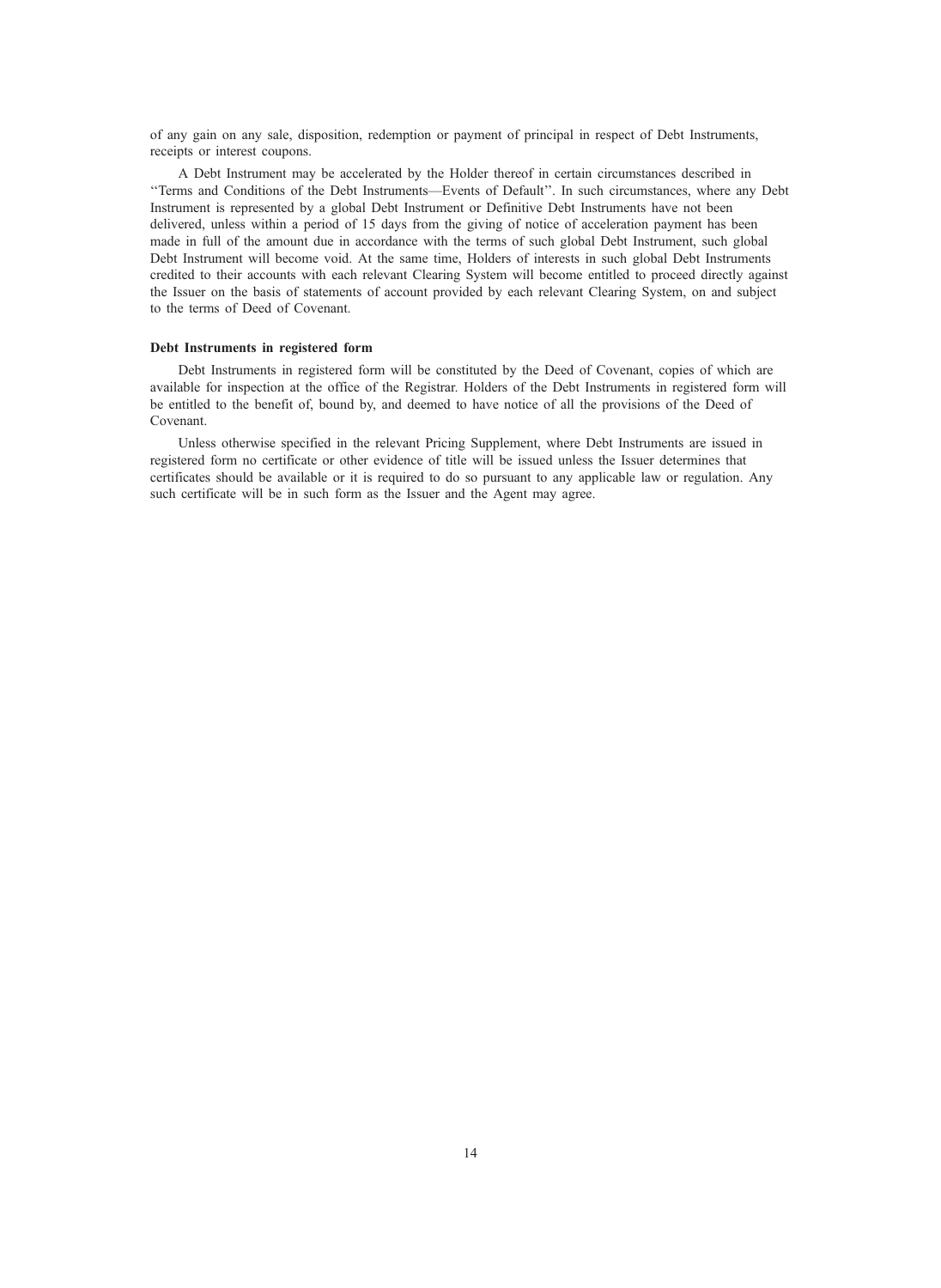of any gain on any sale, disposition, redemption or payment of principal in respect of Debt Instruments, receipts or interest coupons.

A Debt Instrument may be accelerated by the Holder thereof in certain circumstances described in ''Terms and Conditions of the Debt Instruments—Events of Default''. In such circumstances, where any Debt Instrument is represented by a global Debt Instrument or Definitive Debt Instruments have not been delivered, unless within a period of 15 days from the giving of notice of acceleration payment has been made in full of the amount due in accordance with the terms of such global Debt Instrument, such global Debt Instrument will become void. At the same time, Holders of interests in such global Debt Instruments credited to their accounts with each relevant Clearing System will become entitled to proceed directly against the Issuer on the basis of statements of account provided by each relevant Clearing System, on and subject to the terms of Deed of Covenant.

#### Debt Instruments in registered form

Debt Instruments in registered form will be constituted by the Deed of Covenant, copies of which are available for inspection at the office of the Registrar. Holders of the Debt Instruments in registered form will be entitled to the benefit of, bound by, and deemed to have notice of all the provisions of the Deed of Covenant.

Unless otherwise specified in the relevant Pricing Supplement, where Debt Instruments are issued in registered form no certificate or other evidence of title will be issued unless the Issuer determines that certificates should be available or it is required to do so pursuant to any applicable law or regulation. Any such certificate will be in such form as the Issuer and the Agent may agree.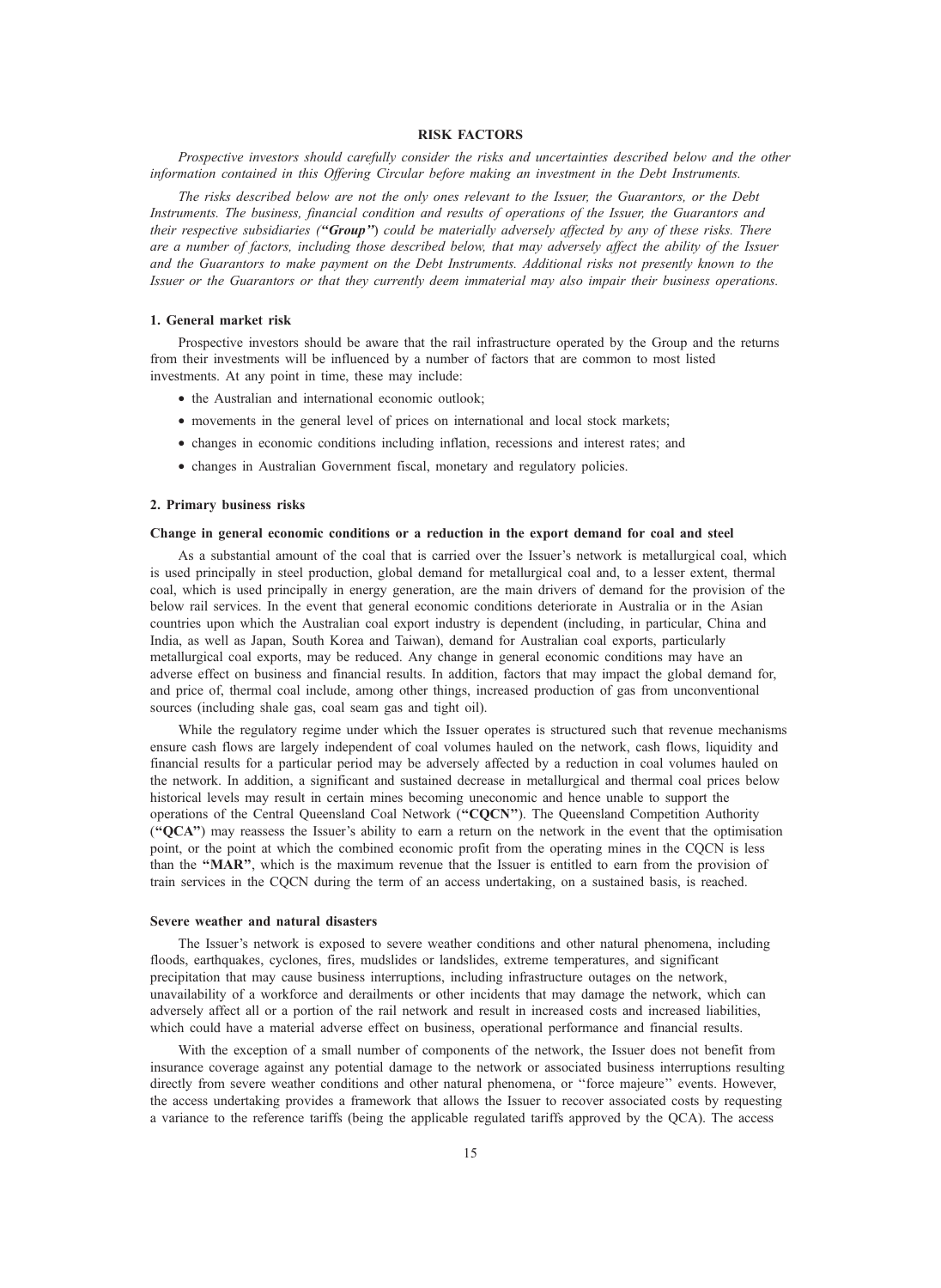# RISK FACTORS

Prospective investors should carefully consider the risks and uncertainties described below and the other information contained in this Offering Circular before making an investment in the Debt Instruments.

The risks described below are not the only ones relevant to the Issuer, the Guarantors, or the Debt Instruments. The business, financial condition and results of operations of the Issuer, the Guarantors and their respective subsidiaries ("Group") could be materially adversely affected by any of these risks. There are a number of factors, including those described below, that may adversely affect the ability of the Issuer and the Guarantors to make payment on the Debt Instruments. Additional risks not presently known to the Issuer or the Guarantors or that they currently deem immaterial may also impair their business operations.

# 1. General market risk

Prospective investors should be aware that the rail infrastructure operated by the Group and the returns from their investments will be influenced by a number of factors that are common to most listed investments. At any point in time, these may include:

- the Australian and international economic outlook;
- movements in the general level of prices on international and local stock markets;
- changes in economic conditions including inflation, recessions and interest rates; and
- changes in Australian Government fiscal, monetary and regulatory policies.

# 2. Primary business risks

# Change in general economic conditions or a reduction in the export demand for coal and steel

As a substantial amount of the coal that is carried over the Issuer's network is metallurgical coal, which is used principally in steel production, global demand for metallurgical coal and, to a lesser extent, thermal coal, which is used principally in energy generation, are the main drivers of demand for the provision of the below rail services. In the event that general economic conditions deteriorate in Australia or in the Asian countries upon which the Australian coal export industry is dependent (including, in particular, China and India, as well as Japan, South Korea and Taiwan), demand for Australian coal exports, particularly metallurgical coal exports, may be reduced. Any change in general economic conditions may have an adverse effect on business and financial results. In addition, factors that may impact the global demand for, and price of, thermal coal include, among other things, increased production of gas from unconventional sources (including shale gas, coal seam gas and tight oil).

While the regulatory regime under which the Issuer operates is structured such that revenue mechanisms ensure cash flows are largely independent of coal volumes hauled on the network, cash flows, liquidity and financial results for a particular period may be adversely affected by a reduction in coal volumes hauled on the network. In addition, a significant and sustained decrease in metallurgical and thermal coal prices below historical levels may result in certain mines becoming uneconomic and hence unable to support the operations of the Central Queensland Coal Network ("CQCN"). The Queensland Competition Authority (''QCA'') may reassess the Issuer's ability to earn a return on the network in the event that the optimisation point, or the point at which the combined economic profit from the operating mines in the CQCN is less than the "MAR", which is the maximum revenue that the Issuer is entitled to earn from the provision of train services in the CQCN during the term of an access undertaking, on a sustained basis, is reached.

#### Severe weather and natural disasters

The Issuer's network is exposed to severe weather conditions and other natural phenomena, including floods, earthquakes, cyclones, fires, mudslides or landslides, extreme temperatures, and significant precipitation that may cause business interruptions, including infrastructure outages on the network, unavailability of a workforce and derailments or other incidents that may damage the network, which can adversely affect all or a portion of the rail network and result in increased costs and increased liabilities, which could have a material adverse effect on business, operational performance and financial results.

With the exception of a small number of components of the network, the Issuer does not benefit from insurance coverage against any potential damage to the network or associated business interruptions resulting directly from severe weather conditions and other natural phenomena, or ''force majeure'' events. However, the access undertaking provides a framework that allows the Issuer to recover associated costs by requesting a variance to the reference tariffs (being the applicable regulated tariffs approved by the QCA). The access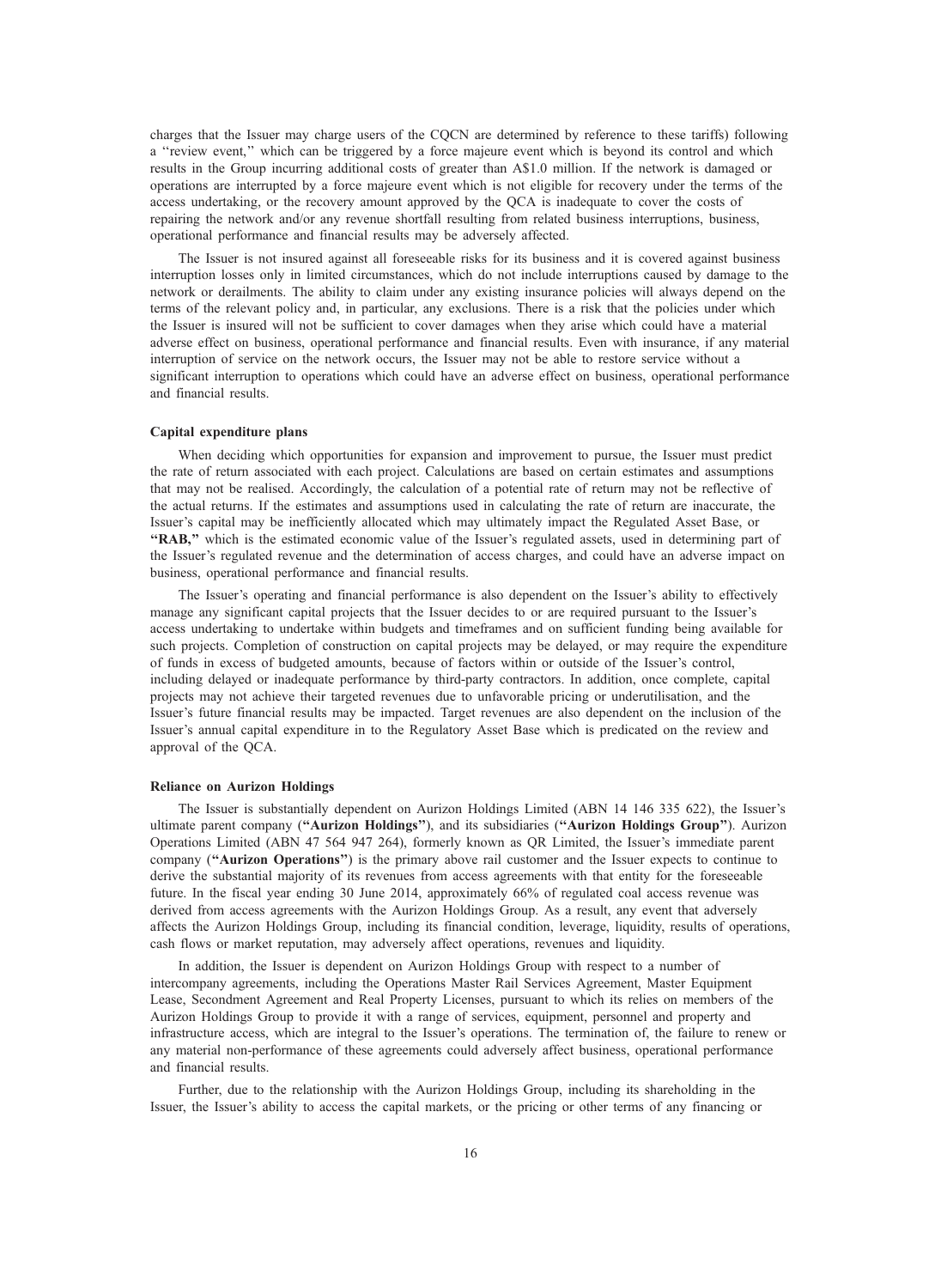charges that the Issuer may charge users of the CQCN are determined by reference to these tariffs) following a ''review event,'' which can be triggered by a force majeure event which is beyond its control and which results in the Group incurring additional costs of greater than A\$1.0 million. If the network is damaged or operations are interrupted by a force majeure event which is not eligible for recovery under the terms of the access undertaking, or the recovery amount approved by the QCA is inadequate to cover the costs of repairing the network and/or any revenue shortfall resulting from related business interruptions, business, operational performance and financial results may be adversely affected.

The Issuer is not insured against all foreseeable risks for its business and it is covered against business interruption losses only in limited circumstances, which do not include interruptions caused by damage to the network or derailments. The ability to claim under any existing insurance policies will always depend on the terms of the relevant policy and, in particular, any exclusions. There is a risk that the policies under which the Issuer is insured will not be sufficient to cover damages when they arise which could have a material adverse effect on business, operational performance and financial results. Even with insurance, if any material interruption of service on the network occurs, the Issuer may not be able to restore service without a significant interruption to operations which could have an adverse effect on business, operational performance and financial results.

# Capital expenditure plans

When deciding which opportunities for expansion and improvement to pursue, the Issuer must predict the rate of return associated with each project. Calculations are based on certain estimates and assumptions that may not be realised. Accordingly, the calculation of a potential rate of return may not be reflective of the actual returns. If the estimates and assumptions used in calculating the rate of return are inaccurate, the Issuer's capital may be inefficiently allocated which may ultimately impact the Regulated Asset Base, or "RAB," which is the estimated economic value of the Issuer's regulated assets, used in determining part of the Issuer's regulated revenue and the determination of access charges, and could have an adverse impact on business, operational performance and financial results.

The Issuer's operating and financial performance is also dependent on the Issuer's ability to effectively manage any significant capital projects that the Issuer decides to or are required pursuant to the Issuer's access undertaking to undertake within budgets and timeframes and on sufficient funding being available for such projects. Completion of construction on capital projects may be delayed, or may require the expenditure of funds in excess of budgeted amounts, because of factors within or outside of the Issuer's control, including delayed or inadequate performance by third-party contractors. In addition, once complete, capital projects may not achieve their targeted revenues due to unfavorable pricing or underutilisation, and the Issuer's future financial results may be impacted. Target revenues are also dependent on the inclusion of the Issuer's annual capital expenditure in to the Regulatory Asset Base which is predicated on the review and approval of the QCA.

# Reliance on Aurizon Holdings

The Issuer is substantially dependent on Aurizon Holdings Limited (ABN 14 146 335 622), the Issuer's ultimate parent company ("Aurizon Holdings"), and its subsidiaries ("Aurizon Holdings Group"). Aurizon Operations Limited (ABN 47 564 947 264), formerly known as QR Limited, the Issuer's immediate parent company ("Aurizon Operations") is the primary above rail customer and the Issuer expects to continue to derive the substantial majority of its revenues from access agreements with that entity for the foreseeable future. In the fiscal year ending 30 June 2014, approximately 66% of regulated coal access revenue was derived from access agreements with the Aurizon Holdings Group. As a result, any event that adversely affects the Aurizon Holdings Group, including its financial condition, leverage, liquidity, results of operations, cash flows or market reputation, may adversely affect operations, revenues and liquidity.

In addition, the Issuer is dependent on Aurizon Holdings Group with respect to a number of intercompany agreements, including the Operations Master Rail Services Agreement, Master Equipment Lease, Secondment Agreement and Real Property Licenses, pursuant to which its relies on members of the Aurizon Holdings Group to provide it with a range of services, equipment, personnel and property and infrastructure access, which are integral to the Issuer's operations. The termination of, the failure to renew or any material non-performance of these agreements could adversely affect business, operational performance and financial results.

Further, due to the relationship with the Aurizon Holdings Group, including its shareholding in the Issuer, the Issuer's ability to access the capital markets, or the pricing or other terms of any financing or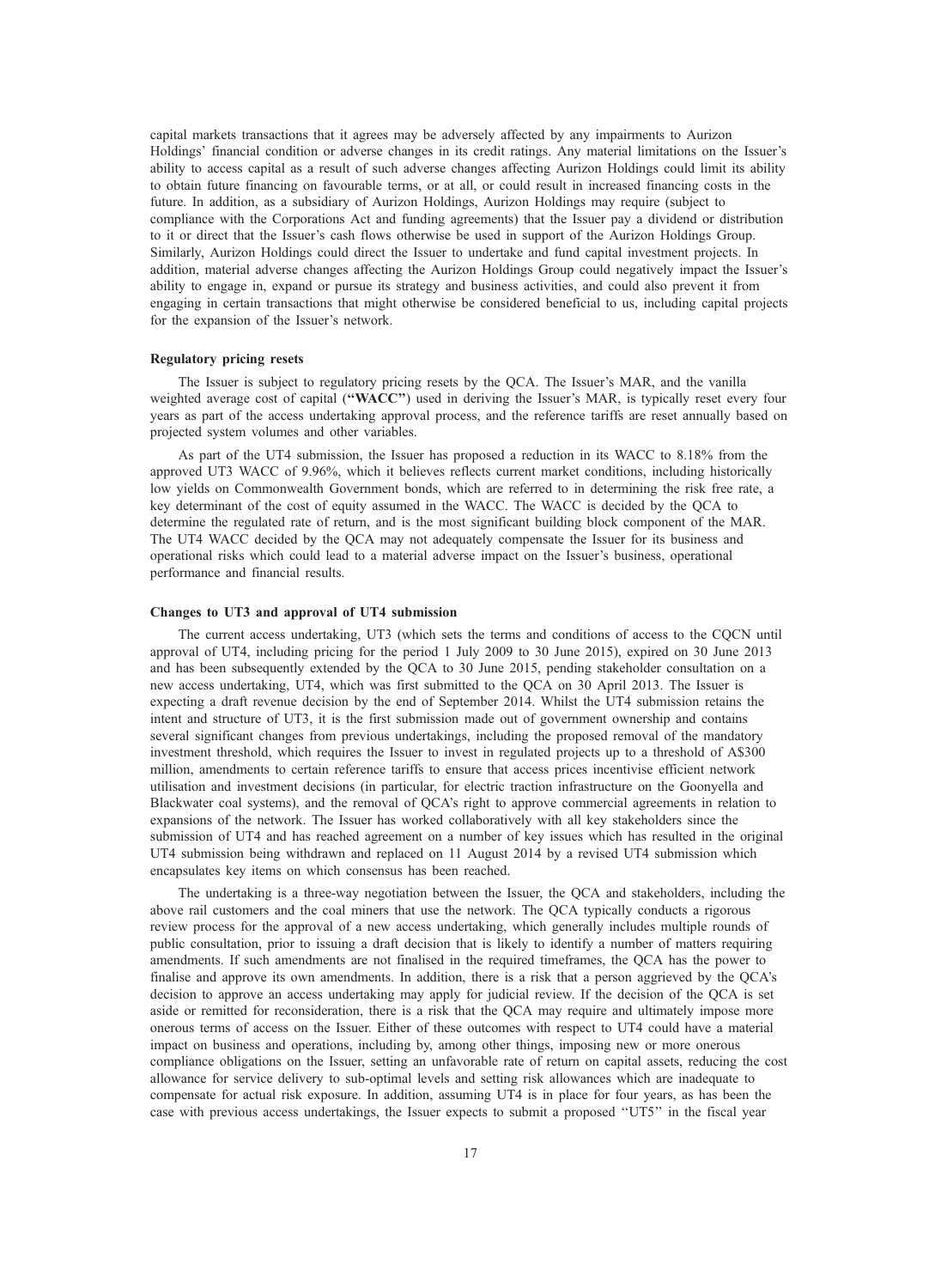capital markets transactions that it agrees may be adversely affected by any impairments to Aurizon Holdings' financial condition or adverse changes in its credit ratings. Any material limitations on the Issuer's ability to access capital as a result of such adverse changes affecting Aurizon Holdings could limit its ability to obtain future financing on favourable terms, or at all, or could result in increased financing costs in the future. In addition, as a subsidiary of Aurizon Holdings, Aurizon Holdings may require (subject to compliance with the Corporations Act and funding agreements) that the Issuer pay a dividend or distribution to it or direct that the Issuer's cash flows otherwise be used in support of the Aurizon Holdings Group. Similarly, Aurizon Holdings could direct the Issuer to undertake and fund capital investment projects. In addition, material adverse changes affecting the Aurizon Holdings Group could negatively impact the Issuer's ability to engage in, expand or pursue its strategy and business activities, and could also prevent it from engaging in certain transactions that might otherwise be considered beneficial to us, including capital projects for the expansion of the Issuer's network.

# Regulatory pricing resets

The Issuer is subject to regulatory pricing resets by the QCA. The Issuer's MAR, and the vanilla weighted average cost of capital ("WACC") used in deriving the Issuer's MAR, is typically reset every four years as part of the access undertaking approval process, and the reference tariffs are reset annually based on projected system volumes and other variables.

As part of the UT4 submission, the Issuer has proposed a reduction in its WACC to 8.18% from the approved UT3 WACC of 9.96%, which it believes reflects current market conditions, including historically low yields on Commonwealth Government bonds, which are referred to in determining the risk free rate, a key determinant of the cost of equity assumed in the WACC. The WACC is decided by the QCA to determine the regulated rate of return, and is the most significant building block component of the MAR. The UT4 WACC decided by the QCA may not adequately compensate the Issuer for its business and operational risks which could lead to a material adverse impact on the Issuer's business, operational performance and financial results.

# Changes to UT3 and approval of UT4 submission

The current access undertaking, UT3 (which sets the terms and conditions of access to the CQCN until approval of UT4, including pricing for the period 1 July 2009 to 30 June 2015), expired on 30 June 2013 and has been subsequently extended by the QCA to 30 June 2015, pending stakeholder consultation on a new access undertaking, UT4, which was first submitted to the QCA on 30 April 2013. The Issuer is expecting a draft revenue decision by the end of September 2014. Whilst the UT4 submission retains the intent and structure of UT3, it is the first submission made out of government ownership and contains several significant changes from previous undertakings, including the proposed removal of the mandatory investment threshold, which requires the Issuer to invest in regulated projects up to a threshold of A\$300 million, amendments to certain reference tariffs to ensure that access prices incentivise efficient network utilisation and investment decisions (in particular, for electric traction infrastructure on the Goonyella and Blackwater coal systems), and the removal of QCA's right to approve commercial agreements in relation to expansions of the network. The Issuer has worked collaboratively with all key stakeholders since the submission of UT4 and has reached agreement on a number of key issues which has resulted in the original UT4 submission being withdrawn and replaced on 11 August 2014 by a revised UT4 submission which encapsulates key items on which consensus has been reached.

The undertaking is a three-way negotiation between the Issuer, the QCA and stakeholders, including the above rail customers and the coal miners that use the network. The QCA typically conducts a rigorous review process for the approval of a new access undertaking, which generally includes multiple rounds of public consultation, prior to issuing a draft decision that is likely to identify a number of matters requiring amendments. If such amendments are not finalised in the required timeframes, the QCA has the power to finalise and approve its own amendments. In addition, there is a risk that a person aggrieved by the QCA's decision to approve an access undertaking may apply for judicial review. If the decision of the QCA is set aside or remitted for reconsideration, there is a risk that the QCA may require and ultimately impose more onerous terms of access on the Issuer. Either of these outcomes with respect to UT4 could have a material impact on business and operations, including by, among other things, imposing new or more onerous compliance obligations on the Issuer, setting an unfavorable rate of return on capital assets, reducing the cost allowance for service delivery to sub-optimal levels and setting risk allowances which are inadequate to compensate for actual risk exposure. In addition, assuming UT4 is in place for four years, as has been the case with previous access undertakings, the Issuer expects to submit a proposed ''UT5'' in the fiscal year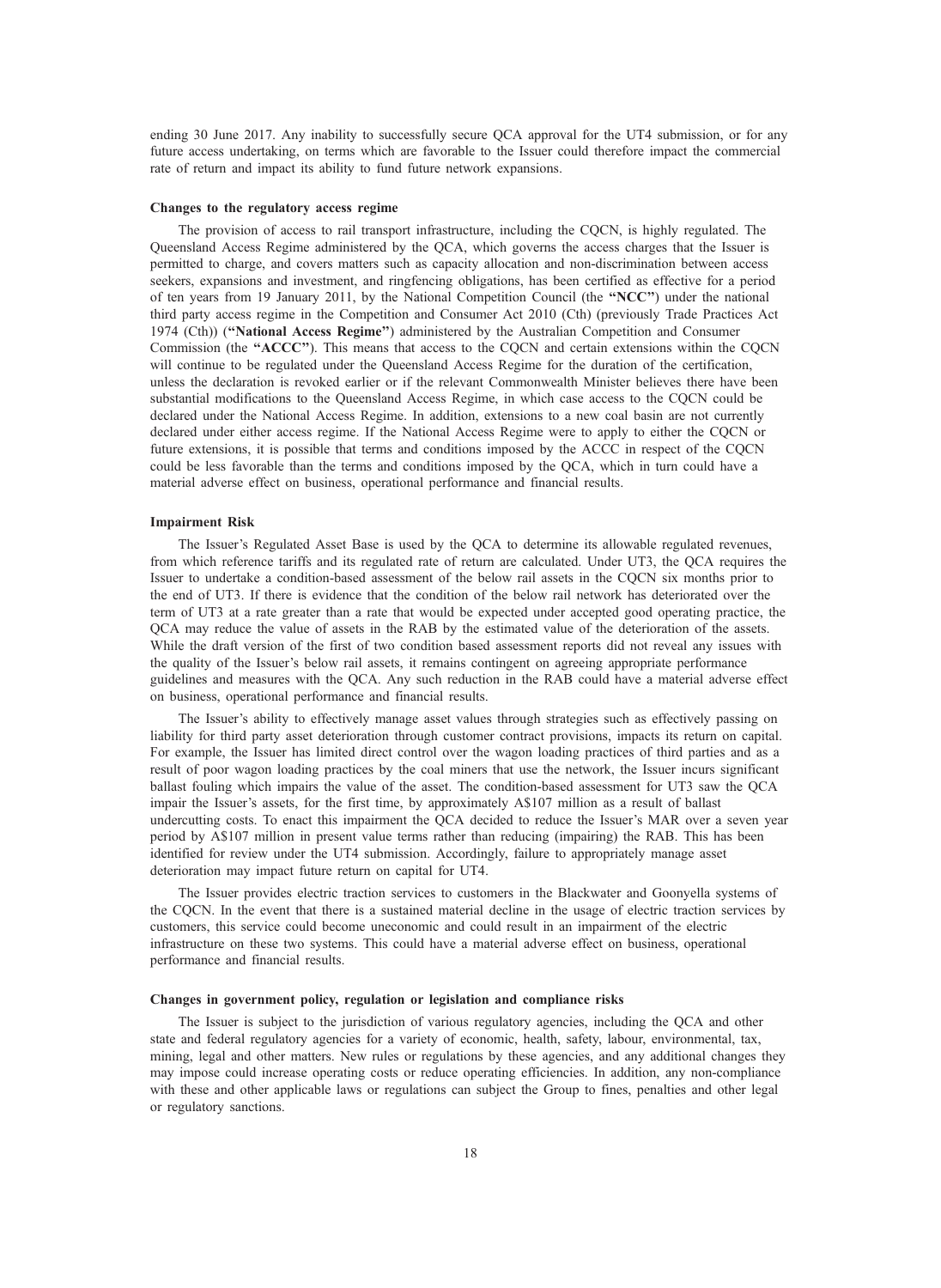ending 30 June 2017. Any inability to successfully secure QCA approval for the UT4 submission, or for any future access undertaking, on terms which are favorable to the Issuer could therefore impact the commercial rate of return and impact its ability to fund future network expansions.

# Changes to the regulatory access regime

The provision of access to rail transport infrastructure, including the CQCN, is highly regulated. The Queensland Access Regime administered by the QCA, which governs the access charges that the Issuer is permitted to charge, and covers matters such as capacity allocation and non-discrimination between access seekers, expansions and investment, and ringfencing obligations, has been certified as effective for a period of ten years from 19 January 2011, by the National Competition Council (the ''NCC'') under the national third party access regime in the Competition and Consumer Act 2010 (Cth) (previously Trade Practices Act 1974 (Cth)) (''National Access Regime'') administered by the Australian Competition and Consumer Commission (the "ACCC"). This means that access to the CQCN and certain extensions within the CQCN will continue to be regulated under the Queensland Access Regime for the duration of the certification, unless the declaration is revoked earlier or if the relevant Commonwealth Minister believes there have been substantial modifications to the Queensland Access Regime, in which case access to the CQCN could be declared under the National Access Regime. In addition, extensions to a new coal basin are not currently declared under either access regime. If the National Access Regime were to apply to either the CQCN or future extensions, it is possible that terms and conditions imposed by the ACCC in respect of the CQCN could be less favorable than the terms and conditions imposed by the QCA, which in turn could have a material adverse effect on business, operational performance and financial results.

# Impairment Risk

The Issuer's Regulated Asset Base is used by the QCA to determine its allowable regulated revenues, from which reference tariffs and its regulated rate of return are calculated. Under UT3, the QCA requires the Issuer to undertake a condition-based assessment of the below rail assets in the CQCN six months prior to the end of UT3. If there is evidence that the condition of the below rail network has deteriorated over the term of UT3 at a rate greater than a rate that would be expected under accepted good operating practice, the QCA may reduce the value of assets in the RAB by the estimated value of the deterioration of the assets. While the draft version of the first of two condition based assessment reports did not reveal any issues with the quality of the Issuer's below rail assets, it remains contingent on agreeing appropriate performance guidelines and measures with the QCA. Any such reduction in the RAB could have a material adverse effect on business, operational performance and financial results.

The Issuer's ability to effectively manage asset values through strategies such as effectively passing on liability for third party asset deterioration through customer contract provisions, impacts its return on capital. For example, the Issuer has limited direct control over the wagon loading practices of third parties and as a result of poor wagon loading practices by the coal miners that use the network, the Issuer incurs significant ballast fouling which impairs the value of the asset. The condition-based assessment for UT3 saw the QCA impair the Issuer's assets, for the first time, by approximately A\$107 million as a result of ballast undercutting costs. To enact this impairment the QCA decided to reduce the Issuer's MAR over a seven year period by A\$107 million in present value terms rather than reducing (impairing) the RAB. This has been identified for review under the UT4 submission. Accordingly, failure to appropriately manage asset deterioration may impact future return on capital for UT4.

The Issuer provides electric traction services to customers in the Blackwater and Goonyella systems of the CQCN. In the event that there is a sustained material decline in the usage of electric traction services by customers, this service could become uneconomic and could result in an impairment of the electric infrastructure on these two systems. This could have a material adverse effect on business, operational performance and financial results.

#### Changes in government policy, regulation or legislation and compliance risks

The Issuer is subject to the jurisdiction of various regulatory agencies, including the QCA and other state and federal regulatory agencies for a variety of economic, health, safety, labour, environmental, tax, mining, legal and other matters. New rules or regulations by these agencies, and any additional changes they may impose could increase operating costs or reduce operating efficiencies. In addition, any non-compliance with these and other applicable laws or regulations can subject the Group to fines, penalties and other legal or regulatory sanctions.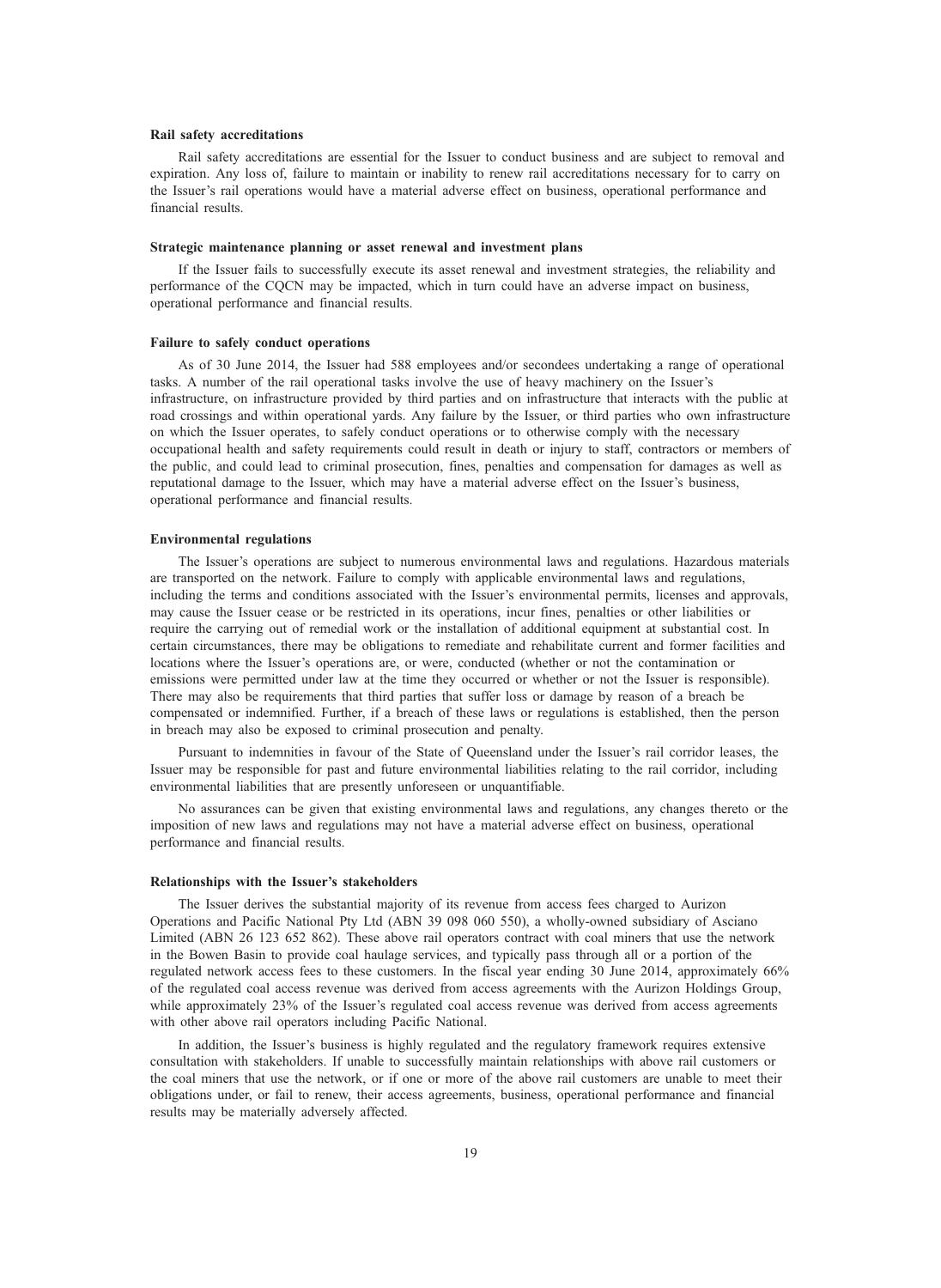#### Rail safety accreditations

Rail safety accreditations are essential for the Issuer to conduct business and are subject to removal and expiration. Any loss of, failure to maintain or inability to renew rail accreditations necessary for to carry on the Issuer's rail operations would have a material adverse effect on business, operational performance and financial results.

#### Strategic maintenance planning or asset renewal and investment plans

If the Issuer fails to successfully execute its asset renewal and investment strategies, the reliability and performance of the CQCN may be impacted, which in turn could have an adverse impact on business, operational performance and financial results.

# Failure to safely conduct operations

As of 30 June 2014, the Issuer had 588 employees and/or secondees undertaking a range of operational tasks. A number of the rail operational tasks involve the use of heavy machinery on the Issuer's infrastructure, on infrastructure provided by third parties and on infrastructure that interacts with the public at road crossings and within operational yards. Any failure by the Issuer, or third parties who own infrastructure on which the Issuer operates, to safely conduct operations or to otherwise comply with the necessary occupational health and safety requirements could result in death or injury to staff, contractors or members of the public, and could lead to criminal prosecution, fines, penalties and compensation for damages as well as reputational damage to the Issuer, which may have a material adverse effect on the Issuer's business, operational performance and financial results.

#### Environmental regulations

The Issuer's operations are subject to numerous environmental laws and regulations. Hazardous materials are transported on the network. Failure to comply with applicable environmental laws and regulations, including the terms and conditions associated with the Issuer's environmental permits, licenses and approvals, may cause the Issuer cease or be restricted in its operations, incur fines, penalties or other liabilities or require the carrying out of remedial work or the installation of additional equipment at substantial cost. In certain circumstances, there may be obligations to remediate and rehabilitate current and former facilities and locations where the Issuer's operations are, or were, conducted (whether or not the contamination or emissions were permitted under law at the time they occurred or whether or not the Issuer is responsible). There may also be requirements that third parties that suffer loss or damage by reason of a breach be compensated or indemnified. Further, if a breach of these laws or regulations is established, then the person in breach may also be exposed to criminal prosecution and penalty.

Pursuant to indemnities in favour of the State of Queensland under the Issuer's rail corridor leases, the Issuer may be responsible for past and future environmental liabilities relating to the rail corridor, including environmental liabilities that are presently unforeseen or unquantifiable.

No assurances can be given that existing environmental laws and regulations, any changes thereto or the imposition of new laws and regulations may not have a material adverse effect on business, operational performance and financial results.

# Relationships with the Issuer's stakeholders

The Issuer derives the substantial majority of its revenue from access fees charged to Aurizon Operations and Pacific National Pty Ltd (ABN 39 098 060 550), a wholly-owned subsidiary of Asciano Limited (ABN 26 123 652 862). These above rail operators contract with coal miners that use the network in the Bowen Basin to provide coal haulage services, and typically pass through all or a portion of the regulated network access fees to these customers. In the fiscal year ending 30 June 2014, approximately 66% of the regulated coal access revenue was derived from access agreements with the Aurizon Holdings Group, while approximately 23% of the Issuer's regulated coal access revenue was derived from access agreements with other above rail operators including Pacific National.

In addition, the Issuer's business is highly regulated and the regulatory framework requires extensive consultation with stakeholders. If unable to successfully maintain relationships with above rail customers or the coal miners that use the network, or if one or more of the above rail customers are unable to meet their obligations under, or fail to renew, their access agreements, business, operational performance and financial results may be materially adversely affected.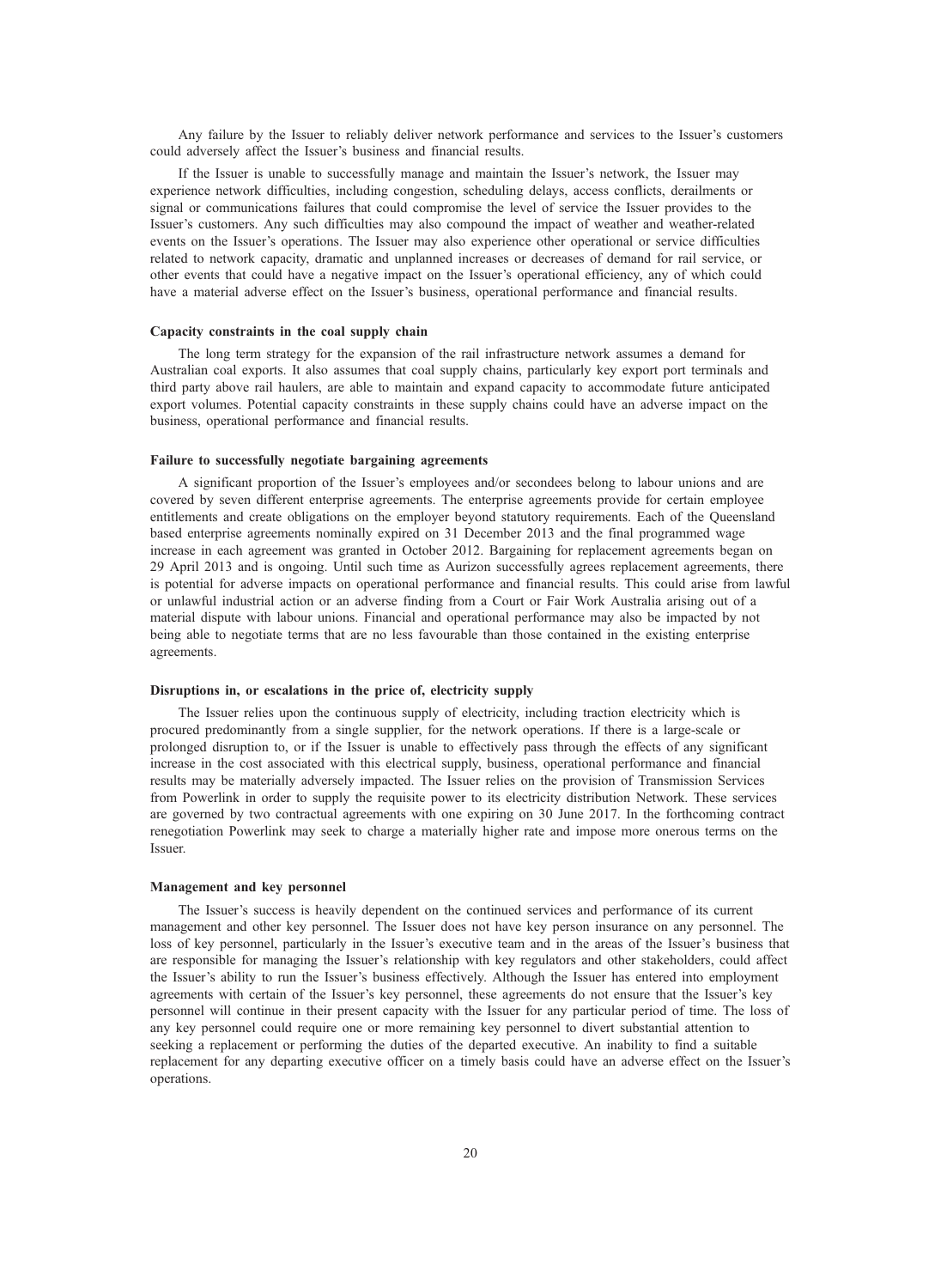Any failure by the Issuer to reliably deliver network performance and services to the Issuer's customers could adversely affect the Issuer's business and financial results.

If the Issuer is unable to successfully manage and maintain the Issuer's network, the Issuer may experience network difficulties, including congestion, scheduling delays, access conflicts, derailments or signal or communications failures that could compromise the level of service the Issuer provides to the Issuer's customers. Any such difficulties may also compound the impact of weather and weather-related events on the Issuer's operations. The Issuer may also experience other operational or service difficulties related to network capacity, dramatic and unplanned increases or decreases of demand for rail service, or other events that could have a negative impact on the Issuer's operational efficiency, any of which could have a material adverse effect on the Issuer's business, operational performance and financial results.

# Capacity constraints in the coal supply chain

The long term strategy for the expansion of the rail infrastructure network assumes a demand for Australian coal exports. It also assumes that coal supply chains, particularly key export port terminals and third party above rail haulers, are able to maintain and expand capacity to accommodate future anticipated export volumes. Potential capacity constraints in these supply chains could have an adverse impact on the business, operational performance and financial results.

# Failure to successfully negotiate bargaining agreements

A significant proportion of the Issuer's employees and/or secondees belong to labour unions and are covered by seven different enterprise agreements. The enterprise agreements provide for certain employee entitlements and create obligations on the employer beyond statutory requirements. Each of the Queensland based enterprise agreements nominally expired on 31 December 2013 and the final programmed wage increase in each agreement was granted in October 2012. Bargaining for replacement agreements began on 29 April 2013 and is ongoing. Until such time as Aurizon successfully agrees replacement agreements, there is potential for adverse impacts on operational performance and financial results. This could arise from lawful or unlawful industrial action or an adverse finding from a Court or Fair Work Australia arising out of a material dispute with labour unions. Financial and operational performance may also be impacted by not being able to negotiate terms that are no less favourable than those contained in the existing enterprise agreements.

#### Disruptions in, or escalations in the price of, electricity supply

The Issuer relies upon the continuous supply of electricity, including traction electricity which is procured predominantly from a single supplier, for the network operations. If there is a large-scale or prolonged disruption to, or if the Issuer is unable to effectively pass through the effects of any significant increase in the cost associated with this electrical supply, business, operational performance and financial results may be materially adversely impacted. The Issuer relies on the provision of Transmission Services from Powerlink in order to supply the requisite power to its electricity distribution Network. These services are governed by two contractual agreements with one expiring on 30 June 2017. In the forthcoming contract renegotiation Powerlink may seek to charge a materially higher rate and impose more onerous terms on the Issuer.

#### Management and key personnel

The Issuer's success is heavily dependent on the continued services and performance of its current management and other key personnel. The Issuer does not have key person insurance on any personnel. The loss of key personnel, particularly in the Issuer's executive team and in the areas of the Issuer's business that are responsible for managing the Issuer's relationship with key regulators and other stakeholders, could affect the Issuer's ability to run the Issuer's business effectively. Although the Issuer has entered into employment agreements with certain of the Issuer's key personnel, these agreements do not ensure that the Issuer's key personnel will continue in their present capacity with the Issuer for any particular period of time. The loss of any key personnel could require one or more remaining key personnel to divert substantial attention to seeking a replacement or performing the duties of the departed executive. An inability to find a suitable replacement for any departing executive officer on a timely basis could have an adverse effect on the Issuer's operations.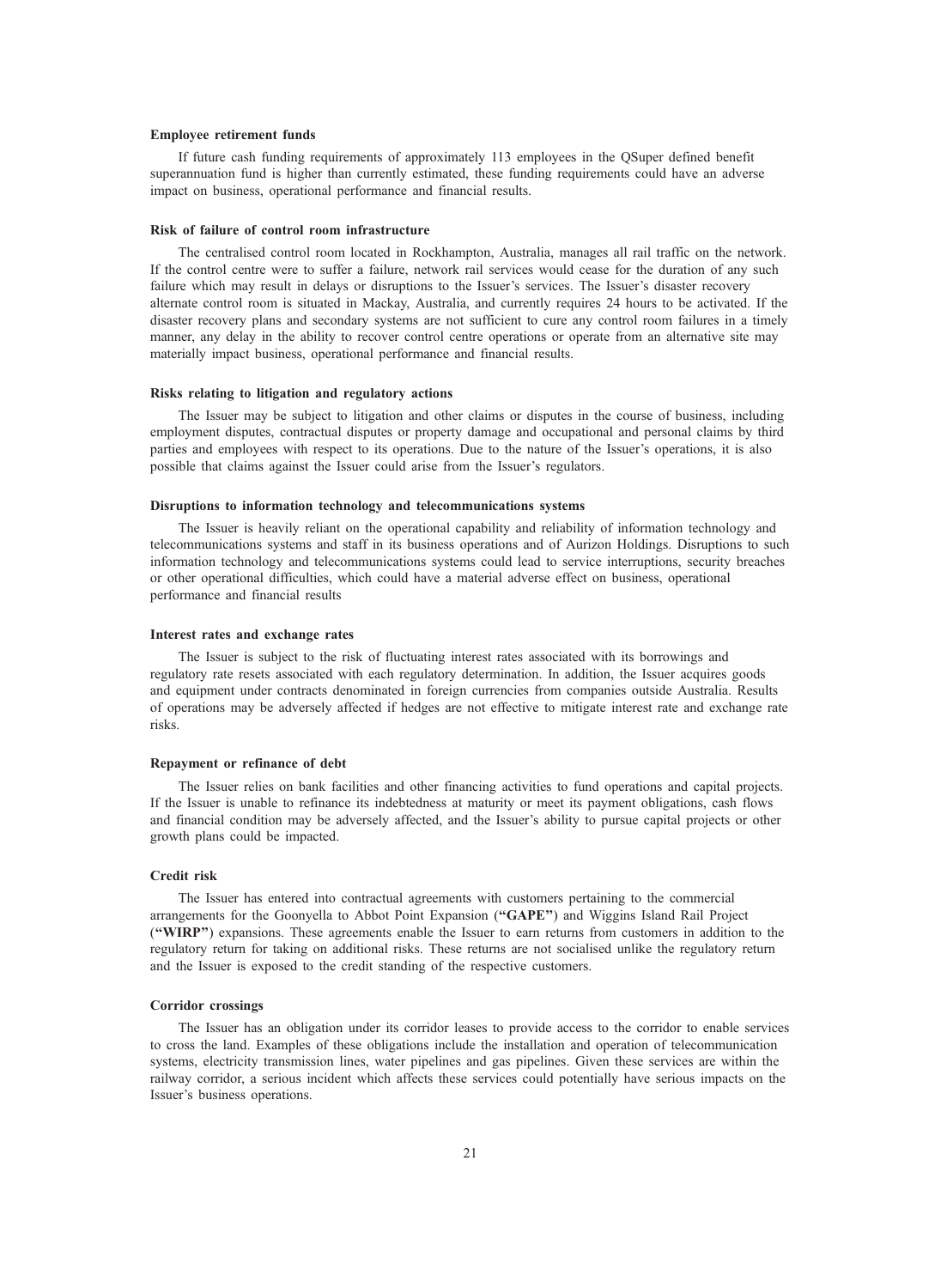#### Employee retirement funds

If future cash funding requirements of approximately 113 employees in the QSuper defined benefit superannuation fund is higher than currently estimated, these funding requirements could have an adverse impact on business, operational performance and financial results.

# Risk of failure of control room infrastructure

The centralised control room located in Rockhampton, Australia, manages all rail traffic on the network. If the control centre were to suffer a failure, network rail services would cease for the duration of any such failure which may result in delays or disruptions to the Issuer's services. The Issuer's disaster recovery alternate control room is situated in Mackay, Australia, and currently requires 24 hours to be activated. If the disaster recovery plans and secondary systems are not sufficient to cure any control room failures in a timely manner, any delay in the ability to recover control centre operations or operate from an alternative site may materially impact business, operational performance and financial results.

# Risks relating to litigation and regulatory actions

The Issuer may be subject to litigation and other claims or disputes in the course of business, including employment disputes, contractual disputes or property damage and occupational and personal claims by third parties and employees with respect to its operations. Due to the nature of the Issuer's operations, it is also possible that claims against the Issuer could arise from the Issuer's regulators.

#### Disruptions to information technology and telecommunications systems

The Issuer is heavily reliant on the operational capability and reliability of information technology and telecommunications systems and staff in its business operations and of Aurizon Holdings. Disruptions to such information technology and telecommunications systems could lead to service interruptions, security breaches or other operational difficulties, which could have a material adverse effect on business, operational performance and financial results

#### Interest rates and exchange rates

The Issuer is subject to the risk of fluctuating interest rates associated with its borrowings and regulatory rate resets associated with each regulatory determination. In addition, the Issuer acquires goods and equipment under contracts denominated in foreign currencies from companies outside Australia. Results of operations may be adversely affected if hedges are not effective to mitigate interest rate and exchange rate risks.

# Repayment or refinance of debt

The Issuer relies on bank facilities and other financing activities to fund operations and capital projects. If the Issuer is unable to refinance its indebtedness at maturity or meet its payment obligations, cash flows and financial condition may be adversely affected, and the Issuer's ability to pursue capital projects or other growth plans could be impacted.

# Credit risk

The Issuer has entered into contractual agreements with customers pertaining to the commercial arrangements for the Goonyella to Abbot Point Expansion ("GAPE") and Wiggins Island Rail Project (''WIRP'') expansions. These agreements enable the Issuer to earn returns from customers in addition to the regulatory return for taking on additional risks. These returns are not socialised unlike the regulatory return and the Issuer is exposed to the credit standing of the respective customers.

# Corridor crossings

The Issuer has an obligation under its corridor leases to provide access to the corridor to enable services to cross the land. Examples of these obligations include the installation and operation of telecommunication systems, electricity transmission lines, water pipelines and gas pipelines. Given these services are within the railway corridor, a serious incident which affects these services could potentially have serious impacts on the Issuer's business operations.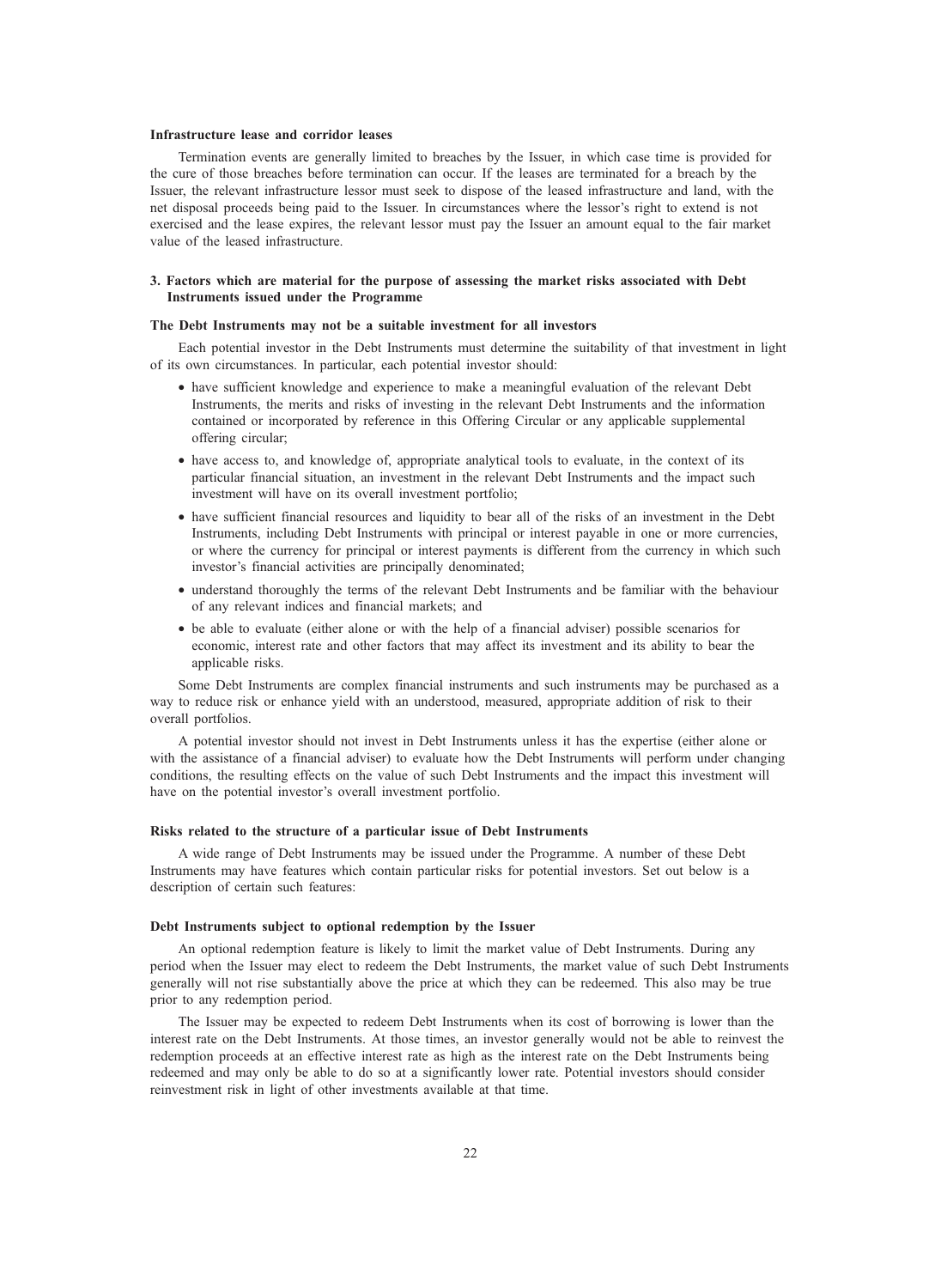#### Infrastructure lease and corridor leases

Termination events are generally limited to breaches by the Issuer, in which case time is provided for the cure of those breaches before termination can occur. If the leases are terminated for a breach by the Issuer, the relevant infrastructure lessor must seek to dispose of the leased infrastructure and land, with the net disposal proceeds being paid to the Issuer. In circumstances where the lessor's right to extend is not exercised and the lease expires, the relevant lessor must pay the Issuer an amount equal to the fair market value of the leased infrastructure.

# 3. Factors which are material for the purpose of assessing the market risks associated with Debt Instruments issued under the Programme

# The Debt Instruments may not be a suitable investment for all investors

Each potential investor in the Debt Instruments must determine the suitability of that investment in light of its own circumstances. In particular, each potential investor should:

- have sufficient knowledge and experience to make a meaningful evaluation of the relevant Debt Instruments, the merits and risks of investing in the relevant Debt Instruments and the information contained or incorporated by reference in this Offering Circular or any applicable supplemental offering circular;
- have access to, and knowledge of, appropriate analytical tools to evaluate, in the context of its particular financial situation, an investment in the relevant Debt Instruments and the impact such investment will have on its overall investment portfolio;
- have sufficient financial resources and liquidity to bear all of the risks of an investment in the Debt Instruments, including Debt Instruments with principal or interest payable in one or more currencies, or where the currency for principal or interest payments is different from the currency in which such investor's financial activities are principally denominated;
- understand thoroughly the terms of the relevant Debt Instruments and be familiar with the behaviour of any relevant indices and financial markets; and
- be able to evaluate (either alone or with the help of a financial adviser) possible scenarios for economic, interest rate and other factors that may affect its investment and its ability to bear the applicable risks.

Some Debt Instruments are complex financial instruments and such instruments may be purchased as a way to reduce risk or enhance yield with an understood, measured, appropriate addition of risk to their overall portfolios.

A potential investor should not invest in Debt Instruments unless it has the expertise (either alone or with the assistance of a financial adviser) to evaluate how the Debt Instruments will perform under changing conditions, the resulting effects on the value of such Debt Instruments and the impact this investment will have on the potential investor's overall investment portfolio.

#### Risks related to the structure of a particular issue of Debt Instruments

A wide range of Debt Instruments may be issued under the Programme. A number of these Debt Instruments may have features which contain particular risks for potential investors. Set out below is a description of certain such features:

#### Debt Instruments subject to optional redemption by the Issuer

An optional redemption feature is likely to limit the market value of Debt Instruments. During any period when the Issuer may elect to redeem the Debt Instruments, the market value of such Debt Instruments generally will not rise substantially above the price at which they can be redeemed. This also may be true prior to any redemption period.

The Issuer may be expected to redeem Debt Instruments when its cost of borrowing is lower than the interest rate on the Debt Instruments. At those times, an investor generally would not be able to reinvest the redemption proceeds at an effective interest rate as high as the interest rate on the Debt Instruments being redeemed and may only be able to do so at a significantly lower rate. Potential investors should consider reinvestment risk in light of other investments available at that time.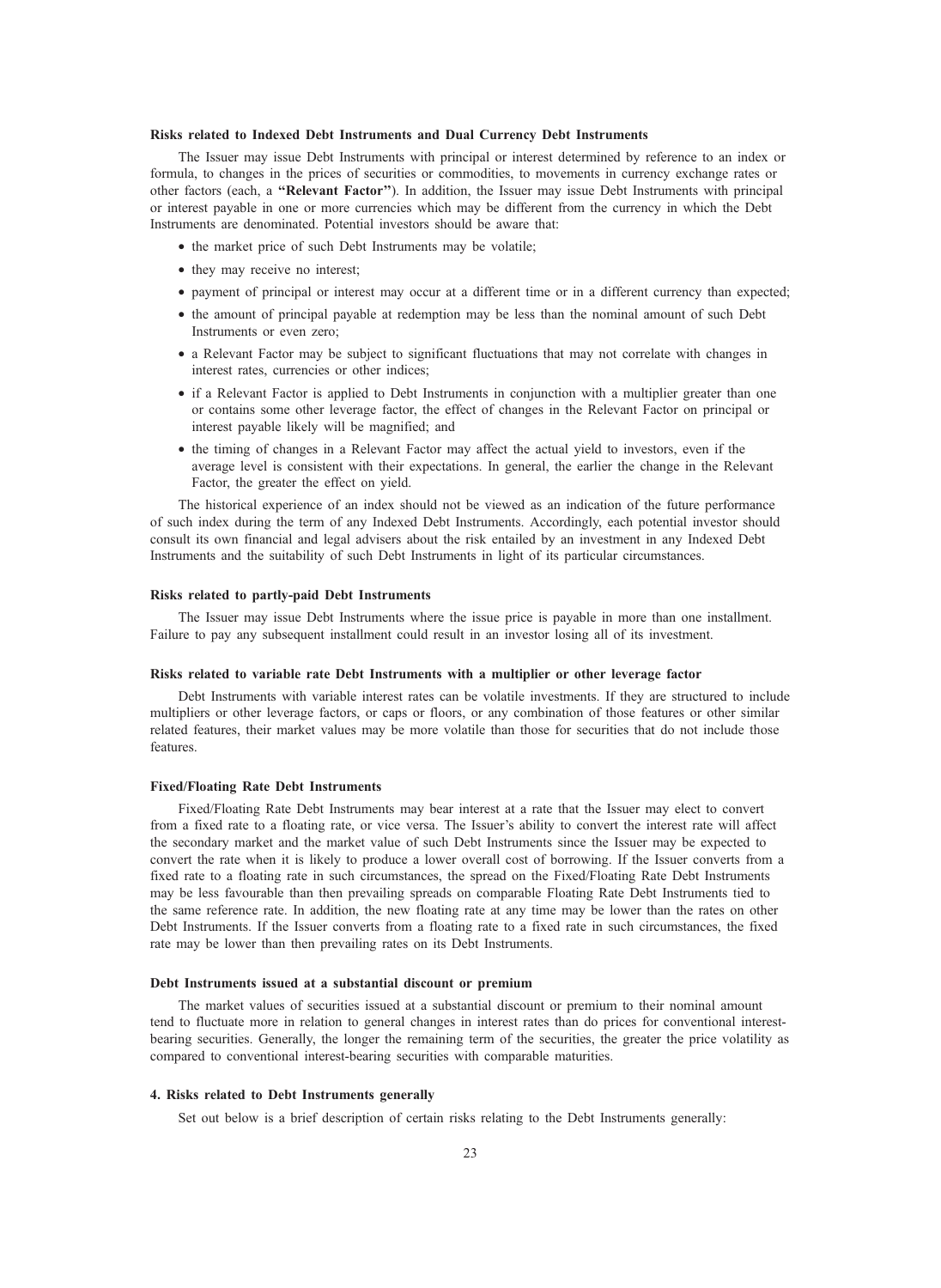# Risks related to Indexed Debt Instruments and Dual Currency Debt Instruments

The Issuer may issue Debt Instruments with principal or interest determined by reference to an index or formula, to changes in the prices of securities or commodities, to movements in currency exchange rates or other factors (each, a ''Relevant Factor''). In addition, the Issuer may issue Debt Instruments with principal or interest payable in one or more currencies which may be different from the currency in which the Debt Instruments are denominated. Potential investors should be aware that:

- the market price of such Debt Instruments may be volatile;
- they may receive no interest;
- payment of principal or interest may occur at a different time or in a different currency than expected;
- the amount of principal payable at redemption may be less than the nominal amount of such Debt Instruments or even zero;
- a Relevant Factor may be subject to significant fluctuations that may not correlate with changes in interest rates, currencies or other indices;
- if a Relevant Factor is applied to Debt Instruments in conjunction with a multiplier greater than one or contains some other leverage factor, the effect of changes in the Relevant Factor on principal or interest payable likely will be magnified; and
- the timing of changes in a Relevant Factor may affect the actual yield to investors, even if the average level is consistent with their expectations. In general, the earlier the change in the Relevant Factor, the greater the effect on yield.

The historical experience of an index should not be viewed as an indication of the future performance of such index during the term of any Indexed Debt Instruments. Accordingly, each potential investor should consult its own financial and legal advisers about the risk entailed by an investment in any Indexed Debt Instruments and the suitability of such Debt Instruments in light of its particular circumstances.

# Risks related to partly-paid Debt Instruments

The Issuer may issue Debt Instruments where the issue price is payable in more than one installment. Failure to pay any subsequent installment could result in an investor losing all of its investment.

# Risks related to variable rate Debt Instruments with a multiplier or other leverage factor

Debt Instruments with variable interest rates can be volatile investments. If they are structured to include multipliers or other leverage factors, or caps or floors, or any combination of those features or other similar related features, their market values may be more volatile than those for securities that do not include those features.

# Fixed/Floating Rate Debt Instruments

Fixed/Floating Rate Debt Instruments may bear interest at a rate that the Issuer may elect to convert from a fixed rate to a floating rate, or vice versa. The Issuer's ability to convert the interest rate will affect the secondary market and the market value of such Debt Instruments since the Issuer may be expected to convert the rate when it is likely to produce a lower overall cost of borrowing. If the Issuer converts from a fixed rate to a floating rate in such circumstances, the spread on the Fixed/Floating Rate Debt Instruments may be less favourable than then prevailing spreads on comparable Floating Rate Debt Instruments tied to the same reference rate. In addition, the new floating rate at any time may be lower than the rates on other Debt Instruments. If the Issuer converts from a floating rate to a fixed rate in such circumstances, the fixed rate may be lower than then prevailing rates on its Debt Instruments.

#### Debt Instruments issued at a substantial discount or premium

The market values of securities issued at a substantial discount or premium to their nominal amount tend to fluctuate more in relation to general changes in interest rates than do prices for conventional interestbearing securities. Generally, the longer the remaining term of the securities, the greater the price volatility as compared to conventional interest-bearing securities with comparable maturities.

# 4. Risks related to Debt Instruments generally

Set out below is a brief description of certain risks relating to the Debt Instruments generally: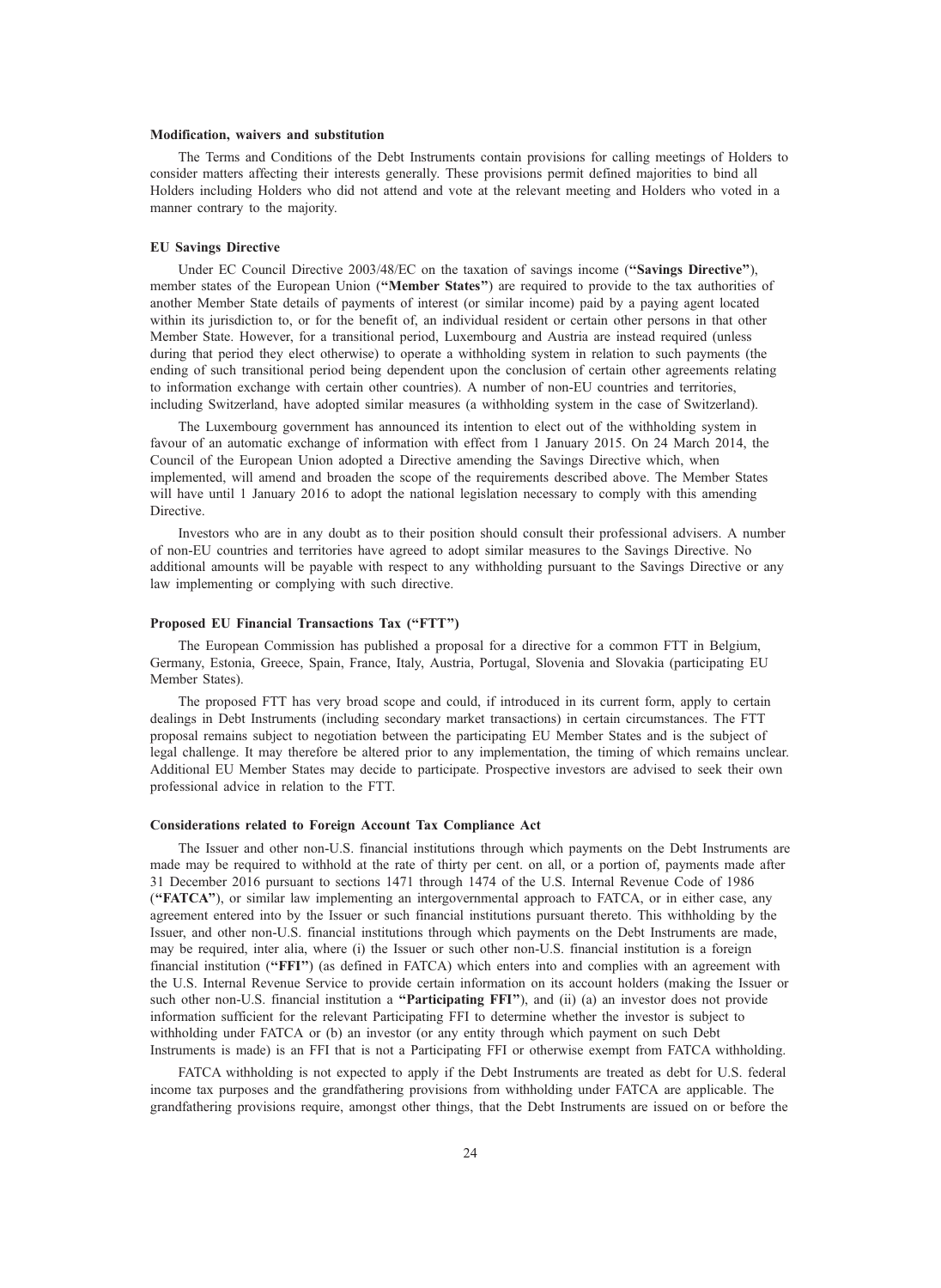#### Modification, waivers and substitution

The Terms and Conditions of the Debt Instruments contain provisions for calling meetings of Holders to consider matters affecting their interests generally. These provisions permit defined majorities to bind all Holders including Holders who did not attend and vote at the relevant meeting and Holders who voted in a manner contrary to the majority.

# EU Savings Directive

Under EC Council Directive 2003/48/EC on the taxation of savings income ("Savings Directive"), member states of the European Union ("Member States") are required to provide to the tax authorities of another Member State details of payments of interest (or similar income) paid by a paying agent located within its jurisdiction to, or for the benefit of, an individual resident or certain other persons in that other Member State. However, for a transitional period, Luxembourg and Austria are instead required (unless during that period they elect otherwise) to operate a withholding system in relation to such payments (the ending of such transitional period being dependent upon the conclusion of certain other agreements relating to information exchange with certain other countries). A number of non-EU countries and territories, including Switzerland, have adopted similar measures (a withholding system in the case of Switzerland).

The Luxembourg government has announced its intention to elect out of the withholding system in favour of an automatic exchange of information with effect from 1 January 2015. On 24 March 2014, the Council of the European Union adopted a Directive amending the Savings Directive which, when implemented, will amend and broaden the scope of the requirements described above. The Member States will have until 1 January 2016 to adopt the national legislation necessary to comply with this amending **Directive** 

Investors who are in any doubt as to their position should consult their professional advisers. A number of non-EU countries and territories have agreed to adopt similar measures to the Savings Directive. No additional amounts will be payable with respect to any withholding pursuant to the Savings Directive or any law implementing or complying with such directive.

#### Proposed EU Financial Transactions Tax (''FTT'')

The European Commission has published a proposal for a directive for a common FTT in Belgium, Germany, Estonia, Greece, Spain, France, Italy, Austria, Portugal, Slovenia and Slovakia (participating EU Member States).

The proposed FTT has very broad scope and could, if introduced in its current form, apply to certain dealings in Debt Instruments (including secondary market transactions) in certain circumstances. The FTT proposal remains subject to negotiation between the participating EU Member States and is the subject of legal challenge. It may therefore be altered prior to any implementation, the timing of which remains unclear. Additional EU Member States may decide to participate. Prospective investors are advised to seek their own professional advice in relation to the FTT.

#### Considerations related to Foreign Account Tax Compliance Act

The Issuer and other non-U.S. financial institutions through which payments on the Debt Instruments are made may be required to withhold at the rate of thirty per cent. on all, or a portion of, payments made after 31 December 2016 pursuant to sections 1471 through 1474 of the U.S. Internal Revenue Code of 1986 (''FATCA''), or similar law implementing an intergovernmental approach to FATCA, or in either case, any agreement entered into by the Issuer or such financial institutions pursuant thereto. This withholding by the Issuer, and other non-U.S. financial institutions through which payments on the Debt Instruments are made, may be required, inter alia, where (i) the Issuer or such other non-U.S. financial institution is a foreign financial institution (''FFI'') (as defined in FATCA) which enters into and complies with an agreement with the U.S. Internal Revenue Service to provide certain information on its account holders (making the Issuer or such other non-U.S. financial institution a "Participating FFI"), and (ii) (a) an investor does not provide information sufficient for the relevant Participating FFI to determine whether the investor is subject to withholding under FATCA or (b) an investor (or any entity through which payment on such Debt Instruments is made) is an FFI that is not a Participating FFI or otherwise exempt from FATCA withholding.

FATCA withholding is not expected to apply if the Debt Instruments are treated as debt for U.S. federal income tax purposes and the grandfathering provisions from withholding under FATCA are applicable. The grandfathering provisions require, amongst other things, that the Debt Instruments are issued on or before the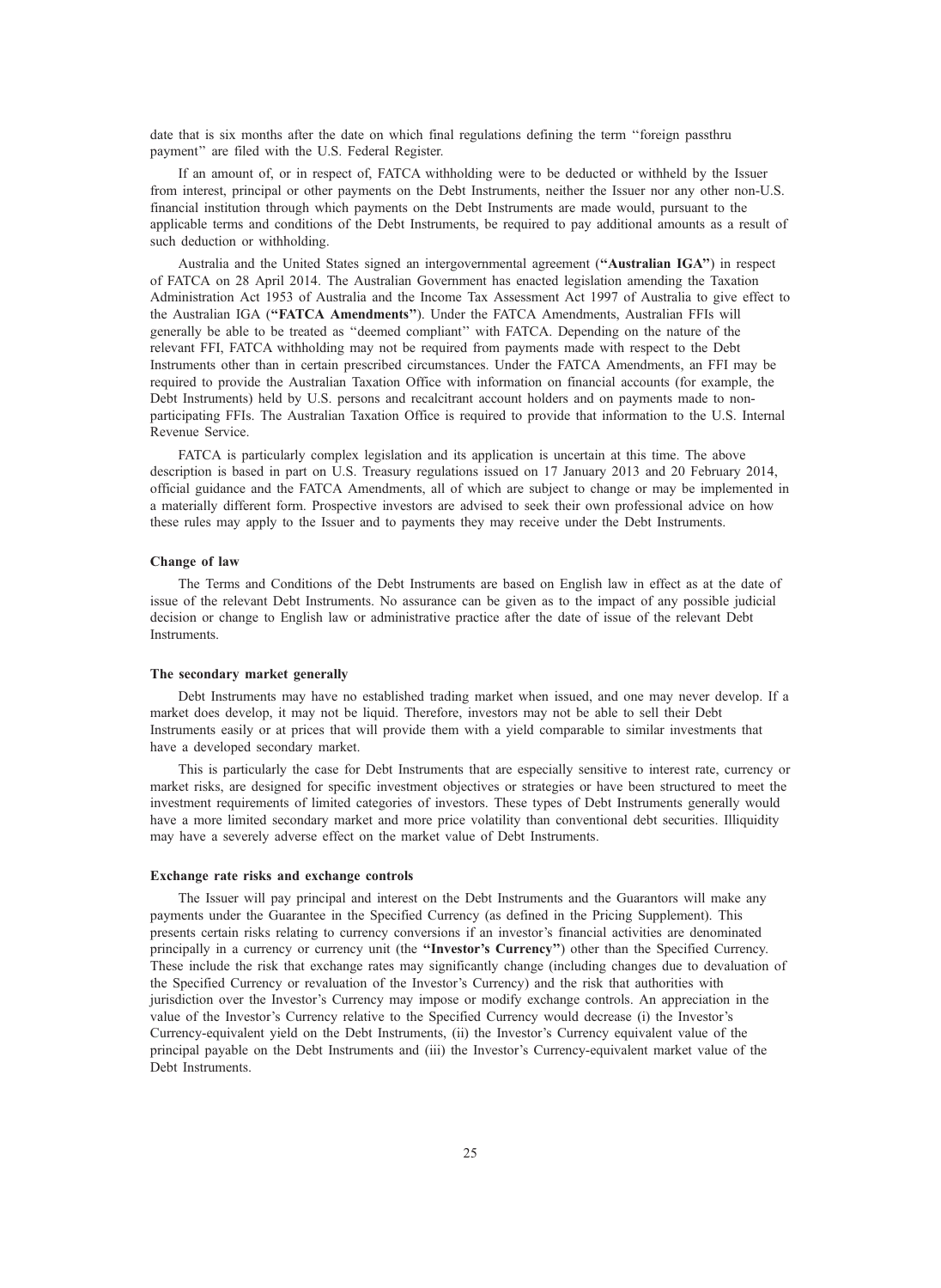date that is six months after the date on which final regulations defining the term ''foreign passthru payment'' are filed with the U.S. Federal Register.

If an amount of, or in respect of, FATCA withholding were to be deducted or withheld by the Issuer from interest, principal or other payments on the Debt Instruments, neither the Issuer nor any other non-U.S. financial institution through which payments on the Debt Instruments are made would, pursuant to the applicable terms and conditions of the Debt Instruments, be required to pay additional amounts as a result of such deduction or withholding.

Australia and the United States signed an intergovernmental agreement ("Australian IGA") in respect of FATCA on 28 April 2014. The Australian Government has enacted legislation amending the Taxation Administration Act 1953 of Australia and the Income Tax Assessment Act 1997 of Australia to give effect to the Australian IGA ("FATCA Amendments"). Under the FATCA Amendments, Australian FFIs will generally be able to be treated as ''deemed compliant'' with FATCA. Depending on the nature of the relevant FFI, FATCA withholding may not be required from payments made with respect to the Debt Instruments other than in certain prescribed circumstances. Under the FATCA Amendments, an FFI may be required to provide the Australian Taxation Office with information on financial accounts (for example, the Debt Instruments) held by U.S. persons and recalcitrant account holders and on payments made to nonparticipating FFIs. The Australian Taxation Office is required to provide that information to the U.S. Internal Revenue Service.

FATCA is particularly complex legislation and its application is uncertain at this time. The above description is based in part on U.S. Treasury regulations issued on 17 January 2013 and 20 February 2014, official guidance and the FATCA Amendments, all of which are subject to change or may be implemented in a materially different form. Prospective investors are advised to seek their own professional advice on how these rules may apply to the Issuer and to payments they may receive under the Debt Instruments.

# Change of law

The Terms and Conditions of the Debt Instruments are based on English law in effect as at the date of issue of the relevant Debt Instruments. No assurance can be given as to the impact of any possible judicial decision or change to English law or administrative practice after the date of issue of the relevant Debt Instruments.

# The secondary market generally

Debt Instruments may have no established trading market when issued, and one may never develop. If a market does develop, it may not be liquid. Therefore, investors may not be able to sell their Debt Instruments easily or at prices that will provide them with a yield comparable to similar investments that have a developed secondary market.

This is particularly the case for Debt Instruments that are especially sensitive to interest rate, currency or market risks, are designed for specific investment objectives or strategies or have been structured to meet the investment requirements of limited categories of investors. These types of Debt Instruments generally would have a more limited secondary market and more price volatility than conventional debt securities. Illiquidity may have a severely adverse effect on the market value of Debt Instruments.

# Exchange rate risks and exchange controls

The Issuer will pay principal and interest on the Debt Instruments and the Guarantors will make any payments under the Guarantee in the Specified Currency (as defined in the Pricing Supplement). This presents certain risks relating to currency conversions if an investor's financial activities are denominated principally in a currency or currency unit (the "Investor's Currency") other than the Specified Currency. These include the risk that exchange rates may significantly change (including changes due to devaluation of the Specified Currency or revaluation of the Investor's Currency) and the risk that authorities with jurisdiction over the Investor's Currency may impose or modify exchange controls. An appreciation in the value of the Investor's Currency relative to the Specified Currency would decrease (i) the Investor's Currency-equivalent yield on the Debt Instruments, (ii) the Investor's Currency equivalent value of the principal payable on the Debt Instruments and (iii) the Investor's Currency-equivalent market value of the Debt Instruments.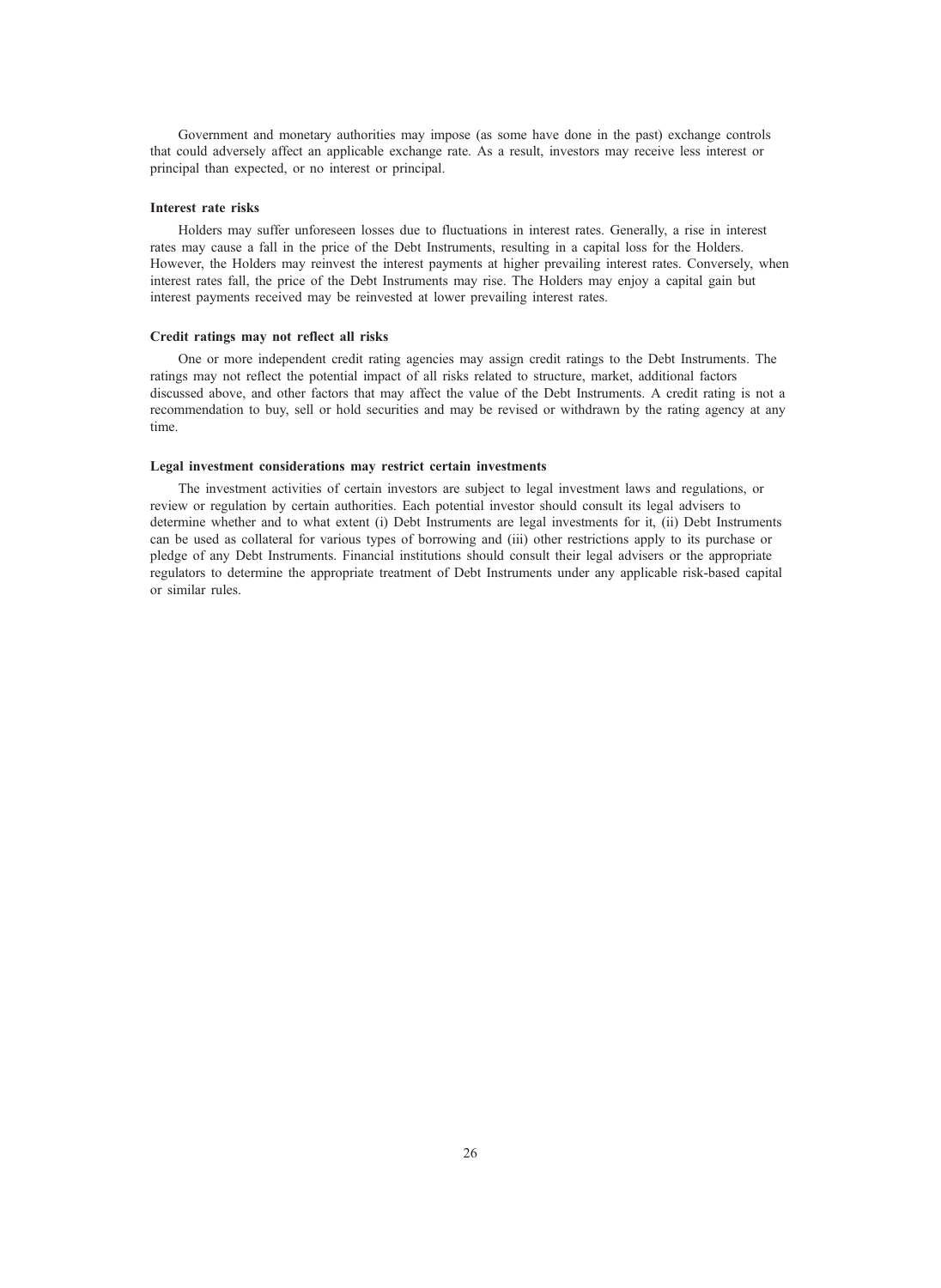Government and monetary authorities may impose (as some have done in the past) exchange controls that could adversely affect an applicable exchange rate. As a result, investors may receive less interest or principal than expected, or no interest or principal.

# Interest rate risks

Holders may suffer unforeseen losses due to fluctuations in interest rates. Generally, a rise in interest rates may cause a fall in the price of the Debt Instruments, resulting in a capital loss for the Holders. However, the Holders may reinvest the interest payments at higher prevailing interest rates. Conversely, when interest rates fall, the price of the Debt Instruments may rise. The Holders may enjoy a capital gain but interest payments received may be reinvested at lower prevailing interest rates.

# Credit ratings may not reflect all risks

One or more independent credit rating agencies may assign credit ratings to the Debt Instruments. The ratings may not reflect the potential impact of all risks related to structure, market, additional factors discussed above, and other factors that may affect the value of the Debt Instruments. A credit rating is not a recommendation to buy, sell or hold securities and may be revised or withdrawn by the rating agency at any time.

#### Legal investment considerations may restrict certain investments

The investment activities of certain investors are subject to legal investment laws and regulations, or review or regulation by certain authorities. Each potential investor should consult its legal advisers to determine whether and to what extent (i) Debt Instruments are legal investments for it, (ii) Debt Instruments can be used as collateral for various types of borrowing and (iii) other restrictions apply to its purchase or pledge of any Debt Instruments. Financial institutions should consult their legal advisers or the appropriate regulators to determine the appropriate treatment of Debt Instruments under any applicable risk-based capital or similar rules.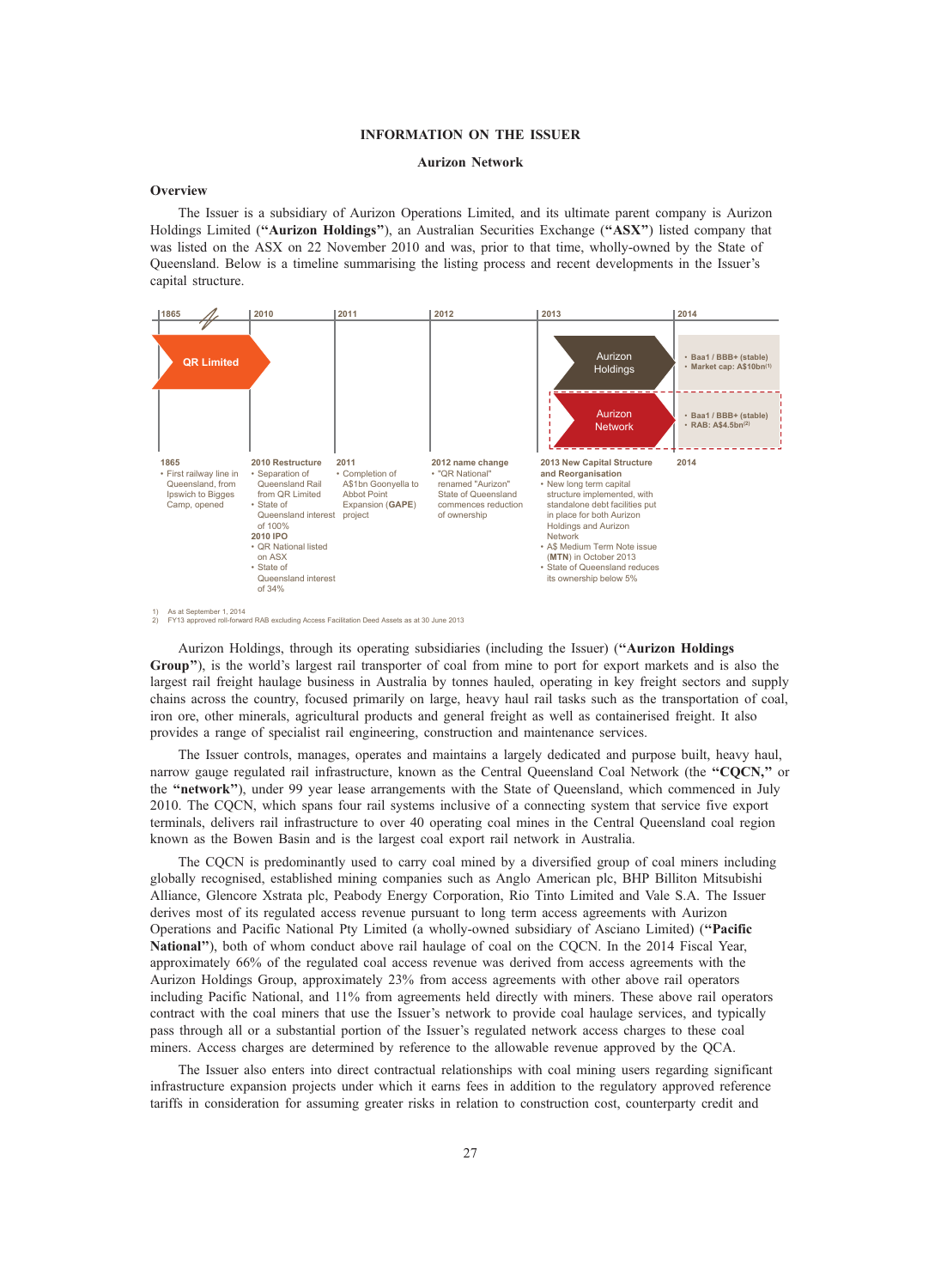# INFORMATION ON THE ISSUER

# Aurizon Network

# **Overview**

The Issuer is a subsidiary of Aurizon Operations Limited, and its ultimate parent company is Aurizon Holdings Limited ("Aurizon Holdings"), an Australian Securities Exchange ("ASX") listed company that was listed on the ASX on 22 November 2010 and was, prior to that time, wholly-owned by the State of Queensland. Below is a timeline summarising the listing process and recent developments in the Issuer's capital structure.



Aurizon Holdings, through its operating subsidiaries (including the Issuer) (''Aurizon Holdings Group''), is the world's largest rail transporter of coal from mine to port for export markets and is also the largest rail freight haulage business in Australia by tonnes hauled, operating in key freight sectors and supply chains across the country, focused primarily on large, heavy haul rail tasks such as the transportation of coal, iron ore, other minerals, agricultural products and general freight as well as containerised freight. It also provides a range of specialist rail engineering, construction and maintenance services.

The Issuer controls, manages, operates and maintains a largely dedicated and purpose built, heavy haul, narrow gauge regulated rail infrastructure, known as the Central Queensland Coal Network (the "CQCN," or the "network"), under 99 year lease arrangements with the State of Queensland, which commenced in July 2010. The CQCN, which spans four rail systems inclusive of a connecting system that service five export terminals, delivers rail infrastructure to over 40 operating coal mines in the Central Queensland coal region known as the Bowen Basin and is the largest coal export rail network in Australia.

The CQCN is predominantly used to carry coal mined by a diversified group of coal miners including globally recognised, established mining companies such as Anglo American plc, BHP Billiton Mitsubishi Alliance, Glencore Xstrata plc, Peabody Energy Corporation, Rio Tinto Limited and Vale S.A. The Issuer derives most of its regulated access revenue pursuant to long term access agreements with Aurizon Operations and Pacific National Pty Limited (a wholly-owned subsidiary of Asciano Limited) (''Pacific National''), both of whom conduct above rail haulage of coal on the CQCN. In the 2014 Fiscal Year, approximately 66% of the regulated coal access revenue was derived from access agreements with the Aurizon Holdings Group, approximately 23% from access agreements with other above rail operators including Pacific National, and 11% from agreements held directly with miners. These above rail operators contract with the coal miners that use the Issuer's network to provide coal haulage services, and typically pass through all or a substantial portion of the Issuer's regulated network access charges to these coal miners. Access charges are determined by reference to the allowable revenue approved by the QCA.

The Issuer also enters into direct contractual relationships with coal mining users regarding significant infrastructure expansion projects under which it earns fees in addition to the regulatory approved reference tariffs in consideration for assuming greater risks in relation to construction cost, counterparty credit and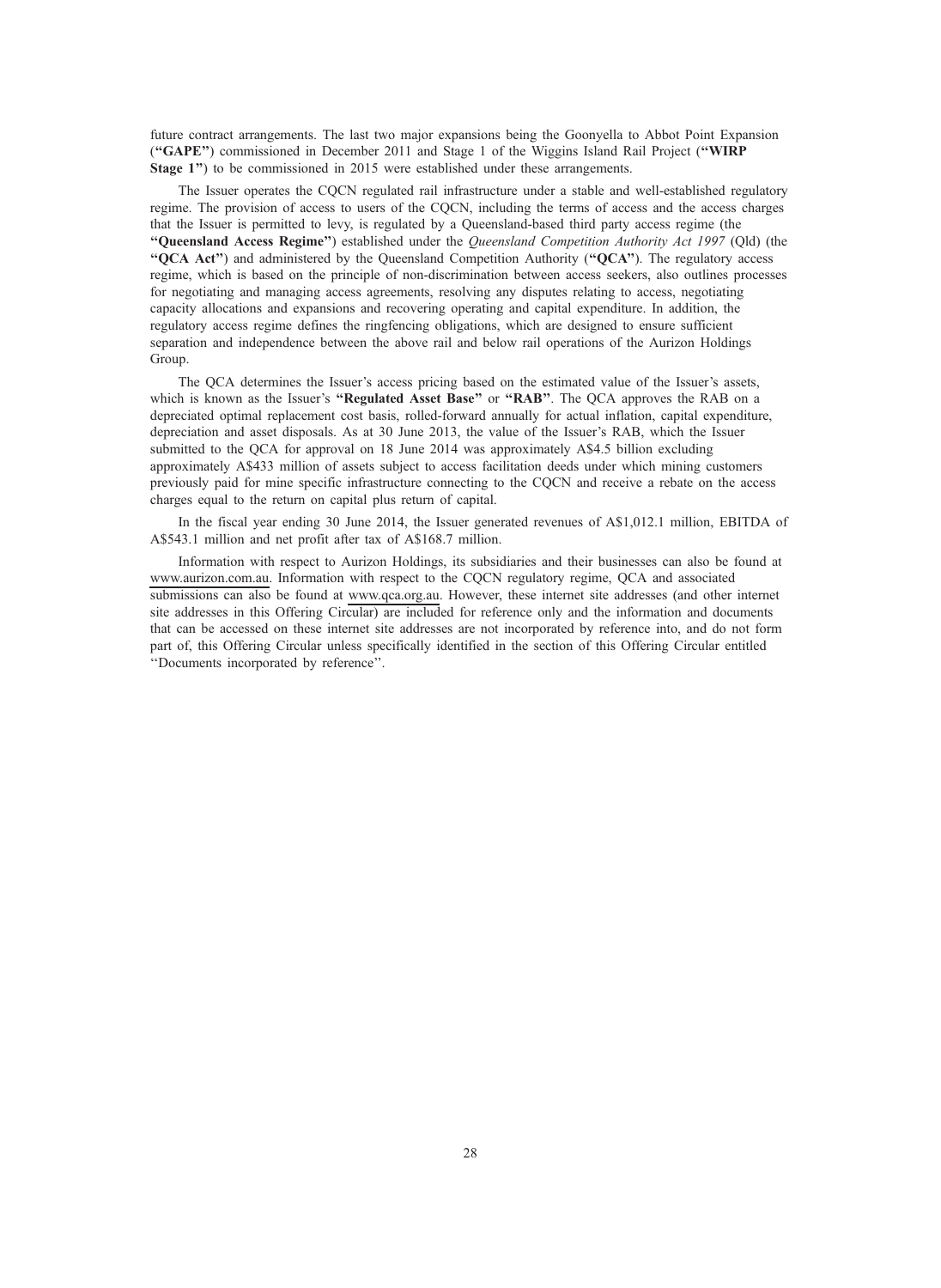future contract arrangements. The last two major expansions being the Goonyella to Abbot Point Expansion (''GAPE'') commissioned in December 2011 and Stage 1 of the Wiggins Island Rail Project (''WIRP Stage 1") to be commissioned in 2015 were established under these arrangements.

The Issuer operates the CQCN regulated rail infrastructure under a stable and well-established regulatory regime. The provision of access to users of the CQCN, including the terms of access and the access charges that the Issuer is permitted to levy, is regulated by a Queensland-based third party access regime (the ''Queensland Access Regime'') established under the Queensland Competition Authority Act 1997 (Qld) (the "OCA Act") and administered by the Queensland Competition Authority ("OCA"). The regulatory access regime, which is based on the principle of non-discrimination between access seekers, also outlines processes for negotiating and managing access agreements, resolving any disputes relating to access, negotiating capacity allocations and expansions and recovering operating and capital expenditure. In addition, the regulatory access regime defines the ringfencing obligations, which are designed to ensure sufficient separation and independence between the above rail and below rail operations of the Aurizon Holdings Group.

The QCA determines the Issuer's access pricing based on the estimated value of the Issuer's assets, which is known as the Issuer's "Regulated Asset Base" or "RAB". The QCA approves the RAB on a depreciated optimal replacement cost basis, rolled-forward annually for actual inflation, capital expenditure, depreciation and asset disposals. As at 30 June 2013, the value of the Issuer's RAB, which the Issuer submitted to the QCA for approval on 18 June 2014 was approximately A\$4.5 billion excluding approximately A\$433 million of assets subject to access facilitation deeds under which mining customers previously paid for mine specific infrastructure connecting to the CQCN and receive a rebate on the access charges equal to the return on capital plus return of capital.

In the fiscal year ending 30 June 2014, the Issuer generated revenues of A\$1,012.1 million, EBITDA of A\$543.1 million and net profit after tax of A\$168.7 million.

Information with respect to Aurizon Holdings, its subsidiaries and their businesses can also be found at www.aurizon.com.au. Information with respect to the CQCN regulatory regime, QCA and associated submissions can also be found at www.qca.org.au. However, these internet site addresses (and other internet site addresses in this Offering Circular) are included for reference only and the information and documents that can be accessed on these internet site addresses are not incorporated by reference into, and do not form part of, this Offering Circular unless specifically identified in the section of this Offering Circular entitled ''Documents incorporated by reference''.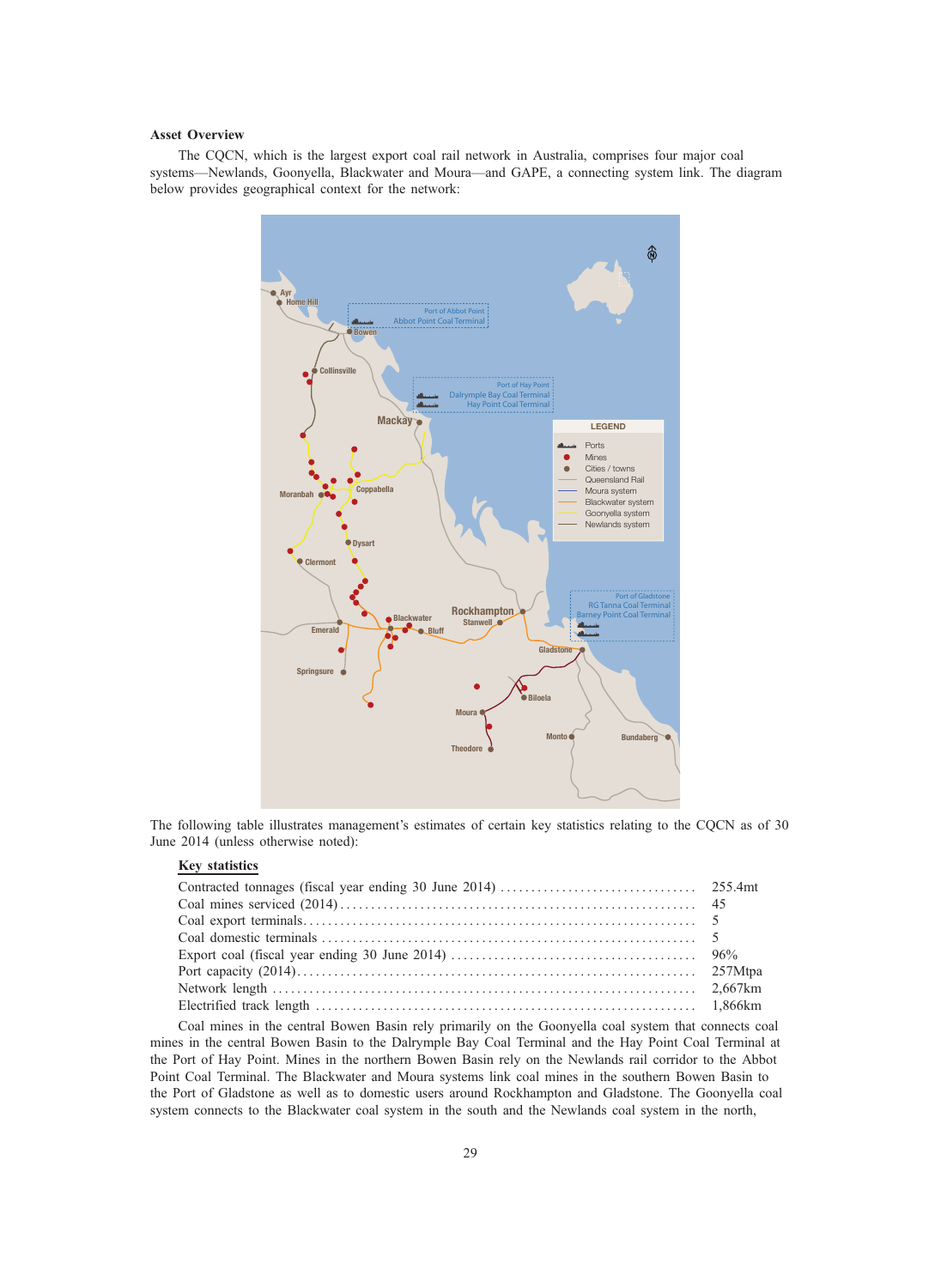# Asset Overview

The CQCN, which is the largest export coal rail network in Australia, comprises four major coal systems—Newlands, Goonyella, Blackwater and Moura—and GAPE, a connecting system link. The diagram below provides geographical context for the network:



The following table illustrates management's estimates of certain key statistics relating to the CQCN as of 30 June 2014 (unless otherwise noted):

# Key statistics

Coal mines in the central Bowen Basin rely primarily on the Goonyella coal system that connects coal mines in the central Bowen Basin to the Dalrymple Bay Coal Terminal and the Hay Point Coal Terminal at the Port of Hay Point. Mines in the northern Bowen Basin rely on the Newlands rail corridor to the Abbot Point Coal Terminal. The Blackwater and Moura systems link coal mines in the southern Bowen Basin to the Port of Gladstone as well as to domestic users around Rockhampton and Gladstone. The Goonyella coal system connects to the Blackwater coal system in the south and the Newlands coal system in the north,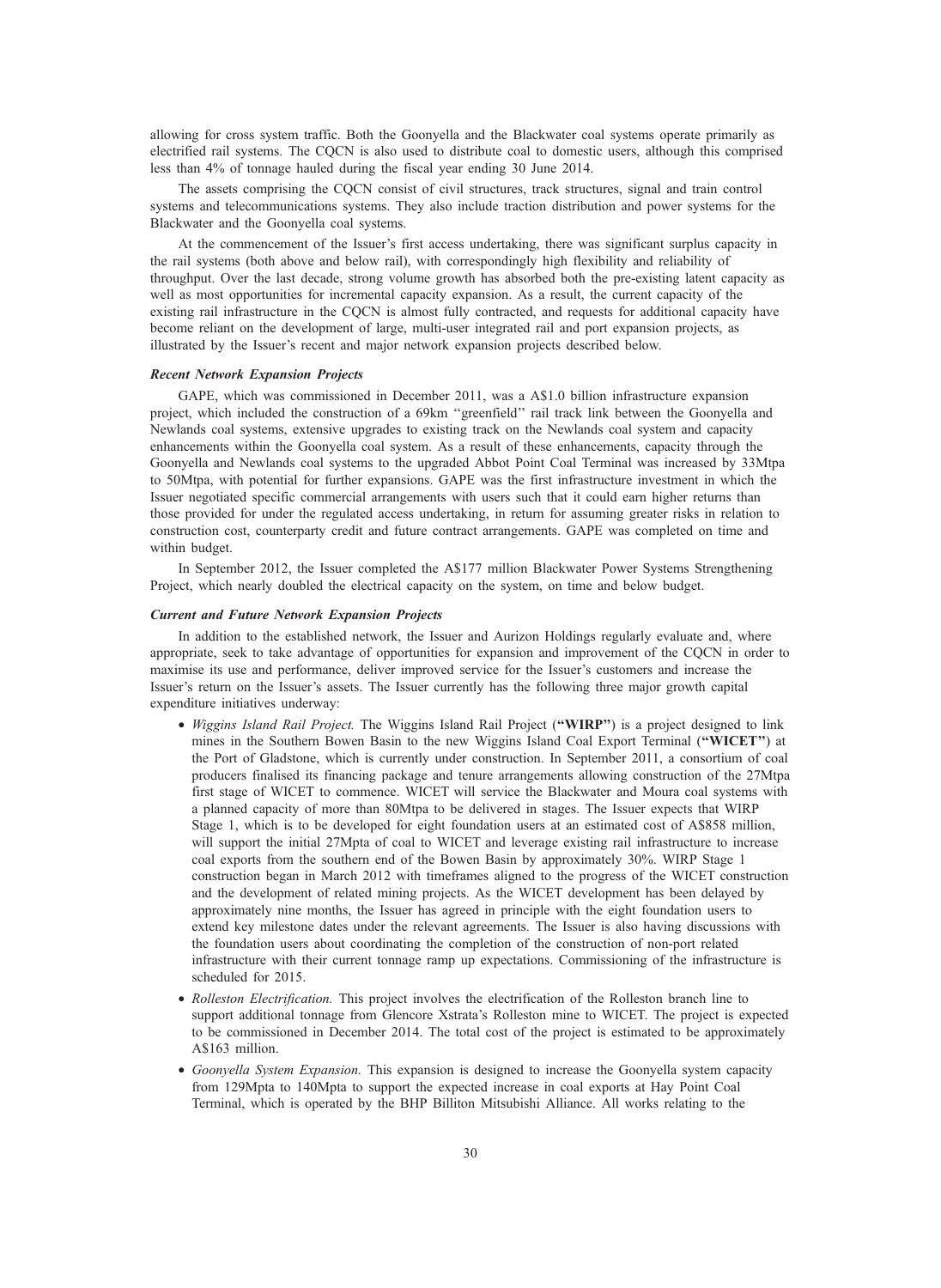allowing for cross system traffic. Both the Goonyella and the Blackwater coal systems operate primarily as electrified rail systems. The CQCN is also used to distribute coal to domestic users, although this comprised less than 4% of tonnage hauled during the fiscal year ending 30 June 2014.

The assets comprising the CQCN consist of civil structures, track structures, signal and train control systems and telecommunications systems. They also include traction distribution and power systems for the Blackwater and the Goonyella coal systems.

At the commencement of the Issuer's first access undertaking, there was significant surplus capacity in the rail systems (both above and below rail), with correspondingly high flexibility and reliability of throughput. Over the last decade, strong volume growth has absorbed both the pre-existing latent capacity as well as most opportunities for incremental capacity expansion. As a result, the current capacity of the existing rail infrastructure in the CQCN is almost fully contracted, and requests for additional capacity have become reliant on the development of large, multi-user integrated rail and port expansion projects, as illustrated by the Issuer's recent and major network expansion projects described below.

#### Recent Network Expansion Projects

GAPE, which was commissioned in December 2011, was a A\$1.0 billion infrastructure expansion project, which included the construction of a 69km ''greenfield'' rail track link between the Goonyella and Newlands coal systems, extensive upgrades to existing track on the Newlands coal system and capacity enhancements within the Goonyella coal system. As a result of these enhancements, capacity through the Goonyella and Newlands coal systems to the upgraded Abbot Point Coal Terminal was increased by 33Mtpa to 50Mtpa, with potential for further expansions. GAPE was the first infrastructure investment in which the Issuer negotiated specific commercial arrangements with users such that it could earn higher returns than those provided for under the regulated access undertaking, in return for assuming greater risks in relation to construction cost, counterparty credit and future contract arrangements. GAPE was completed on time and within budget.

In September 2012, the Issuer completed the A\$177 million Blackwater Power Systems Strengthening Project, which nearly doubled the electrical capacity on the system, on time and below budget.

# Current and Future Network Expansion Projects

In addition to the established network, the Issuer and Aurizon Holdings regularly evaluate and, where appropriate, seek to take advantage of opportunities for expansion and improvement of the CQCN in order to maximise its use and performance, deliver improved service for the Issuer's customers and increase the Issuer's return on the Issuer's assets. The Issuer currently has the following three major growth capital expenditure initiatives underway:

- Wiggins Island Rail Project. The Wiggins Island Rail Project ("WIRP") is a project designed to link mines in the Southern Bowen Basin to the new Wiggins Island Coal Export Terminal ("WICET") at the Port of Gladstone, which is currently under construction. In September 2011, a consortium of coal producers finalised its financing package and tenure arrangements allowing construction of the 27Mtpa first stage of WICET to commence. WICET will service the Blackwater and Moura coal systems with a planned capacity of more than 80Mtpa to be delivered in stages. The Issuer expects that WIRP Stage 1, which is to be developed for eight foundation users at an estimated cost of A\$858 million, will support the initial 27Mpta of coal to WICET and leverage existing rail infrastructure to increase coal exports from the southern end of the Bowen Basin by approximately 30%. WIRP Stage 1 construction began in March 2012 with timeframes aligned to the progress of the WICET construction and the development of related mining projects. As the WICET development has been delayed by approximately nine months, the Issuer has agreed in principle with the eight foundation users to extend key milestone dates under the relevant agreements. The Issuer is also having discussions with the foundation users about coordinating the completion of the construction of non-port related infrastructure with their current tonnage ramp up expectations. Commissioning of the infrastructure is scheduled for 2015.
- Rolleston Electrification. This project involves the electrification of the Rolleston branch line to support additional tonnage from Glencore Xstrata's Rolleston mine to WICET. The project is expected to be commissioned in December 2014. The total cost of the project is estimated to be approximately A\$163 million.
- Goonyella System Expansion. This expansion is designed to increase the Goonyella system capacity from 129Mpta to 140Mpta to support the expected increase in coal exports at Hay Point Coal Terminal, which is operated by the BHP Billiton Mitsubishi Alliance. All works relating to the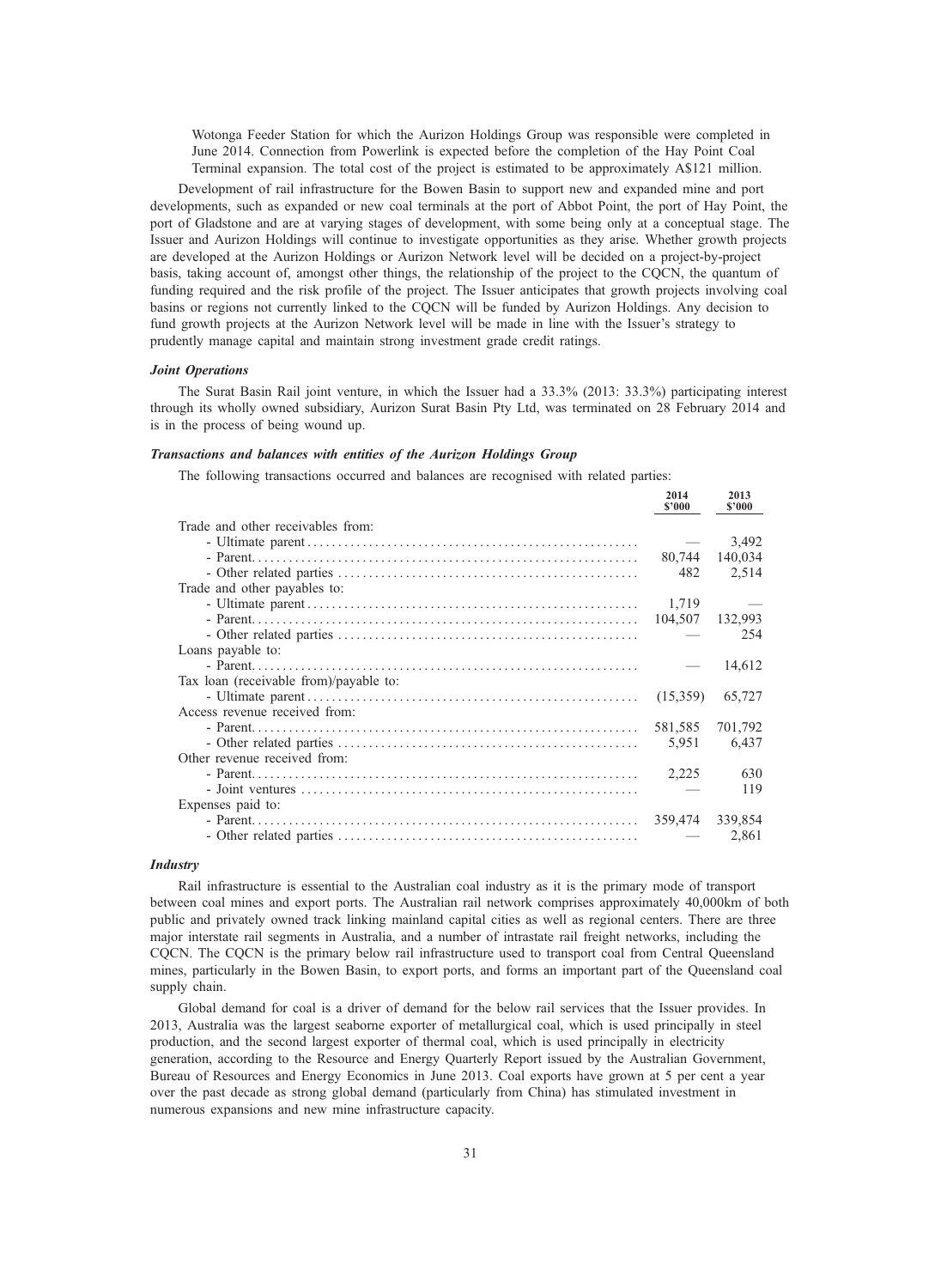Wotonga Feeder Station for which the Aurizon Holdings Group was responsible were completed in June 2014. Connection from Powerlink is expected before the completion of the Hay Point Coal Terminal expansion. The total cost of the project is estimated to be approximately A\$121 million.

Development of rail infrastructure for the Bowen Basin to support new and expanded mine and port developments, such as expanded or new coal terminals at the port of Abbot Point, the port of Hay Point, the port of Gladstone and are at varying stages of development, with some being only at a conceptual stage. The Issuer and Aurizon Holdings will continue to investigate opportunities as they arise. Whether growth projects are developed at the Aurizon Holdings or Aurizon Network level will be decided on a project-by-project basis, taking account of, amongst other things, the relationship of the project to the CQCN, the quantum of funding required and the risk profile of the project. The Issuer anticipates that growth projects involving coal basins or regions not currently linked to the CQCN will be funded by Aurizon Holdings. Any decision to fund growth projects at the Aurizon Network level will be made in line with the Issuer's strategy to prudently manage capital and maintain strong investment grade credit ratings.

# Joint Operations

The Surat Basin Rail joint venture, in which the Issuer had a 33.3% (2013: 33.3%) participating interest through its wholly owned subsidiary, Aurizon Surat Basin Pty Ltd, was terminated on 28 February 2014 and is in the process of being wound up.

#### Transactions and balances with entities of the Aurizon Holdings Group

The following transactions occurred and balances are recognised with related parties:

| 2014<br>\$2000 | 2013<br>\$2000 |
|----------------|----------------|
|                |                |
|                | 3,492          |
| 80,744         | 140,034        |
| 482            | 2,514          |
|                |                |
| 1.719          |                |
| 104,507        | 132,993        |
|                | 254            |
|                |                |
|                | 14,612         |
|                |                |
| (15,359)       | 65,727         |
|                |                |
| 581,585        | 701,792        |
| 5,951          | 6,437          |
|                |                |
| 2,225          | 630            |
|                | 119            |
|                |                |
| 359,474        | 339,854        |
|                | 2,861          |
|                |                |

# **Industry**

Rail infrastructure is essential to the Australian coal industry as it is the primary mode of transport between coal mines and export ports. The Australian rail network comprises approximately 40,000km of both public and privately owned track linking mainland capital cities as well as regional centers. There are three major interstate rail segments in Australia, and a number of intrastate rail freight networks, including the CQCN. The CQCN is the primary below rail infrastructure used to transport coal from Central Queensland mines, particularly in the Bowen Basin, to export ports, and forms an important part of the Queensland coal supply chain.

Global demand for coal is a driver of demand for the below rail services that the Issuer provides. In 2013, Australia was the largest seaborne exporter of metallurgical coal, which is used principally in steel production, and the second largest exporter of thermal coal, which is used principally in electricity generation, according to the Resource and Energy Quarterly Report issued by the Australian Government, Bureau of Resources and Energy Economics in June 2013. Coal exports have grown at 5 per cent a year over the past decade as strong global demand (particularly from China) has stimulated investment in numerous expansions and new mine infrastructure capacity.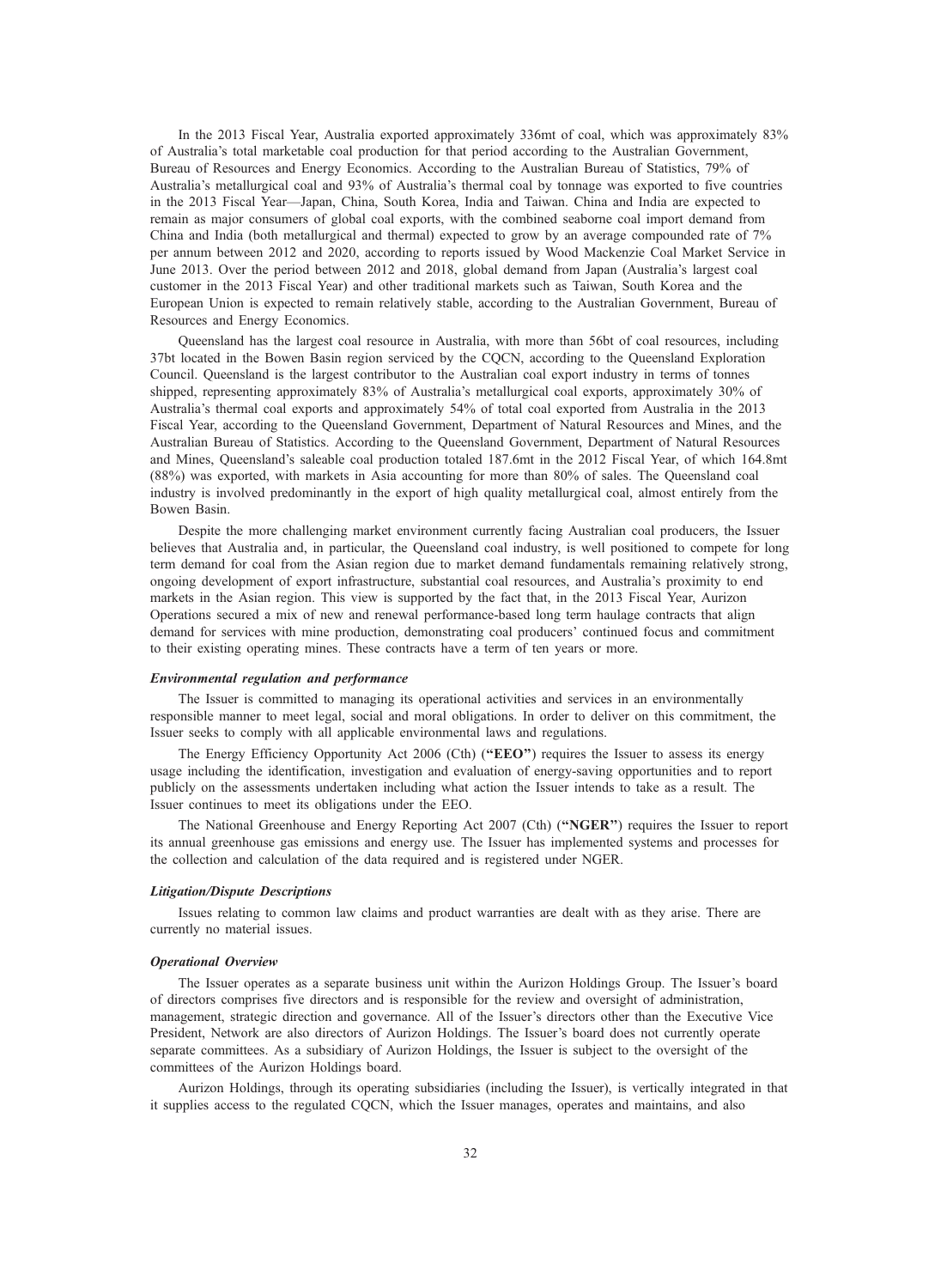In the 2013 Fiscal Year, Australia exported approximately 336mt of coal, which was approximately 83% of Australia's total marketable coal production for that period according to the Australian Government, Bureau of Resources and Energy Economics. According to the Australian Bureau of Statistics, 79% of Australia's metallurgical coal and 93% of Australia's thermal coal by tonnage was exported to five countries in the 2013 Fiscal Year—Japan, China, South Korea, India and Taiwan. China and India are expected to remain as major consumers of global coal exports, with the combined seaborne coal import demand from China and India (both metallurgical and thermal) expected to grow by an average compounded rate of 7% per annum between 2012 and 2020, according to reports issued by Wood Mackenzie Coal Market Service in June 2013. Over the period between 2012 and 2018, global demand from Japan (Australia's largest coal customer in the 2013 Fiscal Year) and other traditional markets such as Taiwan, South Korea and the European Union is expected to remain relatively stable, according to the Australian Government, Bureau of Resources and Energy Economics.

Queensland has the largest coal resource in Australia, with more than 56bt of coal resources, including 37bt located in the Bowen Basin region serviced by the CQCN, according to the Queensland Exploration Council. Queensland is the largest contributor to the Australian coal export industry in terms of tonnes shipped, representing approximately 83% of Australia's metallurgical coal exports, approximately 30% of Australia's thermal coal exports and approximately 54% of total coal exported from Australia in the 2013 Fiscal Year, according to the Queensland Government, Department of Natural Resources and Mines, and the Australian Bureau of Statistics. According to the Queensland Government, Department of Natural Resources and Mines, Queensland's saleable coal production totaled 187.6mt in the 2012 Fiscal Year, of which 164.8mt (88%) was exported, with markets in Asia accounting for more than 80% of sales. The Queensland coal industry is involved predominantly in the export of high quality metallurgical coal, almost entirely from the Bowen Basin.

Despite the more challenging market environment currently facing Australian coal producers, the Issuer believes that Australia and, in particular, the Queensland coal industry, is well positioned to compete for long term demand for coal from the Asian region due to market demand fundamentals remaining relatively strong, ongoing development of export infrastructure, substantial coal resources, and Australia's proximity to end markets in the Asian region. This view is supported by the fact that, in the 2013 Fiscal Year, Aurizon Operations secured a mix of new and renewal performance-based long term haulage contracts that align demand for services with mine production, demonstrating coal producers' continued focus and commitment to their existing operating mines. These contracts have a term of ten years or more.

# Environmental regulation and performance

The Issuer is committed to managing its operational activities and services in an environmentally responsible manner to meet legal, social and moral obligations. In order to deliver on this commitment, the Issuer seeks to comply with all applicable environmental laws and regulations.

The Energy Efficiency Opportunity Act 2006 (Cth) ("EEO") requires the Issuer to assess its energy usage including the identification, investigation and evaluation of energy-saving opportunities and to report publicly on the assessments undertaken including what action the Issuer intends to take as a result. The Issuer continues to meet its obligations under the EEO.

The National Greenhouse and Energy Reporting Act 2007 (Cth) ("NGER") requires the Issuer to report its annual greenhouse gas emissions and energy use. The Issuer has implemented systems and processes for the collection and calculation of the data required and is registered under NGER.

#### Litigation/Dispute Descriptions

Issues relating to common law claims and product warranties are dealt with as they arise. There are currently no material issues.

#### Operational Overview

The Issuer operates as a separate business unit within the Aurizon Holdings Group. The Issuer's board of directors comprises five directors and is responsible for the review and oversight of administration, management, strategic direction and governance. All of the Issuer's directors other than the Executive Vice President, Network are also directors of Aurizon Holdings. The Issuer's board does not currently operate separate committees. As a subsidiary of Aurizon Holdings, the Issuer is subject to the oversight of the committees of the Aurizon Holdings board.

Aurizon Holdings, through its operating subsidiaries (including the Issuer), is vertically integrated in that it supplies access to the regulated CQCN, which the Issuer manages, operates and maintains, and also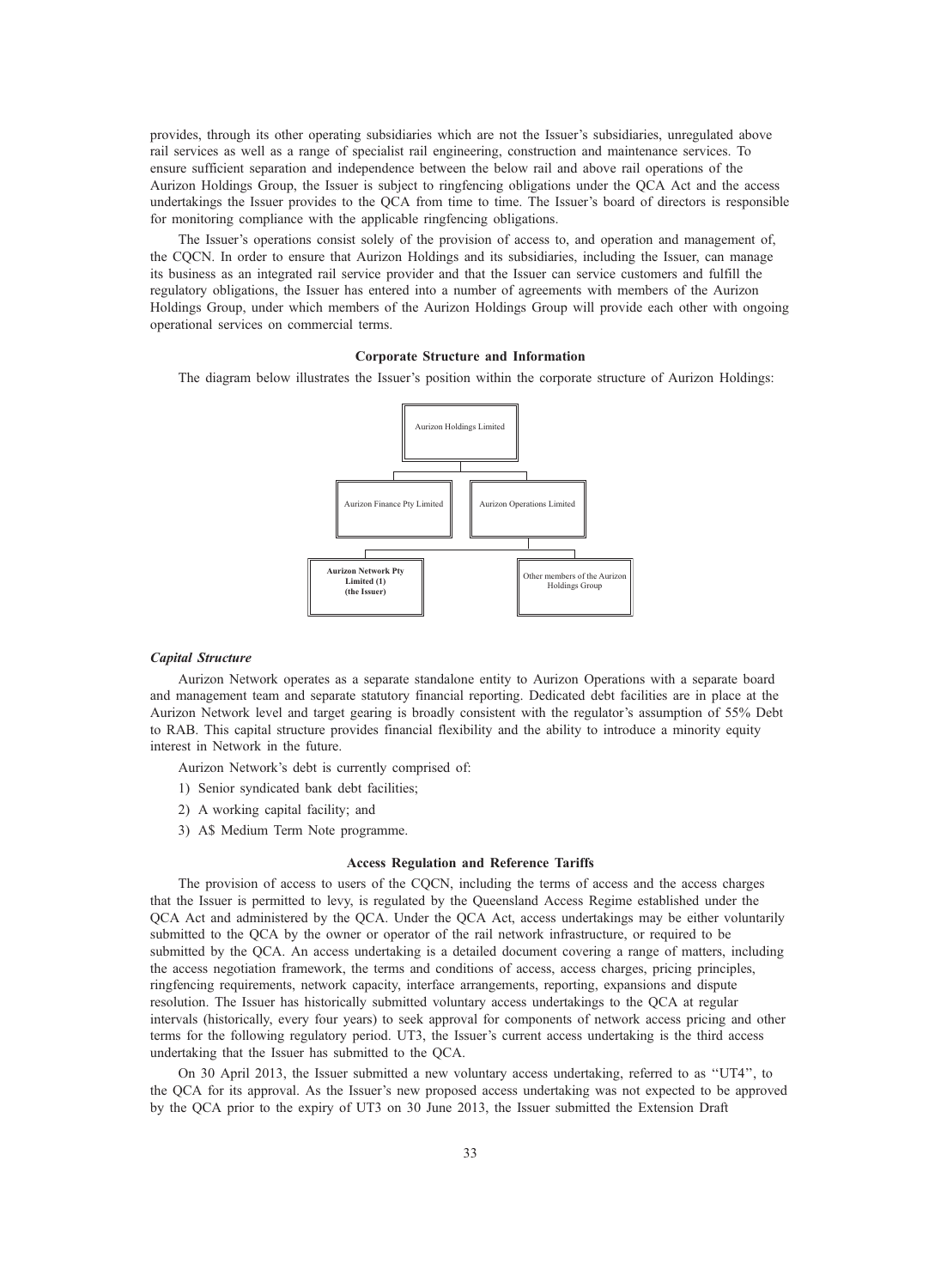provides, through its other operating subsidiaries which are not the Issuer's subsidiaries, unregulated above rail services as well as a range of specialist rail engineering, construction and maintenance services. To ensure sufficient separation and independence between the below rail and above rail operations of the Aurizon Holdings Group, the Issuer is subject to ringfencing obligations under the QCA Act and the access undertakings the Issuer provides to the QCA from time to time. The Issuer's board of directors is responsible for monitoring compliance with the applicable ringfencing obligations.

The Issuer's operations consist solely of the provision of access to, and operation and management of, the CQCN. In order to ensure that Aurizon Holdings and its subsidiaries, including the Issuer, can manage its business as an integrated rail service provider and that the Issuer can service customers and fulfill the regulatory obligations, the Issuer has entered into a number of agreements with members of the Aurizon Holdings Group, under which members of the Aurizon Holdings Group will provide each other with ongoing operational services on commercial terms.

# Corporate Structure and Information

The diagram below illustrates the Issuer's position within the corporate structure of Aurizon Holdings:



# Capital Structure

Aurizon Network operates as a separate standalone entity to Aurizon Operations with a separate board and management team and separate statutory financial reporting. Dedicated debt facilities are in place at the Aurizon Network level and target gearing is broadly consistent with the regulator's assumption of 55% Debt to RAB. This capital structure provides financial flexibility and the ability to introduce a minority equity interest in Network in the future.

Aurizon Network's debt is currently comprised of:

- 1) Senior syndicated bank debt facilities;
- 2) A working capital facility; and
- 3) A\$ Medium Term Note programme.

#### Access Regulation and Reference Tariffs

The provision of access to users of the CQCN, including the terms of access and the access charges that the Issuer is permitted to levy, is regulated by the Queensland Access Regime established under the QCA Act and administered by the QCA. Under the QCA Act, access undertakings may be either voluntarily submitted to the QCA by the owner or operator of the rail network infrastructure, or required to be submitted by the QCA. An access undertaking is a detailed document covering a range of matters, including the access negotiation framework, the terms and conditions of access, access charges, pricing principles, ringfencing requirements, network capacity, interface arrangements, reporting, expansions and dispute resolution. The Issuer has historically submitted voluntary access undertakings to the QCA at regular intervals (historically, every four years) to seek approval for components of network access pricing and other terms for the following regulatory period. UT3, the Issuer's current access undertaking is the third access undertaking that the Issuer has submitted to the QCA.

On 30 April 2013, the Issuer submitted a new voluntary access undertaking, referred to as ''UT4'', to the QCA for its approval. As the Issuer's new proposed access undertaking was not expected to be approved by the QCA prior to the expiry of UT3 on 30 June 2013, the Issuer submitted the Extension Draft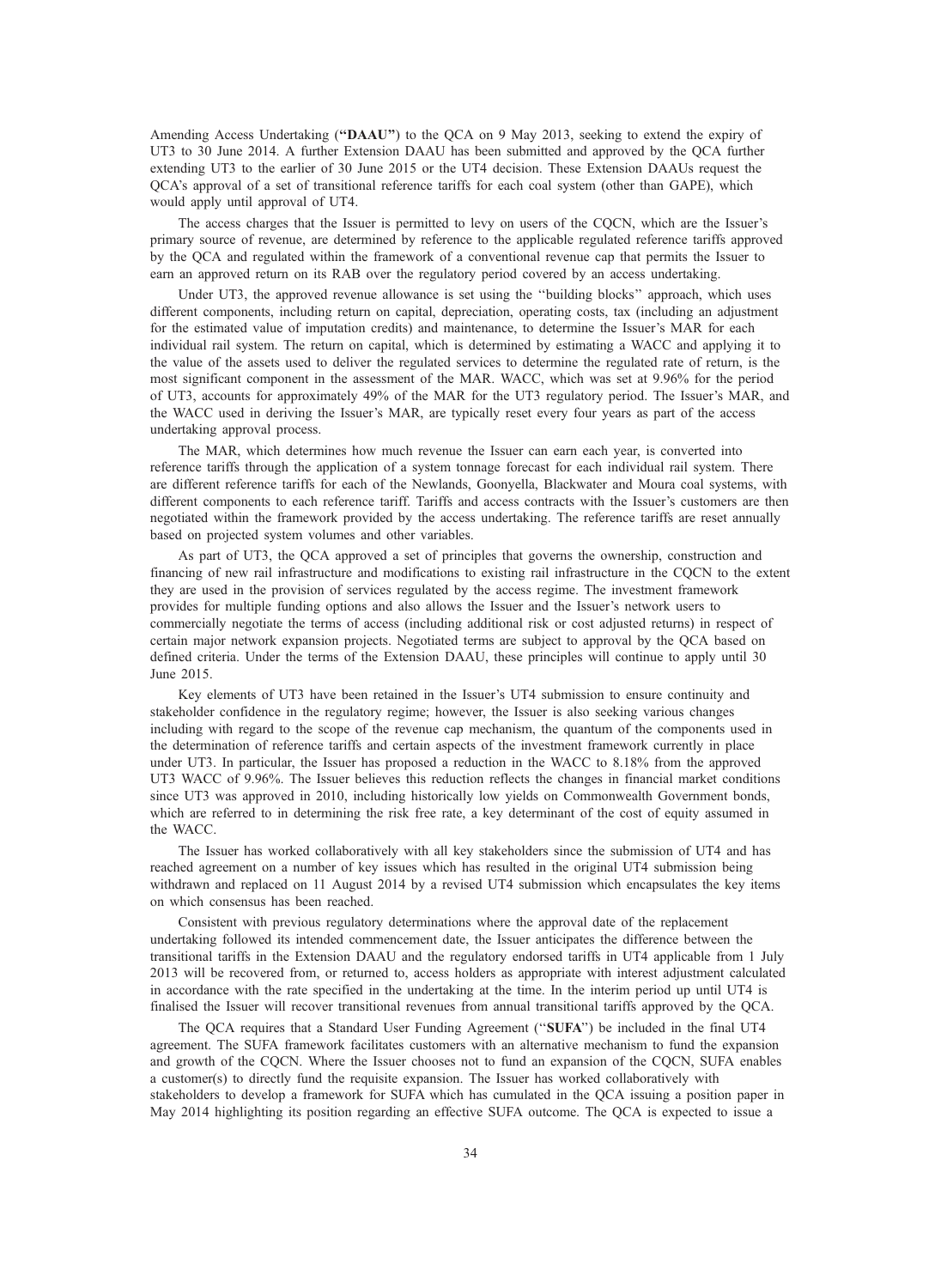Amending Access Undertaking ("DAAU") to the QCA on 9 May 2013, seeking to extend the expiry of UT3 to 30 June 2014. A further Extension DAAU has been submitted and approved by the QCA further extending UT3 to the earlier of 30 June 2015 or the UT4 decision. These Extension DAAUs request the QCA's approval of a set of transitional reference tariffs for each coal system (other than GAPE), which would apply until approval of UT4.

The access charges that the Issuer is permitted to levy on users of the CQCN, which are the Issuer's primary source of revenue, are determined by reference to the applicable regulated reference tariffs approved by the QCA and regulated within the framework of a conventional revenue cap that permits the Issuer to earn an approved return on its RAB over the regulatory period covered by an access undertaking.

Under UT3, the approved revenue allowance is set using the ''building blocks'' approach, which uses different components, including return on capital, depreciation, operating costs, tax (including an adjustment for the estimated value of imputation credits) and maintenance, to determine the Issuer's MAR for each individual rail system. The return on capital, which is determined by estimating a WACC and applying it to the value of the assets used to deliver the regulated services to determine the regulated rate of return, is the most significant component in the assessment of the MAR. WACC, which was set at 9.96% for the period of UT3, accounts for approximately 49% of the MAR for the UT3 regulatory period. The Issuer's MAR, and the WACC used in deriving the Issuer's MAR, are typically reset every four years as part of the access undertaking approval process.

The MAR, which determines how much revenue the Issuer can earn each year, is converted into reference tariffs through the application of a system tonnage forecast for each individual rail system. There are different reference tariffs for each of the Newlands, Goonyella, Blackwater and Moura coal systems, with different components to each reference tariff. Tariffs and access contracts with the Issuer's customers are then negotiated within the framework provided by the access undertaking. The reference tariffs are reset annually based on projected system volumes and other variables.

As part of UT3, the QCA approved a set of principles that governs the ownership, construction and financing of new rail infrastructure and modifications to existing rail infrastructure in the CQCN to the extent they are used in the provision of services regulated by the access regime. The investment framework provides for multiple funding options and also allows the Issuer and the Issuer's network users to commercially negotiate the terms of access (including additional risk or cost adjusted returns) in respect of certain major network expansion projects. Negotiated terms are subject to approval by the QCA based on defined criteria. Under the terms of the Extension DAAU, these principles will continue to apply until 30 June 2015.

Key elements of UT3 have been retained in the Issuer's UT4 submission to ensure continuity and stakeholder confidence in the regulatory regime; however, the Issuer is also seeking various changes including with regard to the scope of the revenue cap mechanism, the quantum of the components used in the determination of reference tariffs and certain aspects of the investment framework currently in place under UT3. In particular, the Issuer has proposed a reduction in the WACC to 8.18% from the approved UT3 WACC of 9.96%. The Issuer believes this reduction reflects the changes in financial market conditions since UT3 was approved in 2010, including historically low yields on Commonwealth Government bonds, which are referred to in determining the risk free rate, a key determinant of the cost of equity assumed in the WACC.

The Issuer has worked collaboratively with all key stakeholders since the submission of UT4 and has reached agreement on a number of key issues which has resulted in the original UT4 submission being withdrawn and replaced on 11 August 2014 by a revised UT4 submission which encapsulates the key items on which consensus has been reached.

Consistent with previous regulatory determinations where the approval date of the replacement undertaking followed its intended commencement date, the Issuer anticipates the difference between the transitional tariffs in the Extension DAAU and the regulatory endorsed tariffs in UT4 applicable from 1 July 2013 will be recovered from, or returned to, access holders as appropriate with interest adjustment calculated in accordance with the rate specified in the undertaking at the time. In the interim period up until UT4 is finalised the Issuer will recover transitional revenues from annual transitional tariffs approved by the QCA.

The QCA requires that a Standard User Funding Agreement (''SUFA'') be included in the final UT4 agreement. The SUFA framework facilitates customers with an alternative mechanism to fund the expansion and growth of the CQCN. Where the Issuer chooses not to fund an expansion of the CQCN, SUFA enables a customer(s) to directly fund the requisite expansion. The Issuer has worked collaboratively with stakeholders to develop a framework for SUFA which has cumulated in the QCA issuing a position paper in May 2014 highlighting its position regarding an effective SUFA outcome. The QCA is expected to issue a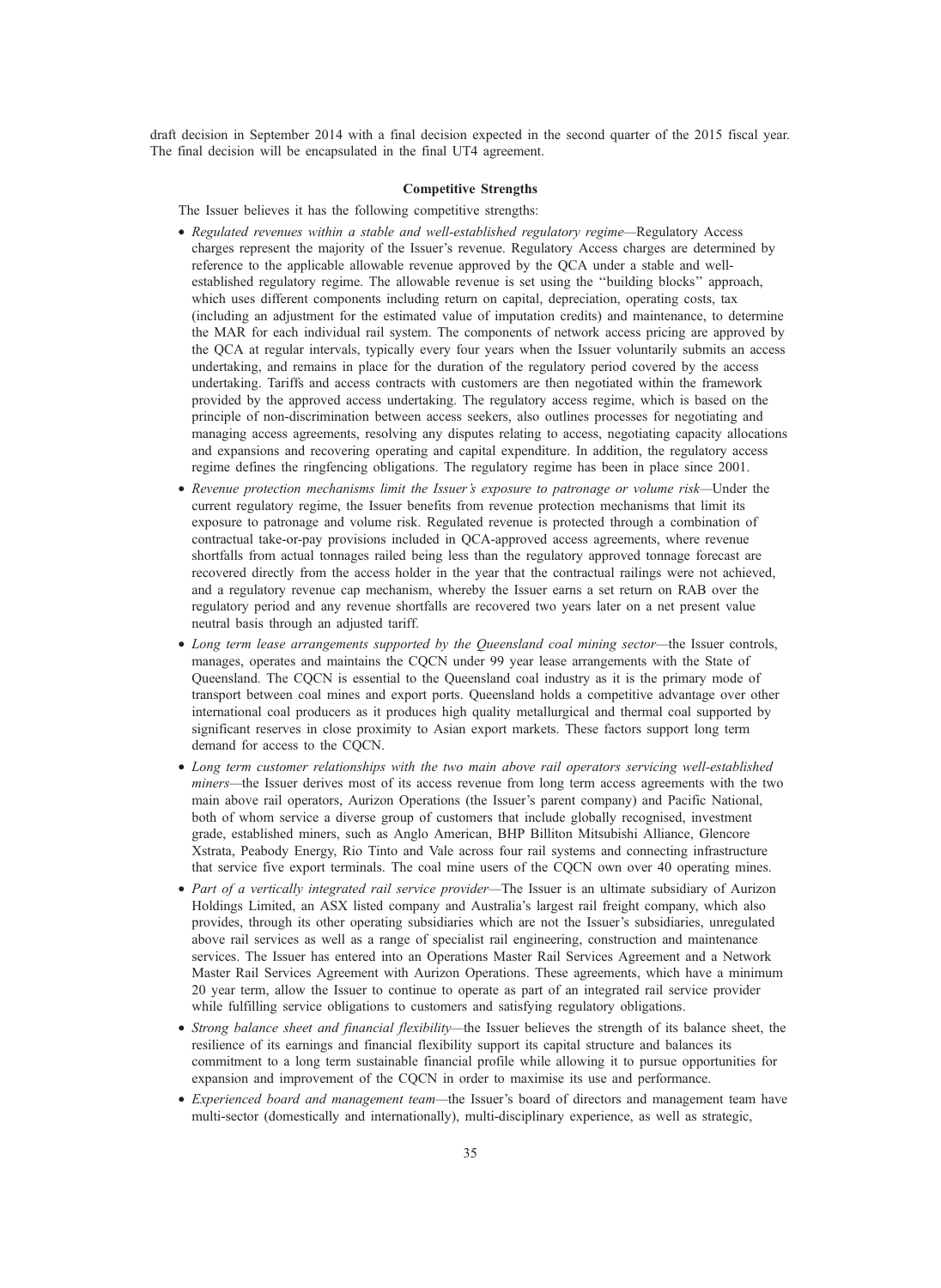draft decision in September 2014 with a final decision expected in the second quarter of the 2015 fiscal year. The final decision will be encapsulated in the final UT4 agreement.

# Competitive Strengths

- The Issuer believes it has the following competitive strengths:
- Regulated revenues within a stable and well-established regulatory regime—Regulatory Access charges represent the majority of the Issuer's revenue. Regulatory Access charges are determined by reference to the applicable allowable revenue approved by the QCA under a stable and wellestablished regulatory regime. The allowable revenue is set using the ''building blocks'' approach, which uses different components including return on capital, depreciation, operating costs, tax (including an adjustment for the estimated value of imputation credits) and maintenance, to determine the MAR for each individual rail system. The components of network access pricing are approved by the QCA at regular intervals, typically every four years when the Issuer voluntarily submits an access undertaking, and remains in place for the duration of the regulatory period covered by the access undertaking. Tariffs and access contracts with customers are then negotiated within the framework provided by the approved access undertaking. The regulatory access regime, which is based on the principle of non-discrimination between access seekers, also outlines processes for negotiating and managing access agreements, resolving any disputes relating to access, negotiating capacity allocations and expansions and recovering operating and capital expenditure. In addition, the regulatory access regime defines the ringfencing obligations. The regulatory regime has been in place since 2001.
- Revenue protection mechanisms limit the Issuer's exposure to patronage or volume risk—Under the current regulatory regime, the Issuer benefits from revenue protection mechanisms that limit its exposure to patronage and volume risk. Regulated revenue is protected through a combination of contractual take-or-pay provisions included in QCA-approved access agreements, where revenue shortfalls from actual tonnages railed being less than the regulatory approved tonnage forecast are recovered directly from the access holder in the year that the contractual railings were not achieved, and a regulatory revenue cap mechanism, whereby the Issuer earns a set return on RAB over the regulatory period and any revenue shortfalls are recovered two years later on a net present value neutral basis through an adjusted tariff.
- Long term lease arrangements supported by the Queensland coal mining sector—the Issuer controls, manages, operates and maintains the CQCN under 99 year lease arrangements with the State of Queensland. The CQCN is essential to the Queensland coal industry as it is the primary mode of transport between coal mines and export ports. Queensland holds a competitive advantage over other international coal producers as it produces high quality metallurgical and thermal coal supported by significant reserves in close proximity to Asian export markets. These factors support long term demand for access to the CQCN.
- Long term customer relationships with the two main above rail operators servicing well-established miners—the Issuer derives most of its access revenue from long term access agreements with the two main above rail operators, Aurizon Operations (the Issuer's parent company) and Pacific National, both of whom service a diverse group of customers that include globally recognised, investment grade, established miners, such as Anglo American, BHP Billiton Mitsubishi Alliance, Glencore Xstrata, Peabody Energy, Rio Tinto and Vale across four rail systems and connecting infrastructure that service five export terminals. The coal mine users of the CQCN own over 40 operating mines.
- Part of a vertically integrated rail service provider—The Issuer is an ultimate subsidiary of Aurizon Holdings Limited, an ASX listed company and Australia's largest rail freight company, which also provides, through its other operating subsidiaries which are not the Issuer's subsidiaries, unregulated above rail services as well as a range of specialist rail engineering, construction and maintenance services. The Issuer has entered into an Operations Master Rail Services Agreement and a Network Master Rail Services Agreement with Aurizon Operations. These agreements, which have a minimum 20 year term, allow the Issuer to continue to operate as part of an integrated rail service provider while fulfilling service obligations to customers and satisfying regulatory obligations.
- Strong balance sheet and financial flexibility—the Issuer believes the strength of its balance sheet, the resilience of its earnings and financial flexibility support its capital structure and balances its commitment to a long term sustainable financial profile while allowing it to pursue opportunities for expansion and improvement of the CQCN in order to maximise its use and performance.
- Experienced board and management team—the Issuer's board of directors and management team have multi-sector (domestically and internationally), multi-disciplinary experience, as well as strategic,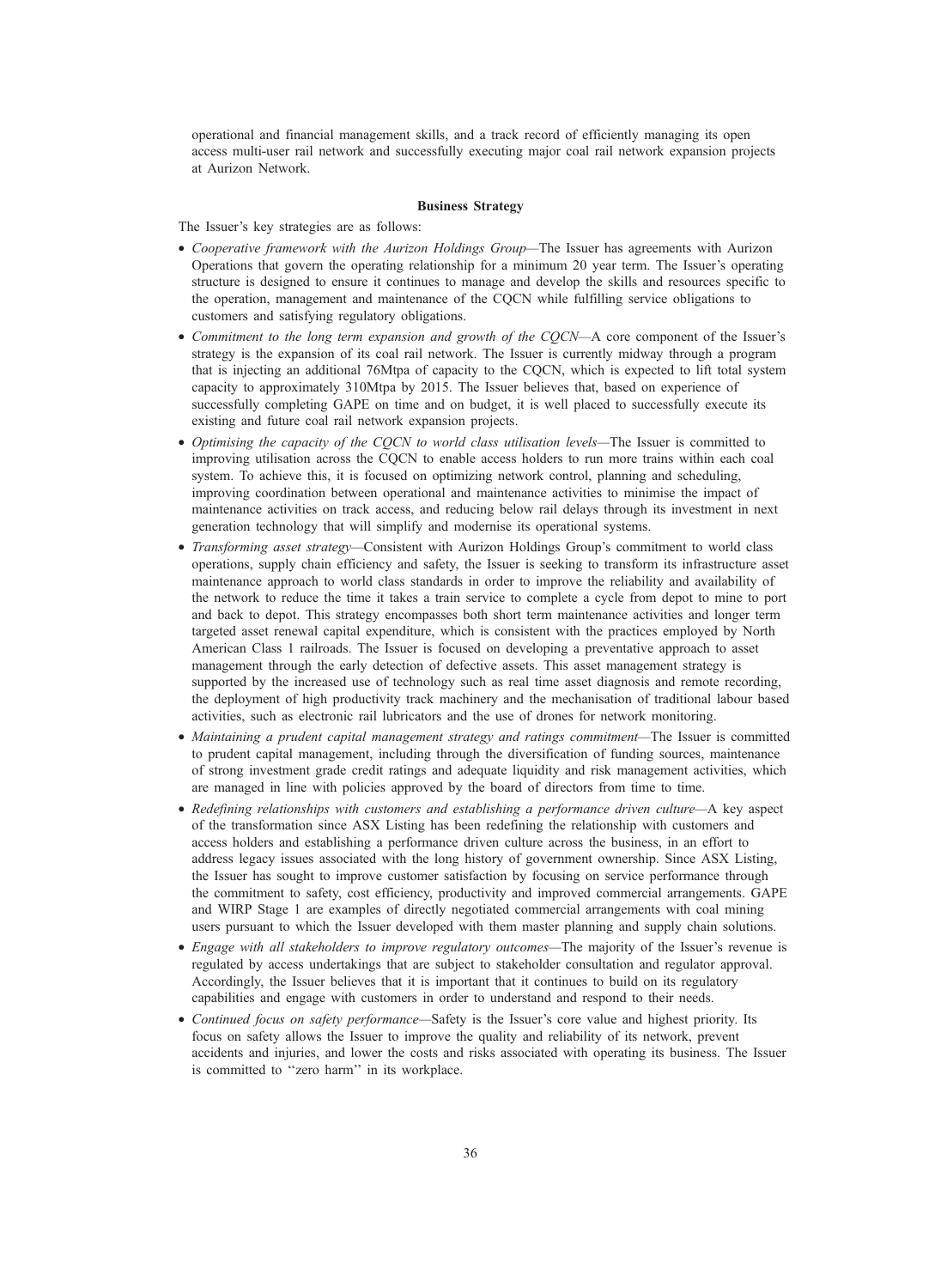operational and financial management skills, and a track record of efficiently managing its open access multi-user rail network and successfully executing major coal rail network expansion projects at Aurizon Network.

## Business Strategy

The Issuer's key strategies are as follows:

- Cooperative framework with the Aurizon Holdings Group—The Issuer has agreements with Aurizon Operations that govern the operating relationship for a minimum 20 year term. The Issuer's operating structure is designed to ensure it continues to manage and develop the skills and resources specific to the operation, management and maintenance of the CQCN while fulfilling service obligations to customers and satisfying regulatory obligations.
- Commitment to the long term expansion and growth of the CQCN—A core component of the Issuer's strategy is the expansion of its coal rail network. The Issuer is currently midway through a program that is injecting an additional 76Mtpa of capacity to the CQCN, which is expected to lift total system capacity to approximately 310Mtpa by 2015. The Issuer believes that, based on experience of successfully completing GAPE on time and on budget, it is well placed to successfully execute its existing and future coal rail network expansion projects.
- Optimising the capacity of the COCN to world class utilisation levels—The Issuer is committed to improving utilisation across the CQCN to enable access holders to run more trains within each coal system. To achieve this, it is focused on optimizing network control, planning and scheduling, improving coordination between operational and maintenance activities to minimise the impact of maintenance activities on track access, and reducing below rail delays through its investment in next generation technology that will simplify and modernise its operational systems.
- Transforming asset strategy—Consistent with Aurizon Holdings Group's commitment to world class operations, supply chain efficiency and safety, the Issuer is seeking to transform its infrastructure asset maintenance approach to world class standards in order to improve the reliability and availability of the network to reduce the time it takes a train service to complete a cycle from depot to mine to port and back to depot. This strategy encompasses both short term maintenance activities and longer term targeted asset renewal capital expenditure, which is consistent with the practices employed by North American Class 1 railroads. The Issuer is focused on developing a preventative approach to asset management through the early detection of defective assets. This asset management strategy is supported by the increased use of technology such as real time asset diagnosis and remote recording, the deployment of high productivity track machinery and the mechanisation of traditional labour based activities, such as electronic rail lubricators and the use of drones for network monitoring.
- Maintaining a prudent capital management strategy and ratings commitment—The Issuer is committed to prudent capital management, including through the diversification of funding sources, maintenance of strong investment grade credit ratings and adequate liquidity and risk management activities, which are managed in line with policies approved by the board of directors from time to time.
- Redefining relationships with customers and establishing a performance driven culture—A key aspect of the transformation since ASX Listing has been redefining the relationship with customers and access holders and establishing a performance driven culture across the business, in an effort to address legacy issues associated with the long history of government ownership. Since ASX Listing, the Issuer has sought to improve customer satisfaction by focusing on service performance through the commitment to safety, cost efficiency, productivity and improved commercial arrangements. GAPE and WIRP Stage 1 are examples of directly negotiated commercial arrangements with coal mining users pursuant to which the Issuer developed with them master planning and supply chain solutions.
- Engage with all stakeholders to improve regulatory outcomes—The majority of the Issuer's revenue is regulated by access undertakings that are subject to stakeholder consultation and regulator approval. Accordingly, the Issuer believes that it is important that it continues to build on its regulatory capabilities and engage with customers in order to understand and respond to their needs.
- Continued focus on safety performance—Safety is the Issuer's core value and highest priority. Its focus on safety allows the Issuer to improve the quality and reliability of its network, prevent accidents and injuries, and lower the costs and risks associated with operating its business. The Issuer is committed to ''zero harm'' in its workplace.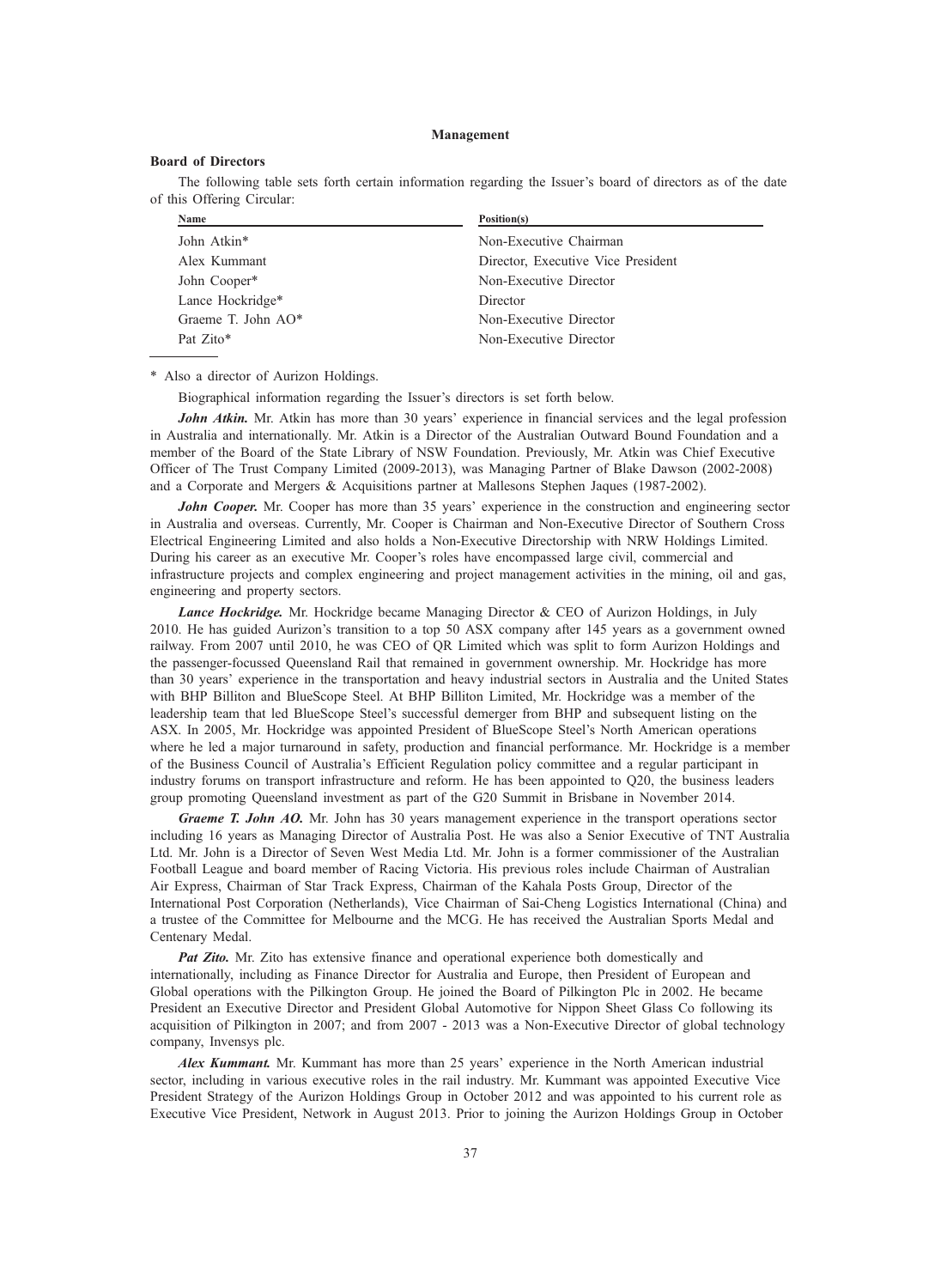### Management

### Board of Directors

The following table sets forth certain information regarding the Issuer's board of directors as of the date of this Offering Circular:

| <b>Name</b>        | Position(s)                        |
|--------------------|------------------------------------|
| John Atkin*        | Non-Executive Chairman             |
| Alex Kummant       | Director, Executive Vice President |
| John Cooper*       | Non-Executive Director             |
| Lance Hockridge*   | Director                           |
| Graeme T. John AO* | Non-Executive Director             |
| Pat Zito*          | Non-Executive Director             |

\* Also a director of Aurizon Holdings.

Biographical information regarding the Issuer's directors is set forth below.

John Atkin. Mr. Atkin has more than 30 years' experience in financial services and the legal profession in Australia and internationally. Mr. Atkin is a Director of the Australian Outward Bound Foundation and a member of the Board of the State Library of NSW Foundation. Previously, Mr. Atkin was Chief Executive Officer of The Trust Company Limited (2009-2013), was Managing Partner of Blake Dawson (2002-2008) and a Corporate and Mergers & Acquisitions partner at Mallesons Stephen Jaques (1987-2002).

John Cooper. Mr. Cooper has more than 35 years' experience in the construction and engineering sector in Australia and overseas. Currently, Mr. Cooper is Chairman and Non-Executive Director of Southern Cross Electrical Engineering Limited and also holds a Non-Executive Directorship with NRW Holdings Limited. During his career as an executive Mr. Cooper's roles have encompassed large civil, commercial and infrastructure projects and complex engineering and project management activities in the mining, oil and gas, engineering and property sectors.

Lance Hockridge. Mr. Hockridge became Managing Director & CEO of Aurizon Holdings, in July 2010. He has guided Aurizon's transition to a top 50 ASX company after 145 years as a government owned railway. From 2007 until 2010, he was CEO of QR Limited which was split to form Aurizon Holdings and the passenger-focussed Queensland Rail that remained in government ownership. Mr. Hockridge has more than 30 years' experience in the transportation and heavy industrial sectors in Australia and the United States with BHP Billiton and BlueScope Steel. At BHP Billiton Limited, Mr. Hockridge was a member of the leadership team that led BlueScope Steel's successful demerger from BHP and subsequent listing on the ASX. In 2005, Mr. Hockridge was appointed President of BlueScope Steel's North American operations where he led a major turnaround in safety, production and financial performance. Mr. Hockridge is a member of the Business Council of Australia's Efficient Regulation policy committee and a regular participant in industry forums on transport infrastructure and reform. He has been appointed to Q20, the business leaders group promoting Queensland investment as part of the G20 Summit in Brisbane in November 2014.

Graeme T. John AO. Mr. John has 30 years management experience in the transport operations sector including 16 years as Managing Director of Australia Post. He was also a Senior Executive of TNT Australia Ltd. Mr. John is a Director of Seven West Media Ltd. Mr. John is a former commissioner of the Australian Football League and board member of Racing Victoria. His previous roles include Chairman of Australian Air Express, Chairman of Star Track Express, Chairman of the Kahala Posts Group, Director of the International Post Corporation (Netherlands), Vice Chairman of Sai-Cheng Logistics International (China) and a trustee of the Committee for Melbourne and the MCG. He has received the Australian Sports Medal and Centenary Medal.

Pat Zito. Mr. Zito has extensive finance and operational experience both domestically and internationally, including as Finance Director for Australia and Europe, then President of European and Global operations with the Pilkington Group. He joined the Board of Pilkington Plc in 2002. He became President an Executive Director and President Global Automotive for Nippon Sheet Glass Co following its acquisition of Pilkington in 2007; and from 2007 - 2013 was a Non-Executive Director of global technology company, Invensys plc.

Alex Kummant. Mr. Kummant has more than 25 years' experience in the North American industrial sector, including in various executive roles in the rail industry. Mr. Kummant was appointed Executive Vice President Strategy of the Aurizon Holdings Group in October 2012 and was appointed to his current role as Executive Vice President, Network in August 2013. Prior to joining the Aurizon Holdings Group in October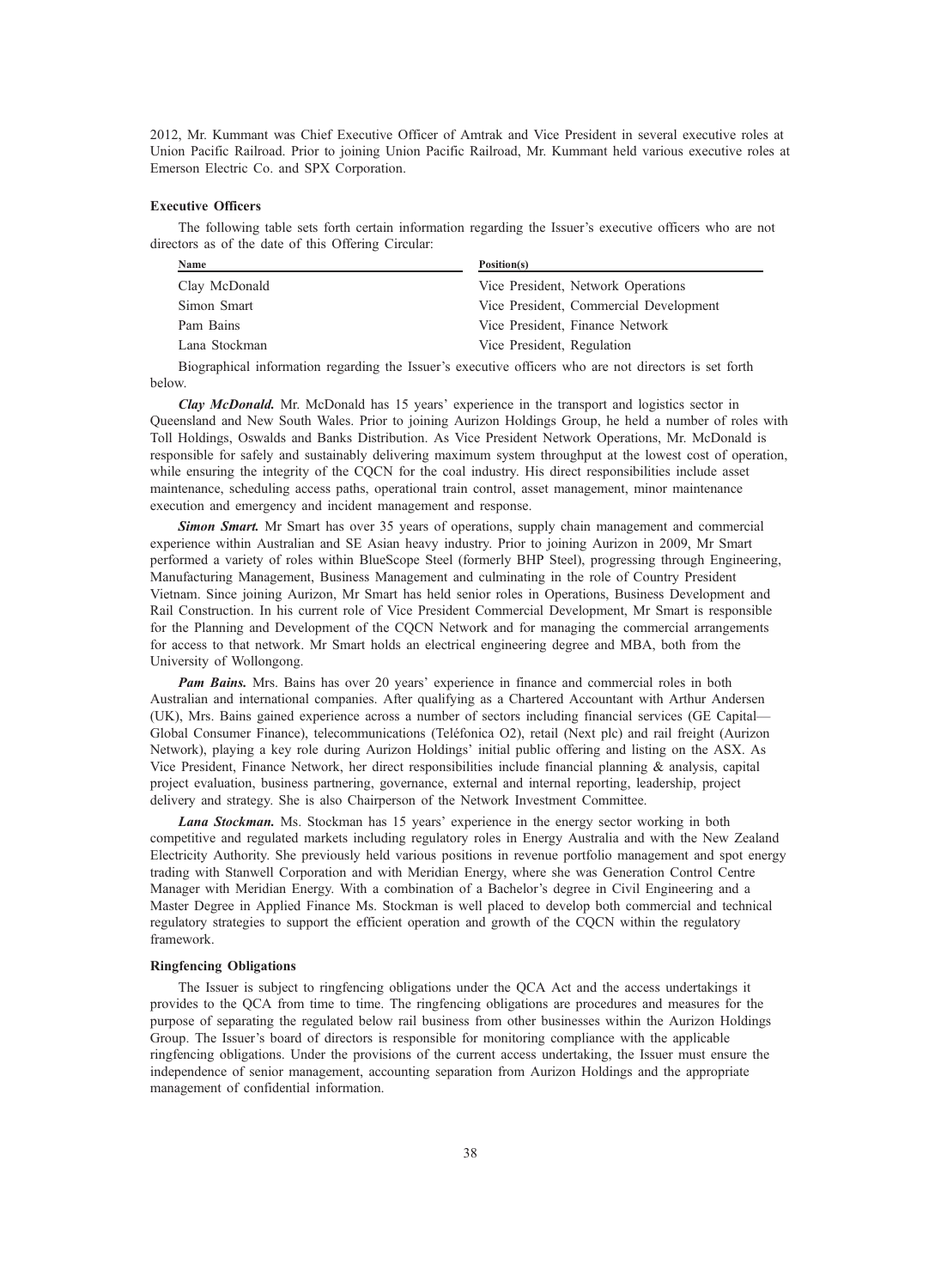2012, Mr. Kummant was Chief Executive Officer of Amtrak and Vice President in several executive roles at Union Pacific Railroad. Prior to joining Union Pacific Railroad, Mr. Kummant held various executive roles at Emerson Electric Co. and SPX Corporation.

## Executive Officers

The following table sets forth certain information regarding the Issuer's executive officers who are not directors as of the date of this Offering Circular:

| Name<br>Position(s) |                                        |
|---------------------|----------------------------------------|
| Clay McDonald       | Vice President, Network Operations     |
| Simon Smart         | Vice President, Commercial Development |
| Pam Bains           | Vice President, Finance Network        |
| Lana Stockman       | Vice President, Regulation             |
|                     |                                        |

Biographical information regarding the Issuer's executive officers who are not directors is set forth below.

Clay McDonald. Mr. McDonald has 15 years' experience in the transport and logistics sector in Queensland and New South Wales. Prior to joining Aurizon Holdings Group, he held a number of roles with Toll Holdings, Oswalds and Banks Distribution. As Vice President Network Operations, Mr. McDonald is responsible for safely and sustainably delivering maximum system throughput at the lowest cost of operation, while ensuring the integrity of the CQCN for the coal industry. His direct responsibilities include asset maintenance, scheduling access paths, operational train control, asset management, minor maintenance execution and emergency and incident management and response.

Simon Smart. Mr Smart has over 35 years of operations, supply chain management and commercial experience within Australian and SE Asian heavy industry. Prior to joining Aurizon in 2009, Mr Smart performed a variety of roles within BlueScope Steel (formerly BHP Steel), progressing through Engineering, Manufacturing Management, Business Management and culminating in the role of Country President Vietnam. Since joining Aurizon, Mr Smart has held senior roles in Operations, Business Development and Rail Construction. In his current role of Vice President Commercial Development, Mr Smart is responsible for the Planning and Development of the CQCN Network and for managing the commercial arrangements for access to that network. Mr Smart holds an electrical engineering degree and MBA, both from the University of Wollongong.

Pam Bains. Mrs. Bains has over 20 years' experience in finance and commercial roles in both Australian and international companies. After qualifying as a Chartered Accountant with Arthur Andersen (UK), Mrs. Bains gained experience across a number of sectors including financial services (GE Capital— Global Consumer Finance), telecommunications (Teléfonica O2), retail (Next plc) and rail freight (Aurizon Network), playing a key role during Aurizon Holdings' initial public offering and listing on the ASX. As Vice President, Finance Network, her direct responsibilities include financial planning & analysis, capital project evaluation, business partnering, governance, external and internal reporting, leadership, project delivery and strategy. She is also Chairperson of the Network Investment Committee.

Lana Stockman. Ms. Stockman has 15 years' experience in the energy sector working in both competitive and regulated markets including regulatory roles in Energy Australia and with the New Zealand Electricity Authority. She previously held various positions in revenue portfolio management and spot energy trading with Stanwell Corporation and with Meridian Energy, where she was Generation Control Centre Manager with Meridian Energy. With a combination of a Bachelor's degree in Civil Engineering and a Master Degree in Applied Finance Ms. Stockman is well placed to develop both commercial and technical regulatory strategies to support the efficient operation and growth of the CQCN within the regulatory framework.

### Ringfencing Obligations

The Issuer is subject to ringfencing obligations under the QCA Act and the access undertakings it provides to the QCA from time to time. The ringfencing obligations are procedures and measures for the purpose of separating the regulated below rail business from other businesses within the Aurizon Holdings Group. The Issuer's board of directors is responsible for monitoring compliance with the applicable ringfencing obligations. Under the provisions of the current access undertaking, the Issuer must ensure the independence of senior management, accounting separation from Aurizon Holdings and the appropriate management of confidential information.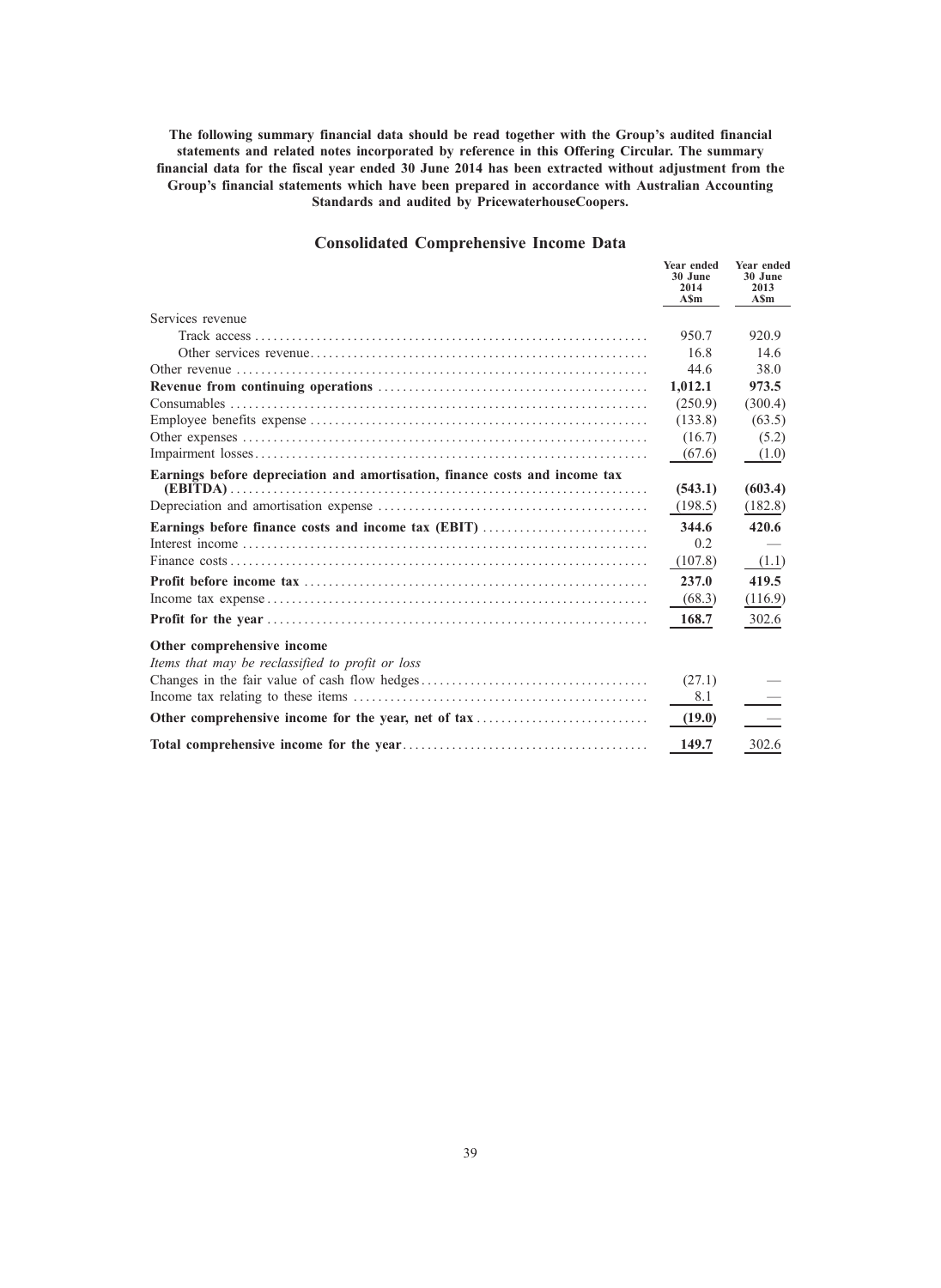The following summary financial data should be read together with the Group's audited financial statements and related notes incorporated by reference in this Offering Circular. The summary financial data for the fiscal year ended 30 June 2014 has been extracted without adjustment from the Group's financial statements which have been prepared in accordance with Australian Accounting Standards and audited by PricewaterhouseCoopers.

## Consolidated Comprehensive Income Data

|                                                                                | Year ended<br>30 June<br>2014<br><b>ASm</b> | Year ended<br>30 June<br>2013<br><b>ASm</b> |
|--------------------------------------------------------------------------------|---------------------------------------------|---------------------------------------------|
| Services revenue                                                               |                                             |                                             |
|                                                                                | 950.7                                       | 920.9                                       |
|                                                                                | 16.8                                        | 14.6                                        |
|                                                                                | 44.6                                        | 38.0                                        |
|                                                                                | 1,012.1                                     | 973.5                                       |
|                                                                                | (250.9)                                     | (300.4)                                     |
|                                                                                | (133.8)                                     | (63.5)                                      |
|                                                                                | (16.7)                                      | (5.2)                                       |
|                                                                                | (67.6)                                      | (1.0)                                       |
| Earnings before depreciation and amortisation, finance costs and income tax    | (543.1)                                     | (603.4)                                     |
|                                                                                | (198.5)                                     | (182.8)                                     |
| Earnings before finance costs and income tax (EBIT)                            | 344.6                                       | 420.6                                       |
|                                                                                | 0.2                                         |                                             |
|                                                                                | (107.8)                                     | (1.1)                                       |
|                                                                                | 237.0                                       | 419.5                                       |
|                                                                                | (68.3)                                      | (116.9)                                     |
|                                                                                | 168.7                                       | 302.6                                       |
| Other comprehensive income<br>Items that may be reclassified to profit or loss |                                             |                                             |
|                                                                                | (27.1)<br>8.1                               |                                             |
| Other comprehensive income for the year, net of tax                            | (19.0)                                      |                                             |
|                                                                                | 149.7                                       | 302.6                                       |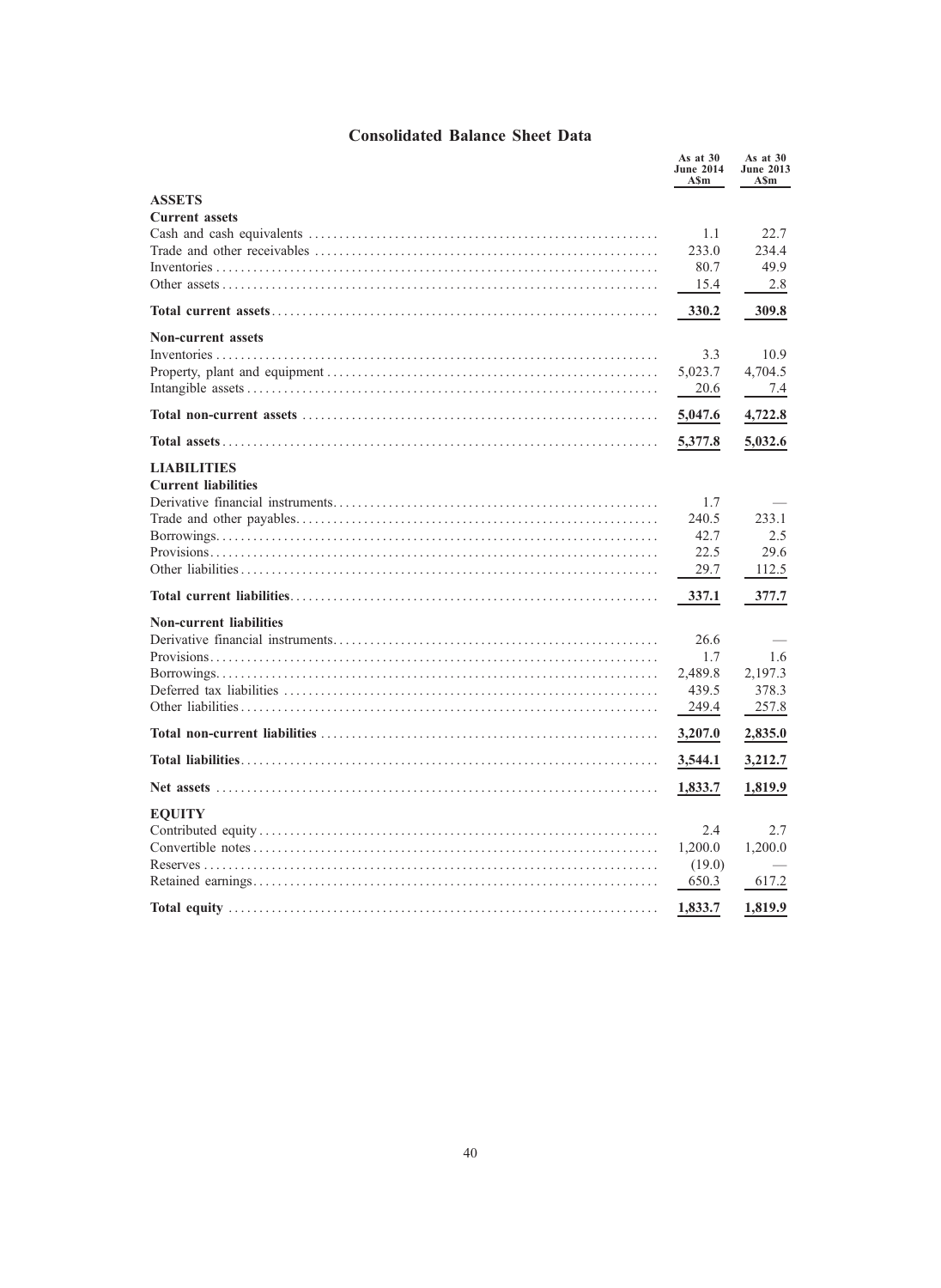# Consolidated Balance Sheet Data

|                                | As at $30$<br><b>June 2014</b><br>ASm | As at $30$<br><b>June 2013</b><br>A\$m |
|--------------------------------|---------------------------------------|----------------------------------------|
| <b>ASSETS</b>                  |                                       |                                        |
| <b>Current assets</b>          |                                       |                                        |
|                                | 1.1                                   | 22.7                                   |
|                                | 233.0                                 | 234.4                                  |
|                                | 80.7                                  | 49.9                                   |
|                                | 15.4                                  | 2.8                                    |
|                                | 330.2                                 | 309.8                                  |
| <b>Non-current assets</b>      |                                       |                                        |
|                                | 3.3                                   | 10.9                                   |
|                                | 5,023.7                               | 4,704.5                                |
|                                | 20.6                                  | 7.4                                    |
|                                | 5,047.6                               | 4,722.8                                |
|                                | 5,377.8                               | 5,032.6                                |
| <b>LIABILITIES</b>             |                                       |                                        |
| <b>Current liabilities</b>     |                                       |                                        |
|                                | 1.7<br>240.5                          | 233.1                                  |
|                                | 42.7                                  | 2.5                                    |
|                                | 22.5                                  | 29.6                                   |
|                                | 29.7                                  | 112.5                                  |
|                                | 337.1                                 | 377.7                                  |
| <b>Non-current liabilities</b> |                                       |                                        |
|                                | 26.6                                  |                                        |
|                                | 1.7                                   | 1.6                                    |
|                                | 2,489.8                               | 2,197.3                                |
|                                | 439.5                                 | 378.3                                  |
|                                | 249.4                                 | 257.8                                  |
|                                | 3,207.0                               | 2,835.0                                |
|                                | 3,544.1                               | 3,212.7                                |
| Net assets                     | 1,833.7                               | 1,819.9                                |
| <b>EQUITY</b>                  |                                       |                                        |
|                                | 2.4                                   | 2.7                                    |
|                                | 1,200.0                               | 1,200.0                                |
|                                | (19.0)                                |                                        |
|                                | 650.3                                 | 617.2                                  |
|                                | 1,833.7                               | 1,819.9                                |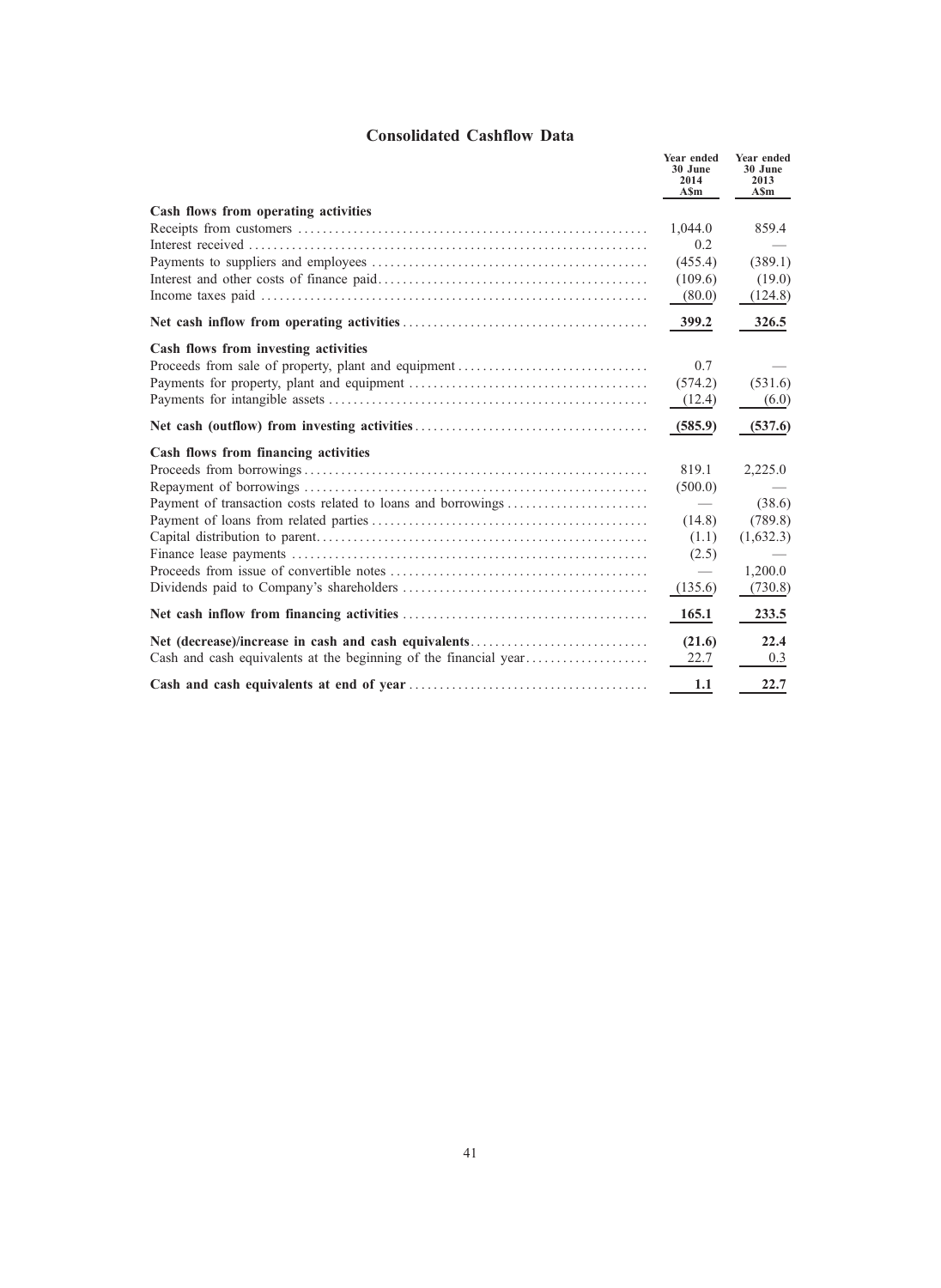# Consolidated Cashflow Data

|                                                              | Year ended<br>30 June<br>2014<br>A\$m | Year ended<br>30 June<br>2013<br>A\$m |
|--------------------------------------------------------------|---------------------------------------|---------------------------------------|
| Cash flows from operating activities                         |                                       |                                       |
|                                                              | 1,044.0                               | 859.4                                 |
|                                                              | 0.2                                   |                                       |
|                                                              | (455.4)                               | (389.1)                               |
|                                                              | (109.6)                               | (19.0)                                |
|                                                              | (80.0)                                | (124.8)                               |
|                                                              | 399.2                                 | 326.5                                 |
| Cash flows from investing activities                         |                                       |                                       |
| Proceeds from sale of property, plant and equipment          | 0.7                                   |                                       |
|                                                              | (574.2)                               | (531.6)                               |
|                                                              | (12.4)                                | (6.0)                                 |
|                                                              | (585.9)                               | (537.6)                               |
| Cash flows from financing activities                         |                                       |                                       |
|                                                              | 819.1                                 | 2,225.0                               |
|                                                              | (500.0)                               |                                       |
| Payment of transaction costs related to loans and borrowings |                                       | (38.6)                                |
|                                                              | (14.8)                                | (789.8)                               |
|                                                              | (1.1)                                 | (1,632.3)                             |
|                                                              | (2.5)                                 |                                       |
|                                                              |                                       | 1,200.0                               |
|                                                              | (135.6)                               | (730.8)                               |
|                                                              | 165.1                                 | 233.5                                 |
| Net (decrease)/increase in cash and cash equivalents         | (21.6)                                | 22.4                                  |
|                                                              | 22.7                                  | 0.3                                   |
|                                                              | 1.1                                   | 22.7                                  |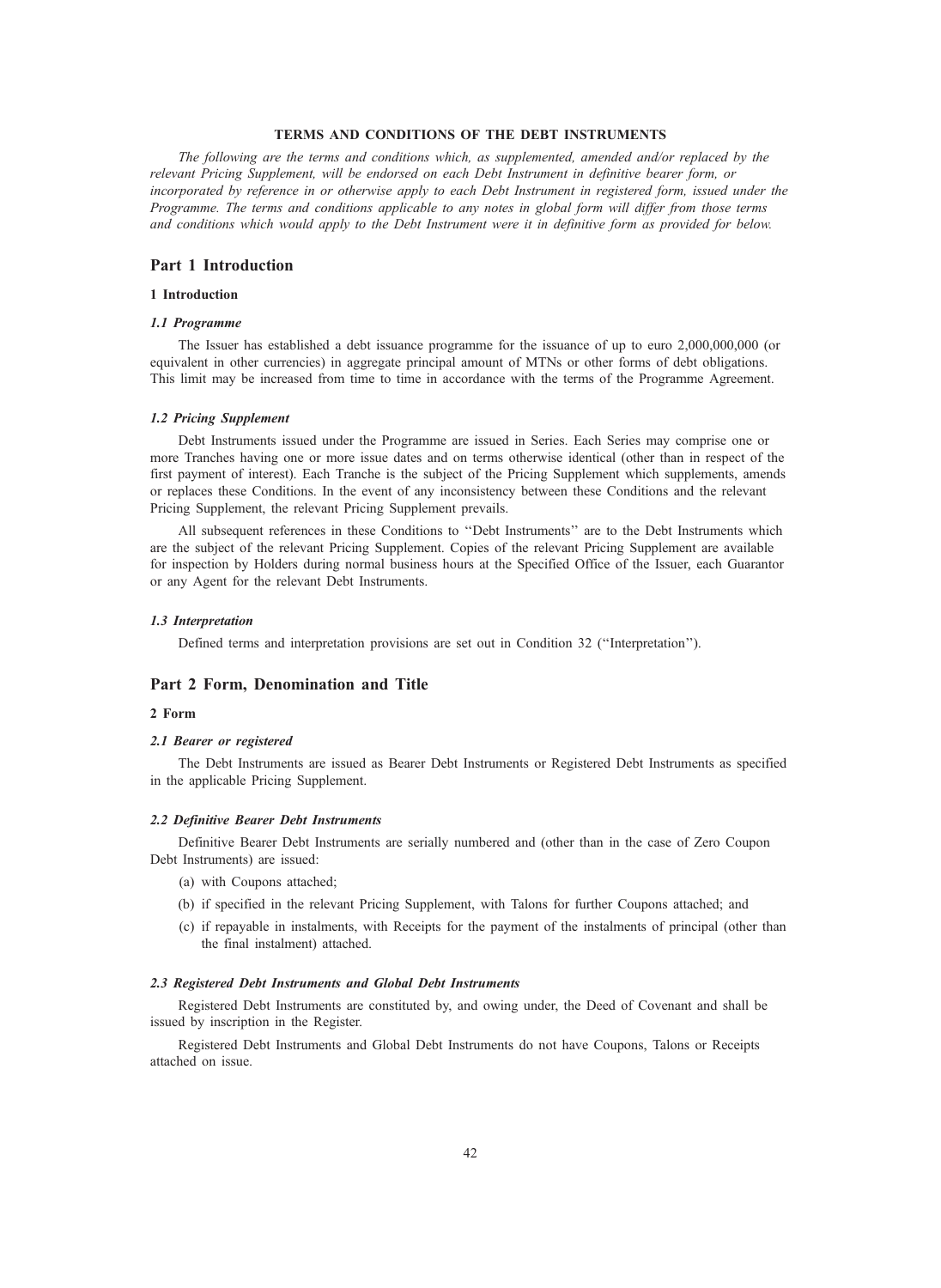## TERMS AND CONDITIONS OF THE DEBT INSTRUMENTS

The following are the terms and conditions which, as supplemented, amended and/or replaced by the relevant Pricing Supplement, will be endorsed on each Debt Instrument in definitive bearer form, or incorporated by reference in or otherwise apply to each Debt Instrument in registered form, issued under the Programme. The terms and conditions applicable to any notes in global form will differ from those terms and conditions which would apply to the Debt Instrument were it in definitive form as provided for below.

## Part 1 Introduction

### 1 Introduction

## 1.1 Programme

The Issuer has established a debt issuance programme for the issuance of up to euro 2,000,000,000 (or equivalent in other currencies) in aggregate principal amount of MTNs or other forms of debt obligations. This limit may be increased from time to time in accordance with the terms of the Programme Agreement.

#### 1.2 Pricing Supplement

Debt Instruments issued under the Programme are issued in Series. Each Series may comprise one or more Tranches having one or more issue dates and on terms otherwise identical (other than in respect of the first payment of interest). Each Tranche is the subject of the Pricing Supplement which supplements, amends or replaces these Conditions. In the event of any inconsistency between these Conditions and the relevant Pricing Supplement, the relevant Pricing Supplement prevails.

All subsequent references in these Conditions to ''Debt Instruments'' are to the Debt Instruments which are the subject of the relevant Pricing Supplement. Copies of the relevant Pricing Supplement are available for inspection by Holders during normal business hours at the Specified Office of the Issuer, each Guarantor or any Agent for the relevant Debt Instruments.

#### 1.3 Interpretation

Defined terms and interpretation provisions are set out in Condition 32 (''Interpretation'').

## Part 2 Form, Denomination and Title

## 2 Form

### 2.1 Bearer or registered

The Debt Instruments are issued as Bearer Debt Instruments or Registered Debt Instruments as specified in the applicable Pricing Supplement.

### 2.2 Definitive Bearer Debt Instruments

Definitive Bearer Debt Instruments are serially numbered and (other than in the case of Zero Coupon Debt Instruments) are issued:

- (a) with Coupons attached;
- (b) if specified in the relevant Pricing Supplement, with Talons for further Coupons attached; and
- (c) if repayable in instalments, with Receipts for the payment of the instalments of principal (other than the final instalment) attached.

### 2.3 Registered Debt Instruments and Global Debt Instruments

Registered Debt Instruments are constituted by, and owing under, the Deed of Covenant and shall be issued by inscription in the Register.

Registered Debt Instruments and Global Debt Instruments do not have Coupons, Talons or Receipts attached on issue.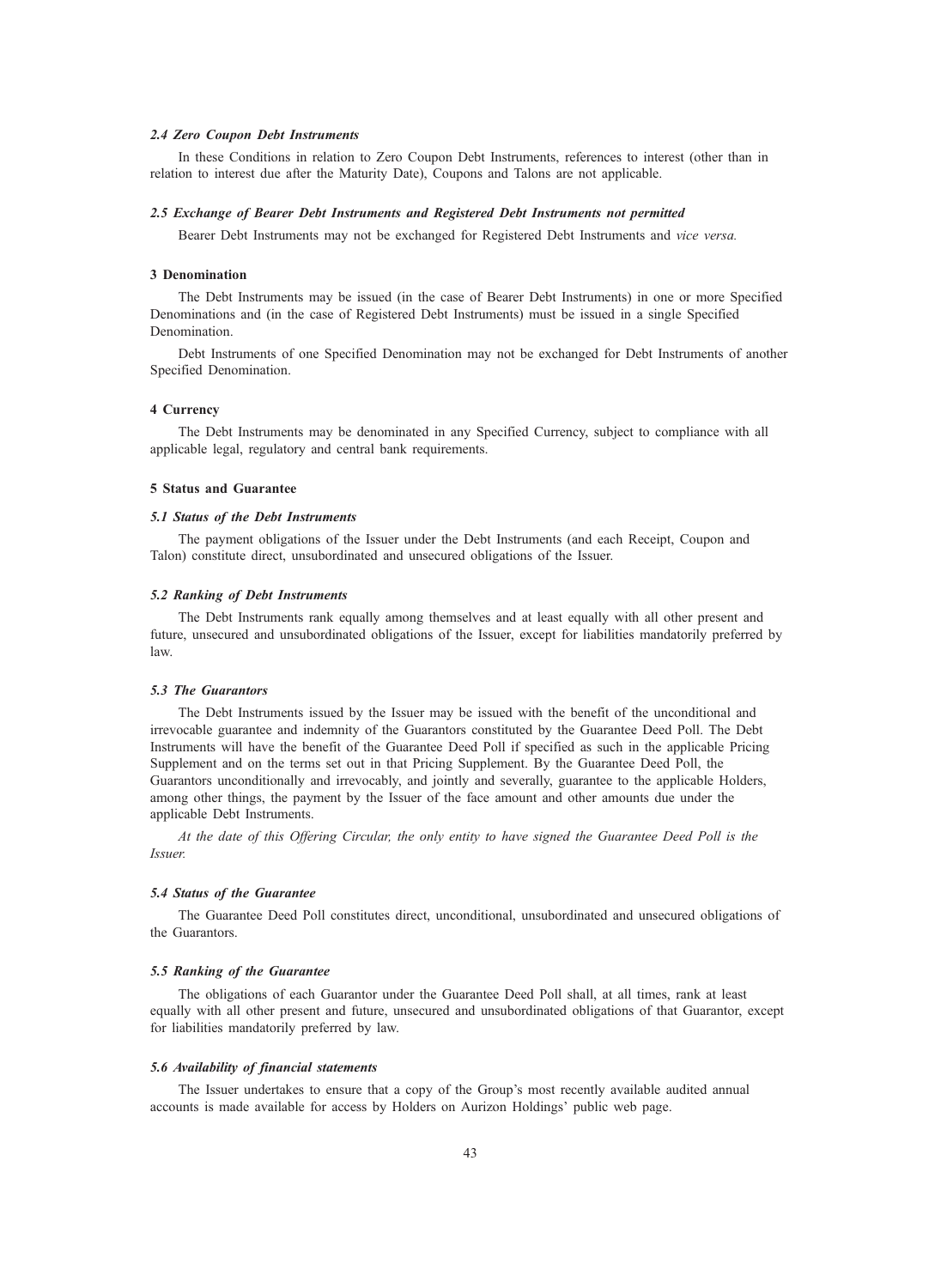### 2.4 Zero Coupon Debt Instruments

In these Conditions in relation to Zero Coupon Debt Instruments, references to interest (other than in relation to interest due after the Maturity Date), Coupons and Talons are not applicable.

### 2.5 Exchange of Bearer Debt Instruments and Registered Debt Instruments not permitted

Bearer Debt Instruments may not be exchanged for Registered Debt Instruments and vice versa.

## 3 Denomination

The Debt Instruments may be issued (in the case of Bearer Debt Instruments) in one or more Specified Denominations and (in the case of Registered Debt Instruments) must be issued in a single Specified **Denomination** 

Debt Instruments of one Specified Denomination may not be exchanged for Debt Instruments of another Specified Denomination.

### 4 Currency

The Debt Instruments may be denominated in any Specified Currency, subject to compliance with all applicable legal, regulatory and central bank requirements.

### 5 Status and Guarantee

## 5.1 Status of the Debt Instruments

The payment obligations of the Issuer under the Debt Instruments (and each Receipt, Coupon and Talon) constitute direct, unsubordinated and unsecured obligations of the Issuer.

### 5.2 Ranking of Debt Instruments

The Debt Instruments rank equally among themselves and at least equally with all other present and future, unsecured and unsubordinated obligations of the Issuer, except for liabilities mandatorily preferred by law.

### 5.3 The Guarantors

The Debt Instruments issued by the Issuer may be issued with the benefit of the unconditional and irrevocable guarantee and indemnity of the Guarantors constituted by the Guarantee Deed Poll. The Debt Instruments will have the benefit of the Guarantee Deed Poll if specified as such in the applicable Pricing Supplement and on the terms set out in that Pricing Supplement. By the Guarantee Deed Poll, the Guarantors unconditionally and irrevocably, and jointly and severally, guarantee to the applicable Holders, among other things, the payment by the Issuer of the face amount and other amounts due under the applicable Debt Instruments.

At the date of this Offering Circular, the only entity to have signed the Guarantee Deed Poll is the Issuer.

### 5.4 Status of the Guarantee

The Guarantee Deed Poll constitutes direct, unconditional, unsubordinated and unsecured obligations of the Guarantors.

### 5.5 Ranking of the Guarantee

The obligations of each Guarantor under the Guarantee Deed Poll shall, at all times, rank at least equally with all other present and future, unsecured and unsubordinated obligations of that Guarantor, except for liabilities mandatorily preferred by law.

### 5.6 Availability of financial statements

The Issuer undertakes to ensure that a copy of the Group's most recently available audited annual accounts is made available for access by Holders on Aurizon Holdings' public web page.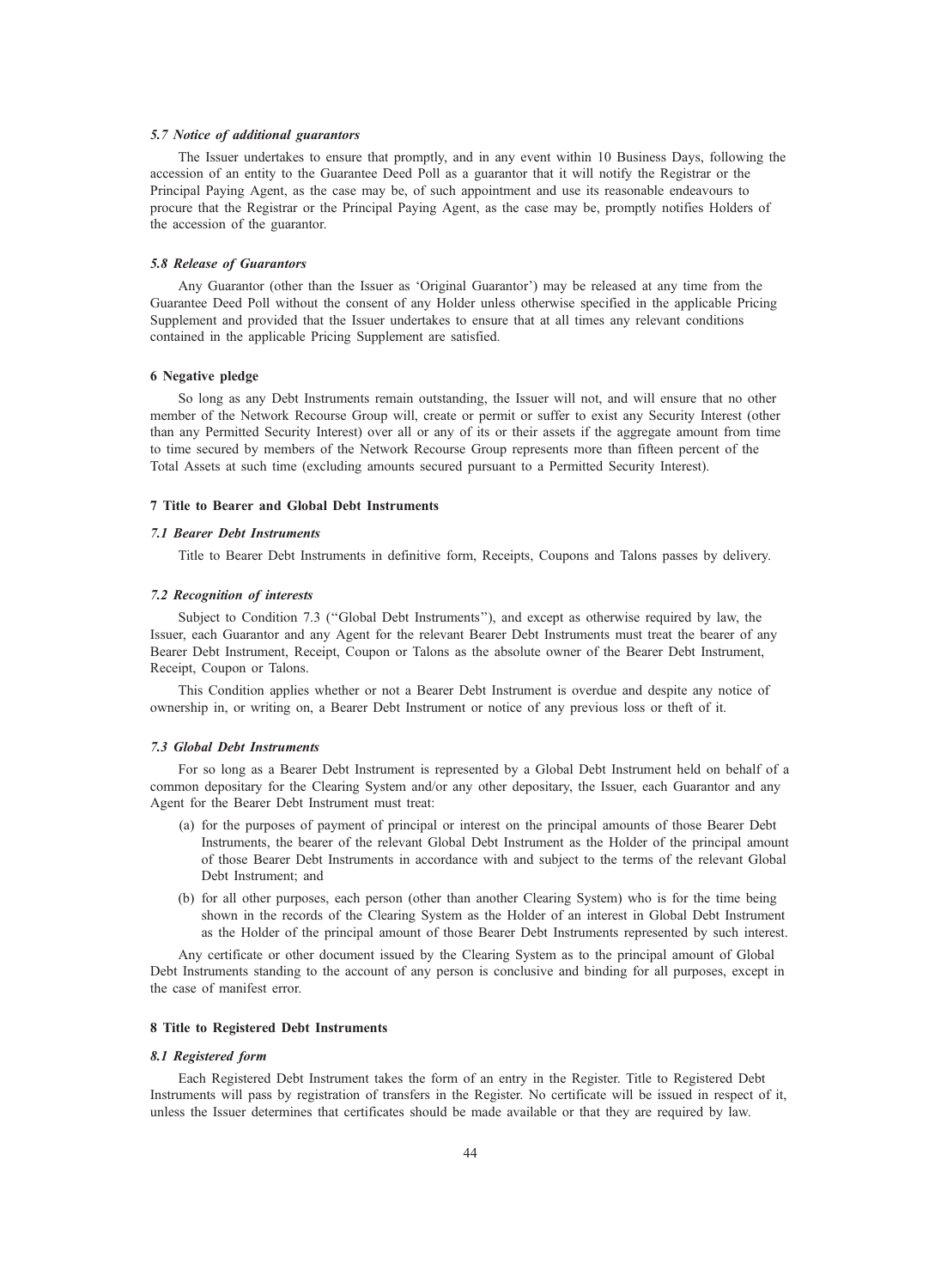### 5.7 Notice of additional guarantors

The Issuer undertakes to ensure that promptly, and in any event within 10 Business Days, following the accession of an entity to the Guarantee Deed Poll as a guarantor that it will notify the Registrar or the Principal Paying Agent, as the case may be, of such appointment and use its reasonable endeavours to procure that the Registrar or the Principal Paying Agent, as the case may be, promptly notifies Holders of the accession of the guarantor.

### 5.8 Release of Guarantors

Any Guarantor (other than the Issuer as 'Original Guarantor') may be released at any time from the Guarantee Deed Poll without the consent of any Holder unless otherwise specified in the applicable Pricing Supplement and provided that the Issuer undertakes to ensure that at all times any relevant conditions contained in the applicable Pricing Supplement are satisfied.

### 6 Negative pledge

So long as any Debt Instruments remain outstanding, the Issuer will not, and will ensure that no other member of the Network Recourse Group will, create or permit or suffer to exist any Security Interest (other than any Permitted Security Interest) over all or any of its or their assets if the aggregate amount from time to time secured by members of the Network Recourse Group represents more than fifteen percent of the Total Assets at such time (excluding amounts secured pursuant to a Permitted Security Interest).

### 7 Title to Bearer and Global Debt Instruments

## 7.1 Bearer Debt Instruments

Title to Bearer Debt Instruments in definitive form, Receipts, Coupons and Talons passes by delivery.

### 7.2 Recognition of interests

Subject to Condition 7.3 ("Global Debt Instruments"), and except as otherwise required by law, the Issuer, each Guarantor and any Agent for the relevant Bearer Debt Instruments must treat the bearer of any Bearer Debt Instrument, Receipt, Coupon or Talons as the absolute owner of the Bearer Debt Instrument, Receipt, Coupon or Talons.

This Condition applies whether or not a Bearer Debt Instrument is overdue and despite any notice of ownership in, or writing on, a Bearer Debt Instrument or notice of any previous loss or theft of it.

#### 7.3 Global Debt Instruments

For so long as a Bearer Debt Instrument is represented by a Global Debt Instrument held on behalf of a common depositary for the Clearing System and/or any other depositary, the Issuer, each Guarantor and any Agent for the Bearer Debt Instrument must treat:

- (a) for the purposes of payment of principal or interest on the principal amounts of those Bearer Debt Instruments, the bearer of the relevant Global Debt Instrument as the Holder of the principal amount of those Bearer Debt Instruments in accordance with and subject to the terms of the relevant Global Debt Instrument; and
- (b) for all other purposes, each person (other than another Clearing System) who is for the time being shown in the records of the Clearing System as the Holder of an interest in Global Debt Instrument as the Holder of the principal amount of those Bearer Debt Instruments represented by such interest.

Any certificate or other document issued by the Clearing System as to the principal amount of Global Debt Instruments standing to the account of any person is conclusive and binding for all purposes, except in the case of manifest error.

### 8 Title to Registered Debt Instruments

### 8.1 Registered form

Each Registered Debt Instrument takes the form of an entry in the Register. Title to Registered Debt Instruments will pass by registration of transfers in the Register. No certificate will be issued in respect of it, unless the Issuer determines that certificates should be made available or that they are required by law.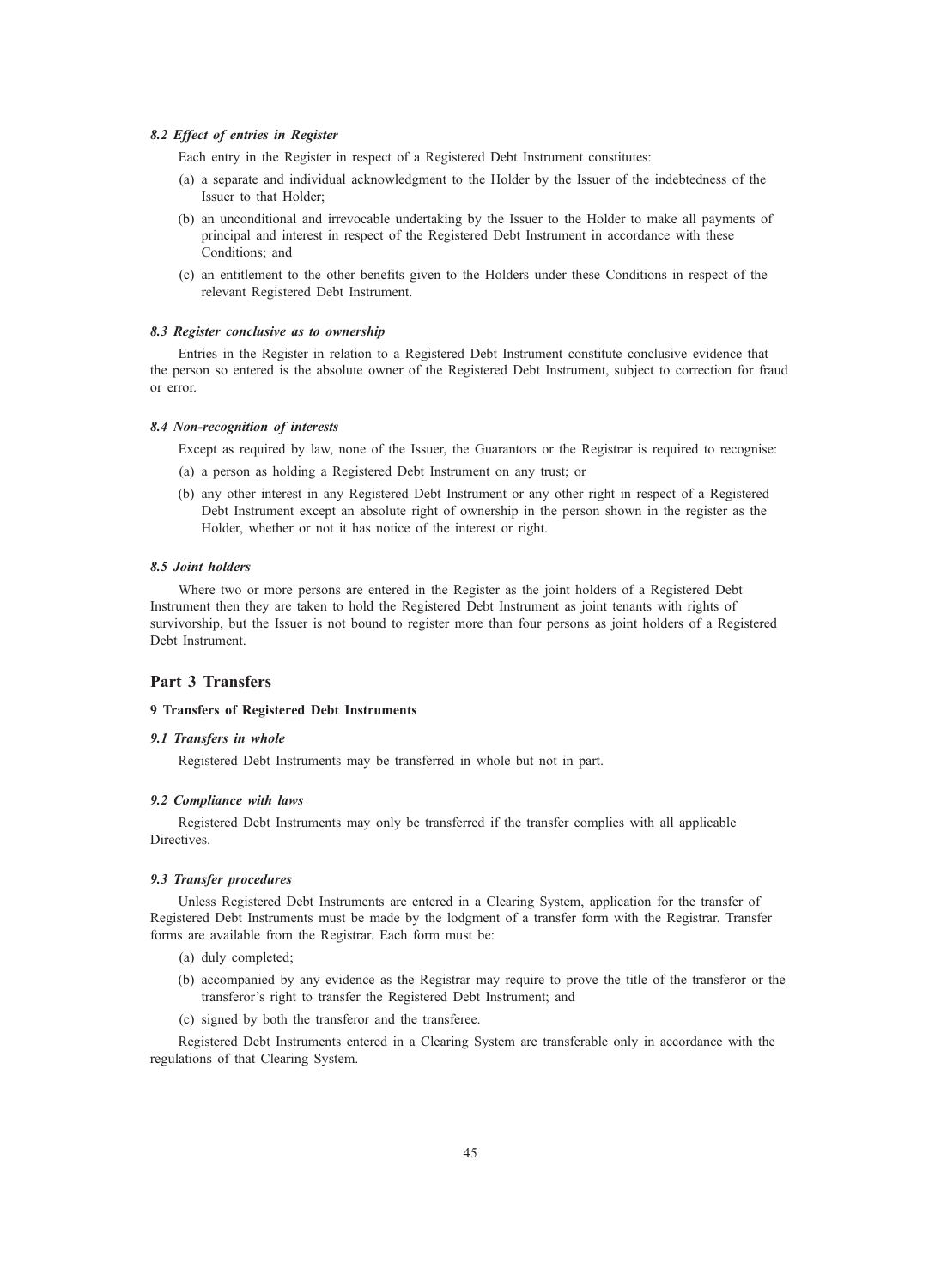### 8.2 Effect of entries in Register

Each entry in the Register in respect of a Registered Debt Instrument constitutes:

- (a) a separate and individual acknowledgment to the Holder by the Issuer of the indebtedness of the Issuer to that Holder;
- (b) an unconditional and irrevocable undertaking by the Issuer to the Holder to make all payments of principal and interest in respect of the Registered Debt Instrument in accordance with these Conditions; and
- (c) an entitlement to the other benefits given to the Holders under these Conditions in respect of the relevant Registered Debt Instrument.

## 8.3 Register conclusive as to ownership

Entries in the Register in relation to a Registered Debt Instrument constitute conclusive evidence that the person so entered is the absolute owner of the Registered Debt Instrument, subject to correction for fraud or error.

### 8.4 Non-recognition of interests

Except as required by law, none of the Issuer, the Guarantors or the Registrar is required to recognise:

- (a) a person as holding a Registered Debt Instrument on any trust; or
- (b) any other interest in any Registered Debt Instrument or any other right in respect of a Registered Debt Instrument except an absolute right of ownership in the person shown in the register as the Holder, whether or not it has notice of the interest or right.

## 8.5 Joint holders

Where two or more persons are entered in the Register as the joint holders of a Registered Debt Instrument then they are taken to hold the Registered Debt Instrument as joint tenants with rights of survivorship, but the Issuer is not bound to register more than four persons as joint holders of a Registered Debt Instrument.

## Part 3 Transfers

## 9 Transfers of Registered Debt Instruments

## 9.1 Transfers in whole

Registered Debt Instruments may be transferred in whole but not in part.

## 9.2 Compliance with laws

Registered Debt Instruments may only be transferred if the transfer complies with all applicable Directives.

### 9.3 Transfer procedures

Unless Registered Debt Instruments are entered in a Clearing System, application for the transfer of Registered Debt Instruments must be made by the lodgment of a transfer form with the Registrar. Transfer forms are available from the Registrar. Each form must be:

- (a) duly completed;
- (b) accompanied by any evidence as the Registrar may require to prove the title of the transferor or the transferor's right to transfer the Registered Debt Instrument; and
- (c) signed by both the transferor and the transferee.

Registered Debt Instruments entered in a Clearing System are transferable only in accordance with the regulations of that Clearing System.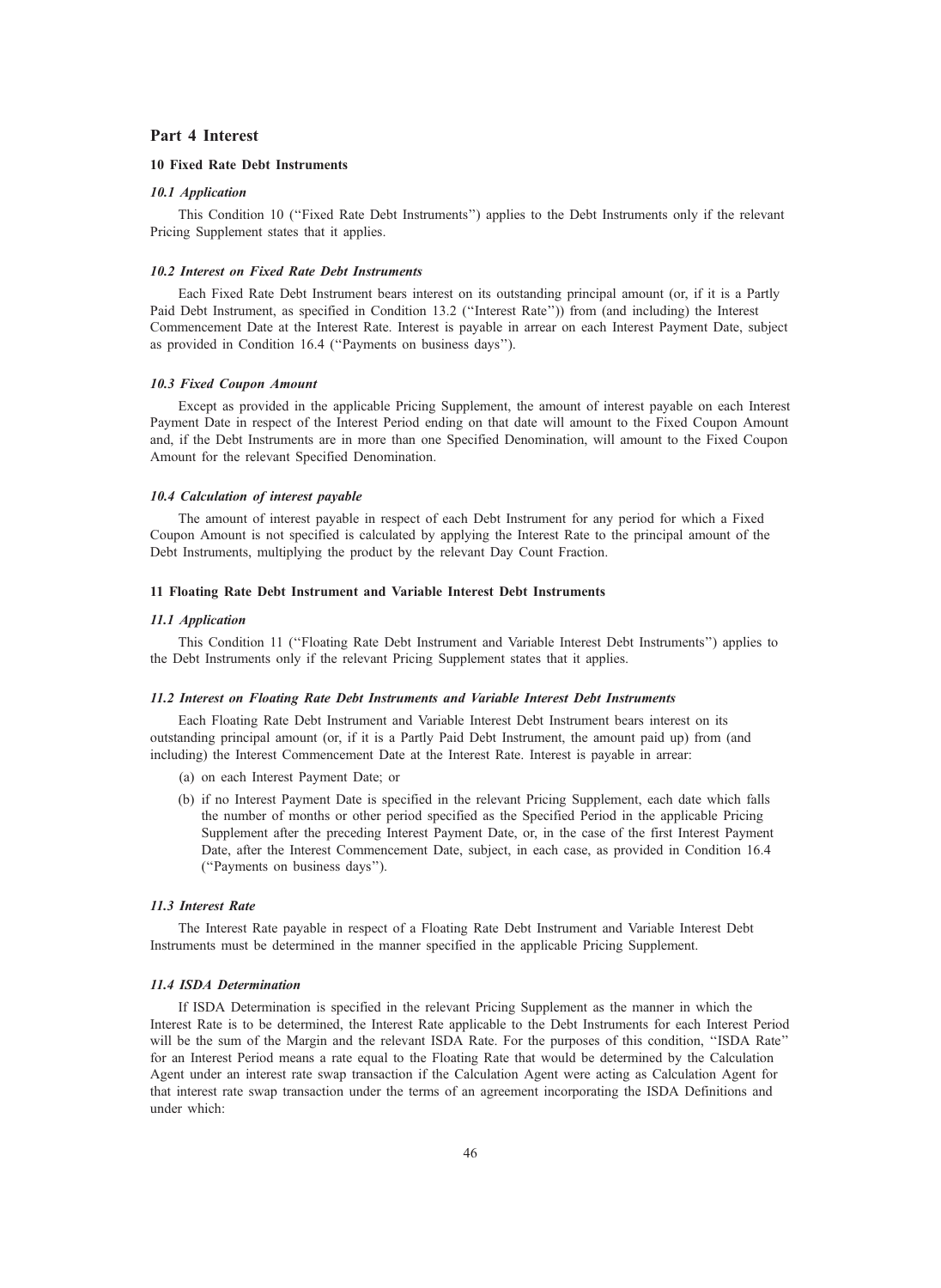## Part 4 Interest

## 10 Fixed Rate Debt Instruments

### 10.1 Application

This Condition 10 (''Fixed Rate Debt Instruments'') applies to the Debt Instruments only if the relevant Pricing Supplement states that it applies.

## 10.2 Interest on Fixed Rate Debt Instruments

Each Fixed Rate Debt Instrument bears interest on its outstanding principal amount (or, if it is a Partly Paid Debt Instrument, as specified in Condition 13.2 (''Interest Rate'')) from (and including) the Interest Commencement Date at the Interest Rate. Interest is payable in arrear on each Interest Payment Date, subject as provided in Condition 16.4 (''Payments on business days'').

### 10.3 Fixed Coupon Amount

Except as provided in the applicable Pricing Supplement, the amount of interest payable on each Interest Payment Date in respect of the Interest Period ending on that date will amount to the Fixed Coupon Amount and, if the Debt Instruments are in more than one Specified Denomination, will amount to the Fixed Coupon Amount for the relevant Specified Denomination.

#### 10.4 Calculation of interest payable

The amount of interest payable in respect of each Debt Instrument for any period for which a Fixed Coupon Amount is not specified is calculated by applying the Interest Rate to the principal amount of the Debt Instruments, multiplying the product by the relevant Day Count Fraction.

### 11 Floating Rate Debt Instrument and Variable Interest Debt Instruments

#### 11.1 Application

This Condition 11 (''Floating Rate Debt Instrument and Variable Interest Debt Instruments'') applies to the Debt Instruments only if the relevant Pricing Supplement states that it applies.

#### 11.2 Interest on Floating Rate Debt Instruments and Variable Interest Debt Instruments

Each Floating Rate Debt Instrument and Variable Interest Debt Instrument bears interest on its outstanding principal amount (or, if it is a Partly Paid Debt Instrument, the amount paid up) from (and including) the Interest Commencement Date at the Interest Rate. Interest is payable in arrear:

- (a) on each Interest Payment Date; or
- (b) if no Interest Payment Date is specified in the relevant Pricing Supplement, each date which falls the number of months or other period specified as the Specified Period in the applicable Pricing Supplement after the preceding Interest Payment Date, or, in the case of the first Interest Payment Date, after the Interest Commencement Date, subject, in each case, as provided in Condition 16.4 (''Payments on business days'').

### 11.3 Interest Rate

The Interest Rate payable in respect of a Floating Rate Debt Instrument and Variable Interest Debt Instruments must be determined in the manner specified in the applicable Pricing Supplement.

### 11.4 ISDA Determination

If ISDA Determination is specified in the relevant Pricing Supplement as the manner in which the Interest Rate is to be determined, the Interest Rate applicable to the Debt Instruments for each Interest Period will be the sum of the Margin and the relevant ISDA Rate. For the purposes of this condition, "ISDA Rate" for an Interest Period means a rate equal to the Floating Rate that would be determined by the Calculation Agent under an interest rate swap transaction if the Calculation Agent were acting as Calculation Agent for that interest rate swap transaction under the terms of an agreement incorporating the ISDA Definitions and under which: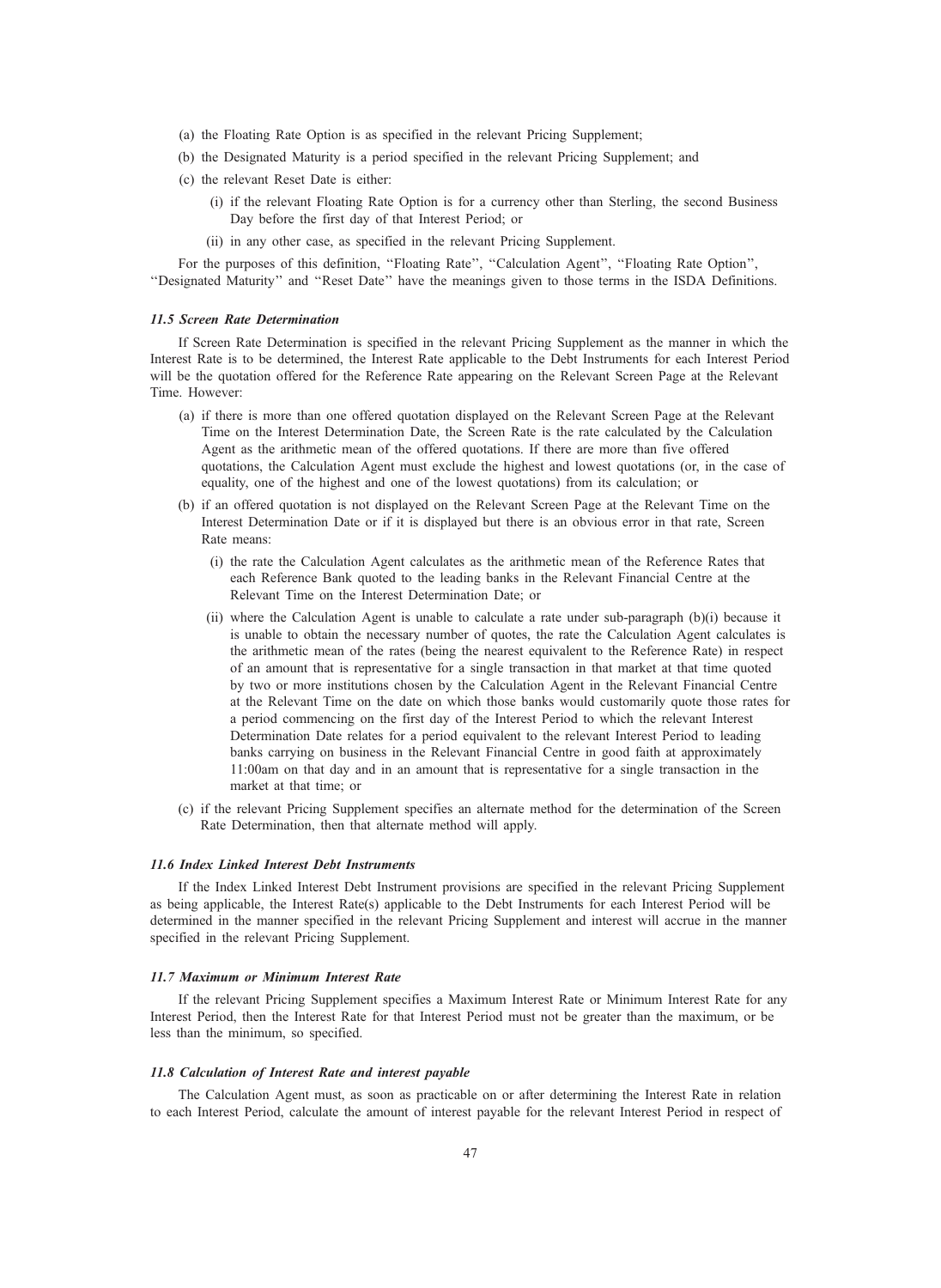- (a) the Floating Rate Option is as specified in the relevant Pricing Supplement;
- (b) the Designated Maturity is a period specified in the relevant Pricing Supplement; and
- (c) the relevant Reset Date is either:
	- (i) if the relevant Floating Rate Option is for a currency other than Sterling, the second Business Day before the first day of that Interest Period; or
	- (ii) in any other case, as specified in the relevant Pricing Supplement.

For the purposes of this definition, "Floating Rate", "Calculation Agent", "Floating Rate Option", ''Designated Maturity'' and ''Reset Date'' have the meanings given to those terms in the ISDA Definitions.

### 11.5 Screen Rate Determination

If Screen Rate Determination is specified in the relevant Pricing Supplement as the manner in which the Interest Rate is to be determined, the Interest Rate applicable to the Debt Instruments for each Interest Period will be the quotation offered for the Reference Rate appearing on the Relevant Screen Page at the Relevant Time. However:

- (a) if there is more than one offered quotation displayed on the Relevant Screen Page at the Relevant Time on the Interest Determination Date, the Screen Rate is the rate calculated by the Calculation Agent as the arithmetic mean of the offered quotations. If there are more than five offered quotations, the Calculation Agent must exclude the highest and lowest quotations (or, in the case of equality, one of the highest and one of the lowest quotations) from its calculation; or
- (b) if an offered quotation is not displayed on the Relevant Screen Page at the Relevant Time on the Interest Determination Date or if it is displayed but there is an obvious error in that rate, Screen Rate means:
	- (i) the rate the Calculation Agent calculates as the arithmetic mean of the Reference Rates that each Reference Bank quoted to the leading banks in the Relevant Financial Centre at the Relevant Time on the Interest Determination Date; or
	- (ii) where the Calculation Agent is unable to calculate a rate under sub-paragraph (b)(i) because it is unable to obtain the necessary number of quotes, the rate the Calculation Agent calculates is the arithmetic mean of the rates (being the nearest equivalent to the Reference Rate) in respect of an amount that is representative for a single transaction in that market at that time quoted by two or more institutions chosen by the Calculation Agent in the Relevant Financial Centre at the Relevant Time on the date on which those banks would customarily quote those rates for a period commencing on the first day of the Interest Period to which the relevant Interest Determination Date relates for a period equivalent to the relevant Interest Period to leading banks carrying on business in the Relevant Financial Centre in good faith at approximately 11:00am on that day and in an amount that is representative for a single transaction in the market at that time; or
- (c) if the relevant Pricing Supplement specifies an alternate method for the determination of the Screen Rate Determination, then that alternate method will apply.

### 11.6 Index Linked Interest Debt Instruments

If the Index Linked Interest Debt Instrument provisions are specified in the relevant Pricing Supplement as being applicable, the Interest Rate(s) applicable to the Debt Instruments for each Interest Period will be determined in the manner specified in the relevant Pricing Supplement and interest will accrue in the manner specified in the relevant Pricing Supplement.

#### 11.7 Maximum or Minimum Interest Rate

If the relevant Pricing Supplement specifies a Maximum Interest Rate or Minimum Interest Rate for any Interest Period, then the Interest Rate for that Interest Period must not be greater than the maximum, or be less than the minimum, so specified.

### 11.8 Calculation of Interest Rate and interest payable

The Calculation Agent must, as soon as practicable on or after determining the Interest Rate in relation to each Interest Period, calculate the amount of interest payable for the relevant Interest Period in respect of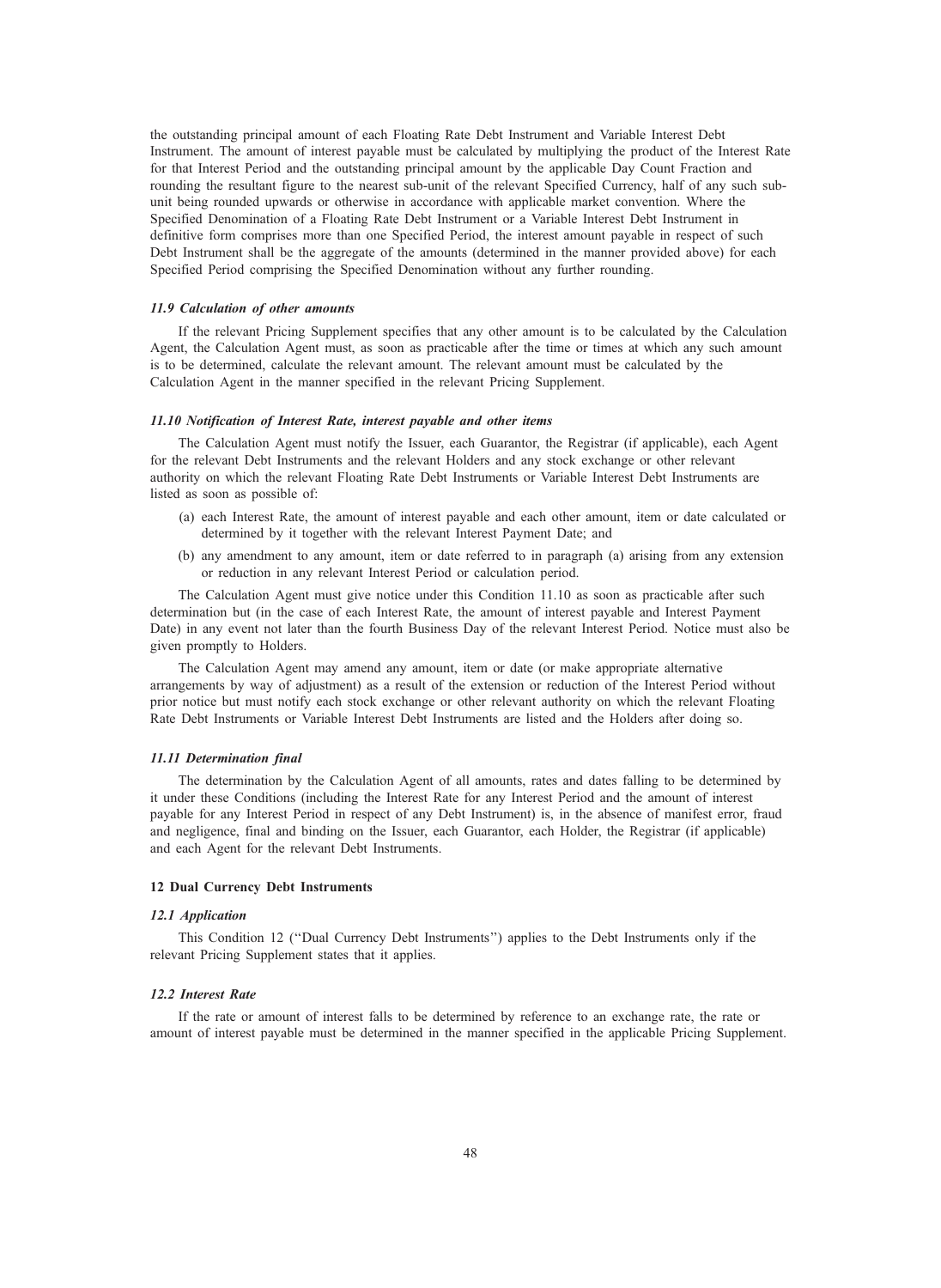the outstanding principal amount of each Floating Rate Debt Instrument and Variable Interest Debt Instrument. The amount of interest payable must be calculated by multiplying the product of the Interest Rate for that Interest Period and the outstanding principal amount by the applicable Day Count Fraction and rounding the resultant figure to the nearest sub-unit of the relevant Specified Currency, half of any such subunit being rounded upwards or otherwise in accordance with applicable market convention. Where the Specified Denomination of a Floating Rate Debt Instrument or a Variable Interest Debt Instrument in definitive form comprises more than one Specified Period, the interest amount payable in respect of such Debt Instrument shall be the aggregate of the amounts (determined in the manner provided above) for each Specified Period comprising the Specified Denomination without any further rounding.

### 11.9 Calculation of other amounts

If the relevant Pricing Supplement specifies that any other amount is to be calculated by the Calculation Agent, the Calculation Agent must, as soon as practicable after the time or times at which any such amount is to be determined, calculate the relevant amount. The relevant amount must be calculated by the Calculation Agent in the manner specified in the relevant Pricing Supplement.

### 11.10 Notification of Interest Rate, interest payable and other items

The Calculation Agent must notify the Issuer, each Guarantor, the Registrar (if applicable), each Agent for the relevant Debt Instruments and the relevant Holders and any stock exchange or other relevant authority on which the relevant Floating Rate Debt Instruments or Variable Interest Debt Instruments are listed as soon as possible of:

- (a) each Interest Rate, the amount of interest payable and each other amount, item or date calculated or determined by it together with the relevant Interest Payment Date; and
- (b) any amendment to any amount, item or date referred to in paragraph (a) arising from any extension or reduction in any relevant Interest Period or calculation period.

The Calculation Agent must give notice under this Condition 11.10 as soon as practicable after such determination but (in the case of each Interest Rate, the amount of interest payable and Interest Payment Date) in any event not later than the fourth Business Day of the relevant Interest Period. Notice must also be given promptly to Holders.

The Calculation Agent may amend any amount, item or date (or make appropriate alternative arrangements by way of adjustment) as a result of the extension or reduction of the Interest Period without prior notice but must notify each stock exchange or other relevant authority on which the relevant Floating Rate Debt Instruments or Variable Interest Debt Instruments are listed and the Holders after doing so.

#### 11.11 Determination final

The determination by the Calculation Agent of all amounts, rates and dates falling to be determined by it under these Conditions (including the Interest Rate for any Interest Period and the amount of interest payable for any Interest Period in respect of any Debt Instrument) is, in the absence of manifest error, fraud and negligence, final and binding on the Issuer, each Guarantor, each Holder, the Registrar (if applicable) and each Agent for the relevant Debt Instruments.

## 12 Dual Currency Debt Instruments

### 12.1 Application

This Condition 12 (''Dual Currency Debt Instruments'') applies to the Debt Instruments only if the relevant Pricing Supplement states that it applies.

### 12.2 Interest Rate

If the rate or amount of interest falls to be determined by reference to an exchange rate, the rate or amount of interest payable must be determined in the manner specified in the applicable Pricing Supplement.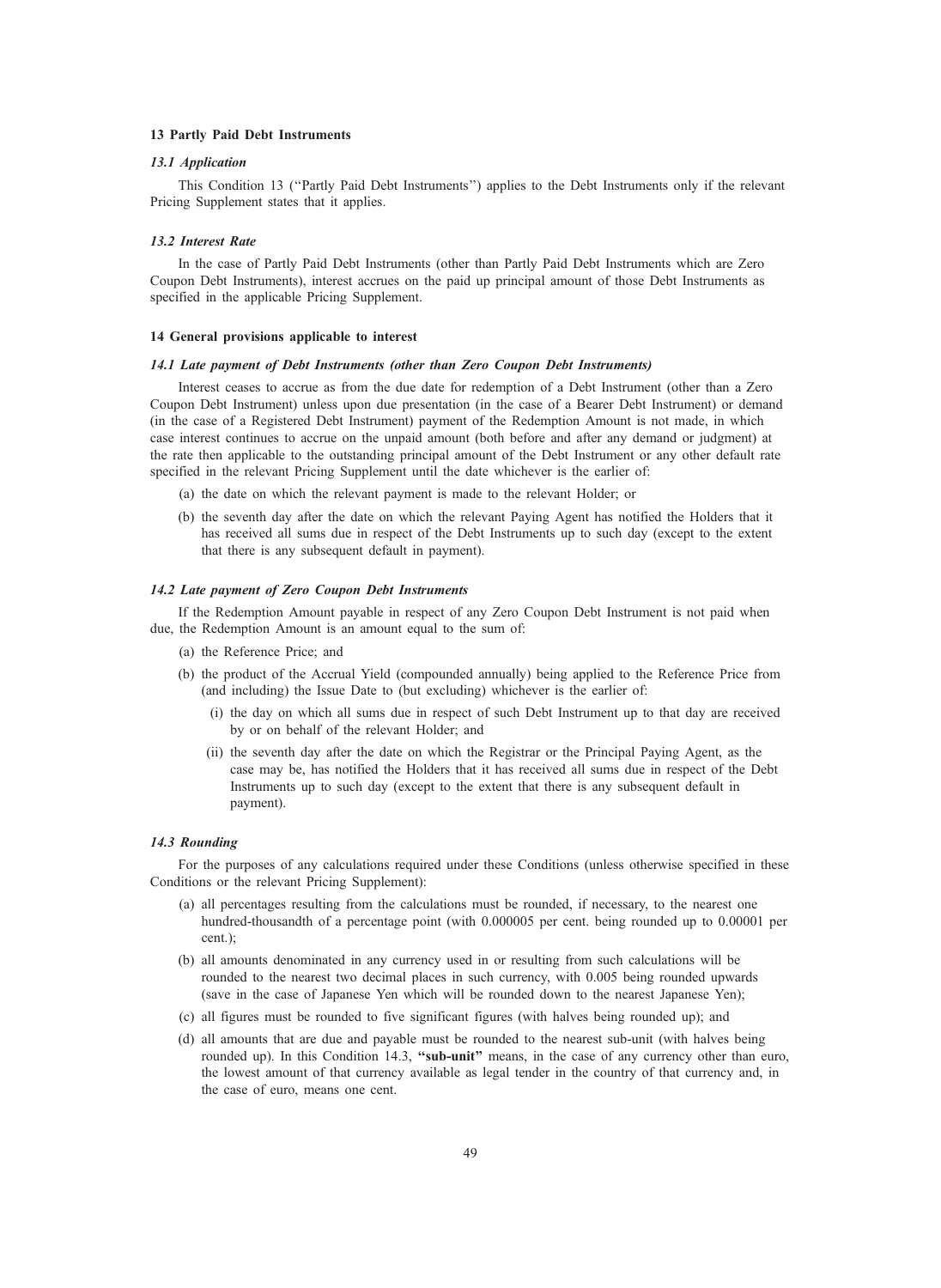## 13 Partly Paid Debt Instruments

### 13.1 Application

This Condition 13 (''Partly Paid Debt Instruments'') applies to the Debt Instruments only if the relevant Pricing Supplement states that it applies.

## 13.2 Interest Rate

In the case of Partly Paid Debt Instruments (other than Partly Paid Debt Instruments which are Zero Coupon Debt Instruments), interest accrues on the paid up principal amount of those Debt Instruments as specified in the applicable Pricing Supplement.

## 14 General provisions applicable to interest

### 14.1 Late payment of Debt Instruments (other than Zero Coupon Debt Instruments)

Interest ceases to accrue as from the due date for redemption of a Debt Instrument (other than a Zero Coupon Debt Instrument) unless upon due presentation (in the case of a Bearer Debt Instrument) or demand (in the case of a Registered Debt Instrument) payment of the Redemption Amount is not made, in which case interest continues to accrue on the unpaid amount (both before and after any demand or judgment) at the rate then applicable to the outstanding principal amount of the Debt Instrument or any other default rate specified in the relevant Pricing Supplement until the date whichever is the earlier of:

- (a) the date on which the relevant payment is made to the relevant Holder; or
- (b) the seventh day after the date on which the relevant Paying Agent has notified the Holders that it has received all sums due in respect of the Debt Instruments up to such day (except to the extent that there is any subsequent default in payment).

## 14.2 Late payment of Zero Coupon Debt Instruments

If the Redemption Amount payable in respect of any Zero Coupon Debt Instrument is not paid when due, the Redemption Amount is an amount equal to the sum of:

- (a) the Reference Price; and
- (b) the product of the Accrual Yield (compounded annually) being applied to the Reference Price from (and including) the Issue Date to (but excluding) whichever is the earlier of:
	- (i) the day on which all sums due in respect of such Debt Instrument up to that day are received by or on behalf of the relevant Holder; and
	- (ii) the seventh day after the date on which the Registrar or the Principal Paying Agent, as the case may be, has notified the Holders that it has received all sums due in respect of the Debt Instruments up to such day (except to the extent that there is any subsequent default in payment).

### 14.3 Rounding

For the purposes of any calculations required under these Conditions (unless otherwise specified in these Conditions or the relevant Pricing Supplement):

- (a) all percentages resulting from the calculations must be rounded, if necessary, to the nearest one hundred-thousandth of a percentage point (with 0.000005 per cent. being rounded up to 0.00001 per cent.);
- (b) all amounts denominated in any currency used in or resulting from such calculations will be rounded to the nearest two decimal places in such currency, with 0.005 being rounded upwards (save in the case of Japanese Yen which will be rounded down to the nearest Japanese Yen);
- (c) all figures must be rounded to five significant figures (with halves being rounded up); and
- (d) all amounts that are due and payable must be rounded to the nearest sub-unit (with halves being rounded up). In this Condition 14.3, "sub-unit" means, in the case of any currency other than euro, the lowest amount of that currency available as legal tender in the country of that currency and, in the case of euro, means one cent.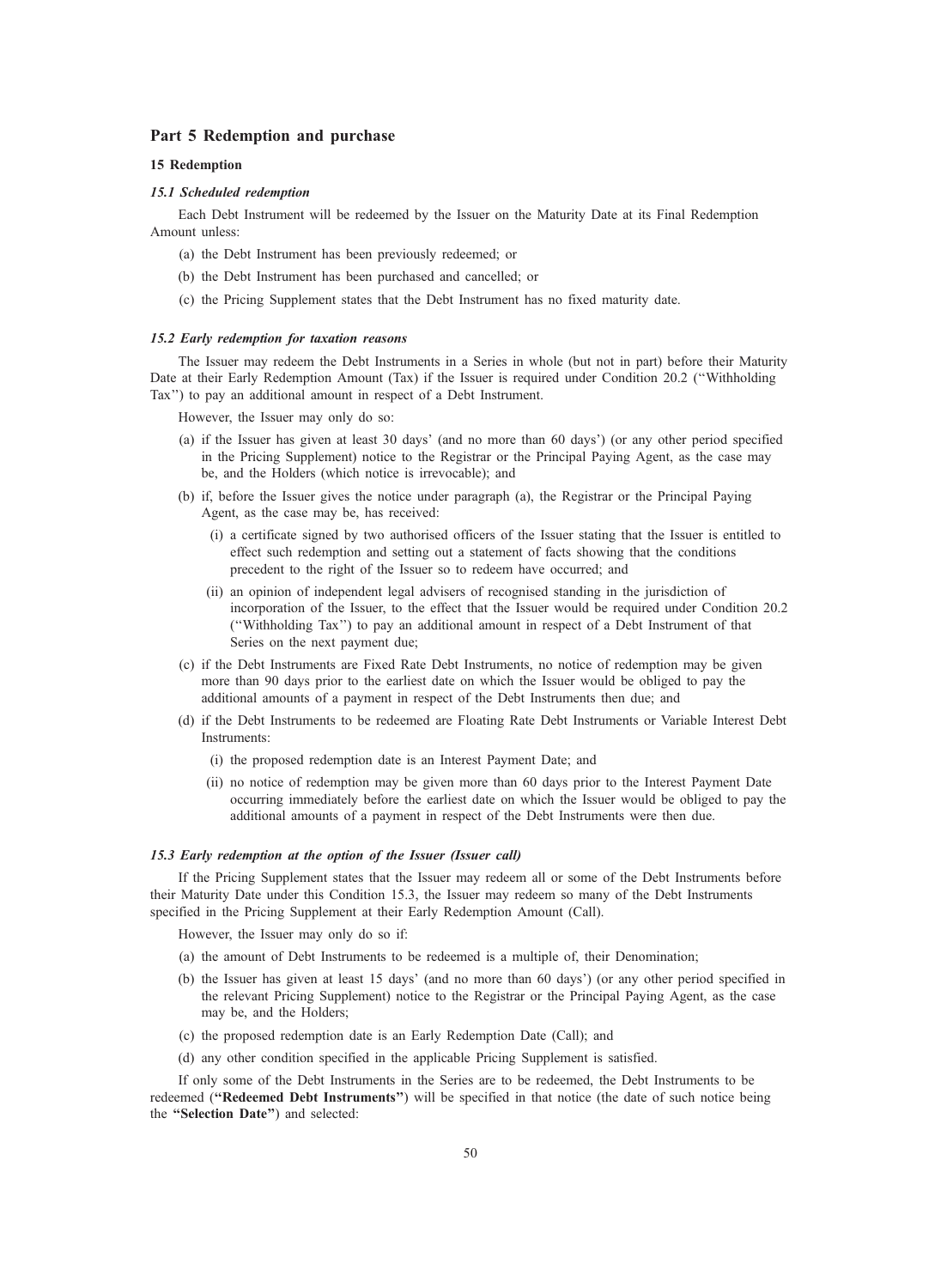## Part 5 Redemption and purchase

## 15 Redemption

### 15.1 Scheduled redemption

Each Debt Instrument will be redeemed by the Issuer on the Maturity Date at its Final Redemption Amount unless:

- (a) the Debt Instrument has been previously redeemed; or
- (b) the Debt Instrument has been purchased and cancelled; or
- (c) the Pricing Supplement states that the Debt Instrument has no fixed maturity date.

## 15.2 Early redemption for taxation reasons

The Issuer may redeem the Debt Instruments in a Series in whole (but not in part) before their Maturity Date at their Early Redemption Amount (Tax) if the Issuer is required under Condition 20.2 (''Withholding Tax'') to pay an additional amount in respect of a Debt Instrument.

However, the Issuer may only do so:

- (a) if the Issuer has given at least 30 days' (and no more than 60 days') (or any other period specified in the Pricing Supplement) notice to the Registrar or the Principal Paying Agent, as the case may be, and the Holders (which notice is irrevocable); and
- (b) if, before the Issuer gives the notice under paragraph (a), the Registrar or the Principal Paying Agent, as the case may be, has received:
	- (i) a certificate signed by two authorised officers of the Issuer stating that the Issuer is entitled to effect such redemption and setting out a statement of facts showing that the conditions precedent to the right of the Issuer so to redeem have occurred; and
	- (ii) an opinion of independent legal advisers of recognised standing in the jurisdiction of incorporation of the Issuer, to the effect that the Issuer would be required under Condition 20.2 (''Withholding Tax'') to pay an additional amount in respect of a Debt Instrument of that Series on the next payment due;
- (c) if the Debt Instruments are Fixed Rate Debt Instruments, no notice of redemption may be given more than 90 days prior to the earliest date on which the Issuer would be obliged to pay the additional amounts of a payment in respect of the Debt Instruments then due; and
- (d) if the Debt Instruments to be redeemed are Floating Rate Debt Instruments or Variable Interest Debt Instruments:
	- (i) the proposed redemption date is an Interest Payment Date; and
	- (ii) no notice of redemption may be given more than 60 days prior to the Interest Payment Date occurring immediately before the earliest date on which the Issuer would be obliged to pay the additional amounts of a payment in respect of the Debt Instruments were then due.

### 15.3 Early redemption at the option of the Issuer (Issuer call)

If the Pricing Supplement states that the Issuer may redeem all or some of the Debt Instruments before their Maturity Date under this Condition 15.3, the Issuer may redeem so many of the Debt Instruments specified in the Pricing Supplement at their Early Redemption Amount (Call).

However, the Issuer may only do so if:

- (a) the amount of Debt Instruments to be redeemed is a multiple of, their Denomination;
- (b) the Issuer has given at least 15 days' (and no more than 60 days') (or any other period specified in the relevant Pricing Supplement) notice to the Registrar or the Principal Paying Agent, as the case may be, and the Holders;
- (c) the proposed redemption date is an Early Redemption Date (Call); and
- (d) any other condition specified in the applicable Pricing Supplement is satisfied.

If only some of the Debt Instruments in the Series are to be redeemed, the Debt Instruments to be redeemed ("Redeemed Debt Instruments") will be specified in that notice (the date of such notice being the ''Selection Date'') and selected: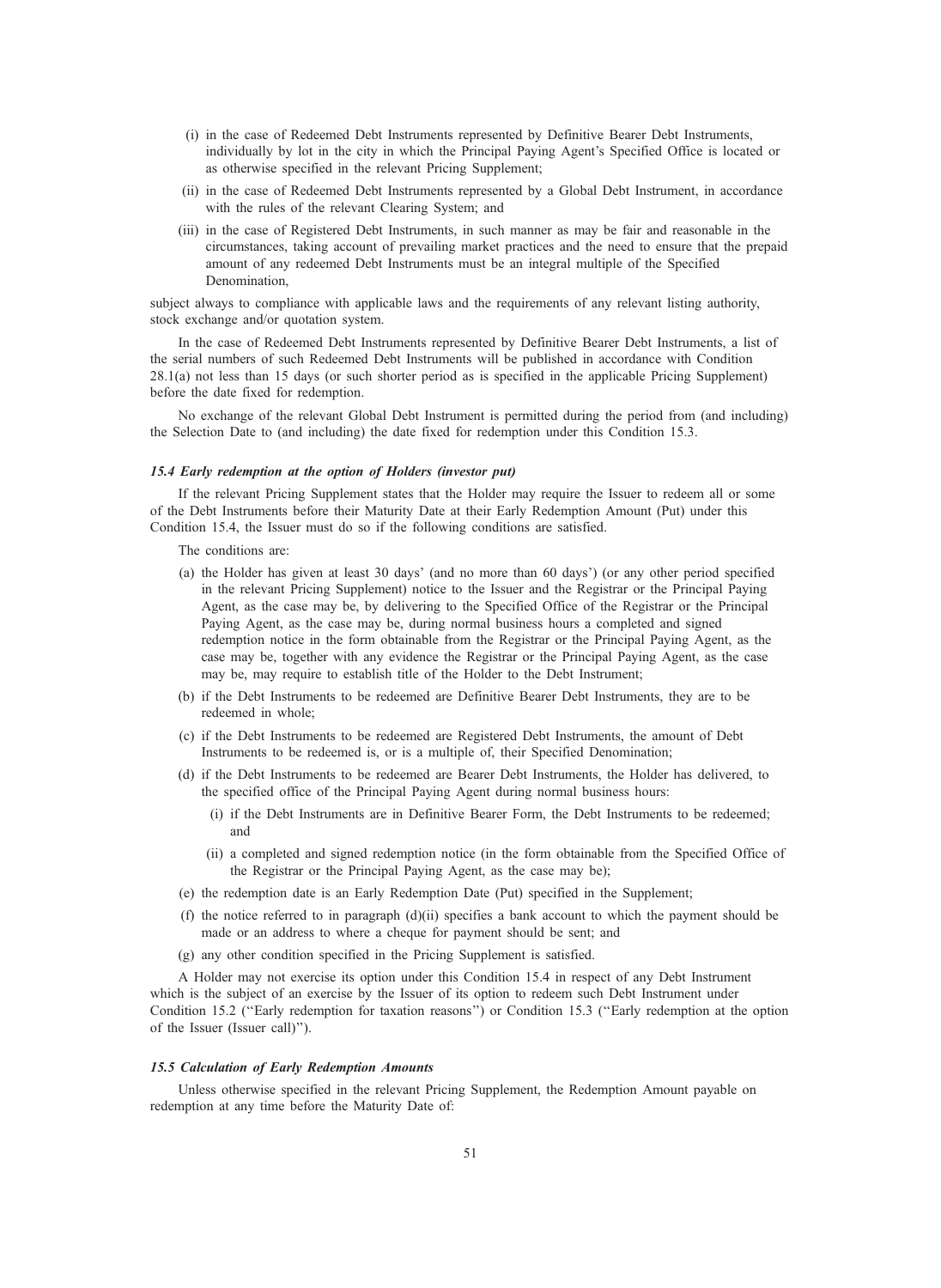- (i) in the case of Redeemed Debt Instruments represented by Definitive Bearer Debt Instruments, individually by lot in the city in which the Principal Paying Agent's Specified Office is located or as otherwise specified in the relevant Pricing Supplement;
- (ii) in the case of Redeemed Debt Instruments represented by a Global Debt Instrument, in accordance with the rules of the relevant Clearing System; and
- (iii) in the case of Registered Debt Instruments, in such manner as may be fair and reasonable in the circumstances, taking account of prevailing market practices and the need to ensure that the prepaid amount of any redeemed Debt Instruments must be an integral multiple of the Specified Denomination,

subject always to compliance with applicable laws and the requirements of any relevant listing authority, stock exchange and/or quotation system.

In the case of Redeemed Debt Instruments represented by Definitive Bearer Debt Instruments, a list of the serial numbers of such Redeemed Debt Instruments will be published in accordance with Condition 28.1(a) not less than 15 days (or such shorter period as is specified in the applicable Pricing Supplement) before the date fixed for redemption.

No exchange of the relevant Global Debt Instrument is permitted during the period from (and including) the Selection Date to (and including) the date fixed for redemption under this Condition 15.3.

## 15.4 Early redemption at the option of Holders (investor put)

If the relevant Pricing Supplement states that the Holder may require the Issuer to redeem all or some of the Debt Instruments before their Maturity Date at their Early Redemption Amount (Put) under this Condition 15.4, the Issuer must do so if the following conditions are satisfied.

The conditions are:

- (a) the Holder has given at least 30 days' (and no more than 60 days') (or any other period specified in the relevant Pricing Supplement) notice to the Issuer and the Registrar or the Principal Paying Agent, as the case may be, by delivering to the Specified Office of the Registrar or the Principal Paying Agent, as the case may be, during normal business hours a completed and signed redemption notice in the form obtainable from the Registrar or the Principal Paying Agent, as the case may be, together with any evidence the Registrar or the Principal Paying Agent, as the case may be, may require to establish title of the Holder to the Debt Instrument;
- (b) if the Debt Instruments to be redeemed are Definitive Bearer Debt Instruments, they are to be redeemed in whole;
- (c) if the Debt Instruments to be redeemed are Registered Debt Instruments, the amount of Debt Instruments to be redeemed is, or is a multiple of, their Specified Denomination;
- (d) if the Debt Instruments to be redeemed are Bearer Debt Instruments, the Holder has delivered, to the specified office of the Principal Paying Agent during normal business hours:
	- (i) if the Debt Instruments are in Definitive Bearer Form, the Debt Instruments to be redeemed; and
	- (ii) a completed and signed redemption notice (in the form obtainable from the Specified Office of the Registrar or the Principal Paying Agent, as the case may be);
- (e) the redemption date is an Early Redemption Date (Put) specified in the Supplement;
- (f) the notice referred to in paragraph  $(d)(ii)$  specifies a bank account to which the payment should be made or an address to where a cheque for payment should be sent; and
- (g) any other condition specified in the Pricing Supplement is satisfied.

A Holder may not exercise its option under this Condition 15.4 in respect of any Debt Instrument which is the subject of an exercise by the Issuer of its option to redeem such Debt Instrument under Condition 15.2 (''Early redemption for taxation reasons'') or Condition 15.3 (''Early redemption at the option of the Issuer (Issuer call)'').

### 15.5 Calculation of Early Redemption Amounts

Unless otherwise specified in the relevant Pricing Supplement, the Redemption Amount payable on redemption at any time before the Maturity Date of: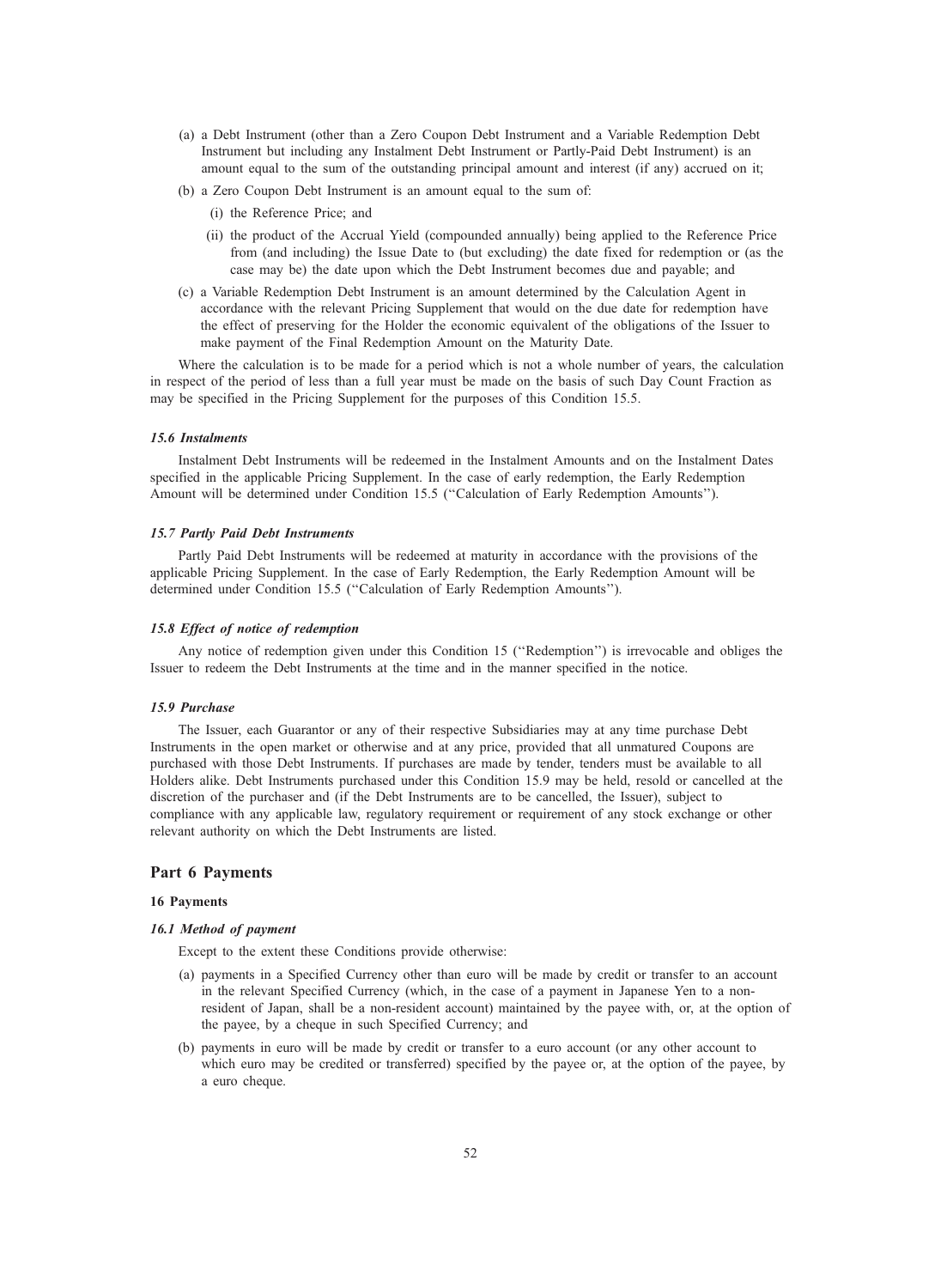- (a) a Debt Instrument (other than a Zero Coupon Debt Instrument and a Variable Redemption Debt Instrument but including any Instalment Debt Instrument or Partly-Paid Debt Instrument) is an amount equal to the sum of the outstanding principal amount and interest (if any) accrued on it;
- (b) a Zero Coupon Debt Instrument is an amount equal to the sum of:
	- (i) the Reference Price; and
	- (ii) the product of the Accrual Yield (compounded annually) being applied to the Reference Price from (and including) the Issue Date to (but excluding) the date fixed for redemption or (as the case may be) the date upon which the Debt Instrument becomes due and payable; and
- (c) a Variable Redemption Debt Instrument is an amount determined by the Calculation Agent in accordance with the relevant Pricing Supplement that would on the due date for redemption have the effect of preserving for the Holder the economic equivalent of the obligations of the Issuer to make payment of the Final Redemption Amount on the Maturity Date.

Where the calculation is to be made for a period which is not a whole number of years, the calculation in respect of the period of less than a full year must be made on the basis of such Day Count Fraction as may be specified in the Pricing Supplement for the purposes of this Condition 15.5.

### 15.6 Instalments

Instalment Debt Instruments will be redeemed in the Instalment Amounts and on the Instalment Dates specified in the applicable Pricing Supplement. In the case of early redemption, the Early Redemption Amount will be determined under Condition 15.5 (''Calculation of Early Redemption Amounts'').

## 15.7 Partly Paid Debt Instruments

Partly Paid Debt Instruments will be redeemed at maturity in accordance with the provisions of the applicable Pricing Supplement. In the case of Early Redemption, the Early Redemption Amount will be determined under Condition 15.5 (''Calculation of Early Redemption Amounts'').

#### 15.8 Effect of notice of redemption

Any notice of redemption given under this Condition 15 (''Redemption'') is irrevocable and obliges the Issuer to redeem the Debt Instruments at the time and in the manner specified in the notice.

#### 15.9 Purchase

The Issuer, each Guarantor or any of their respective Subsidiaries may at any time purchase Debt Instruments in the open market or otherwise and at any price, provided that all unmatured Coupons are purchased with those Debt Instruments. If purchases are made by tender, tenders must be available to all Holders alike. Debt Instruments purchased under this Condition 15.9 may be held, resold or cancelled at the discretion of the purchaser and (if the Debt Instruments are to be cancelled, the Issuer), subject to compliance with any applicable law, regulatory requirement or requirement of any stock exchange or other relevant authority on which the Debt Instruments are listed.

## Part 6 Payments

### 16 Payments

### 16.1 Method of payment

Except to the extent these Conditions provide otherwise:

- (a) payments in a Specified Currency other than euro will be made by credit or transfer to an account in the relevant Specified Currency (which, in the case of a payment in Japanese Yen to a nonresident of Japan, shall be a non-resident account) maintained by the payee with, or, at the option of the payee, by a cheque in such Specified Currency; and
- (b) payments in euro will be made by credit or transfer to a euro account (or any other account to which euro may be credited or transferred) specified by the payee or, at the option of the payee, by a euro cheque.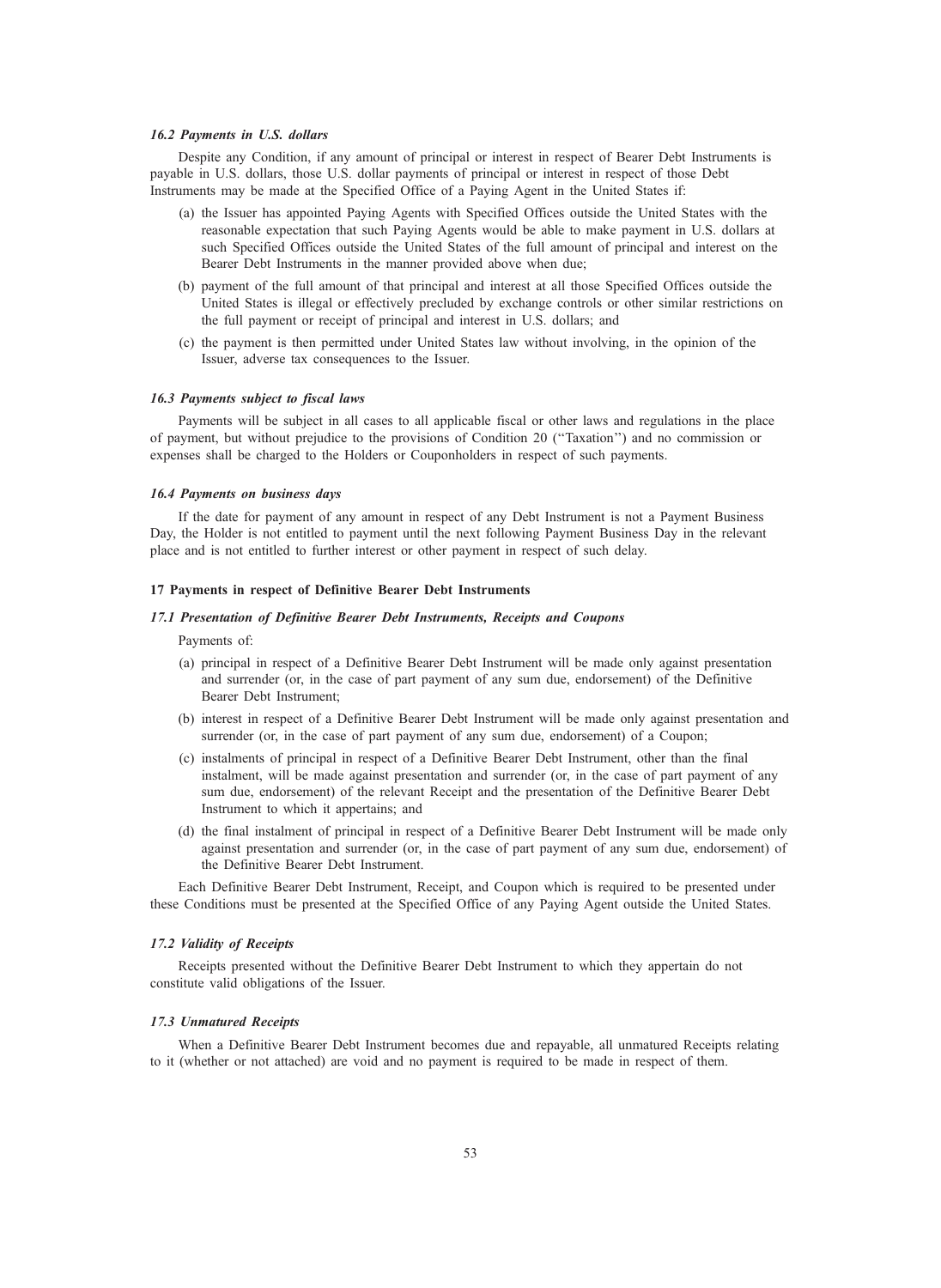### 16.2 Payments in U.S. dollars

Despite any Condition, if any amount of principal or interest in respect of Bearer Debt Instruments is payable in U.S. dollars, those U.S. dollar payments of principal or interest in respect of those Debt Instruments may be made at the Specified Office of a Paying Agent in the United States if:

- (a) the Issuer has appointed Paying Agents with Specified Offices outside the United States with the reasonable expectation that such Paying Agents would be able to make payment in U.S. dollars at such Specified Offices outside the United States of the full amount of principal and interest on the Bearer Debt Instruments in the manner provided above when due;
- (b) payment of the full amount of that principal and interest at all those Specified Offices outside the United States is illegal or effectively precluded by exchange controls or other similar restrictions on the full payment or receipt of principal and interest in U.S. dollars; and
- (c) the payment is then permitted under United States law without involving, in the opinion of the Issuer, adverse tax consequences to the Issuer.

## 16.3 Payments subject to fiscal laws

Payments will be subject in all cases to all applicable fiscal or other laws and regulations in the place of payment, but without prejudice to the provisions of Condition 20 (''Taxation'') and no commission or expenses shall be charged to the Holders or Couponholders in respect of such payments.

### 16.4 Payments on business days

If the date for payment of any amount in respect of any Debt Instrument is not a Payment Business Day, the Holder is not entitled to payment until the next following Payment Business Day in the relevant place and is not entitled to further interest or other payment in respect of such delay.

## 17 Payments in respect of Definitive Bearer Debt Instruments

### 17.1 Presentation of Definitive Bearer Debt Instruments, Receipts and Coupons

### Payments of:

- (a) principal in respect of a Definitive Bearer Debt Instrument will be made only against presentation and surrender (or, in the case of part payment of any sum due, endorsement) of the Definitive Bearer Debt Instrument;
- (b) interest in respect of a Definitive Bearer Debt Instrument will be made only against presentation and surrender (or, in the case of part payment of any sum due, endorsement) of a Coupon;
- (c) instalments of principal in respect of a Definitive Bearer Debt Instrument, other than the final instalment, will be made against presentation and surrender (or, in the case of part payment of any sum due, endorsement) of the relevant Receipt and the presentation of the Definitive Bearer Debt Instrument to which it appertains; and
- (d) the final instalment of principal in respect of a Definitive Bearer Debt Instrument will be made only against presentation and surrender (or, in the case of part payment of any sum due, endorsement) of the Definitive Bearer Debt Instrument.

Each Definitive Bearer Debt Instrument, Receipt, and Coupon which is required to be presented under these Conditions must be presented at the Specified Office of any Paying Agent outside the United States.

### 17.2 Validity of Receipts

Receipts presented without the Definitive Bearer Debt Instrument to which they appertain do not constitute valid obligations of the Issuer.

## 17.3 Unmatured Receipts

When a Definitive Bearer Debt Instrument becomes due and repayable, all unmatured Receipts relating to it (whether or not attached) are void and no payment is required to be made in respect of them.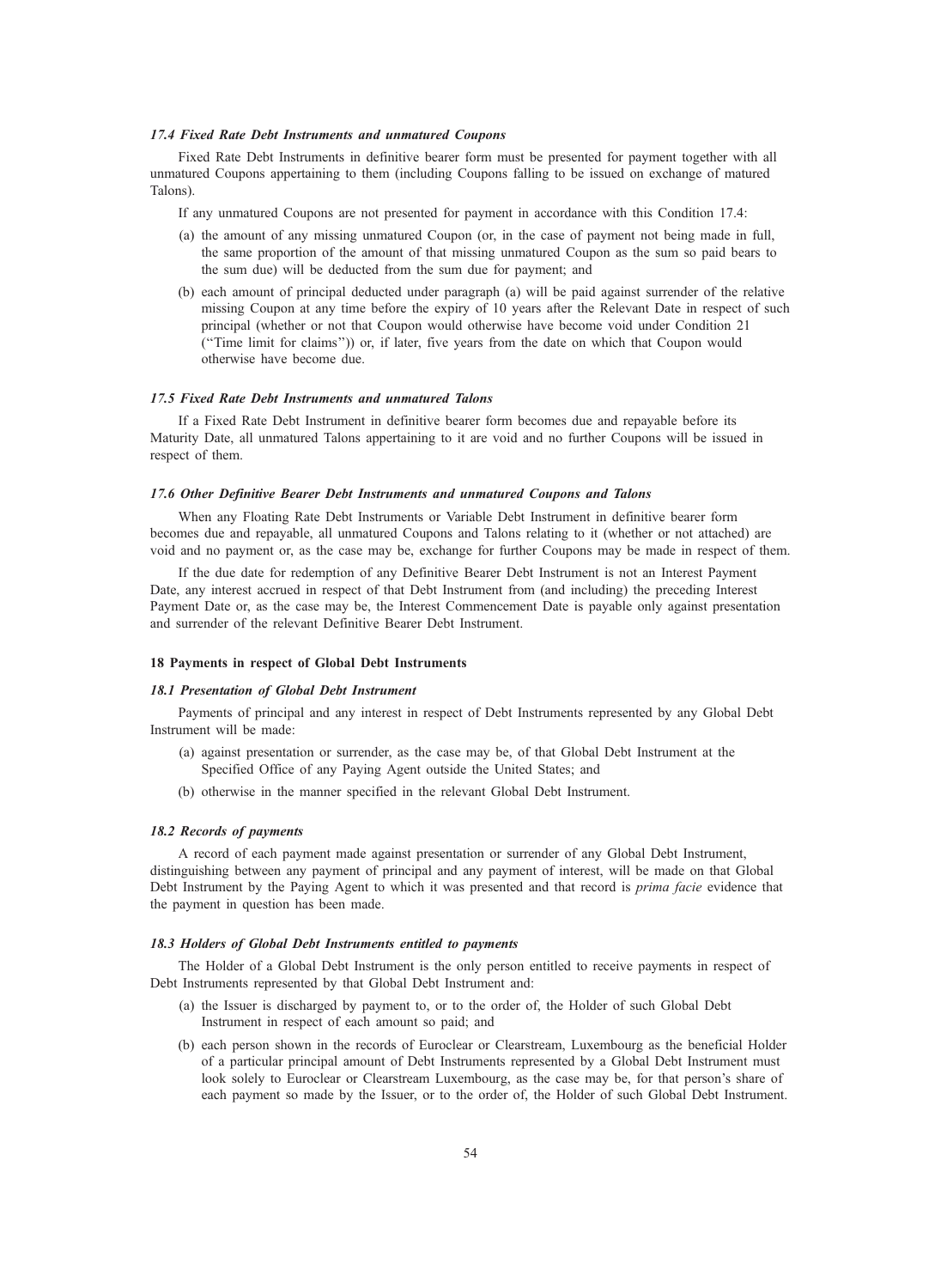### 17.4 Fixed Rate Debt Instruments and unmatured Coupons

Fixed Rate Debt Instruments in definitive bearer form must be presented for payment together with all unmatured Coupons appertaining to them (including Coupons falling to be issued on exchange of matured Talons).

If any unmatured Coupons are not presented for payment in accordance with this Condition 17.4:

- (a) the amount of any missing unmatured Coupon (or, in the case of payment not being made in full, the same proportion of the amount of that missing unmatured Coupon as the sum so paid bears to the sum due) will be deducted from the sum due for payment; and
- (b) each amount of principal deducted under paragraph (a) will be paid against surrender of the relative missing Coupon at any time before the expiry of 10 years after the Relevant Date in respect of such principal (whether or not that Coupon would otherwise have become void under Condition 21 (''Time limit for claims'')) or, if later, five years from the date on which that Coupon would otherwise have become due.

## 17.5 Fixed Rate Debt Instruments and unmatured Talons

If a Fixed Rate Debt Instrument in definitive bearer form becomes due and repayable before its Maturity Date, all unmatured Talons appertaining to it are void and no further Coupons will be issued in respect of them.

### 17.6 Other Definitive Bearer Debt Instruments and unmatured Coupons and Talons

When any Floating Rate Debt Instruments or Variable Debt Instrument in definitive bearer form becomes due and repayable, all unmatured Coupons and Talons relating to it (whether or not attached) are void and no payment or, as the case may be, exchange for further Coupons may be made in respect of them.

If the due date for redemption of any Definitive Bearer Debt Instrument is not an Interest Payment Date, any interest accrued in respect of that Debt Instrument from (and including) the preceding Interest Payment Date or, as the case may be, the Interest Commencement Date is payable only against presentation and surrender of the relevant Definitive Bearer Debt Instrument.

### 18 Payments in respect of Global Debt Instruments

## 18.1 Presentation of Global Debt Instrument

Payments of principal and any interest in respect of Debt Instruments represented by any Global Debt Instrument will be made:

- (a) against presentation or surrender, as the case may be, of that Global Debt Instrument at the Specified Office of any Paying Agent outside the United States; and
- (b) otherwise in the manner specified in the relevant Global Debt Instrument.

#### 18.2 Records of payments

A record of each payment made against presentation or surrender of any Global Debt Instrument, distinguishing between any payment of principal and any payment of interest, will be made on that Global Debt Instrument by the Paying Agent to which it was presented and that record is *prima facie* evidence that the payment in question has been made.

### 18.3 Holders of Global Debt Instruments entitled to payments

The Holder of a Global Debt Instrument is the only person entitled to receive payments in respect of Debt Instruments represented by that Global Debt Instrument and:

- (a) the Issuer is discharged by payment to, or to the order of, the Holder of such Global Debt Instrument in respect of each amount so paid; and
- (b) each person shown in the records of Euroclear or Clearstream, Luxembourg as the beneficial Holder of a particular principal amount of Debt Instruments represented by a Global Debt Instrument must look solely to Euroclear or Clearstream Luxembourg, as the case may be, for that person's share of each payment so made by the Issuer, or to the order of, the Holder of such Global Debt Instrument.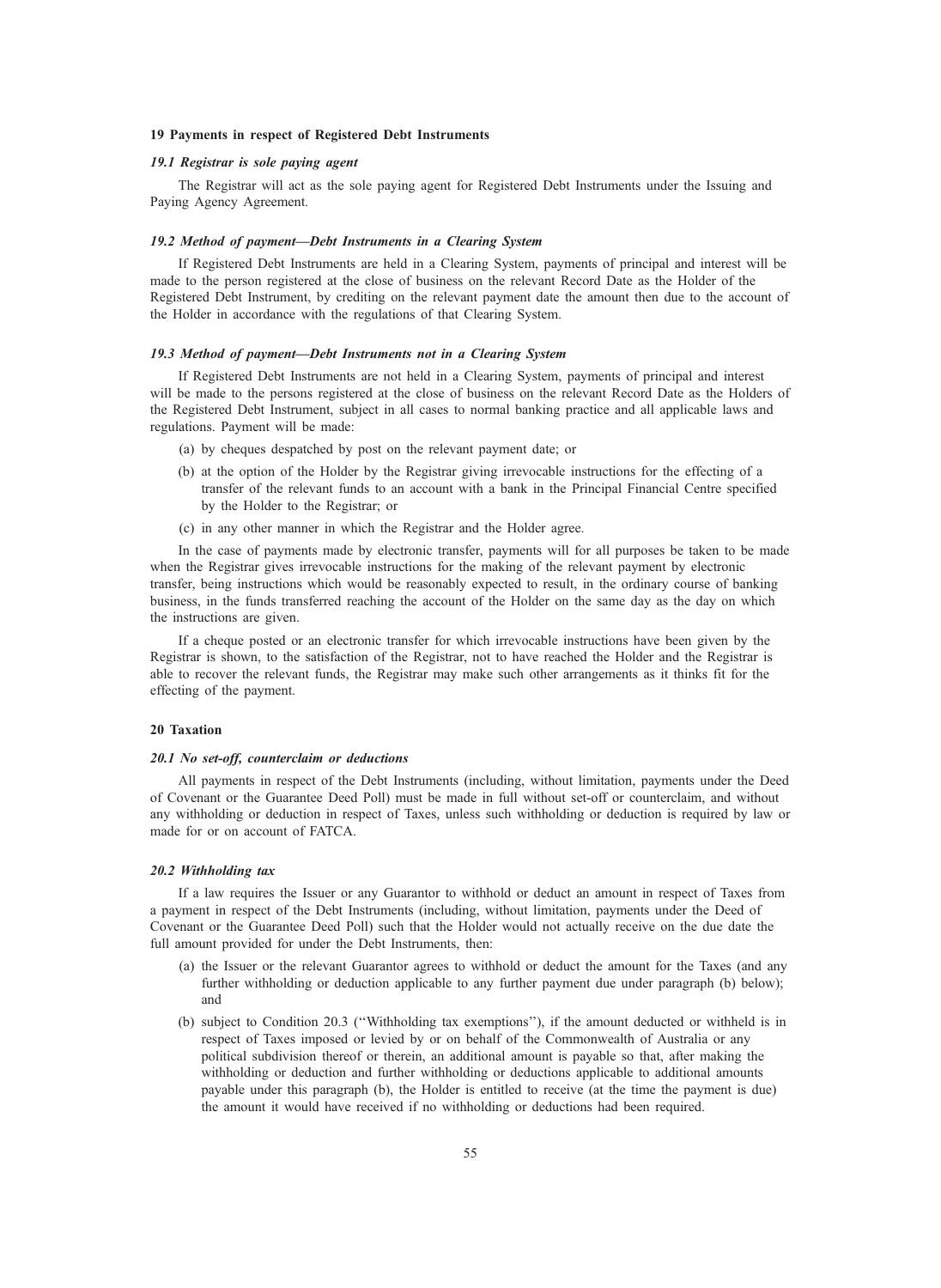### 19 Payments in respect of Registered Debt Instruments

## 19.1 Registrar is sole paying agent

The Registrar will act as the sole paying agent for Registered Debt Instruments under the Issuing and Paying Agency Agreement.

## 19.2 Method of payment—Debt Instruments in a Clearing System

If Registered Debt Instruments are held in a Clearing System, payments of principal and interest will be made to the person registered at the close of business on the relevant Record Date as the Holder of the Registered Debt Instrument, by crediting on the relevant payment date the amount then due to the account of the Holder in accordance with the regulations of that Clearing System.

#### 19.3 Method of payment—Debt Instruments not in a Clearing System

If Registered Debt Instruments are not held in a Clearing System, payments of principal and interest will be made to the persons registered at the close of business on the relevant Record Date as the Holders of the Registered Debt Instrument, subject in all cases to normal banking practice and all applicable laws and regulations. Payment will be made:

- (a) by cheques despatched by post on the relevant payment date; or
- (b) at the option of the Holder by the Registrar giving irrevocable instructions for the effecting of a transfer of the relevant funds to an account with a bank in the Principal Financial Centre specified by the Holder to the Registrar; or
- (c) in any other manner in which the Registrar and the Holder agree.

In the case of payments made by electronic transfer, payments will for all purposes be taken to be made when the Registrar gives irrevocable instructions for the making of the relevant payment by electronic transfer, being instructions which would be reasonably expected to result, in the ordinary course of banking business, in the funds transferred reaching the account of the Holder on the same day as the day on which the instructions are given.

If a cheque posted or an electronic transfer for which irrevocable instructions have been given by the Registrar is shown, to the satisfaction of the Registrar, not to have reached the Holder and the Registrar is able to recover the relevant funds, the Registrar may make such other arrangements as it thinks fit for the effecting of the payment.

## 20 Taxation

#### 20.1 No set-off, counterclaim or deductions

All payments in respect of the Debt Instruments (including, without limitation, payments under the Deed of Covenant or the Guarantee Deed Poll) must be made in full without set-off or counterclaim, and without any withholding or deduction in respect of Taxes, unless such withholding or deduction is required by law or made for or on account of FATCA.

### 20.2 Withholding tax

If a law requires the Issuer or any Guarantor to withhold or deduct an amount in respect of Taxes from a payment in respect of the Debt Instruments (including, without limitation, payments under the Deed of Covenant or the Guarantee Deed Poll) such that the Holder would not actually receive on the due date the full amount provided for under the Debt Instruments, then:

- (a) the Issuer or the relevant Guarantor agrees to withhold or deduct the amount for the Taxes (and any further withholding or deduction applicable to any further payment due under paragraph (b) below); and
- (b) subject to Condition 20.3 (''Withholding tax exemptions''), if the amount deducted or withheld is in respect of Taxes imposed or levied by or on behalf of the Commonwealth of Australia or any political subdivision thereof or therein, an additional amount is payable so that, after making the withholding or deduction and further withholding or deductions applicable to additional amounts payable under this paragraph (b), the Holder is entitled to receive (at the time the payment is due) the amount it would have received if no withholding or deductions had been required.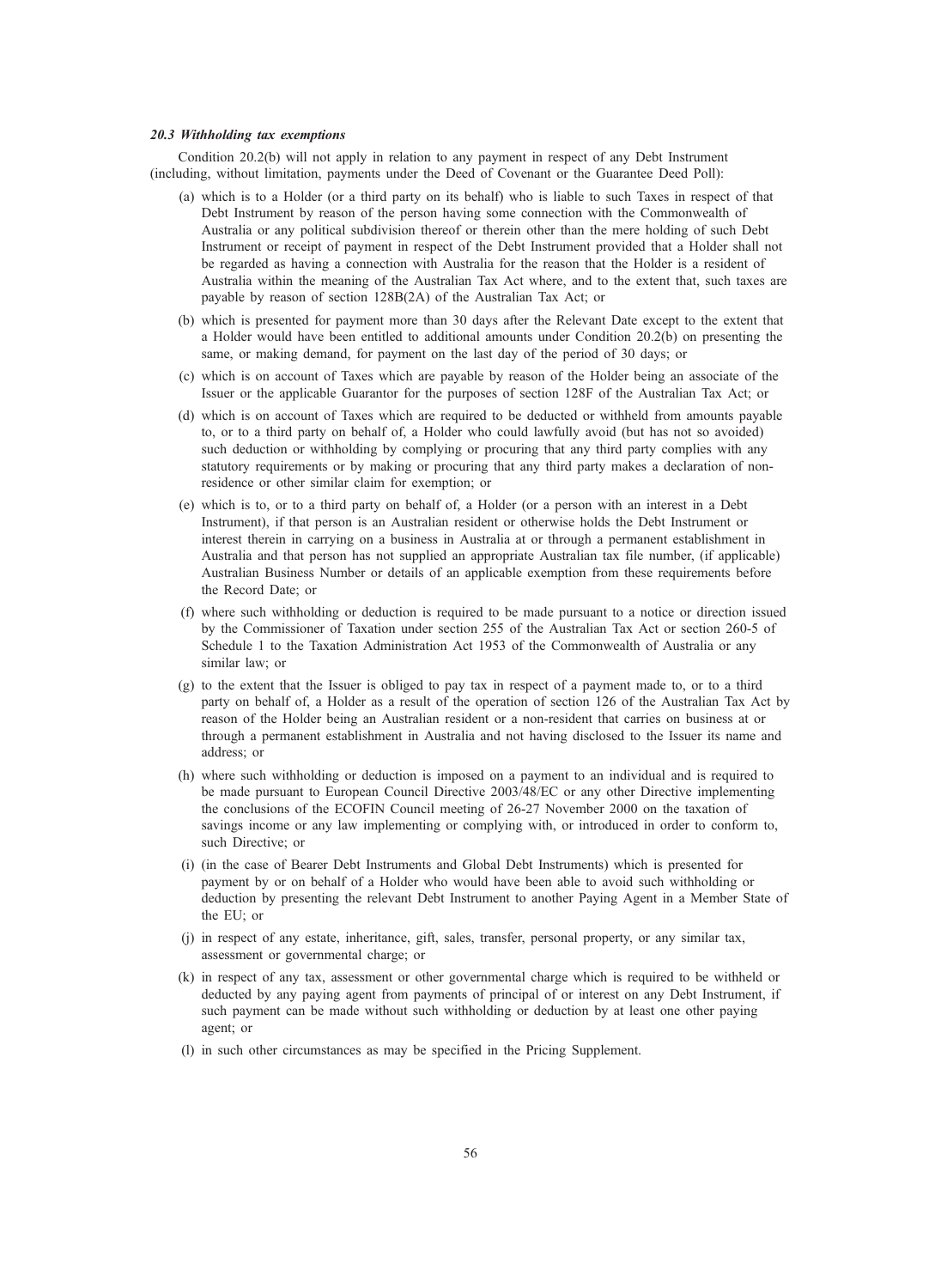#### 20.3 Withholding tax exemptions

Condition 20.2(b) will not apply in relation to any payment in respect of any Debt Instrument (including, without limitation, payments under the Deed of Covenant or the Guarantee Deed Poll):

- (a) which is to a Holder (or a third party on its behalf) who is liable to such Taxes in respect of that Debt Instrument by reason of the person having some connection with the Commonwealth of Australia or any political subdivision thereof or therein other than the mere holding of such Debt Instrument or receipt of payment in respect of the Debt Instrument provided that a Holder shall not be regarded as having a connection with Australia for the reason that the Holder is a resident of Australia within the meaning of the Australian Tax Act where, and to the extent that, such taxes are payable by reason of section 128B(2A) of the Australian Tax Act; or
- (b) which is presented for payment more than 30 days after the Relevant Date except to the extent that a Holder would have been entitled to additional amounts under Condition 20.2(b) on presenting the same, or making demand, for payment on the last day of the period of 30 days; or
- (c) which is on account of Taxes which are payable by reason of the Holder being an associate of the Issuer or the applicable Guarantor for the purposes of section 128F of the Australian Tax Act; or
- (d) which is on account of Taxes which are required to be deducted or withheld from amounts payable to, or to a third party on behalf of, a Holder who could lawfully avoid (but has not so avoided) such deduction or withholding by complying or procuring that any third party complies with any statutory requirements or by making or procuring that any third party makes a declaration of nonresidence or other similar claim for exemption; or
- (e) which is to, or to a third party on behalf of, a Holder (or a person with an interest in a Debt Instrument), if that person is an Australian resident or otherwise holds the Debt Instrument or interest therein in carrying on a business in Australia at or through a permanent establishment in Australia and that person has not supplied an appropriate Australian tax file number, (if applicable) Australian Business Number or details of an applicable exemption from these requirements before the Record Date; or
- (f) where such withholding or deduction is required to be made pursuant to a notice or direction issued by the Commissioner of Taxation under section 255 of the Australian Tax Act or section 260-5 of Schedule 1 to the Taxation Administration Act 1953 of the Commonwealth of Australia or any similar law; or
- (g) to the extent that the Issuer is obliged to pay tax in respect of a payment made to, or to a third party on behalf of, a Holder as a result of the operation of section 126 of the Australian Tax Act by reason of the Holder being an Australian resident or a non-resident that carries on business at or through a permanent establishment in Australia and not having disclosed to the Issuer its name and address; or
- (h) where such withholding or deduction is imposed on a payment to an individual and is required to be made pursuant to European Council Directive 2003/48/EC or any other Directive implementing the conclusions of the ECOFIN Council meeting of 26-27 November 2000 on the taxation of savings income or any law implementing or complying with, or introduced in order to conform to, such Directive; or
- (i) (in the case of Bearer Debt Instruments and Global Debt Instruments) which is presented for payment by or on behalf of a Holder who would have been able to avoid such withholding or deduction by presenting the relevant Debt Instrument to another Paying Agent in a Member State of the EU; or
- (j) in respect of any estate, inheritance, gift, sales, transfer, personal property, or any similar tax, assessment or governmental charge; or
- (k) in respect of any tax, assessment or other governmental charge which is required to be withheld or deducted by any paying agent from payments of principal of or interest on any Debt Instrument, if such payment can be made without such withholding or deduction by at least one other paying agent; or
- (l) in such other circumstances as may be specified in the Pricing Supplement.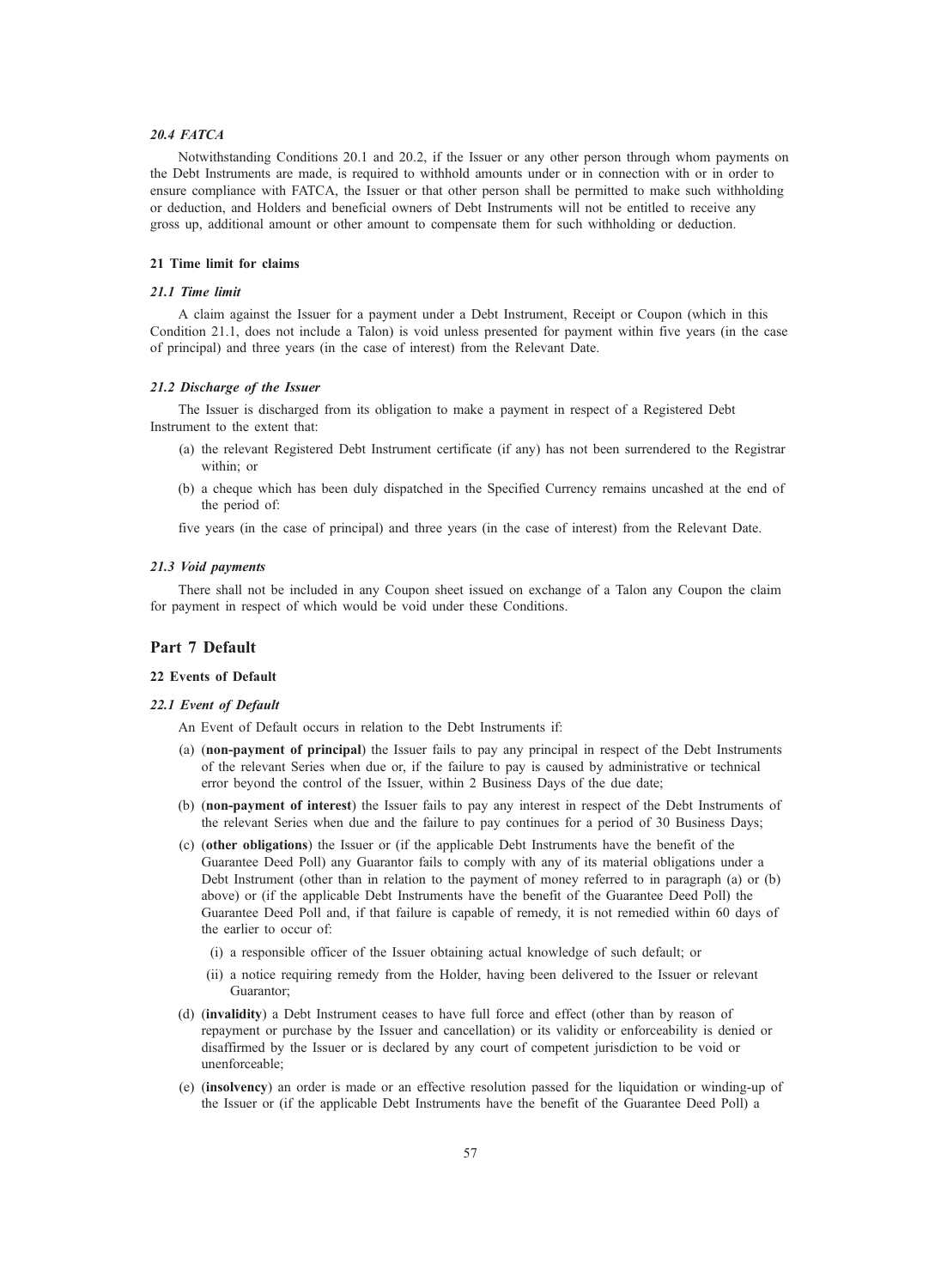## 20.4 FATCA

Notwithstanding Conditions 20.1 and 20.2, if the Issuer or any other person through whom payments on the Debt Instruments are made, is required to withhold amounts under or in connection with or in order to ensure compliance with FATCA, the Issuer or that other person shall be permitted to make such withholding or deduction, and Holders and beneficial owners of Debt Instruments will not be entitled to receive any gross up, additional amount or other amount to compensate them for such withholding or deduction.

## 21 Time limit for claims

## 21.1 Time limit

A claim against the Issuer for a payment under a Debt Instrument, Receipt or Coupon (which in this Condition 21.1, does not include a Talon) is void unless presented for payment within five years (in the case of principal) and three years (in the case of interest) from the Relevant Date.

### 21.2 Discharge of the Issuer

The Issuer is discharged from its obligation to make a payment in respect of a Registered Debt Instrument to the extent that:

- (a) the relevant Registered Debt Instrument certificate (if any) has not been surrendered to the Registrar within; or
- (b) a cheque which has been duly dispatched in the Specified Currency remains uncashed at the end of the period of:

five years (in the case of principal) and three years (in the case of interest) from the Relevant Date.

## 21.3 Void payments

There shall not be included in any Coupon sheet issued on exchange of a Talon any Coupon the claim for payment in respect of which would be void under these Conditions.

## Part 7 Default

## 22 Events of Default

## 22.1 Event of Default

An Event of Default occurs in relation to the Debt Instruments if:

- (a) (non-payment of principal) the Issuer fails to pay any principal in respect of the Debt Instruments of the relevant Series when due or, if the failure to pay is caused by administrative or technical error beyond the control of the Issuer, within 2 Business Days of the due date;
- (b) (non-payment of interest) the Issuer fails to pay any interest in respect of the Debt Instruments of the relevant Series when due and the failure to pay continues for a period of 30 Business Days;
- (c) (other obligations) the Issuer or (if the applicable Debt Instruments have the benefit of the Guarantee Deed Poll) any Guarantor fails to comply with any of its material obligations under a Debt Instrument (other than in relation to the payment of money referred to in paragraph (a) or (b) above) or (if the applicable Debt Instruments have the benefit of the Guarantee Deed Poll) the Guarantee Deed Poll and, if that failure is capable of remedy, it is not remedied within 60 days of the earlier to occur of:
	- (i) a responsible officer of the Issuer obtaining actual knowledge of such default; or
	- (ii) a notice requiring remedy from the Holder, having been delivered to the Issuer or relevant Guarantor;
- (d) (invalidity) a Debt Instrument ceases to have full force and effect (other than by reason of repayment or purchase by the Issuer and cancellation) or its validity or enforceability is denied or disaffirmed by the Issuer or is declared by any court of competent jurisdiction to be void or unenforceable;
- (e) (insolvency) an order is made or an effective resolution passed for the liquidation or winding-up of the Issuer or (if the applicable Debt Instruments have the benefit of the Guarantee Deed Poll) a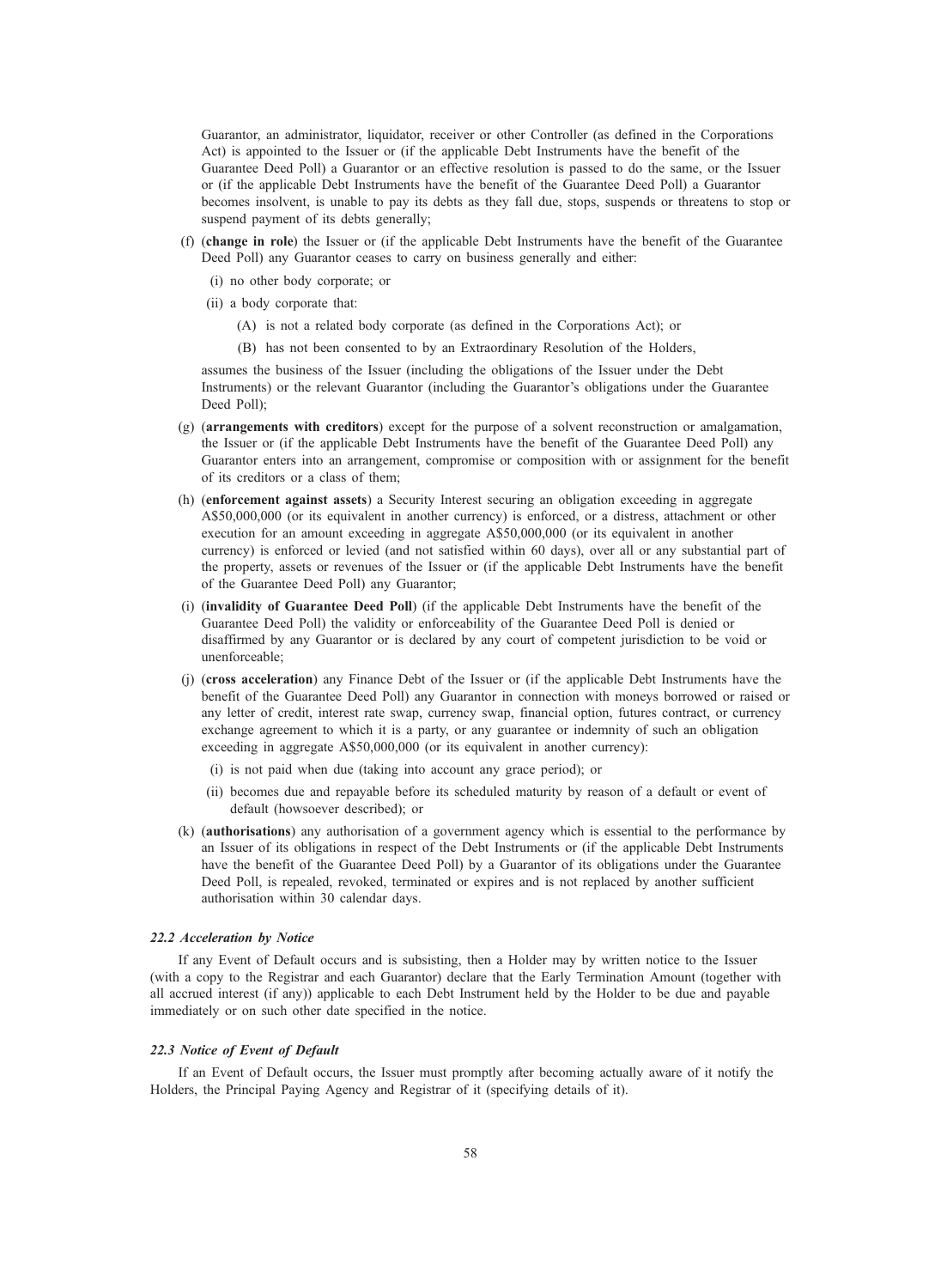Guarantor, an administrator, liquidator, receiver or other Controller (as defined in the Corporations Act) is appointed to the Issuer or (if the applicable Debt Instruments have the benefit of the Guarantee Deed Poll) a Guarantor or an effective resolution is passed to do the same, or the Issuer or (if the applicable Debt Instruments have the benefit of the Guarantee Deed Poll) a Guarantor becomes insolvent, is unable to pay its debts as they fall due, stops, suspends or threatens to stop or suspend payment of its debts generally;

- (f) (change in role) the Issuer or (if the applicable Debt Instruments have the benefit of the Guarantee Deed Poll) any Guarantor ceases to carry on business generally and either:
	- (i) no other body corporate; or
	- (ii) a body corporate that:
		- (A) is not a related body corporate (as defined in the Corporations Act); or
		- (B) has not been consented to by an Extraordinary Resolution of the Holders,

assumes the business of the Issuer (including the obligations of the Issuer under the Debt Instruments) or the relevant Guarantor (including the Guarantor's obligations under the Guarantee Deed Poll);

- (g) (arrangements with creditors) except for the purpose of a solvent reconstruction or amalgamation, the Issuer or (if the applicable Debt Instruments have the benefit of the Guarantee Deed Poll) any Guarantor enters into an arrangement, compromise or composition with or assignment for the benefit of its creditors or a class of them;
- (h) (enforcement against assets) a Security Interest securing an obligation exceeding in aggregate A\$50,000,000 (or its equivalent in another currency) is enforced, or a distress, attachment or other execution for an amount exceeding in aggregate A\$50,000,000 (or its equivalent in another currency) is enforced or levied (and not satisfied within 60 days), over all or any substantial part of the property, assets or revenues of the Issuer or (if the applicable Debt Instruments have the benefit of the Guarantee Deed Poll) any Guarantor;
- (i) (invalidity of Guarantee Deed Poll) (if the applicable Debt Instruments have the benefit of the Guarantee Deed Poll) the validity or enforceability of the Guarantee Deed Poll is denied or disaffirmed by any Guarantor or is declared by any court of competent jurisdiction to be void or unenforceable;
- (j) (cross acceleration) any Finance Debt of the Issuer or (if the applicable Debt Instruments have the benefit of the Guarantee Deed Poll) any Guarantor in connection with moneys borrowed or raised or any letter of credit, interest rate swap, currency swap, financial option, futures contract, or currency exchange agreement to which it is a party, or any guarantee or indemnity of such an obligation exceeding in aggregate A\$50,000,000 (or its equivalent in another currency):
	- (i) is not paid when due (taking into account any grace period); or
	- (ii) becomes due and repayable before its scheduled maturity by reason of a default or event of default (howsoever described); or
- (k) (authorisations) any authorisation of a government agency which is essential to the performance by an Issuer of its obligations in respect of the Debt Instruments or (if the applicable Debt Instruments have the benefit of the Guarantee Deed Poll) by a Guarantor of its obligations under the Guarantee Deed Poll, is repealed, revoked, terminated or expires and is not replaced by another sufficient authorisation within 30 calendar days.

### 22.2 Acceleration by Notice

If any Event of Default occurs and is subsisting, then a Holder may by written notice to the Issuer (with a copy to the Registrar and each Guarantor) declare that the Early Termination Amount (together with all accrued interest (if any)) applicable to each Debt Instrument held by the Holder to be due and payable immediately or on such other date specified in the notice.

### 22.3 Notice of Event of Default

If an Event of Default occurs, the Issuer must promptly after becoming actually aware of it notify the Holders, the Principal Paying Agency and Registrar of it (specifying details of it).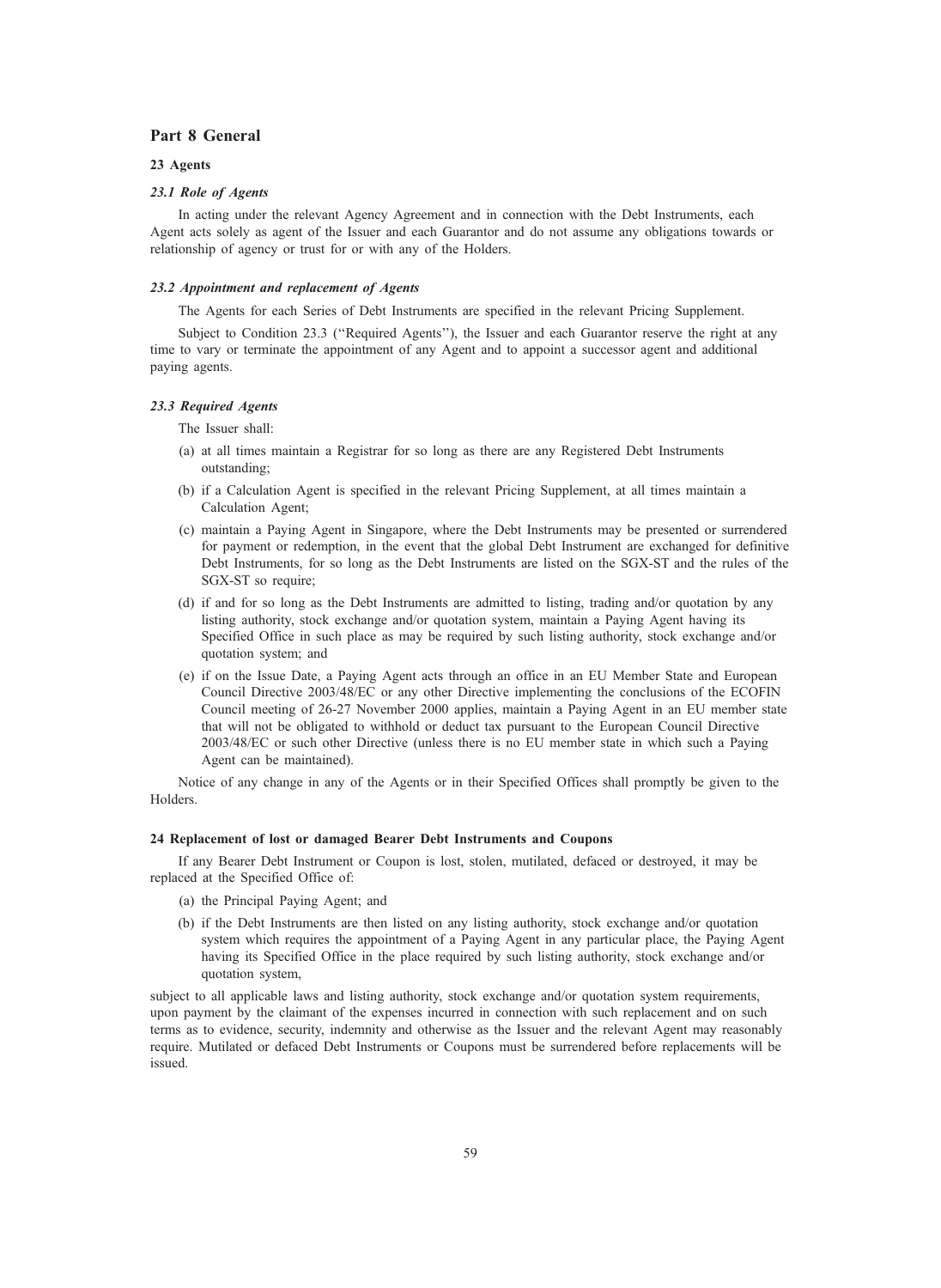## Part 8 General

## 23 Agents

## 23.1 Role of Agents

In acting under the relevant Agency Agreement and in connection with the Debt Instruments, each Agent acts solely as agent of the Issuer and each Guarantor and do not assume any obligations towards or relationship of agency or trust for or with any of the Holders.

### 23.2 Appointment and replacement of Agents

The Agents for each Series of Debt Instruments are specified in the relevant Pricing Supplement.

Subject to Condition 23.3 (''Required Agents''), the Issuer and each Guarantor reserve the right at any time to vary or terminate the appointment of any Agent and to appoint a successor agent and additional paying agents.

### 23.3 Required Agents

The Issuer shall:

- (a) at all times maintain a Registrar for so long as there are any Registered Debt Instruments outstanding;
- (b) if a Calculation Agent is specified in the relevant Pricing Supplement, at all times maintain a Calculation Agent;
- (c) maintain a Paying Agent in Singapore, where the Debt Instruments may be presented or surrendered for payment or redemption, in the event that the global Debt Instrument are exchanged for definitive Debt Instruments, for so long as the Debt Instruments are listed on the SGX-ST and the rules of the SGX-ST so require;
- (d) if and for so long as the Debt Instruments are admitted to listing, trading and/or quotation by any listing authority, stock exchange and/or quotation system, maintain a Paying Agent having its Specified Office in such place as may be required by such listing authority, stock exchange and/or quotation system; and
- (e) if on the Issue Date, a Paying Agent acts through an office in an EU Member State and European Council Directive 2003/48/EC or any other Directive implementing the conclusions of the ECOFIN Council meeting of 26-27 November 2000 applies, maintain a Paying Agent in an EU member state that will not be obligated to withhold or deduct tax pursuant to the European Council Directive 2003/48/EC or such other Directive (unless there is no EU member state in which such a Paying Agent can be maintained).

Notice of any change in any of the Agents or in their Specified Offices shall promptly be given to the Holders.

## 24 Replacement of lost or damaged Bearer Debt Instruments and Coupons

If any Bearer Debt Instrument or Coupon is lost, stolen, mutilated, defaced or destroyed, it may be replaced at the Specified Office of:

- (a) the Principal Paying Agent; and
- (b) if the Debt Instruments are then listed on any listing authority, stock exchange and/or quotation system which requires the appointment of a Paying Agent in any particular place, the Paying Agent having its Specified Office in the place required by such listing authority, stock exchange and/or quotation system,

subject to all applicable laws and listing authority, stock exchange and/or quotation system requirements, upon payment by the claimant of the expenses incurred in connection with such replacement and on such terms as to evidence, security, indemnity and otherwise as the Issuer and the relevant Agent may reasonably require. Mutilated or defaced Debt Instruments or Coupons must be surrendered before replacements will be issued.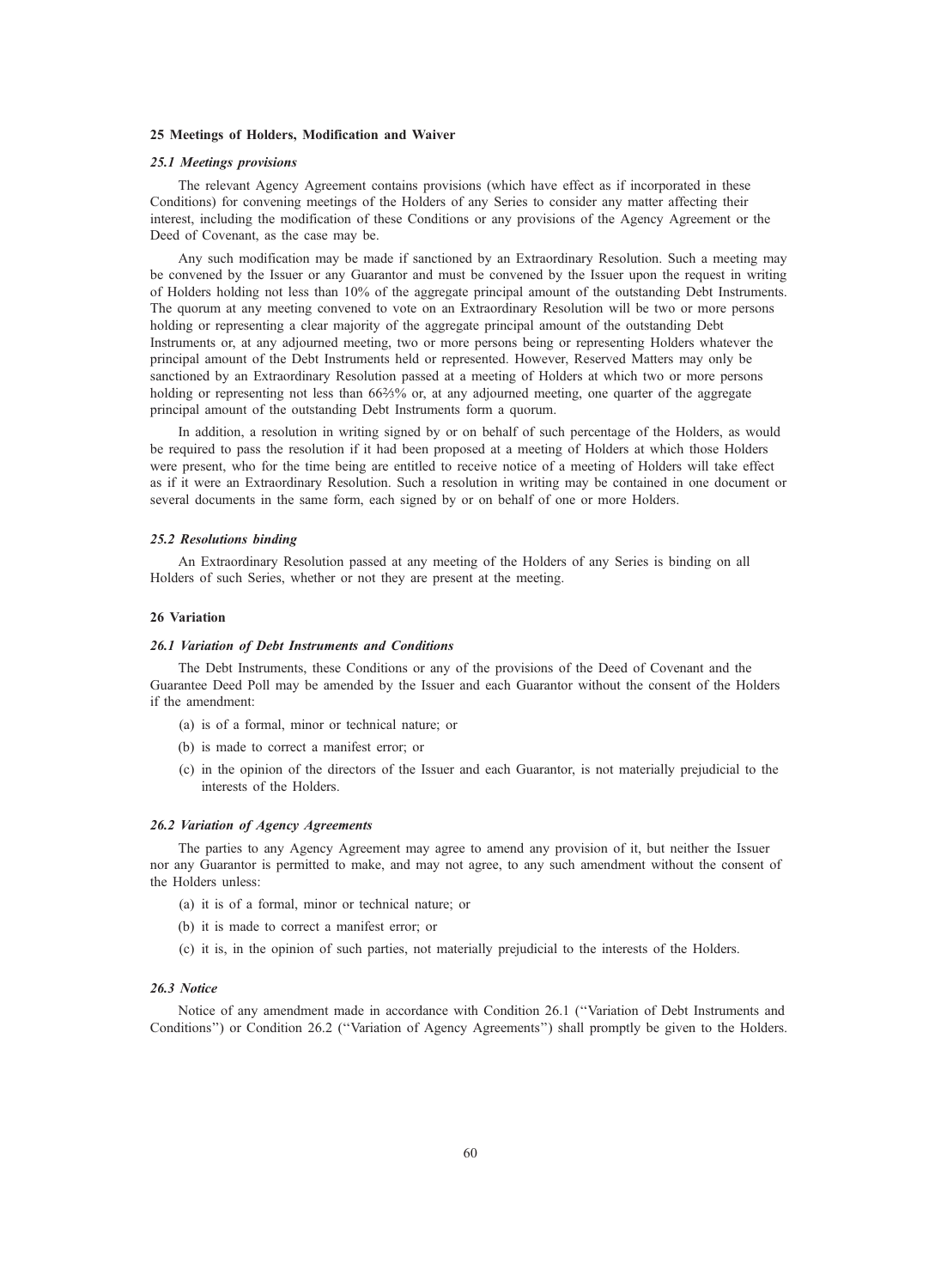## 25 Meetings of Holders, Modification and Waiver

### 25.1 Meetings provisions

The relevant Agency Agreement contains provisions (which have effect as if incorporated in these Conditions) for convening meetings of the Holders of any Series to consider any matter affecting their interest, including the modification of these Conditions or any provisions of the Agency Agreement or the Deed of Covenant, as the case may be.

Any such modification may be made if sanctioned by an Extraordinary Resolution. Such a meeting may be convened by the Issuer or any Guarantor and must be convened by the Issuer upon the request in writing of Holders holding not less than 10% of the aggregate principal amount of the outstanding Debt Instruments. The quorum at any meeting convened to vote on an Extraordinary Resolution will be two or more persons holding or representing a clear majority of the aggregate principal amount of the outstanding Debt Instruments or, at any adjourned meeting, two or more persons being or representing Holders whatever the principal amount of the Debt Instruments held or represented. However, Reserved Matters may only be sanctioned by an Extraordinary Resolution passed at a meeting of Holders at which two or more persons holding or representing not less than 66%% or, at any adjourned meeting, one quarter of the aggregate principal amount of the outstanding Debt Instruments form a quorum.

In addition, a resolution in writing signed by or on behalf of such percentage of the Holders, as would be required to pass the resolution if it had been proposed at a meeting of Holders at which those Holders were present, who for the time being are entitled to receive notice of a meeting of Holders will take effect as if it were an Extraordinary Resolution. Such a resolution in writing may be contained in one document or several documents in the same form, each signed by or on behalf of one or more Holders.

### 25.2 Resolutions binding

An Extraordinary Resolution passed at any meeting of the Holders of any Series is binding on all Holders of such Series, whether or not they are present at the meeting.

#### 26 Variation

### 26.1 Variation of Debt Instruments and Conditions

The Debt Instruments, these Conditions or any of the provisions of the Deed of Covenant and the Guarantee Deed Poll may be amended by the Issuer and each Guarantor without the consent of the Holders if the amendment:

- (a) is of a formal, minor or technical nature; or
- (b) is made to correct a manifest error; or
- (c) in the opinion of the directors of the Issuer and each Guarantor, is not materially prejudicial to the interests of the Holders.

### 26.2 Variation of Agency Agreements

The parties to any Agency Agreement may agree to amend any provision of it, but neither the Issuer nor any Guarantor is permitted to make, and may not agree, to any such amendment without the consent of the Holders unless:

- (a) it is of a formal, minor or technical nature; or
- (b) it is made to correct a manifest error; or
- (c) it is, in the opinion of such parties, not materially prejudicial to the interests of the Holders.

## 26.3 Notice

Notice of any amendment made in accordance with Condition 26.1 (''Variation of Debt Instruments and Conditions'') or Condition 26.2 (''Variation of Agency Agreements'') shall promptly be given to the Holders.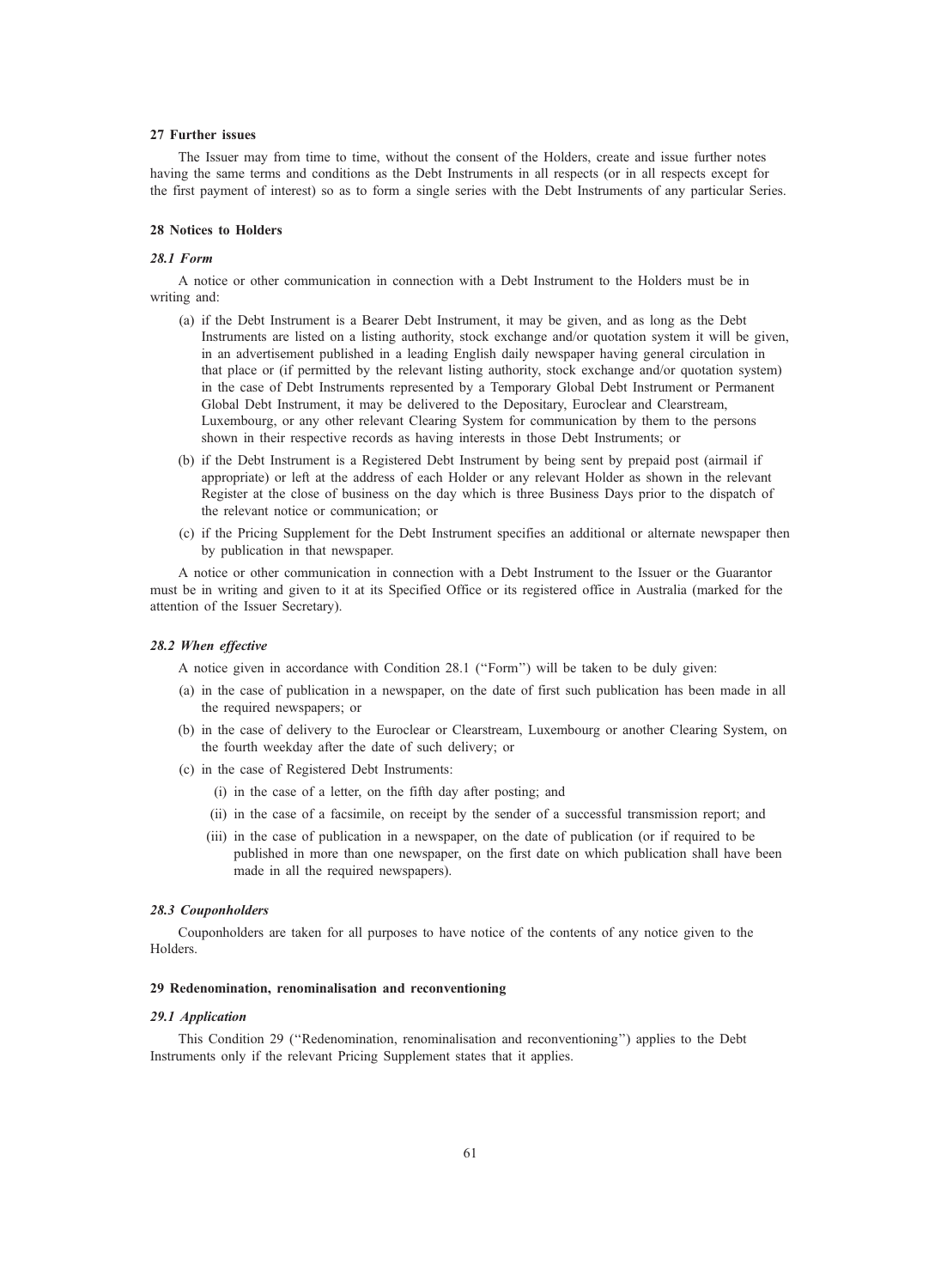## 27 Further issues

The Issuer may from time to time, without the consent of the Holders, create and issue further notes having the same terms and conditions as the Debt Instruments in all respects (or in all respects except for the first payment of interest) so as to form a single series with the Debt Instruments of any particular Series.

### 28 Notices to Holders

## 28.1 Form

A notice or other communication in connection with a Debt Instrument to the Holders must be in writing and:

- (a) if the Debt Instrument is a Bearer Debt Instrument, it may be given, and as long as the Debt Instruments are listed on a listing authority, stock exchange and/or quotation system it will be given, in an advertisement published in a leading English daily newspaper having general circulation in that place or (if permitted by the relevant listing authority, stock exchange and/or quotation system) in the case of Debt Instruments represented by a Temporary Global Debt Instrument or Permanent Global Debt Instrument, it may be delivered to the Depositary, Euroclear and Clearstream, Luxembourg, or any other relevant Clearing System for communication by them to the persons shown in their respective records as having interests in those Debt Instruments; or
- (b) if the Debt Instrument is a Registered Debt Instrument by being sent by prepaid post (airmail if appropriate) or left at the address of each Holder or any relevant Holder as shown in the relevant Register at the close of business on the day which is three Business Days prior to the dispatch of the relevant notice or communication; or
- (c) if the Pricing Supplement for the Debt Instrument specifies an additional or alternate newspaper then by publication in that newspaper.

A notice or other communication in connection with a Debt Instrument to the Issuer or the Guarantor must be in writing and given to it at its Specified Office or its registered office in Australia (marked for the attention of the Issuer Secretary).

### 28.2 When effective

A notice given in accordance with Condition 28.1 (''Form'') will be taken to be duly given:

- (a) in the case of publication in a newspaper, on the date of first such publication has been made in all the required newspapers; or
- (b) in the case of delivery to the Euroclear or Clearstream, Luxembourg or another Clearing System, on the fourth weekday after the date of such delivery; or
- (c) in the case of Registered Debt Instruments:
	- (i) in the case of a letter, on the fifth day after posting; and
	- (ii) in the case of a facsimile, on receipt by the sender of a successful transmission report; and
	- (iii) in the case of publication in a newspaper, on the date of publication (or if required to be published in more than one newspaper, on the first date on which publication shall have been made in all the required newspapers).

### 28.3 Couponholders

Couponholders are taken for all purposes to have notice of the contents of any notice given to the Holders.

## 29 Redenomination, renominalisation and reconventioning

#### 29.1 Application

This Condition 29 (''Redenomination, renominalisation and reconventioning'') applies to the Debt Instruments only if the relevant Pricing Supplement states that it applies.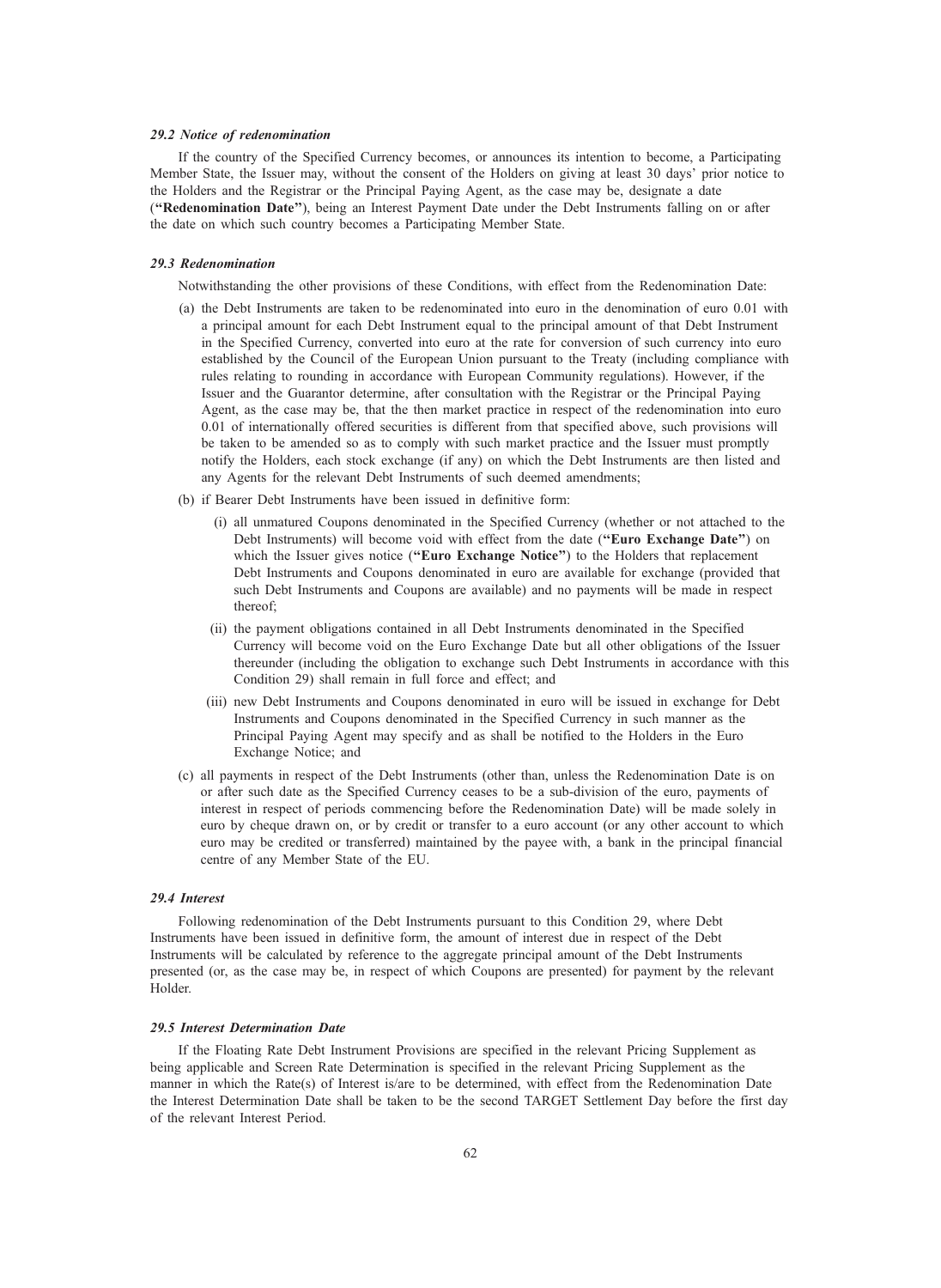### 29.2 Notice of redenomination

If the country of the Specified Currency becomes, or announces its intention to become, a Participating Member State, the Issuer may, without the consent of the Holders on giving at least 30 days' prior notice to the Holders and the Registrar or the Principal Paying Agent, as the case may be, designate a date (''Redenomination Date''), being an Interest Payment Date under the Debt Instruments falling on or after the date on which such country becomes a Participating Member State.

### 29.3 Redenomination

Notwithstanding the other provisions of these Conditions, with effect from the Redenomination Date:

- (a) the Debt Instruments are taken to be redenominated into euro in the denomination of euro 0.01 with a principal amount for each Debt Instrument equal to the principal amount of that Debt Instrument in the Specified Currency, converted into euro at the rate for conversion of such currency into euro established by the Council of the European Union pursuant to the Treaty (including compliance with rules relating to rounding in accordance with European Community regulations). However, if the Issuer and the Guarantor determine, after consultation with the Registrar or the Principal Paying Agent, as the case may be, that the then market practice in respect of the redenomination into euro 0.01 of internationally offered securities is different from that specified above, such provisions will be taken to be amended so as to comply with such market practice and the Issuer must promptly notify the Holders, each stock exchange (if any) on which the Debt Instruments are then listed and any Agents for the relevant Debt Instruments of such deemed amendments;
- (b) if Bearer Debt Instruments have been issued in definitive form:
	- (i) all unmatured Coupons denominated in the Specified Currency (whether or not attached to the Debt Instruments) will become void with effect from the date ("Euro Exchange Date") on which the Issuer gives notice ("Euro Exchange Notice") to the Holders that replacement Debt Instruments and Coupons denominated in euro are available for exchange (provided that such Debt Instruments and Coupons are available) and no payments will be made in respect thereof;
	- (ii) the payment obligations contained in all Debt Instruments denominated in the Specified Currency will become void on the Euro Exchange Date but all other obligations of the Issuer thereunder (including the obligation to exchange such Debt Instruments in accordance with this Condition 29) shall remain in full force and effect; and
	- (iii) new Debt Instruments and Coupons denominated in euro will be issued in exchange for Debt Instruments and Coupons denominated in the Specified Currency in such manner as the Principal Paying Agent may specify and as shall be notified to the Holders in the Euro Exchange Notice; and
- (c) all payments in respect of the Debt Instruments (other than, unless the Redenomination Date is on or after such date as the Specified Currency ceases to be a sub-division of the euro, payments of interest in respect of periods commencing before the Redenomination Date) will be made solely in euro by cheque drawn on, or by credit or transfer to a euro account (or any other account to which euro may be credited or transferred) maintained by the payee with, a bank in the principal financial centre of any Member State of the EU.

### 29.4 Interest

Following redenomination of the Debt Instruments pursuant to this Condition 29, where Debt Instruments have been issued in definitive form, the amount of interest due in respect of the Debt Instruments will be calculated by reference to the aggregate principal amount of the Debt Instruments presented (or, as the case may be, in respect of which Coupons are presented) for payment by the relevant Holder.

### 29.5 Interest Determination Date

If the Floating Rate Debt Instrument Provisions are specified in the relevant Pricing Supplement as being applicable and Screen Rate Determination is specified in the relevant Pricing Supplement as the manner in which the Rate(s) of Interest is/are to be determined, with effect from the Redenomination Date the Interest Determination Date shall be taken to be the second TARGET Settlement Day before the first day of the relevant Interest Period.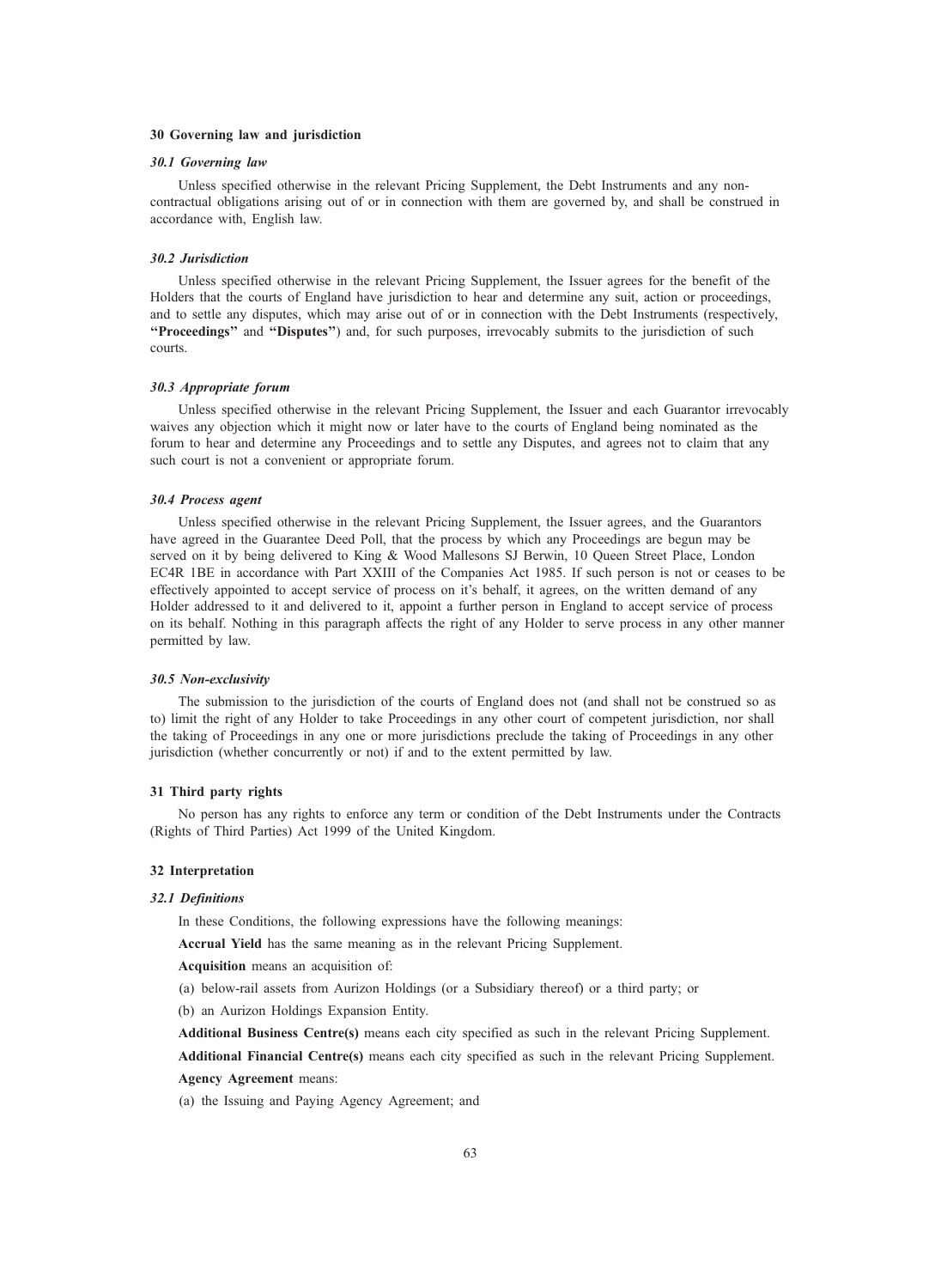### 30 Governing law and jurisdiction

### 30.1 Governing law

Unless specified otherwise in the relevant Pricing Supplement, the Debt Instruments and any noncontractual obligations arising out of or in connection with them are governed by, and shall be construed in accordance with, English law.

## 30.2 Jurisdiction

Unless specified otherwise in the relevant Pricing Supplement, the Issuer agrees for the benefit of the Holders that the courts of England have jurisdiction to hear and determine any suit, action or proceedings, and to settle any disputes, which may arise out of or in connection with the Debt Instruments (respectively, ''Proceedings'' and ''Disputes'') and, for such purposes, irrevocably submits to the jurisdiction of such courts.

## 30.3 Appropriate forum

Unless specified otherwise in the relevant Pricing Supplement, the Issuer and each Guarantor irrevocably waives any objection which it might now or later have to the courts of England being nominated as the forum to hear and determine any Proceedings and to settle any Disputes, and agrees not to claim that any such court is not a convenient or appropriate forum.

## 30.4 Process agent

Unless specified otherwise in the relevant Pricing Supplement, the Issuer agrees, and the Guarantors have agreed in the Guarantee Deed Poll, that the process by which any Proceedings are begun may be served on it by being delivered to King & Wood Mallesons SJ Berwin, 10 Queen Street Place, London EC4R 1BE in accordance with Part XXIII of the Companies Act 1985. If such person is not or ceases to be effectively appointed to accept service of process on it's behalf, it agrees, on the written demand of any Holder addressed to it and delivered to it, appoint a further person in England to accept service of process on its behalf. Nothing in this paragraph affects the right of any Holder to serve process in any other manner permitted by law.

## 30.5 Non-exclusivity

The submission to the jurisdiction of the courts of England does not (and shall not be construed so as to) limit the right of any Holder to take Proceedings in any other court of competent jurisdiction, nor shall the taking of Proceedings in any one or more jurisdictions preclude the taking of Proceedings in any other jurisdiction (whether concurrently or not) if and to the extent permitted by law.

### 31 Third party rights

No person has any rights to enforce any term or condition of the Debt Instruments under the Contracts (Rights of Third Parties) Act 1999 of the United Kingdom.

## 32 Interpretation

## 32.1 Definitions

In these Conditions, the following expressions have the following meanings:

Accrual Yield has the same meaning as in the relevant Pricing Supplement.

Acquisition means an acquisition of:

(a) below-rail assets from Aurizon Holdings (or a Subsidiary thereof) or a third party; or

(b) an Aurizon Holdings Expansion Entity.

Additional Business Centre(s) means each city specified as such in the relevant Pricing Supplement.

Additional Financial Centre(s) means each city specified as such in the relevant Pricing Supplement.

# Agency Agreement means:

(a) the Issuing and Paying Agency Agreement; and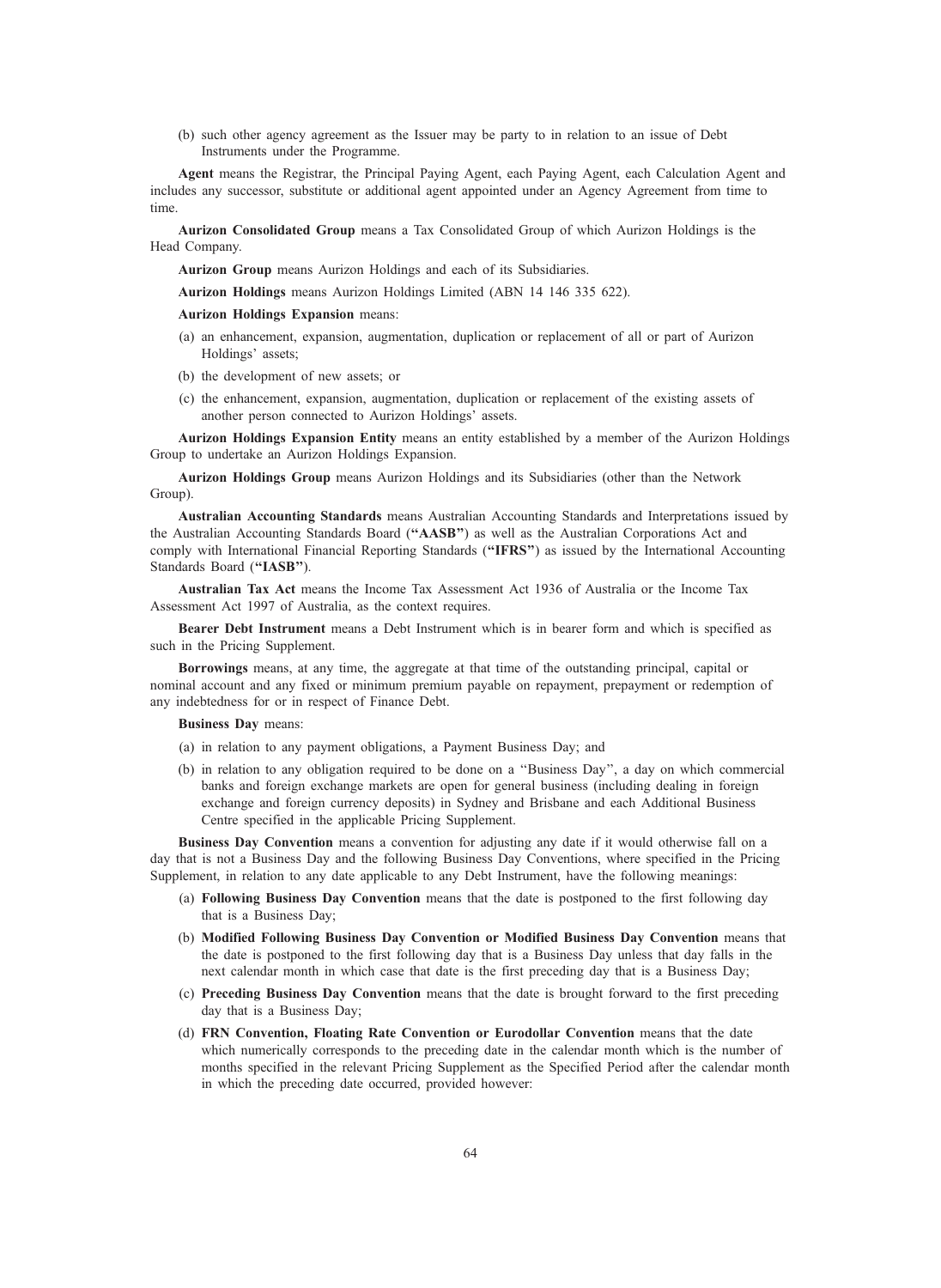(b) such other agency agreement as the Issuer may be party to in relation to an issue of Debt Instruments under the Programme.

Agent means the Registrar, the Principal Paying Agent, each Paying Agent, each Calculation Agent and includes any successor, substitute or additional agent appointed under an Agency Agreement from time to time.

Aurizon Consolidated Group means a Tax Consolidated Group of which Aurizon Holdings is the Head Company.

Aurizon Group means Aurizon Holdings and each of its Subsidiaries.

Aurizon Holdings means Aurizon Holdings Limited (ABN 14 146 335 622).

Aurizon Holdings Expansion means:

- (a) an enhancement, expansion, augmentation, duplication or replacement of all or part of Aurizon Holdings' assets;
- (b) the development of new assets; or
- (c) the enhancement, expansion, augmentation, duplication or replacement of the existing assets of another person connected to Aurizon Holdings' assets.

Aurizon Holdings Expansion Entity means an entity established by a member of the Aurizon Holdings Group to undertake an Aurizon Holdings Expansion.

Aurizon Holdings Group means Aurizon Holdings and its Subsidiaries (other than the Network Group).

Australian Accounting Standards means Australian Accounting Standards and Interpretations issued by the Australian Accounting Standards Board (''AASB'') as well as the Australian Corporations Act and comply with International Financial Reporting Standards ("IFRS") as issued by the International Accounting Standards Board ("IASB").

Australian Tax Act means the Income Tax Assessment Act 1936 of Australia or the Income Tax Assessment Act 1997 of Australia, as the context requires.

Bearer Debt Instrument means a Debt Instrument which is in bearer form and which is specified as such in the Pricing Supplement.

Borrowings means, at any time, the aggregate at that time of the outstanding principal, capital or nominal account and any fixed or minimum premium payable on repayment, prepayment or redemption of any indebtedness for or in respect of Finance Debt.

Business Day means:

(a) in relation to any payment obligations, a Payment Business Day; and

(b) in relation to any obligation required to be done on a ''Business Day'', a day on which commercial banks and foreign exchange markets are open for general business (including dealing in foreign exchange and foreign currency deposits) in Sydney and Brisbane and each Additional Business Centre specified in the applicable Pricing Supplement.

Business Day Convention means a convention for adjusting any date if it would otherwise fall on a day that is not a Business Day and the following Business Day Conventions, where specified in the Pricing Supplement, in relation to any date applicable to any Debt Instrument, have the following meanings:

- (a) Following Business Day Convention means that the date is postponed to the first following day that is a Business Day;
- (b) Modified Following Business Day Convention or Modified Business Day Convention means that the date is postponed to the first following day that is a Business Day unless that day falls in the next calendar month in which case that date is the first preceding day that is a Business Day;
- (c) Preceding Business Day Convention means that the date is brought forward to the first preceding day that is a Business Day;
- (d) FRN Convention, Floating Rate Convention or Eurodollar Convention means that the date which numerically corresponds to the preceding date in the calendar month which is the number of months specified in the relevant Pricing Supplement as the Specified Period after the calendar month in which the preceding date occurred, provided however: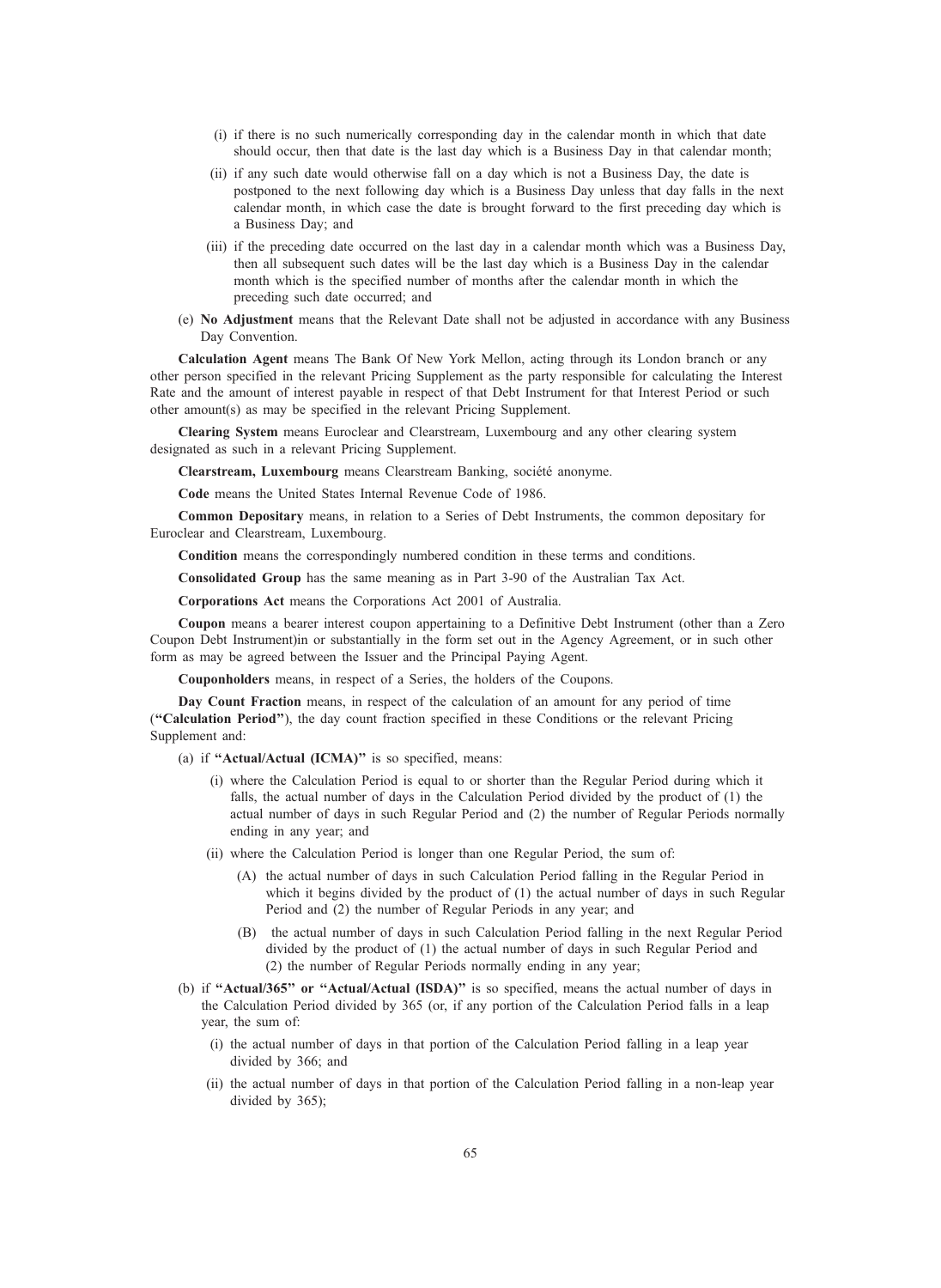- (i) if there is no such numerically corresponding day in the calendar month in which that date should occur, then that date is the last day which is a Business Day in that calendar month;
- (ii) if any such date would otherwise fall on a day which is not a Business Day, the date is postponed to the next following day which is a Business Day unless that day falls in the next calendar month, in which case the date is brought forward to the first preceding day which is a Business Day; and
- (iii) if the preceding date occurred on the last day in a calendar month which was a Business Day, then all subsequent such dates will be the last day which is a Business Day in the calendar month which is the specified number of months after the calendar month in which the preceding such date occurred; and
- (e) No Adjustment means that the Relevant Date shall not be adjusted in accordance with any Business Day Convention.

Calculation Agent means The Bank Of New York Mellon, acting through its London branch or any other person specified in the relevant Pricing Supplement as the party responsible for calculating the Interest Rate and the amount of interest payable in respect of that Debt Instrument for that Interest Period or such other amount(s) as may be specified in the relevant Pricing Supplement.

Clearing System means Euroclear and Clearstream, Luxembourg and any other clearing system designated as such in a relevant Pricing Supplement.

Clearstream, Luxembourg means Clearstream Banking, société anonyme.

Code means the United States Internal Revenue Code of 1986.

Common Depositary means, in relation to a Series of Debt Instruments, the common depositary for Euroclear and Clearstream, Luxembourg.

Condition means the correspondingly numbered condition in these terms and conditions.

Consolidated Group has the same meaning as in Part 3-90 of the Australian Tax Act.

Corporations Act means the Corporations Act 2001 of Australia.

Coupon means a bearer interest coupon appertaining to a Definitive Debt Instrument (other than a Zero Coupon Debt Instrument)in or substantially in the form set out in the Agency Agreement, or in such other form as may be agreed between the Issuer and the Principal Paying Agent.

Couponholders means, in respect of a Series, the holders of the Coupons.

Day Count Fraction means, in respect of the calculation of an amount for any period of time (''Calculation Period''), the day count fraction specified in these Conditions or the relevant Pricing Supplement and:

(a) if "Actual/Actual (ICMA)" is so specified, means:

- (i) where the Calculation Period is equal to or shorter than the Regular Period during which it falls, the actual number of days in the Calculation Period divided by the product of (1) the actual number of days in such Regular Period and (2) the number of Regular Periods normally ending in any year; and
- (ii) where the Calculation Period is longer than one Regular Period, the sum of:
	- (A) the actual number of days in such Calculation Period falling in the Regular Period in which it begins divided by the product of (1) the actual number of days in such Regular Period and (2) the number of Regular Periods in any year; and
	- (B) the actual number of days in such Calculation Period falling in the next Regular Period divided by the product of (1) the actual number of days in such Regular Period and (2) the number of Regular Periods normally ending in any year;
- (b) if "Actual/365" or "Actual/Actual (ISDA)" is so specified, means the actual number of days in the Calculation Period divided by 365 (or, if any portion of the Calculation Period falls in a leap year, the sum of:
	- (i) the actual number of days in that portion of the Calculation Period falling in a leap year divided by 366; and
	- (ii) the actual number of days in that portion of the Calculation Period falling in a non-leap year divided by 365);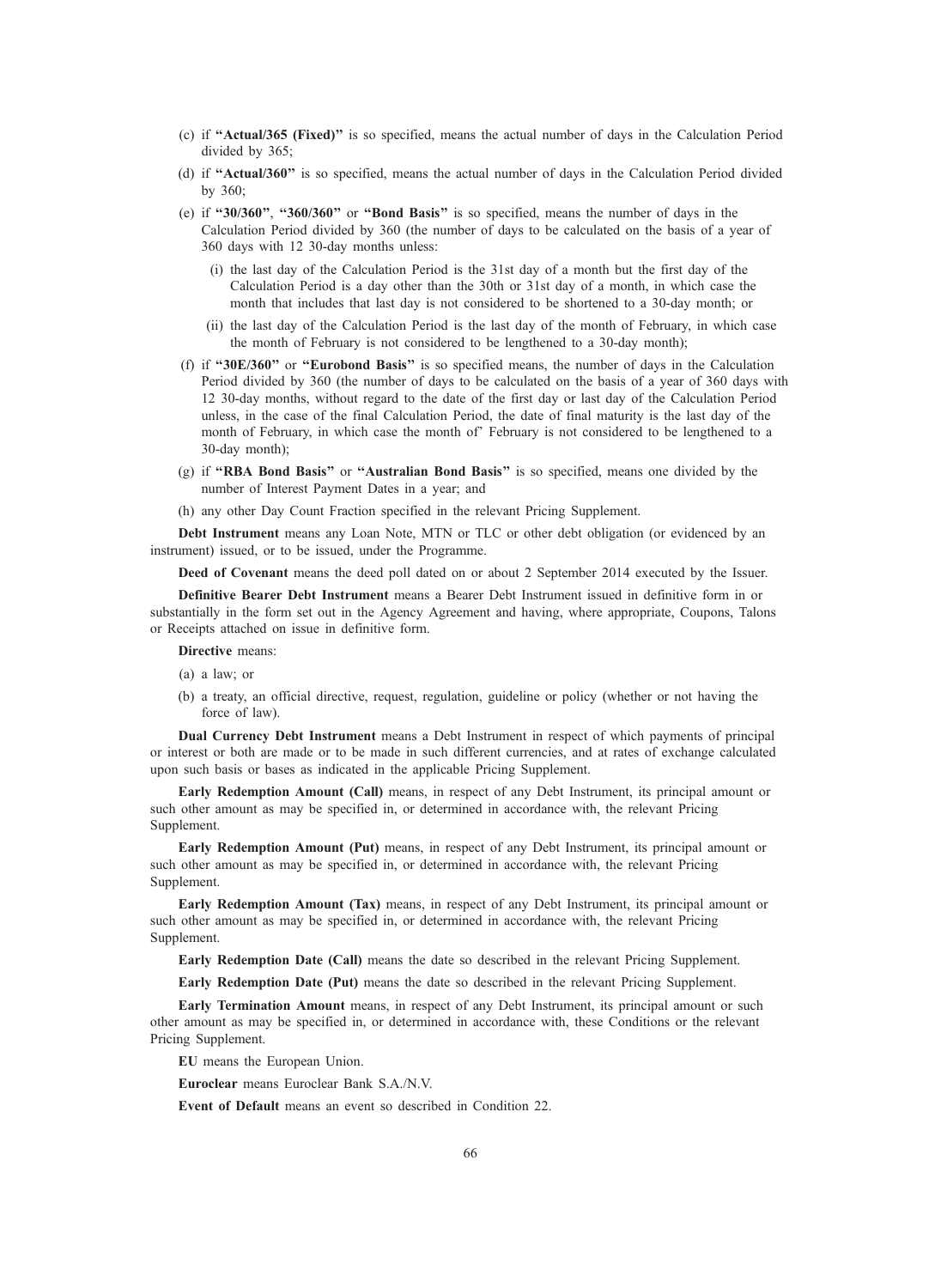- (c) if ''Actual/365 (Fixed)'' is so specified, means the actual number of days in the Calculation Period divided by 365;
- (d) if ''Actual/360'' is so specified, means the actual number of days in the Calculation Period divided by 360;
- (e) if ''30/360'', ''360/360'' or ''Bond Basis'' is so specified, means the number of days in the Calculation Period divided by 360 (the number of days to be calculated on the basis of a year of 360 days with 12 30-day months unless:
	- (i) the last day of the Calculation Period is the 31st day of a month but the first day of the Calculation Period is a day other than the 30th or 31st day of a month, in which case the month that includes that last day is not considered to be shortened to a 30-day month; or
	- (ii) the last day of the Calculation Period is the last day of the month of February, in which case the month of February is not considered to be lengthened to a 30-day month);
- (f) if ''30E/360'' or ''Eurobond Basis'' is so specified means, the number of days in the Calculation Period divided by 360 (the number of days to be calculated on the basis of a year of 360 days with 12 30-day months, without regard to the date of the first day or last day of the Calculation Period unless, in the case of the final Calculation Period, the date of final maturity is the last day of the month of February, in which case the month of' February is not considered to be lengthened to a 30-day month);
- (g) if ''RBA Bond Basis'' or ''Australian Bond Basis'' is so specified, means one divided by the number of Interest Payment Dates in a year; and
- (h) any other Day Count Fraction specified in the relevant Pricing Supplement.

Debt Instrument means any Loan Note, MTN or TLC or other debt obligation (or evidenced by an instrument) issued, or to be issued, under the Programme.

Deed of Covenant means the deed poll dated on or about 2 September 2014 executed by the Issuer.

Definitive Bearer Debt Instrument means a Bearer Debt Instrument issued in definitive form in or substantially in the form set out in the Agency Agreement and having, where appropriate, Coupons, Talons or Receipts attached on issue in definitive form.

Directive means:

- (a) a law; or
- (b) a treaty, an official directive, request, regulation, guideline or policy (whether or not having the force of law).

Dual Currency Debt Instrument means a Debt Instrument in respect of which payments of principal or interest or both are made or to be made in such different currencies, and at rates of exchange calculated upon such basis or bases as indicated in the applicable Pricing Supplement.

Early Redemption Amount (Call) means, in respect of any Debt Instrument, its principal amount or such other amount as may be specified in, or determined in accordance with, the relevant Pricing Supplement.

Early Redemption Amount (Put) means, in respect of any Debt Instrument, its principal amount or such other amount as may be specified in, or determined in accordance with, the relevant Pricing Supplement.

Early Redemption Amount (Tax) means, in respect of any Debt Instrument, its principal amount or such other amount as may be specified in, or determined in accordance with, the relevant Pricing Supplement.

Early Redemption Date (Call) means the date so described in the relevant Pricing Supplement.

Early Redemption Date (Put) means the date so described in the relevant Pricing Supplement.

Early Termination Amount means, in respect of any Debt Instrument, its principal amount or such other amount as may be specified in, or determined in accordance with, these Conditions or the relevant Pricing Supplement.

EU means the European Union.

Euroclear means Euroclear Bank S.A./N.V.

Event of Default means an event so described in Condition 22.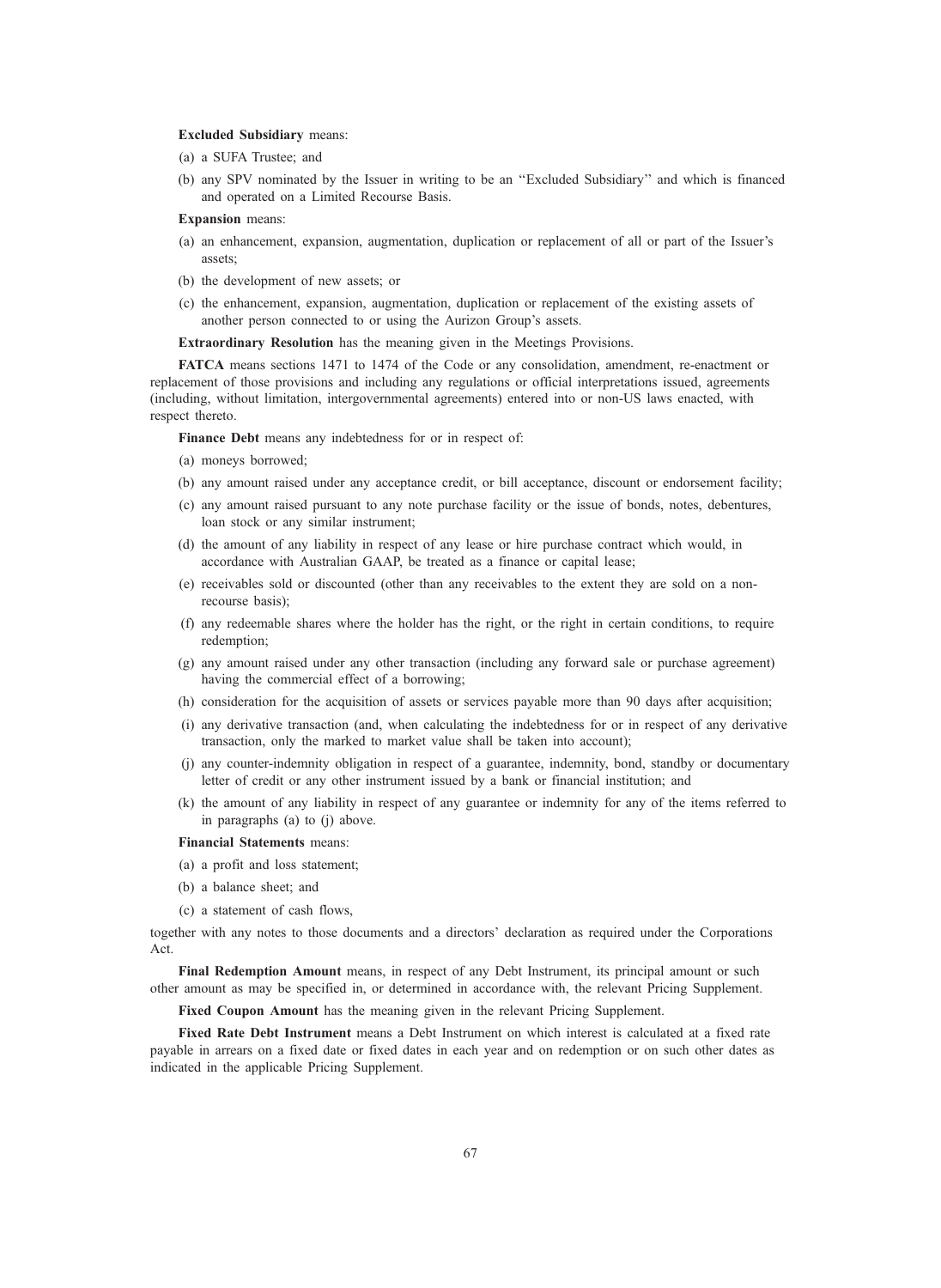### Excluded Subsidiary means:

- (a) a SUFA Trustee; and
- (b) any SPV nominated by the Issuer in writing to be an ''Excluded Subsidiary'' and which is financed and operated on a Limited Recourse Basis.

### Expansion means:

- (a) an enhancement, expansion, augmentation, duplication or replacement of all or part of the Issuer's assets;
- (b) the development of new assets; or
- (c) the enhancement, expansion, augmentation, duplication or replacement of the existing assets of another person connected to or using the Aurizon Group's assets.

Extraordinary Resolution has the meaning given in the Meetings Provisions.

FATCA means sections 1471 to 1474 of the Code or any consolidation, amendment, re-enactment or replacement of those provisions and including any regulations or official interpretations issued, agreements (including, without limitation, intergovernmental agreements) entered into or non-US laws enacted, with respect thereto.

Finance Debt means any indebtedness for or in respect of:

- (a) moneys borrowed;
- (b) any amount raised under any acceptance credit, or bill acceptance, discount or endorsement facility;
- (c) any amount raised pursuant to any note purchase facility or the issue of bonds, notes, debentures, loan stock or any similar instrument;
- (d) the amount of any liability in respect of any lease or hire purchase contract which would, in accordance with Australian GAAP, be treated as a finance or capital lease;
- (e) receivables sold or discounted (other than any receivables to the extent they are sold on a nonrecourse basis);
- (f) any redeemable shares where the holder has the right, or the right in certain conditions, to require redemption;
- (g) any amount raised under any other transaction (including any forward sale or purchase agreement) having the commercial effect of a borrowing;
- (h) consideration for the acquisition of assets or services payable more than 90 days after acquisition;
- (i) any derivative transaction (and, when calculating the indebtedness for or in respect of any derivative transaction, only the marked to market value shall be taken into account);
- (j) any counter-indemnity obligation in respect of a guarantee, indemnity, bond, standby or documentary letter of credit or any other instrument issued by a bank or financial institution; and
- (k) the amount of any liability in respect of any guarantee or indemnity for any of the items referred to in paragraphs (a) to (j) above.

### Financial Statements means:

- (a) a profit and loss statement;
- (b) a balance sheet; and
- (c) a statement of cash flows,

together with any notes to those documents and a directors' declaration as required under the Corporations Act.

Final Redemption Amount means, in respect of any Debt Instrument, its principal amount or such other amount as may be specified in, or determined in accordance with, the relevant Pricing Supplement.

Fixed Coupon Amount has the meaning given in the relevant Pricing Supplement.

Fixed Rate Debt Instrument means a Debt Instrument on which interest is calculated at a fixed rate payable in arrears on a fixed date or fixed dates in each year and on redemption or on such other dates as indicated in the applicable Pricing Supplement.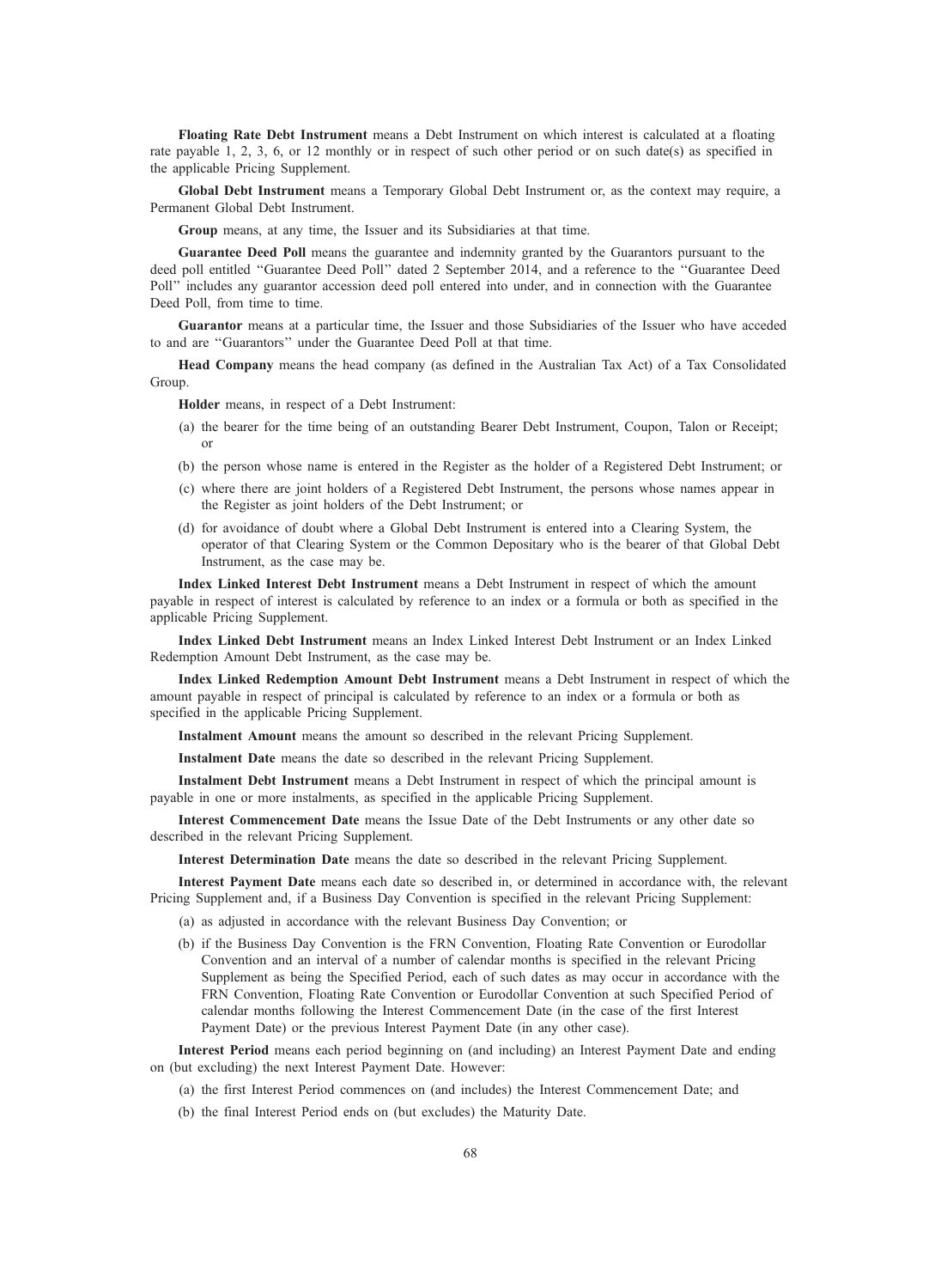Floating Rate Debt Instrument means a Debt Instrument on which interest is calculated at a floating rate payable 1, 2, 3, 6, or 12 monthly or in respect of such other period or on such date(s) as specified in the applicable Pricing Supplement.

Global Debt Instrument means a Temporary Global Debt Instrument or, as the context may require, a Permanent Global Debt Instrument.

Group means, at any time, the Issuer and its Subsidiaries at that time.

Guarantee Deed Poll means the guarantee and indemnity granted by the Guarantors pursuant to the deed poll entitled ''Guarantee Deed Poll'' dated 2 September 2014, and a reference to the ''Guarantee Deed Poll'' includes any guarantor accession deed poll entered into under, and in connection with the Guarantee Deed Poll, from time to time.

Guarantor means at a particular time, the Issuer and those Subsidiaries of the Issuer who have acceded to and are ''Guarantors'' under the Guarantee Deed Poll at that time.

Head Company means the head company (as defined in the Australian Tax Act) of a Tax Consolidated Group.

Holder means, in respect of a Debt Instrument:

- (a) the bearer for the time being of an outstanding Bearer Debt Instrument, Coupon, Talon or Receipt; or
- (b) the person whose name is entered in the Register as the holder of a Registered Debt Instrument; or
- (c) where there are joint holders of a Registered Debt Instrument, the persons whose names appear in the Register as joint holders of the Debt Instrument; or
- (d) for avoidance of doubt where a Global Debt Instrument is entered into a Clearing System, the operator of that Clearing System or the Common Depositary who is the bearer of that Global Debt Instrument, as the case may be.

Index Linked Interest Debt Instrument means a Debt Instrument in respect of which the amount payable in respect of interest is calculated by reference to an index or a formula or both as specified in the applicable Pricing Supplement.

Index Linked Debt Instrument means an Index Linked Interest Debt Instrument or an Index Linked Redemption Amount Debt Instrument, as the case may be.

Index Linked Redemption Amount Debt Instrument means a Debt Instrument in respect of which the amount payable in respect of principal is calculated by reference to an index or a formula or both as specified in the applicable Pricing Supplement.

Instalment Amount means the amount so described in the relevant Pricing Supplement.

Instalment Date means the date so described in the relevant Pricing Supplement.

Instalment Debt Instrument means a Debt Instrument in respect of which the principal amount is payable in one or more instalments, as specified in the applicable Pricing Supplement.

Interest Commencement Date means the Issue Date of the Debt Instruments or any other date so described in the relevant Pricing Supplement.

Interest Determination Date means the date so described in the relevant Pricing Supplement.

Interest Payment Date means each date so described in, or determined in accordance with, the relevant Pricing Supplement and, if a Business Day Convention is specified in the relevant Pricing Supplement:

- (a) as adjusted in accordance with the relevant Business Day Convention; or
- (b) if the Business Day Convention is the FRN Convention, Floating Rate Convention or Eurodollar Convention and an interval of a number of calendar months is specified in the relevant Pricing Supplement as being the Specified Period, each of such dates as may occur in accordance with the FRN Convention, Floating Rate Convention or Eurodollar Convention at such Specified Period of calendar months following the Interest Commencement Date (in the case of the first Interest Payment Date) or the previous Interest Payment Date (in any other case).

Interest Period means each period beginning on (and including) an Interest Payment Date and ending on (but excluding) the next Interest Payment Date. However:

- (a) the first Interest Period commences on (and includes) the Interest Commencement Date; and
- (b) the final Interest Period ends on (but excludes) the Maturity Date.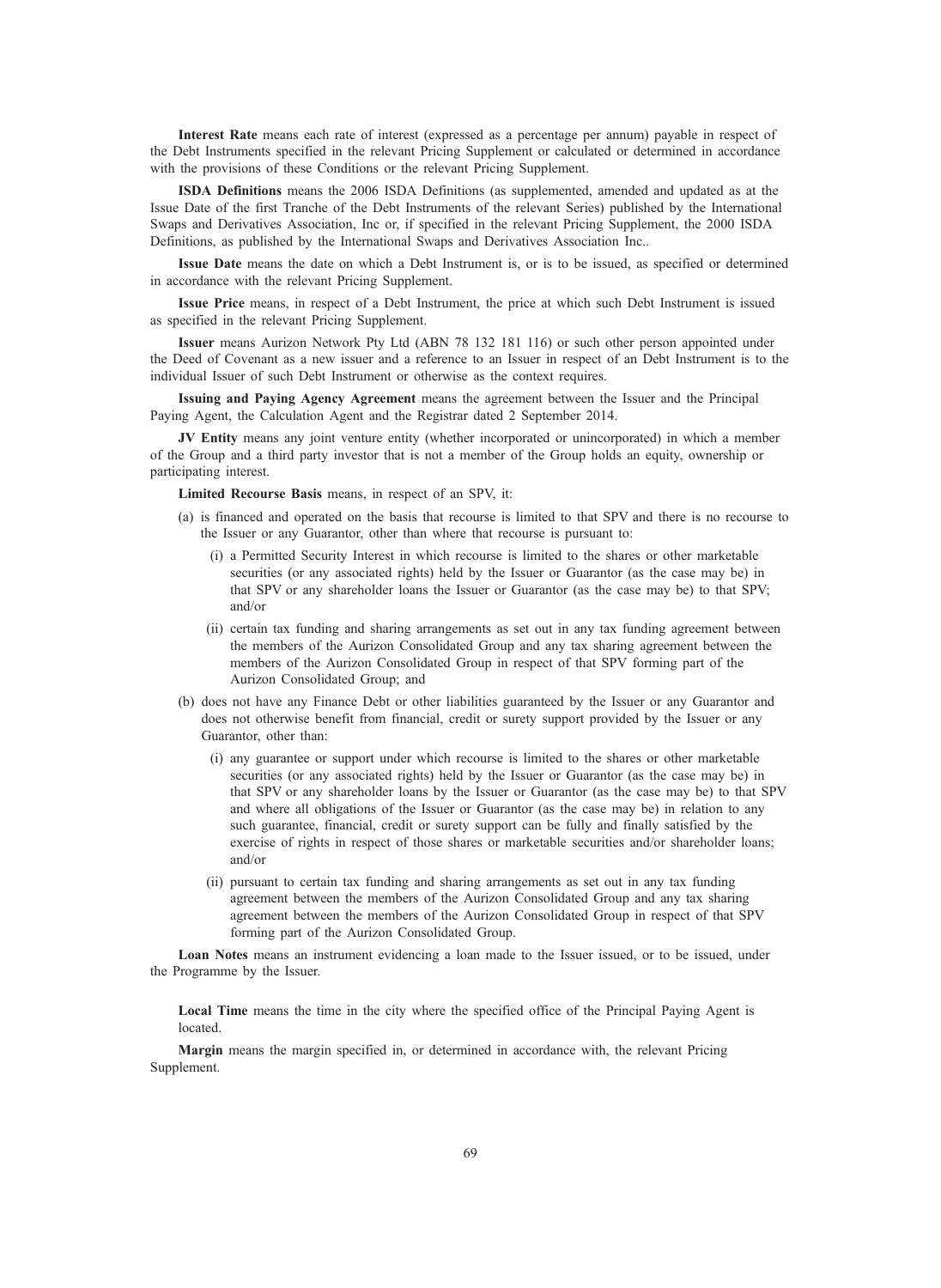Interest Rate means each rate of interest (expressed as a percentage per annum) payable in respect of the Debt Instruments specified in the relevant Pricing Supplement or calculated or determined in accordance with the provisions of these Conditions or the relevant Pricing Supplement.

ISDA Definitions means the 2006 ISDA Definitions (as supplemented, amended and updated as at the Issue Date of the first Tranche of the Debt Instruments of the relevant Series) published by the International Swaps and Derivatives Association, Inc or, if specified in the relevant Pricing Supplement, the 2000 ISDA Definitions, as published by the International Swaps and Derivatives Association Inc..

Issue Date means the date on which a Debt Instrument is, or is to be issued, as specified or determined in accordance with the relevant Pricing Supplement.

Issue Price means, in respect of a Debt Instrument, the price at which such Debt Instrument is issued as specified in the relevant Pricing Supplement.

Issuer means Aurizon Network Pty Ltd (ABN 78 132 181 116) or such other person appointed under the Deed of Covenant as a new issuer and a reference to an Issuer in respect of an Debt Instrument is to the individual Issuer of such Debt Instrument or otherwise as the context requires.

Issuing and Paying Agency Agreement means the agreement between the Issuer and the Principal Paying Agent, the Calculation Agent and the Registrar dated 2 September 2014.

JV Entity means any joint venture entity (whether incorporated or unincorporated) in which a member of the Group and a third party investor that is not a member of the Group holds an equity, ownership or participating interest.

Limited Recourse Basis means, in respect of an SPV, it:

- (a) is financed and operated on the basis that recourse is limited to that SPV and there is no recourse to the Issuer or any Guarantor, other than where that recourse is pursuant to:
	- (i) a Permitted Security Interest in which recourse is limited to the shares or other marketable securities (or any associated rights) held by the Issuer or Guarantor (as the case may be) in that SPV or any shareholder loans the Issuer or Guarantor (as the case may be) to that SPV; and/or
	- (ii) certain tax funding and sharing arrangements as set out in any tax funding agreement between the members of the Aurizon Consolidated Group and any tax sharing agreement between the members of the Aurizon Consolidated Group in respect of that SPV forming part of the Aurizon Consolidated Group; and
- (b) does not have any Finance Debt or other liabilities guaranteed by the Issuer or any Guarantor and does not otherwise benefit from financial, credit or surety support provided by the Issuer or any Guarantor, other than:
	- (i) any guarantee or support under which recourse is limited to the shares or other marketable securities (or any associated rights) held by the Issuer or Guarantor (as the case may be) in that SPV or any shareholder loans by the Issuer or Guarantor (as the case may be) to that SPV and where all obligations of the Issuer or Guarantor (as the case may be) in relation to any such guarantee, financial, credit or surety support can be fully and finally satisfied by the exercise of rights in respect of those shares or marketable securities and/or shareholder loans; and/or
	- (ii) pursuant to certain tax funding and sharing arrangements as set out in any tax funding agreement between the members of the Aurizon Consolidated Group and any tax sharing agreement between the members of the Aurizon Consolidated Group in respect of that SPV forming part of the Aurizon Consolidated Group.

Loan Notes means an instrument evidencing a loan made to the Issuer issued, or to be issued, under the Programme by the Issuer.

Local Time means the time in the city where the specified office of the Principal Paying Agent is located.

Margin means the margin specified in, or determined in accordance with, the relevant Pricing Supplement.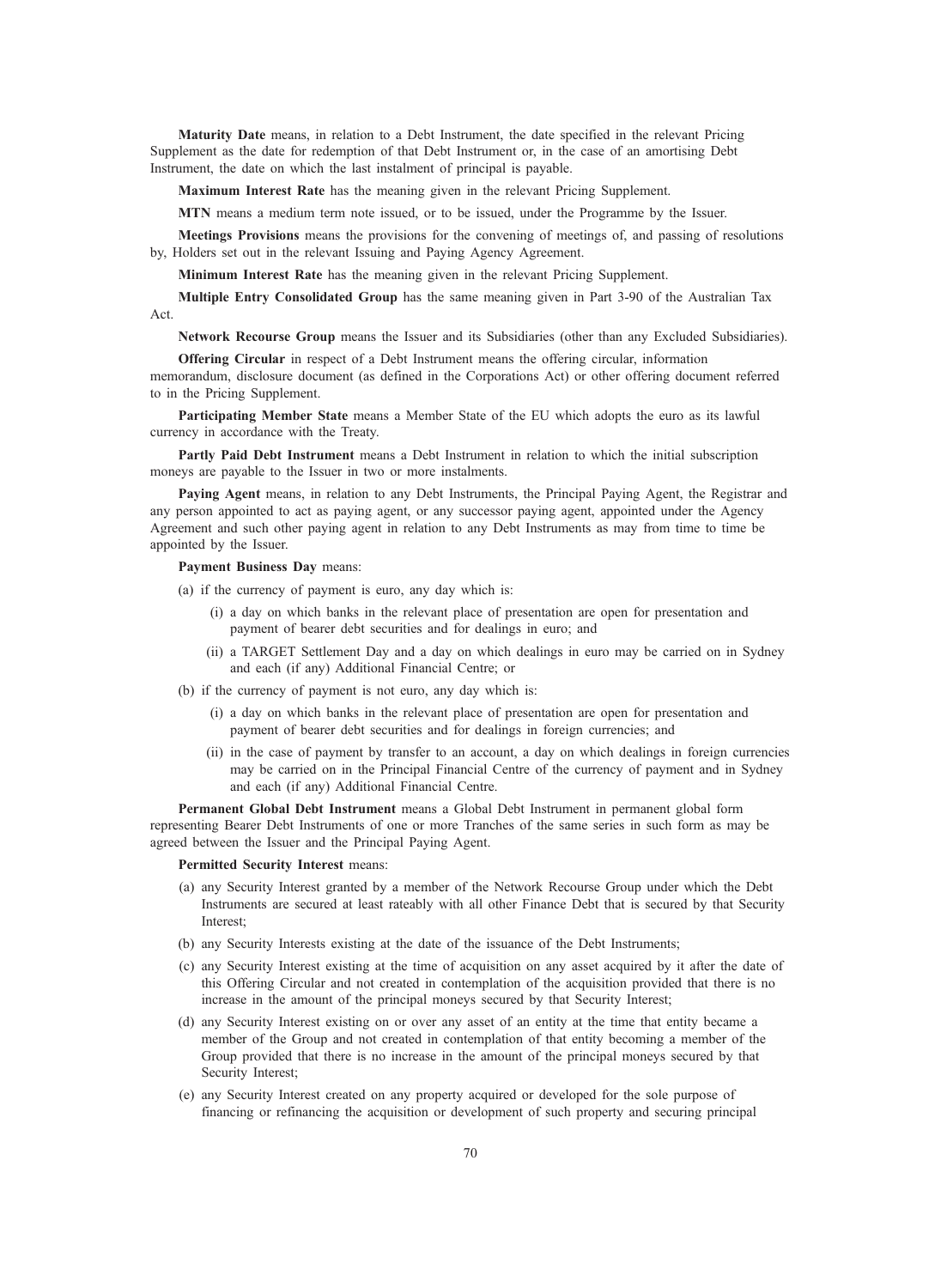Maturity Date means, in relation to a Debt Instrument, the date specified in the relevant Pricing Supplement as the date for redemption of that Debt Instrument or, in the case of an amortising Debt Instrument, the date on which the last instalment of principal is payable.

Maximum Interest Rate has the meaning given in the relevant Pricing Supplement.

MTN means a medium term note issued, or to be issued, under the Programme by the Issuer.

Meetings Provisions means the provisions for the convening of meetings of, and passing of resolutions by, Holders set out in the relevant Issuing and Paying Agency Agreement.

Minimum Interest Rate has the meaning given in the relevant Pricing Supplement.

Multiple Entry Consolidated Group has the same meaning given in Part 3-90 of the Australian Tax Act.

Network Recourse Group means the Issuer and its Subsidiaries (other than any Excluded Subsidiaries).

Offering Circular in respect of a Debt Instrument means the offering circular, information memorandum, disclosure document (as defined in the Corporations Act) or other offering document referred to in the Pricing Supplement.

Participating Member State means a Member State of the EU which adopts the euro as its lawful currency in accordance with the Treaty.

Partly Paid Debt Instrument means a Debt Instrument in relation to which the initial subscription moneys are payable to the Issuer in two or more instalments.

Paying Agent means, in relation to any Debt Instruments, the Principal Paying Agent, the Registrar and any person appointed to act as paying agent, or any successor paying agent, appointed under the Agency Agreement and such other paying agent in relation to any Debt Instruments as may from time to time be appointed by the Issuer.

Payment Business Day means:

(a) if the currency of payment is euro, any day which is:

- (i) a day on which banks in the relevant place of presentation are open for presentation and payment of bearer debt securities and for dealings in euro; and
- (ii) a TARGET Settlement Day and a day on which dealings in euro may be carried on in Sydney and each (if any) Additional Financial Centre; or
- (b) if the currency of payment is not euro, any day which is:
	- (i) a day on which banks in the relevant place of presentation are open for presentation and payment of bearer debt securities and for dealings in foreign currencies; and
	- (ii) in the case of payment by transfer to an account, a day on which dealings in foreign currencies may be carried on in the Principal Financial Centre of the currency of payment and in Sydney and each (if any) Additional Financial Centre.

Permanent Global Debt Instrument means a Global Debt Instrument in permanent global form representing Bearer Debt Instruments of one or more Tranches of the same series in such form as may be agreed between the Issuer and the Principal Paying Agent.

Permitted Security Interest means:

- (a) any Security Interest granted by a member of the Network Recourse Group under which the Debt Instruments are secured at least rateably with all other Finance Debt that is secured by that Security Interest;
- (b) any Security Interests existing at the date of the issuance of the Debt Instruments;
- (c) any Security Interest existing at the time of acquisition on any asset acquired by it after the date of this Offering Circular and not created in contemplation of the acquisition provided that there is no increase in the amount of the principal moneys secured by that Security Interest;
- (d) any Security Interest existing on or over any asset of an entity at the time that entity became a member of the Group and not created in contemplation of that entity becoming a member of the Group provided that there is no increase in the amount of the principal moneys secured by that Security Interest;
- (e) any Security Interest created on any property acquired or developed for the sole purpose of financing or refinancing the acquisition or development of such property and securing principal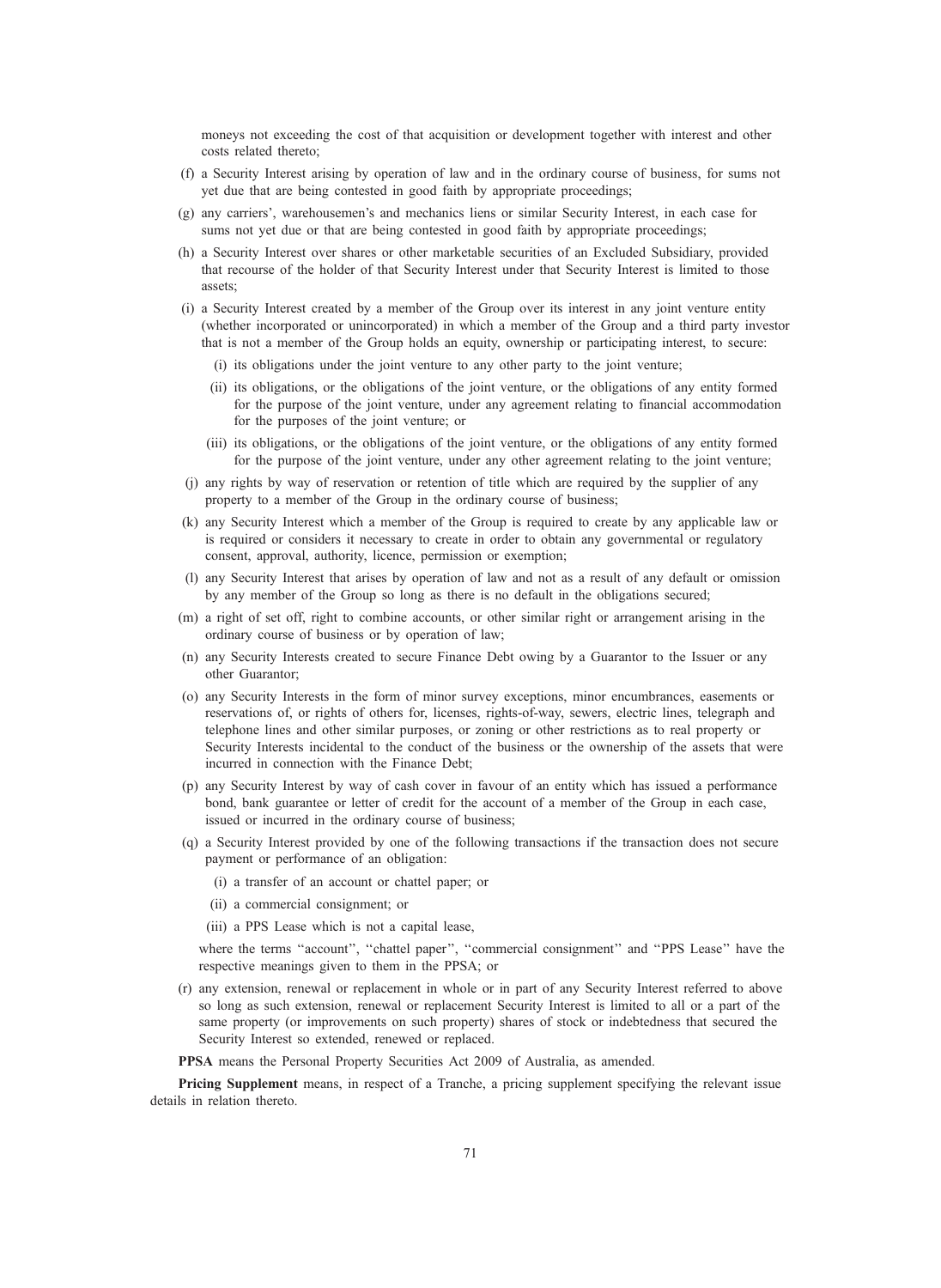moneys not exceeding the cost of that acquisition or development together with interest and other costs related thereto;

- (f) a Security Interest arising by operation of law and in the ordinary course of business, for sums not yet due that are being contested in good faith by appropriate proceedings;
- (g) any carriers', warehousemen's and mechanics liens or similar Security Interest, in each case for sums not yet due or that are being contested in good faith by appropriate proceedings;
- (h) a Security Interest over shares or other marketable securities of an Excluded Subsidiary, provided that recourse of the holder of that Security Interest under that Security Interest is limited to those assets;
- (i) a Security Interest created by a member of the Group over its interest in any joint venture entity (whether incorporated or unincorporated) in which a member of the Group and a third party investor that is not a member of the Group holds an equity, ownership or participating interest, to secure:
	- (i) its obligations under the joint venture to any other party to the joint venture;
	- (ii) its obligations, or the obligations of the joint venture, or the obligations of any entity formed for the purpose of the joint venture, under any agreement relating to financial accommodation for the purposes of the joint venture; or
	- (iii) its obligations, or the obligations of the joint venture, or the obligations of any entity formed for the purpose of the joint venture, under any other agreement relating to the joint venture;
- (j) any rights by way of reservation or retention of title which are required by the supplier of any property to a member of the Group in the ordinary course of business;
- (k) any Security Interest which a member of the Group is required to create by any applicable law or is required or considers it necessary to create in order to obtain any governmental or regulatory consent, approval, authority, licence, permission or exemption;
- (l) any Security Interest that arises by operation of law and not as a result of any default or omission by any member of the Group so long as there is no default in the obligations secured;
- (m) a right of set off, right to combine accounts, or other similar right or arrangement arising in the ordinary course of business or by operation of law;
- (n) any Security Interests created to secure Finance Debt owing by a Guarantor to the Issuer or any other Guarantor;
- (o) any Security Interests in the form of minor survey exceptions, minor encumbrances, easements or reservations of, or rights of others for, licenses, rights-of-way, sewers, electric lines, telegraph and telephone lines and other similar purposes, or zoning or other restrictions as to real property or Security Interests incidental to the conduct of the business or the ownership of the assets that were incurred in connection with the Finance Debt;
- (p) any Security Interest by way of cash cover in favour of an entity which has issued a performance bond, bank guarantee or letter of credit for the account of a member of the Group in each case, issued or incurred in the ordinary course of business;
- (q) a Security Interest provided by one of the following transactions if the transaction does not secure payment or performance of an obligation:
	- (i) a transfer of an account or chattel paper; or
	- (ii) a commercial consignment; or
	- (iii) a PPS Lease which is not a capital lease,

where the terms "account", "chattel paper", "commercial consignment" and "PPS Lease" have the respective meanings given to them in the PPSA; or

(r) any extension, renewal or replacement in whole or in part of any Security Interest referred to above so long as such extension, renewal or replacement Security Interest is limited to all or a part of the same property (or improvements on such property) shares of stock or indebtedness that secured the Security Interest so extended, renewed or replaced.

PPSA means the Personal Property Securities Act 2009 of Australia, as amended.

Pricing Supplement means, in respect of a Tranche, a pricing supplement specifying the relevant issue details in relation thereto.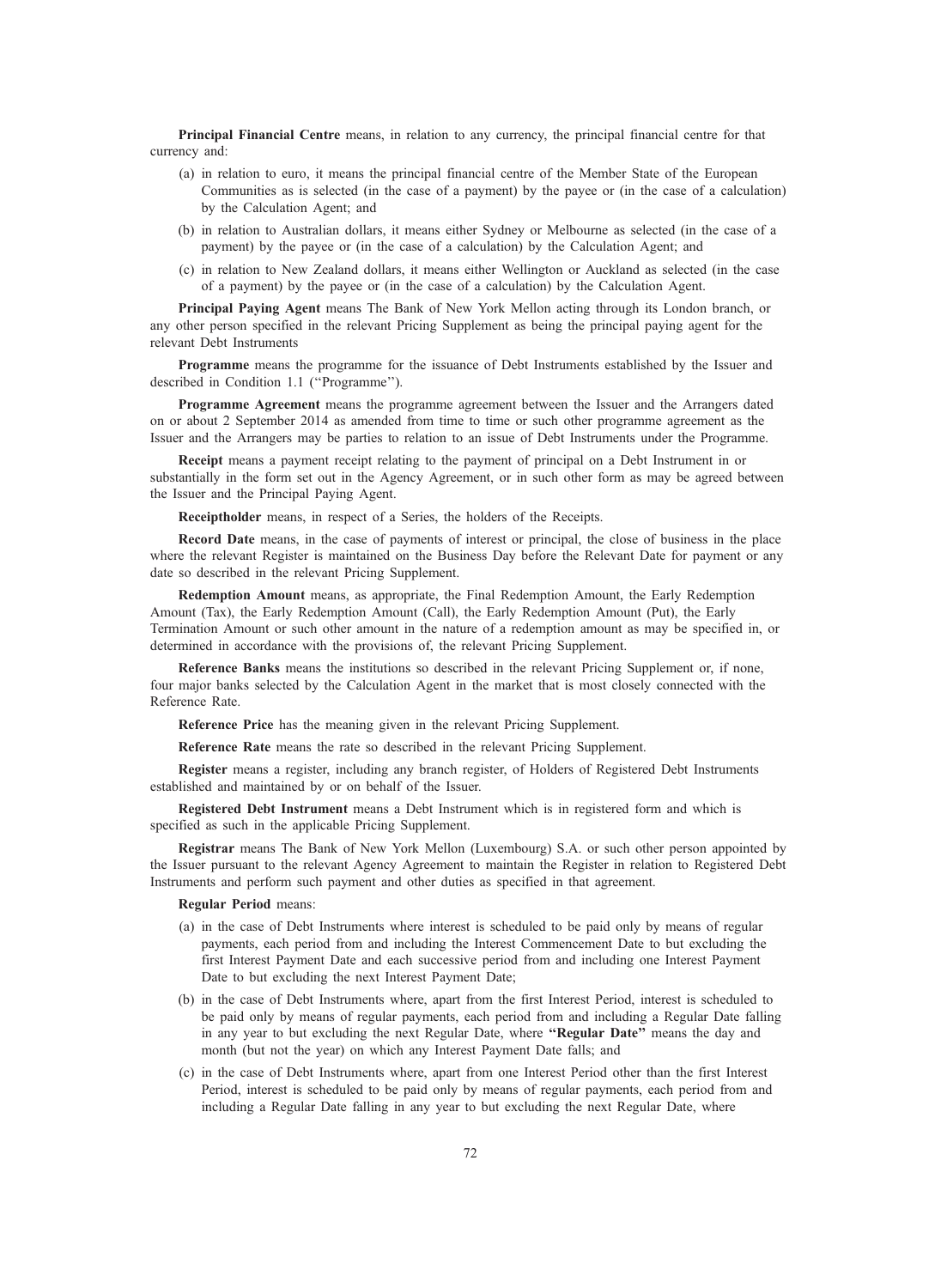Principal Financial Centre means, in relation to any currency, the principal financial centre for that currency and:

- (a) in relation to euro, it means the principal financial centre of the Member State of the European Communities as is selected (in the case of a payment) by the payee or (in the case of a calculation) by the Calculation Agent; and
- (b) in relation to Australian dollars, it means either Sydney or Melbourne as selected (in the case of a payment) by the payee or (in the case of a calculation) by the Calculation Agent; and
- (c) in relation to New Zealand dollars, it means either Wellington or Auckland as selected (in the case of a payment) by the payee or (in the case of a calculation) by the Calculation Agent.

Principal Paying Agent means The Bank of New York Mellon acting through its London branch, or any other person specified in the relevant Pricing Supplement as being the principal paying agent for the relevant Debt Instruments

Programme means the programme for the issuance of Debt Instruments established by the Issuer and described in Condition 1.1 (''Programme'').

Programme Agreement means the programme agreement between the Issuer and the Arrangers dated on or about 2 September 2014 as amended from time to time or such other programme agreement as the Issuer and the Arrangers may be parties to relation to an issue of Debt Instruments under the Programme.

Receipt means a payment receipt relating to the payment of principal on a Debt Instrument in or substantially in the form set out in the Agency Agreement, or in such other form as may be agreed between the Issuer and the Principal Paying Agent.

Receiptholder means, in respect of a Series, the holders of the Receipts.

Record Date means, in the case of payments of interest or principal, the close of business in the place where the relevant Register is maintained on the Business Day before the Relevant Date for payment or any date so described in the relevant Pricing Supplement.

Redemption Amount means, as appropriate, the Final Redemption Amount, the Early Redemption Amount (Tax), the Early Redemption Amount (Call), the Early Redemption Amount (Put), the Early Termination Amount or such other amount in the nature of a redemption amount as may be specified in, or determined in accordance with the provisions of, the relevant Pricing Supplement.

Reference Banks means the institutions so described in the relevant Pricing Supplement or, if none, four major banks selected by the Calculation Agent in the market that is most closely connected with the Reference Rate.

Reference Price has the meaning given in the relevant Pricing Supplement.

Reference Rate means the rate so described in the relevant Pricing Supplement.

Register means a register, including any branch register, of Holders of Registered Debt Instruments established and maintained by or on behalf of the Issuer.

Registered Debt Instrument means a Debt Instrument which is in registered form and which is specified as such in the applicable Pricing Supplement.

Registrar means The Bank of New York Mellon (Luxembourg) S.A. or such other person appointed by the Issuer pursuant to the relevant Agency Agreement to maintain the Register in relation to Registered Debt Instruments and perform such payment and other duties as specified in that agreement.

#### Regular Period means:

- (a) in the case of Debt Instruments where interest is scheduled to be paid only by means of regular payments, each period from and including the Interest Commencement Date to but excluding the first Interest Payment Date and each successive period from and including one Interest Payment Date to but excluding the next Interest Payment Date;
- (b) in the case of Debt Instruments where, apart from the first Interest Period, interest is scheduled to be paid only by means of regular payments, each period from and including a Regular Date falling in any year to but excluding the next Regular Date, where "Regular Date" means the day and month (but not the year) on which any Interest Payment Date falls; and
- (c) in the case of Debt Instruments where, apart from one Interest Period other than the first Interest Period, interest is scheduled to be paid only by means of regular payments, each period from and including a Regular Date falling in any year to but excluding the next Regular Date, where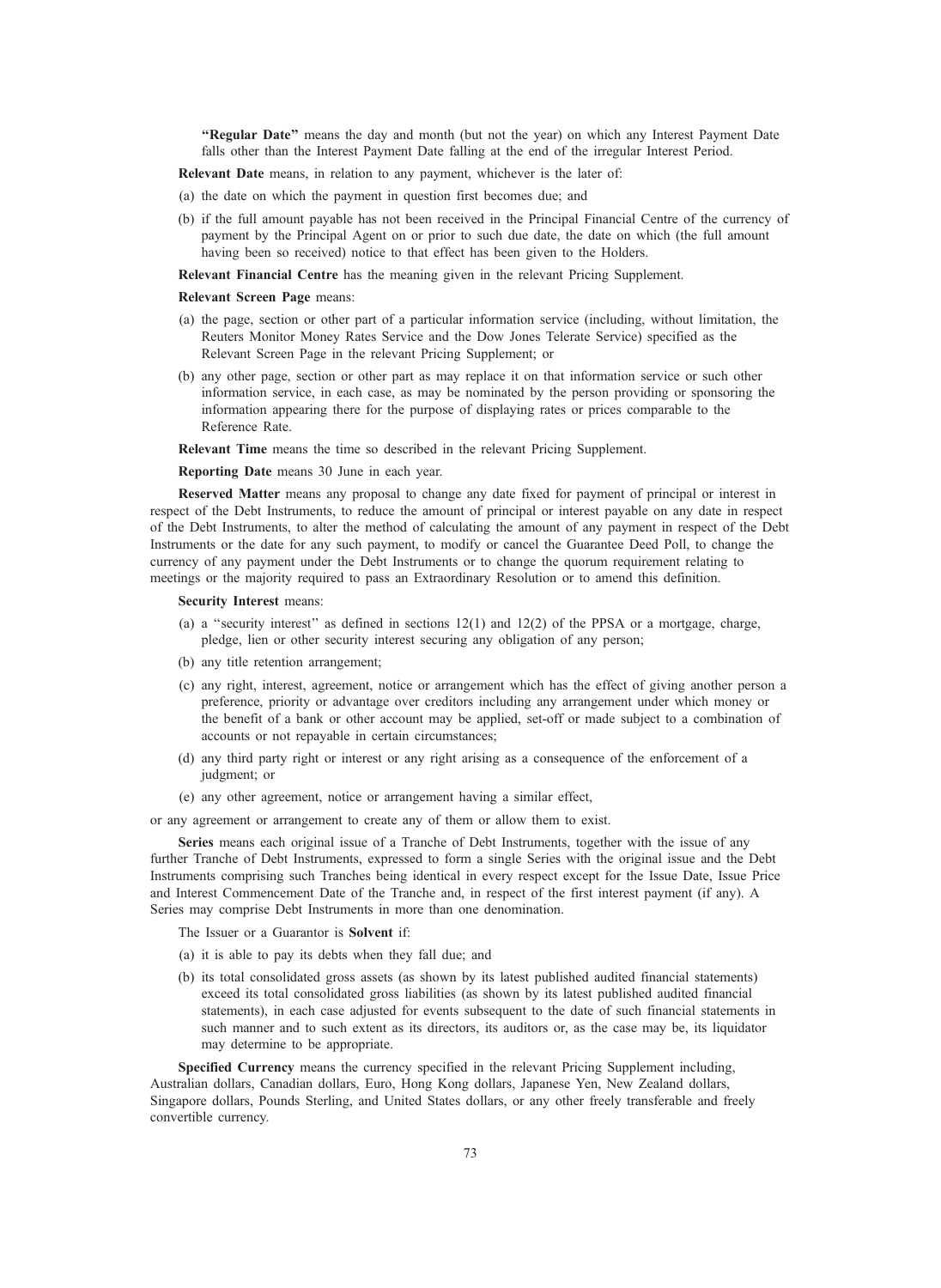"Regular Date" means the day and month (but not the year) on which any Interest Payment Date falls other than the Interest Payment Date falling at the end of the irregular Interest Period.

Relevant Date means, in relation to any payment, whichever is the later of:

- (a) the date on which the payment in question first becomes due; and
- (b) if the full amount payable has not been received in the Principal Financial Centre of the currency of payment by the Principal Agent on or prior to such due date, the date on which (the full amount having been so received) notice to that effect has been given to the Holders.

Relevant Financial Centre has the meaning given in the relevant Pricing Supplement.

#### Relevant Screen Page means:

- (a) the page, section or other part of a particular information service (including, without limitation, the Reuters Monitor Money Rates Service and the Dow Jones Telerate Service) specified as the Relevant Screen Page in the relevant Pricing Supplement; or
- (b) any other page, section or other part as may replace it on that information service or such other information service, in each case, as may be nominated by the person providing or sponsoring the information appearing there for the purpose of displaying rates or prices comparable to the Reference Rate.

Relevant Time means the time so described in the relevant Pricing Supplement.

## Reporting Date means 30 June in each year.

Reserved Matter means any proposal to change any date fixed for payment of principal or interest in respect of the Debt Instruments, to reduce the amount of principal or interest payable on any date in respect of the Debt Instruments, to alter the method of calculating the amount of any payment in respect of the Debt Instruments or the date for any such payment, to modify or cancel the Guarantee Deed Poll, to change the currency of any payment under the Debt Instruments or to change the quorum requirement relating to meetings or the majority required to pass an Extraordinary Resolution or to amend this definition.

#### Security Interest means:

- (a) a "security interest" as defined in sections  $12(1)$  and  $12(2)$  of the PPSA or a mortgage, charge, pledge, lien or other security interest securing any obligation of any person;
- (b) any title retention arrangement;
- (c) any right, interest, agreement, notice or arrangement which has the effect of giving another person a preference, priority or advantage over creditors including any arrangement under which money or the benefit of a bank or other account may be applied, set-off or made subject to a combination of accounts or not repayable in certain circumstances;
- (d) any third party right or interest or any right arising as a consequence of the enforcement of a judgment; or
- (e) any other agreement, notice or arrangement having a similar effect,

or any agreement or arrangement to create any of them or allow them to exist.

Series means each original issue of a Tranche of Debt Instruments, together with the issue of any further Tranche of Debt Instruments, expressed to form a single Series with the original issue and the Debt Instruments comprising such Tranches being identical in every respect except for the Issue Date, Issue Price and Interest Commencement Date of the Tranche and, in respect of the first interest payment (if any). A Series may comprise Debt Instruments in more than one denomination.

The Issuer or a Guarantor is **Solvent** if:

- (a) it is able to pay its debts when they fall due; and
- (b) its total consolidated gross assets (as shown by its latest published audited financial statements) exceed its total consolidated gross liabilities (as shown by its latest published audited financial statements), in each case adjusted for events subsequent to the date of such financial statements in such manner and to such extent as its directors, its auditors or, as the case may be, its liquidator may determine to be appropriate.

Specified Currency means the currency specified in the relevant Pricing Supplement including, Australian dollars, Canadian dollars, Euro, Hong Kong dollars, Japanese Yen, New Zealand dollars, Singapore dollars, Pounds Sterling, and United States dollars, or any other freely transferable and freely convertible currency.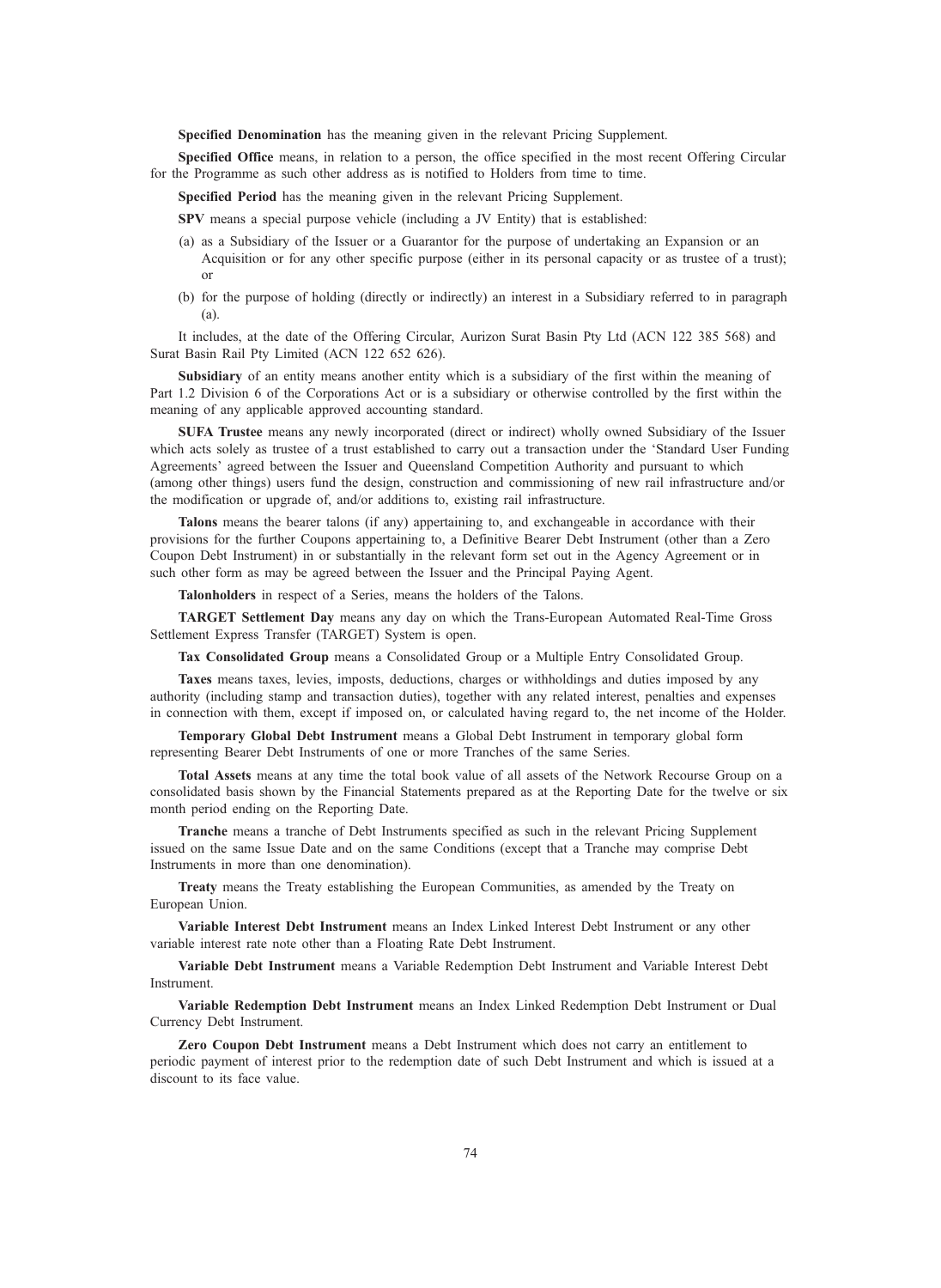Specified Denomination has the meaning given in the relevant Pricing Supplement.

Specified Office means, in relation to a person, the office specified in the most recent Offering Circular for the Programme as such other address as is notified to Holders from time to time.

Specified Period has the meaning given in the relevant Pricing Supplement.

SPV means a special purpose vehicle (including a JV Entity) that is established:

- (a) as a Subsidiary of the Issuer or a Guarantor for the purpose of undertaking an Expansion or an Acquisition or for any other specific purpose (either in its personal capacity or as trustee of a trust); or
- (b) for the purpose of holding (directly or indirectly) an interest in a Subsidiary referred to in paragraph (a).

It includes, at the date of the Offering Circular, Aurizon Surat Basin Pty Ltd (ACN 122 385 568) and Surat Basin Rail Pty Limited (ACN 122 652 626).

Subsidiary of an entity means another entity which is a subsidiary of the first within the meaning of Part 1.2 Division 6 of the Corporations Act or is a subsidiary or otherwise controlled by the first within the meaning of any applicable approved accounting standard.

SUFA Trustee means any newly incorporated (direct or indirect) wholly owned Subsidiary of the Issuer which acts solely as trustee of a trust established to carry out a transaction under the 'Standard User Funding Agreements' agreed between the Issuer and Queensland Competition Authority and pursuant to which (among other things) users fund the design, construction and commissioning of new rail infrastructure and/or the modification or upgrade of, and/or additions to, existing rail infrastructure.

Talons means the bearer talons (if any) appertaining to, and exchangeable in accordance with their provisions for the further Coupons appertaining to, a Definitive Bearer Debt Instrument (other than a Zero Coupon Debt Instrument) in or substantially in the relevant form set out in the Agency Agreement or in such other form as may be agreed between the Issuer and the Principal Paying Agent.

Talonholders in respect of a Series, means the holders of the Talons.

TARGET Settlement Day means any day on which the Trans-European Automated Real-Time Gross Settlement Express Transfer (TARGET) System is open.

Tax Consolidated Group means a Consolidated Group or a Multiple Entry Consolidated Group.

Taxes means taxes, levies, imposts, deductions, charges or withholdings and duties imposed by any authority (including stamp and transaction duties), together with any related interest, penalties and expenses in connection with them, except if imposed on, or calculated having regard to, the net income of the Holder.

Temporary Global Debt Instrument means a Global Debt Instrument in temporary global form representing Bearer Debt Instruments of one or more Tranches of the same Series.

Total Assets means at any time the total book value of all assets of the Network Recourse Group on a consolidated basis shown by the Financial Statements prepared as at the Reporting Date for the twelve or six month period ending on the Reporting Date.

Tranche means a tranche of Debt Instruments specified as such in the relevant Pricing Supplement issued on the same Issue Date and on the same Conditions (except that a Tranche may comprise Debt Instruments in more than one denomination).

Treaty means the Treaty establishing the European Communities, as amended by the Treaty on European Union.

Variable Interest Debt Instrument means an Index Linked Interest Debt Instrument or any other variable interest rate note other than a Floating Rate Debt Instrument.

Variable Debt Instrument means a Variable Redemption Debt Instrument and Variable Interest Debt Instrument.

Variable Redemption Debt Instrument means an Index Linked Redemption Debt Instrument or Dual Currency Debt Instrument.

Zero Coupon Debt Instrument means a Debt Instrument which does not carry an entitlement to periodic payment of interest prior to the redemption date of such Debt Instrument and which is issued at a discount to its face value.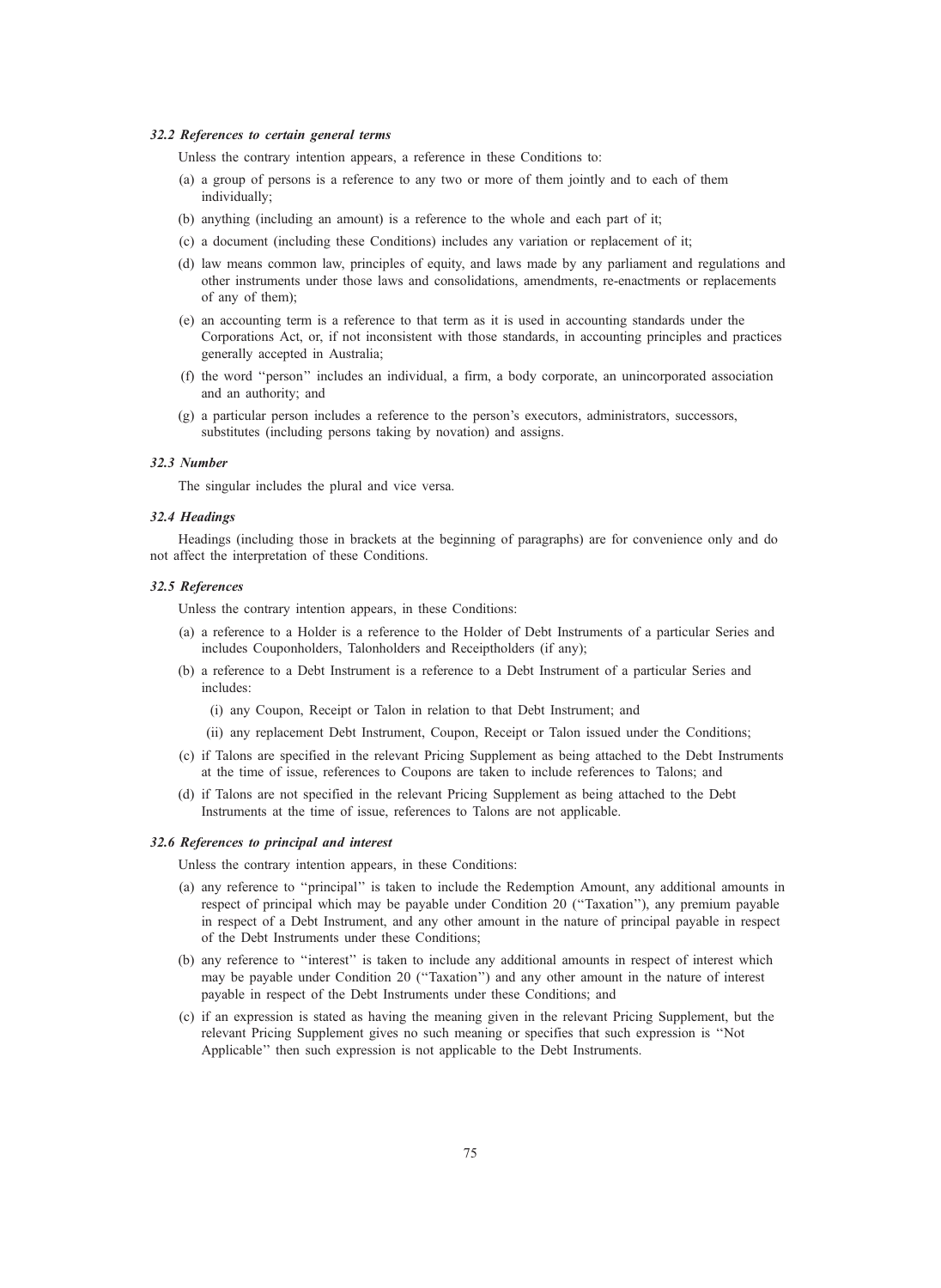#### 32.2 References to certain general terms

Unless the contrary intention appears, a reference in these Conditions to:

- (a) a group of persons is a reference to any two or more of them jointly and to each of them individually;
- (b) anything (including an amount) is a reference to the whole and each part of it;
- (c) a document (including these Conditions) includes any variation or replacement of it;
- (d) law means common law, principles of equity, and laws made by any parliament and regulations and other instruments under those laws and consolidations, amendments, re-enactments or replacements of any of them);
- (e) an accounting term is a reference to that term as it is used in accounting standards under the Corporations Act, or, if not inconsistent with those standards, in accounting principles and practices generally accepted in Australia;
- (f) the word ''person'' includes an individual, a firm, a body corporate, an unincorporated association and an authority; and
- (g) a particular person includes a reference to the person's executors, administrators, successors, substitutes (including persons taking by novation) and assigns.

#### 32.3 Number

The singular includes the plural and vice versa.

#### 32.4 Headings

Headings (including those in brackets at the beginning of paragraphs) are for convenience only and do not affect the interpretation of these Conditions.

#### 32.5 References

Unless the contrary intention appears, in these Conditions:

- (a) a reference to a Holder is a reference to the Holder of Debt Instruments of a particular Series and includes Couponholders, Talonholders and Receiptholders (if any);
- (b) a reference to a Debt Instrument is a reference to a Debt Instrument of a particular Series and includes:
	- (i) any Coupon, Receipt or Talon in relation to that Debt Instrument; and
	- (ii) any replacement Debt Instrument, Coupon, Receipt or Talon issued under the Conditions;
- (c) if Talons are specified in the relevant Pricing Supplement as being attached to the Debt Instruments at the time of issue, references to Coupons are taken to include references to Talons; and
- (d) if Talons are not specified in the relevant Pricing Supplement as being attached to the Debt Instruments at the time of issue, references to Talons are not applicable.

#### 32.6 References to principal and interest

Unless the contrary intention appears, in these Conditions:

- (a) any reference to ''principal'' is taken to include the Redemption Amount, any additional amounts in respect of principal which may be payable under Condition 20 (''Taxation''), any premium payable in respect of a Debt Instrument, and any other amount in the nature of principal payable in respect of the Debt Instruments under these Conditions;
- (b) any reference to ''interest'' is taken to include any additional amounts in respect of interest which may be payable under Condition 20 (''Taxation'') and any other amount in the nature of interest payable in respect of the Debt Instruments under these Conditions; and
- (c) if an expression is stated as having the meaning given in the relevant Pricing Supplement, but the relevant Pricing Supplement gives no such meaning or specifies that such expression is ''Not Applicable'' then such expression is not applicable to the Debt Instruments.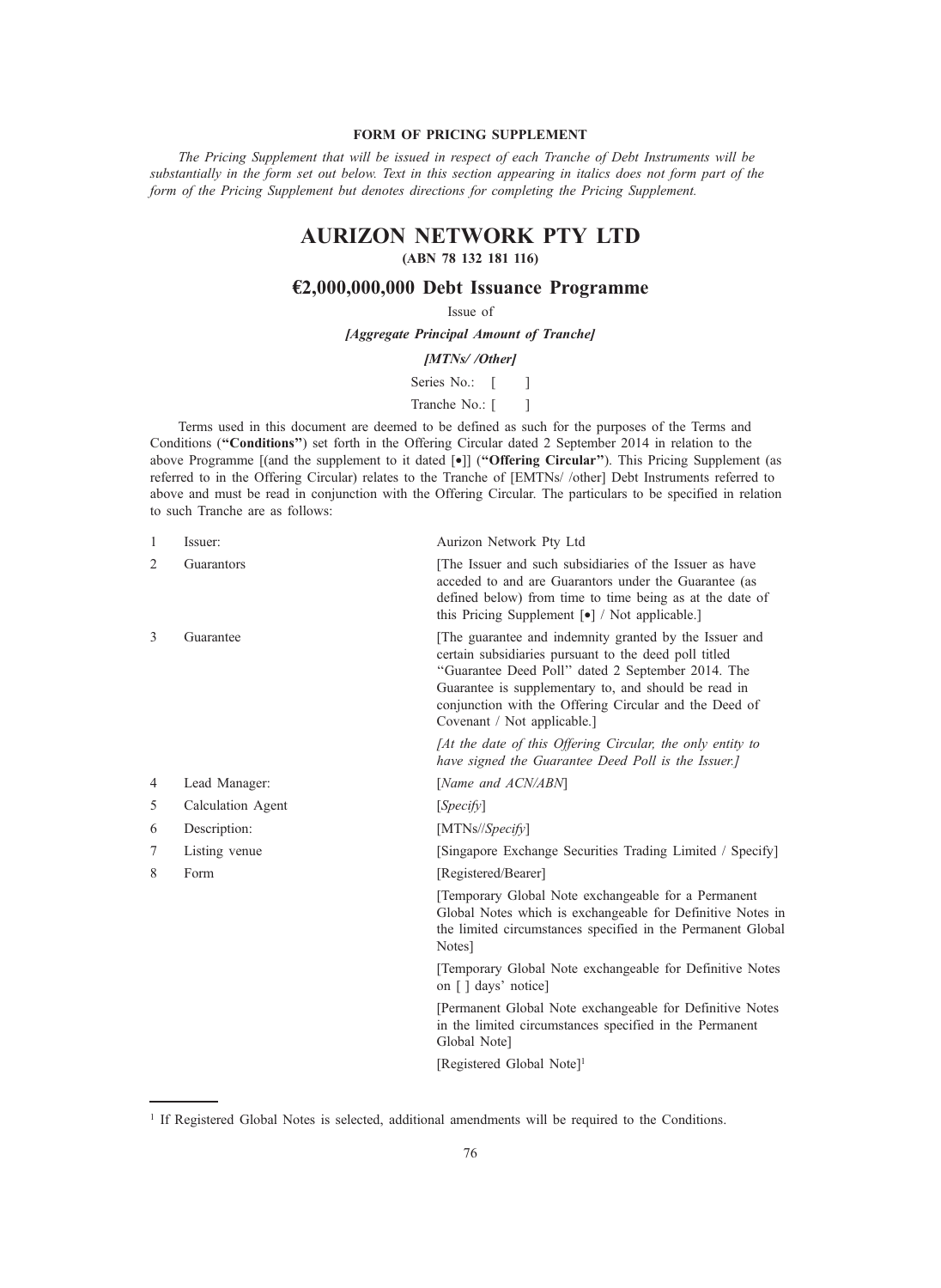# FORM OF PRICING SUPPLEMENT

The Pricing Supplement that will be issued in respect of each Tranche of Debt Instruments will be substantially in the form set out below. Text in this section appearing in italics does not form part of the form of the Pricing Supplement but denotes directions for completing the Pricing Supplement.

# AURIZON NETWORK PTY LTD

# (ABN 78 132 181 116)

# €2,000,000,000 Debt Issuance Programme

Issue of

[Aggregate Principal Amount of Tranche]

# [MTNs//Other]

Series No.: [ ]

# Tranche No.: [ ]

Terms used in this document are deemed to be defined as such for the purposes of the Terms and Conditions ("Conditions") set forth in the Offering Circular dated 2 September 2014 in relation to the above Programme [(and the supplement to it dated [•]] ("Offering Circular"). This Pricing Supplement (as referred to in the Offering Circular) relates to the Tranche of [EMTNs/ /other] Debt Instruments referred to above and must be read in conjunction with the Offering Circular. The particulars to be specified in relation to such Tranche are as follows:

| $\mathbf{1}$ | Issuer:           | Aurizon Network Pty Ltd                                                                                                                                                                                                                                                                                               |
|--------------|-------------------|-----------------------------------------------------------------------------------------------------------------------------------------------------------------------------------------------------------------------------------------------------------------------------------------------------------------------|
| 2            | Guarantors        | The Issuer and such subsidiaries of the Issuer as have<br>acceded to and are Guarantors under the Guarantee (as<br>defined below) from time to time being as at the date of<br>this Pricing Supplement $\lceil \bullet \rceil$ / Not applicable.                                                                      |
| 3            | Guarantee         | [The guarantee and indemnity granted by the Issuer and<br>certain subsidiaries pursuant to the deed poll titled<br>"Guarantee Deed Poll" dated 2 September 2014. The<br>Guarantee is supplementary to, and should be read in<br>conjunction with the Offering Circular and the Deed of<br>Covenant / Not applicable.] |
|              |                   | [At the date of this Offering Circular, the only entity to<br>have signed the Guarantee Deed Poll is the Issuer.]                                                                                                                                                                                                     |
| 4            | Lead Manager:     | [Name and ACN/ABN]                                                                                                                                                                                                                                                                                                    |
| 5            | Calculation Agent | [Specify]                                                                                                                                                                                                                                                                                                             |
| 6            | Description:      | [MTNs//Specify]                                                                                                                                                                                                                                                                                                       |
| 7            | Listing venue     | [Singapore Exchange Securities Trading Limited / Specify]                                                                                                                                                                                                                                                             |
| 8            | Form              | [Registered/Bearer]                                                                                                                                                                                                                                                                                                   |
|              |                   | [Temporary Global Note exchangeable for a Permanent<br>Global Notes which is exchangeable for Definitive Notes in<br>the limited circumstances specified in the Permanent Global<br>Notes]                                                                                                                            |
|              |                   | [Temporary Global Note exchangeable for Definitive Notes<br>on [] days' notice]                                                                                                                                                                                                                                       |
|              |                   | [Permanent Global Note exchangeable for Definitive Notes<br>in the limited circumstances specified in the Permanent<br>Global Note]                                                                                                                                                                                   |
|              |                   | [Registered Global Note] <sup>1</sup>                                                                                                                                                                                                                                                                                 |
|              |                   |                                                                                                                                                                                                                                                                                                                       |

<sup>&</sup>lt;sup>1</sup> If Registered Global Notes is selected, additional amendments will be required to the Conditions.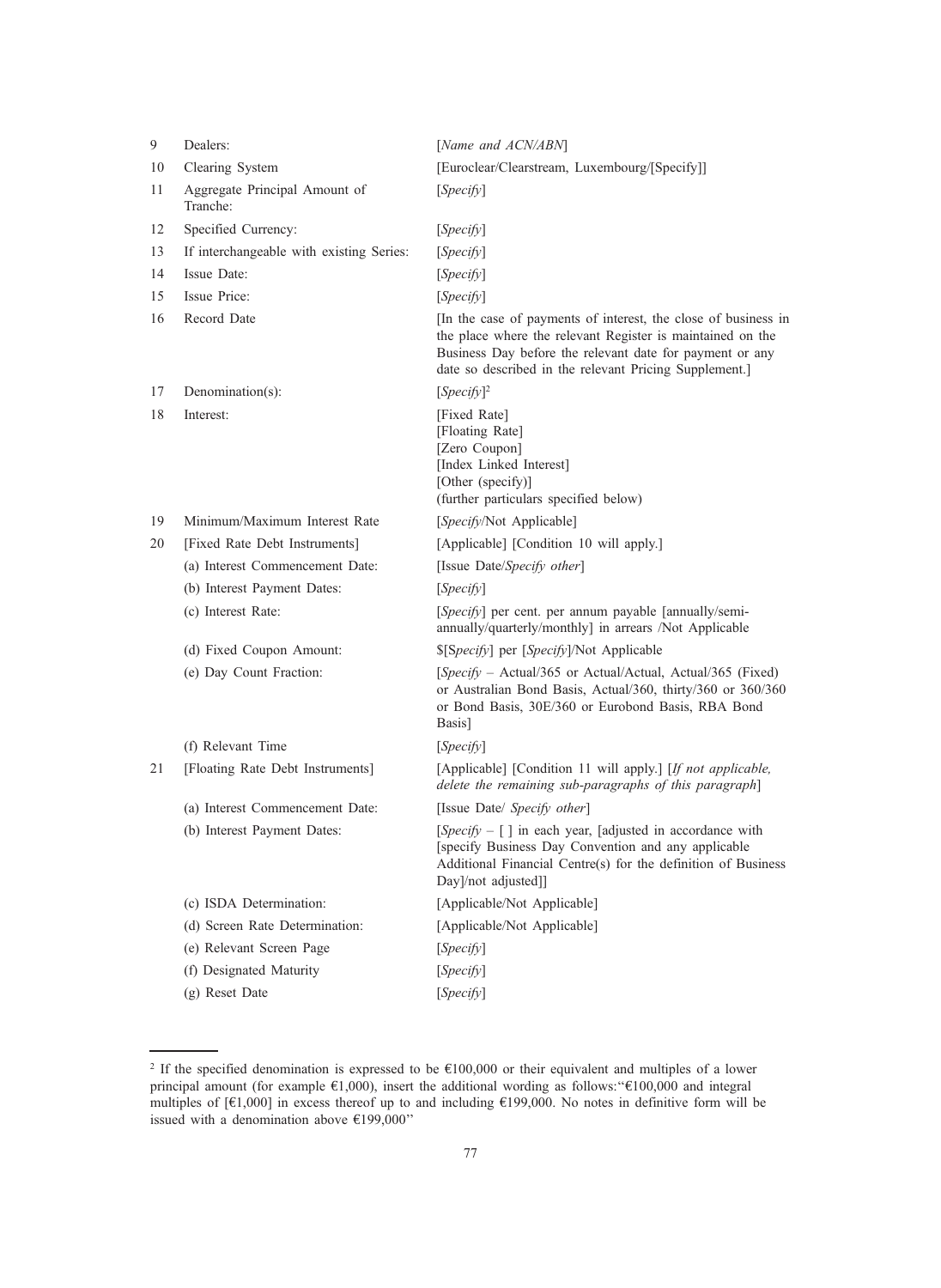| 9  | Dealers:                                  | [Name and ACN/ABN]                                                                                                                                                                                                                                 |
|----|-------------------------------------------|----------------------------------------------------------------------------------------------------------------------------------------------------------------------------------------------------------------------------------------------------|
| 10 | Clearing System                           | [Euroclear/Clearstream, Luxembourg/[Specify]]                                                                                                                                                                                                      |
| 11 | Aggregate Principal Amount of<br>Tranche: | [ <i>Specify</i> ]                                                                                                                                                                                                                                 |
| 12 | Specified Currency:                       | [ <i>Specify</i> ]                                                                                                                                                                                                                                 |
| 13 | If interchangeable with existing Series:  | [Specify]                                                                                                                                                                                                                                          |
| 14 | Issue Date:                               | [Specify]                                                                                                                                                                                                                                          |
| 15 | <b>Issue Price:</b>                       | [Specify]                                                                                                                                                                                                                                          |
| 16 | Record Date                               | [In the case of payments of interest, the close of business in<br>the place where the relevant Register is maintained on the<br>Business Day before the relevant date for payment or any<br>date so described in the relevant Pricing Supplement.] |
| 17 | Denomination(s):                          | $[Specify]^2$                                                                                                                                                                                                                                      |
| 18 | Interest:                                 | [Fixed Rate]<br>[Floating Rate]<br>[Zero Coupon]<br>[Index Linked Interest]<br>[Other (specify)]<br>(further particulars specified below)                                                                                                          |
| 19 | Minimum/Maximum Interest Rate             | [Specify/Not Applicable]                                                                                                                                                                                                                           |
| 20 | [Fixed Rate Debt Instruments]             | [Applicable] [Condition 10 will apply.]                                                                                                                                                                                                            |
|    | (a) Interest Commencement Date:           | [Issue Date/Specify other]                                                                                                                                                                                                                         |
|    | (b) Interest Payment Dates:               | [Specify]                                                                                                                                                                                                                                          |
|    | (c) Interest Rate:                        | [Specify] per cent. per annum payable [annually/semi-<br>annually/quarterly/monthly] in arrears /Not Applicable                                                                                                                                    |
|    | (d) Fixed Coupon Amount:                  | \$[Specify] per [Specify]/Not Applicable                                                                                                                                                                                                           |
|    | (e) Day Count Fraction:                   | [Specify – Actual/365 or Actual/Actual, Actual/365 (Fixed)<br>or Australian Bond Basis, Actual/360, thirty/360 or 360/360<br>or Bond Basis, 30E/360 or Eurobond Basis, RBA Bond<br>Basis]                                                          |
|    | (f) Relevant Time                         | [Specify]                                                                                                                                                                                                                                          |
|    | [Floating Rate Debt Instruments]          | [Applicable] [Condition 11 will apply.] [If not applicable,<br>delete the remaining sub-paragraphs of this paragraph]                                                                                                                              |
|    | (a) Interest Commencement Date:           | [Issue Date/ Specify other]                                                                                                                                                                                                                        |
|    | (b) Interest Payment Dates:               | [ <i>Specify</i> $-$ [] in each year, [adjusted in accordance with<br>[specify Business Day Convention and any applicable<br>Additional Financial Centre(s) for the definition of Business<br>Day]/not adjusted]]                                  |
|    | (c) ISDA Determination:                   | [Applicable/Not Applicable]                                                                                                                                                                                                                        |
|    | (d) Screen Rate Determination:            | [Applicable/Not Applicable]                                                                                                                                                                                                                        |
|    | (e) Relevant Screen Page                  | [Specify]                                                                                                                                                                                                                                          |
|    | (f) Designated Maturity                   | [Specify]                                                                                                                                                                                                                                          |
|    | (g) Reset Date                            | [Specify]                                                                                                                                                                                                                                          |

<sup>&</sup>lt;sup>2</sup> If the specified denomination is expressed to be  $£100,000$  or their equivalent and multiples of a lower principal amount (for example €1,000), insert the additional wording as follows: "€100,000 and integral multiples of [€1,000] in excess thereof up to and including €199,000. No notes in definitive form will be issued with a denomination above  $\text{\large\ensuremath{\in}} 199,000"$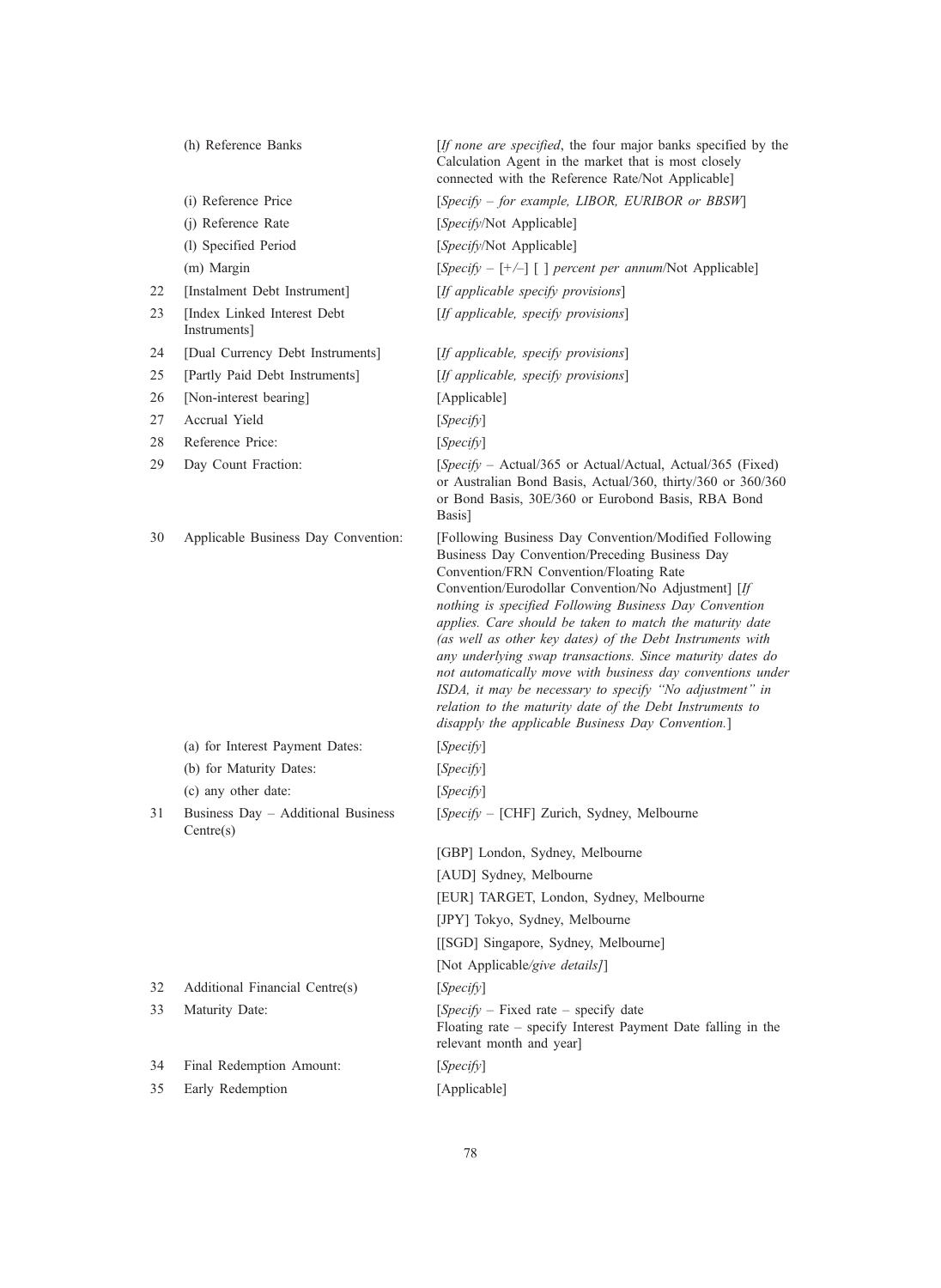|    | (h) Reference Banks                             | [If none are specified, the four major banks specified by the<br>Calculation Agent in the market that is most closely<br>connected with the Reference Rate/Not Applicable]                                                                                                                                                                                                                                                                                                                                                                                                                                                                                                                          |
|----|-------------------------------------------------|-----------------------------------------------------------------------------------------------------------------------------------------------------------------------------------------------------------------------------------------------------------------------------------------------------------------------------------------------------------------------------------------------------------------------------------------------------------------------------------------------------------------------------------------------------------------------------------------------------------------------------------------------------------------------------------------------------|
|    | (i) Reference Price                             | [Specify – for example, LIBOR, EURIBOR or BBSW]                                                                                                                                                                                                                                                                                                                                                                                                                                                                                                                                                                                                                                                     |
|    | (j) Reference Rate                              | [Specify/Not Applicable]                                                                                                                                                                                                                                                                                                                                                                                                                                                                                                                                                                                                                                                                            |
|    | (l) Specified Period                            | [Specify/Not Applicable]                                                                                                                                                                                                                                                                                                                                                                                                                                                                                                                                                                                                                                                                            |
|    | (m) Margin                                      | [Specify – [+/-] [] percent per annum/Not Applicable]                                                                                                                                                                                                                                                                                                                                                                                                                                                                                                                                                                                                                                               |
| 22 | [Instalment Debt Instrument]                    | [If applicable specify provisions]                                                                                                                                                                                                                                                                                                                                                                                                                                                                                                                                                                                                                                                                  |
| 23 | [Index Linked Interest Debt<br>Instruments]     | [If applicable, specify provisions]                                                                                                                                                                                                                                                                                                                                                                                                                                                                                                                                                                                                                                                                 |
| 24 | [Dual Currency Debt Instruments]                | [If applicable, specify provisions]                                                                                                                                                                                                                                                                                                                                                                                                                                                                                                                                                                                                                                                                 |
| 25 | [Partly Paid Debt Instruments]                  | [If applicable, specify provisions]                                                                                                                                                                                                                                                                                                                                                                                                                                                                                                                                                                                                                                                                 |
| 26 | [Non-interest bearing]                          | [Applicable]                                                                                                                                                                                                                                                                                                                                                                                                                                                                                                                                                                                                                                                                                        |
| 27 | Accrual Yield                                   | [Specify]                                                                                                                                                                                                                                                                                                                                                                                                                                                                                                                                                                                                                                                                                           |
| 28 | Reference Price:                                | [Specify]                                                                                                                                                                                                                                                                                                                                                                                                                                                                                                                                                                                                                                                                                           |
| 29 | Day Count Fraction:                             | [Specify – Actual/365 or Actual/Actual, Actual/365 (Fixed)<br>or Australian Bond Basis, Actual/360, thirty/360 or 360/360<br>or Bond Basis, 30E/360 or Eurobond Basis, RBA Bond<br>Basis]                                                                                                                                                                                                                                                                                                                                                                                                                                                                                                           |
| 30 | Applicable Business Day Convention:             | [Following Business Day Convention/Modified Following<br>Business Day Convention/Preceding Business Day<br>Convention/FRN Convention/Floating Rate<br>Convention/Eurodollar Convention/No Adjustment] [If<br>nothing is specified Following Business Day Convention<br>applies. Care should be taken to match the maturity date<br>(as well as other key dates) of the Debt Instruments with<br>any underlying swap transactions. Since maturity dates do<br>not automatically move with business day conventions under<br>ISDA, it may be necessary to specify "No adjustment" in<br>relation to the maturity date of the Debt Instruments to<br>disapply the applicable Business Day Convention.] |
|    | (a) for Interest Payment Dates:                 | [Specify]                                                                                                                                                                                                                                                                                                                                                                                                                                                                                                                                                                                                                                                                                           |
|    | (b) for Maturity Dates:                         | [Specify]                                                                                                                                                                                                                                                                                                                                                                                                                                                                                                                                                                                                                                                                                           |
|    | (c) any other date:                             | [Specify]                                                                                                                                                                                                                                                                                                                                                                                                                                                                                                                                                                                                                                                                                           |
| 31 | Business Day - Additional Business<br>Centre(s) | [Specify - [CHF] Zurich, Sydney, Melbourne                                                                                                                                                                                                                                                                                                                                                                                                                                                                                                                                                                                                                                                          |
|    |                                                 | [GBP] London, Sydney, Melbourne                                                                                                                                                                                                                                                                                                                                                                                                                                                                                                                                                                                                                                                                     |
|    |                                                 | [AUD] Sydney, Melbourne                                                                                                                                                                                                                                                                                                                                                                                                                                                                                                                                                                                                                                                                             |
|    |                                                 | [EUR] TARGET, London, Sydney, Melbourne                                                                                                                                                                                                                                                                                                                                                                                                                                                                                                                                                                                                                                                             |
|    |                                                 | [JPY] Tokyo, Sydney, Melbourne                                                                                                                                                                                                                                                                                                                                                                                                                                                                                                                                                                                                                                                                      |
|    |                                                 | [[SGD] Singapore, Sydney, Melbourne]                                                                                                                                                                                                                                                                                                                                                                                                                                                                                                                                                                                                                                                                |
|    |                                                 | [Not Applicable/give details]]                                                                                                                                                                                                                                                                                                                                                                                                                                                                                                                                                                                                                                                                      |
| 32 | Additional Financial Centre(s)                  | [Specify]                                                                                                                                                                                                                                                                                                                                                                                                                                                                                                                                                                                                                                                                                           |
| 33 | Maturity Date:                                  | $[Specify - Fixed rate - specify date]$<br>Floating rate – specify Interest Payment Date falling in the<br>relevant month and year]                                                                                                                                                                                                                                                                                                                                                                                                                                                                                                                                                                 |
| 34 | Final Redemption Amount:                        | [Specify]                                                                                                                                                                                                                                                                                                                                                                                                                                                                                                                                                                                                                                                                                           |
| 35 | Early Redemption                                | [Applicable]                                                                                                                                                                                                                                                                                                                                                                                                                                                                                                                                                                                                                                                                                        |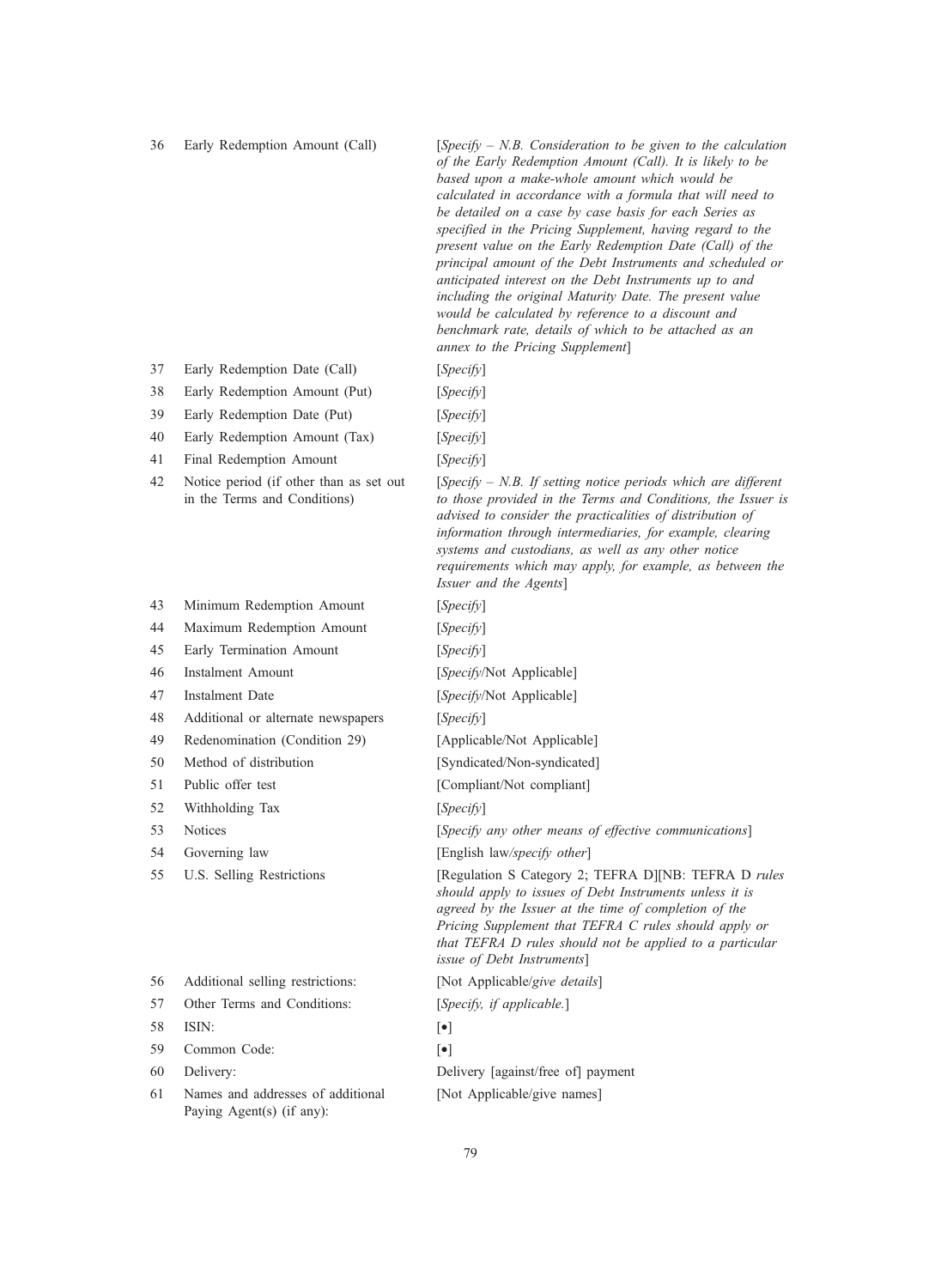36 Early Redemption Amount (Call) [Specify  $- N.B.$  Consideration to be given to the calculation of the Early Redemption Amount (Call). It is likely to be based upon a make-whole amount which would be calculated in accordance with a formula that will need to be detailed on a case by case basis for each Series as specified in the Pricing Supplement, having regard to the present value on the Early Redemption Date (Call) of the principal amount of the Debt Instruments and scheduled or anticipated interest on the Debt Instruments up to and including the original Maturity Date. The present value would be calculated by reference to a discount and benchmark rate, details of which to be attached as an annex to the Pricing Supplement]

- 37 Early Redemption Date (Call) [Specify]
- 38 Early Redemption Amount (Put) [Specify]
- 39 Early Redemption Date (Put) [Specify]
- 40 Early Redemption Amount (Tax) [Specify]
- 41 Final Redemption Amount [Specify]
- 42 Notice period (if other than as set out in the Terms and Conditions)
- 43 Minimum Redemption Amount [Specify]
- 44 Maximum Redemption Amount [Specify]
- 45 Early Termination Amount [Specify]
- 
- 
- 48 Additional or alternate newspapers [Specify]
- 
- 50 Method of distribution [Syndicated/Non-syndicated]
- 51 Public offer test [Compliant/Not compliant]
- 52 Withholding Tax [Specify]
- 
- 
- 
- 56 Additional selling restrictions: [Not Applicable/give details]
- 57 Other Terms and Conditions: [Specify, if applicable.]
- 58 ISIN: [•]
- 59 Common Code: [•]
- 
- 61 Names and addresses of additional Paying Agent(s) (if any):

 $[Specify - N.B. If setting notice periods which are different$ to those provided in the Terms and Conditions, the Issuer is advised to consider the practicalities of distribution of information through intermediaries, for example, clearing systems and custodians, as well as any other notice requirements which may apply, for example, as between the Issuer and the Agents]

46 Instalment Amount [Specify/Not Applicable]

47 Instalment Date [Specify/Not Applicable]

49 Redenomination (Condition 29) [Applicable/Not Applicable]

53 Notices [Specify any other means of effective communications]

54 Governing law [English law/specify other]

55 U.S. Selling Restrictions [Regulation S Category 2; TEFRA D][NB: TEFRA D rules should apply to issues of Debt Instruments unless it is agreed by the Issuer at the time of completion of the Pricing Supplement that TEFRA C rules should apply or that TEFRA D rules should not be applied to a particular issue of Debt Instruments]

- 
- 

60 Delivery: Delivery [against/free of] payment [Not Applicable/give names]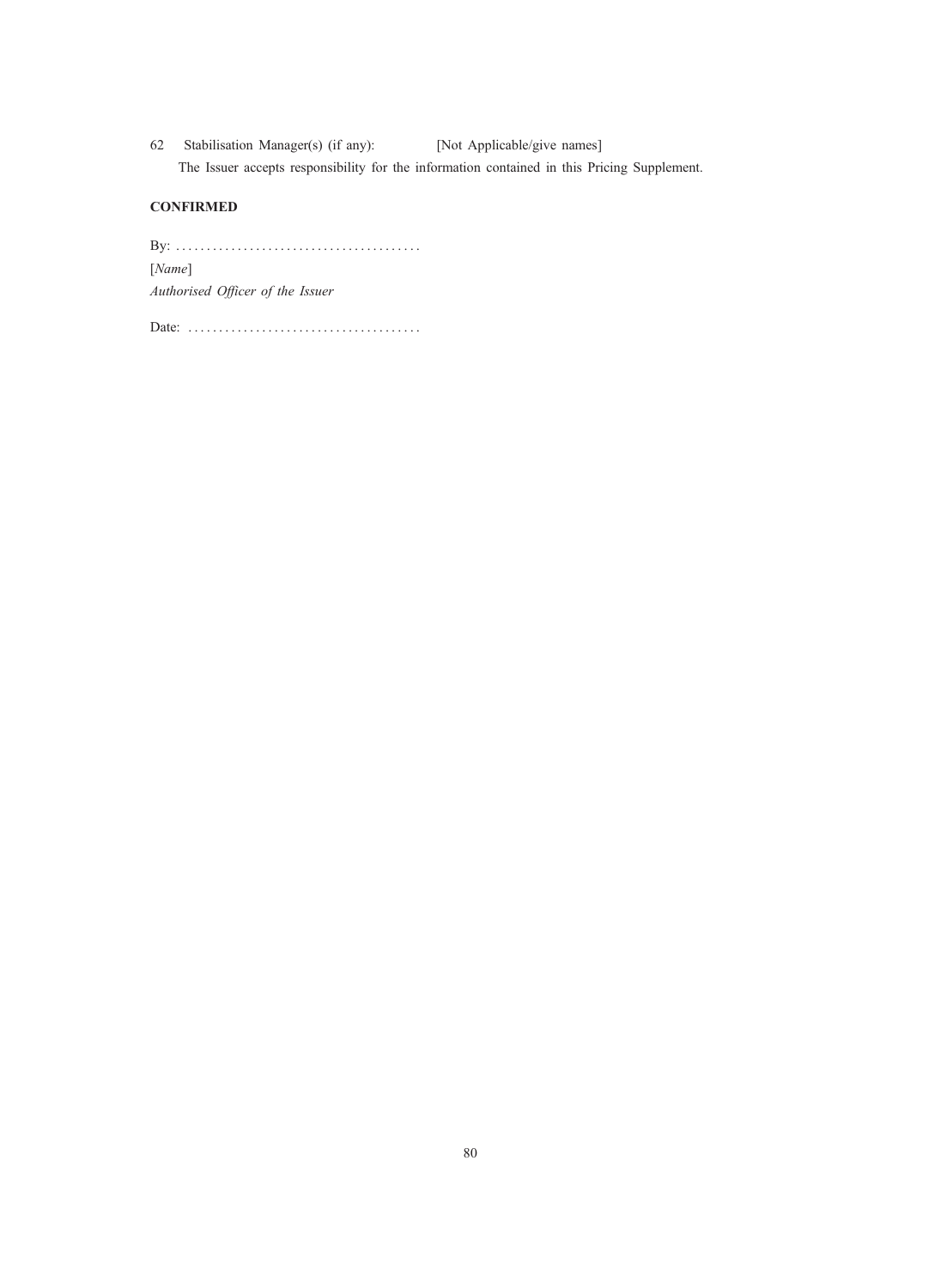62 Stabilisation Manager(s) (if any): [Not Applicable/give names] The Issuer accepts responsibility for the information contained in this Pricing Supplement.

# **CONFIRMED**

By: . . . . . . . . . . . . . . . . . . . . . . . . . . . . . . . . . . . . . . . . [Name] Authorised Officer of the Issuer

Date: ......................................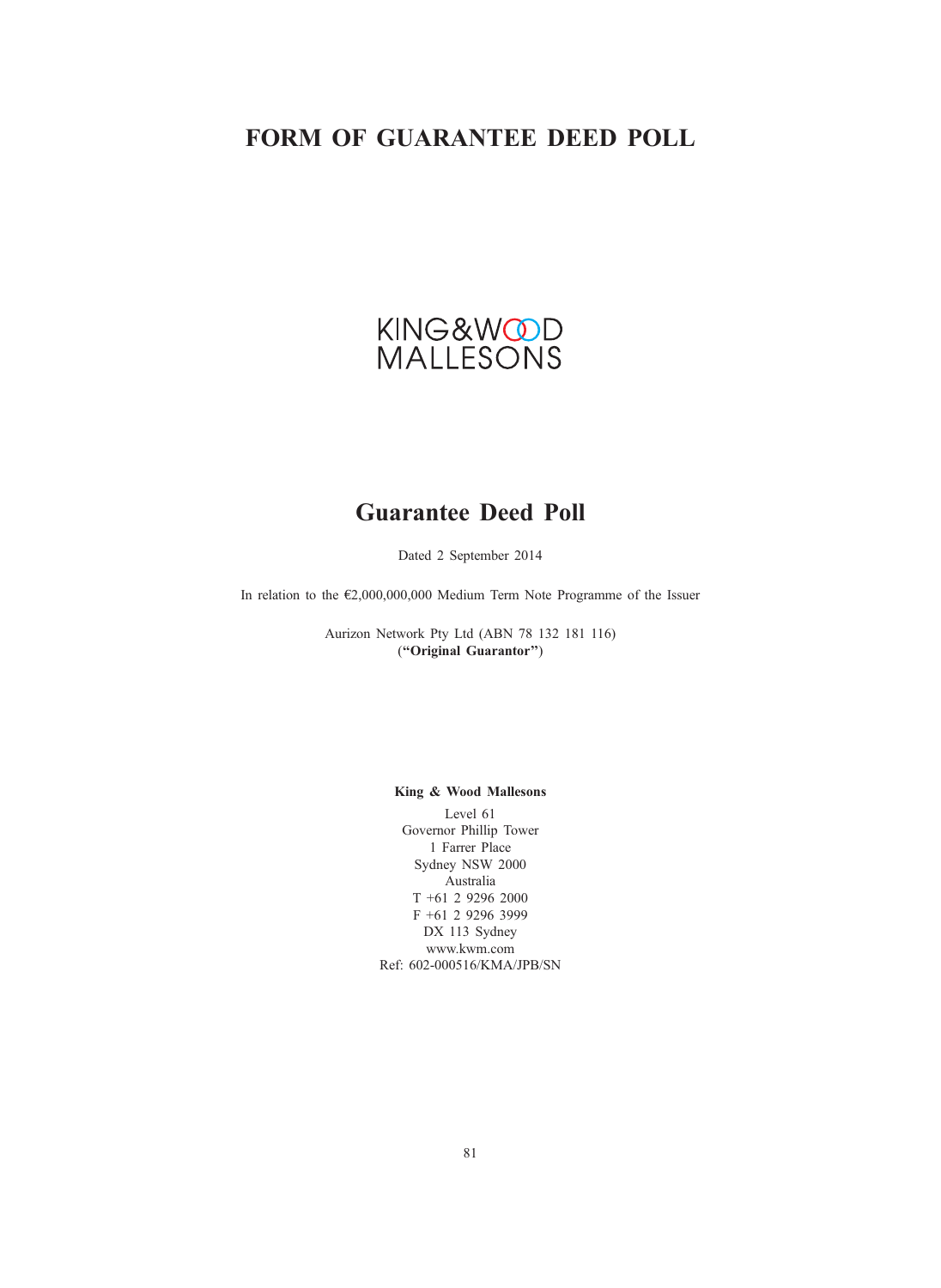# FORM OF GUARANTEE DEED POLL

# KING&WOOD<br>MALLESONS

# Guarantee Deed Poll

Dated 2 September 2014

In relation to the €2,000,000,000 Medium Term Note Programme of the Issuer

Aurizon Network Pty Ltd (ABN 78 132 181 116) (''Original Guarantor'')

# King & Wood Mallesons

Level 61 Governor Phillip Tower 1 Farrer Place Sydney NSW 2000 Australia T +61 2 9296 2000 F +61 2 9296 3999 DX 113 Sydney www.kwm.com Ref: 602-000516/KMA/JPB/SN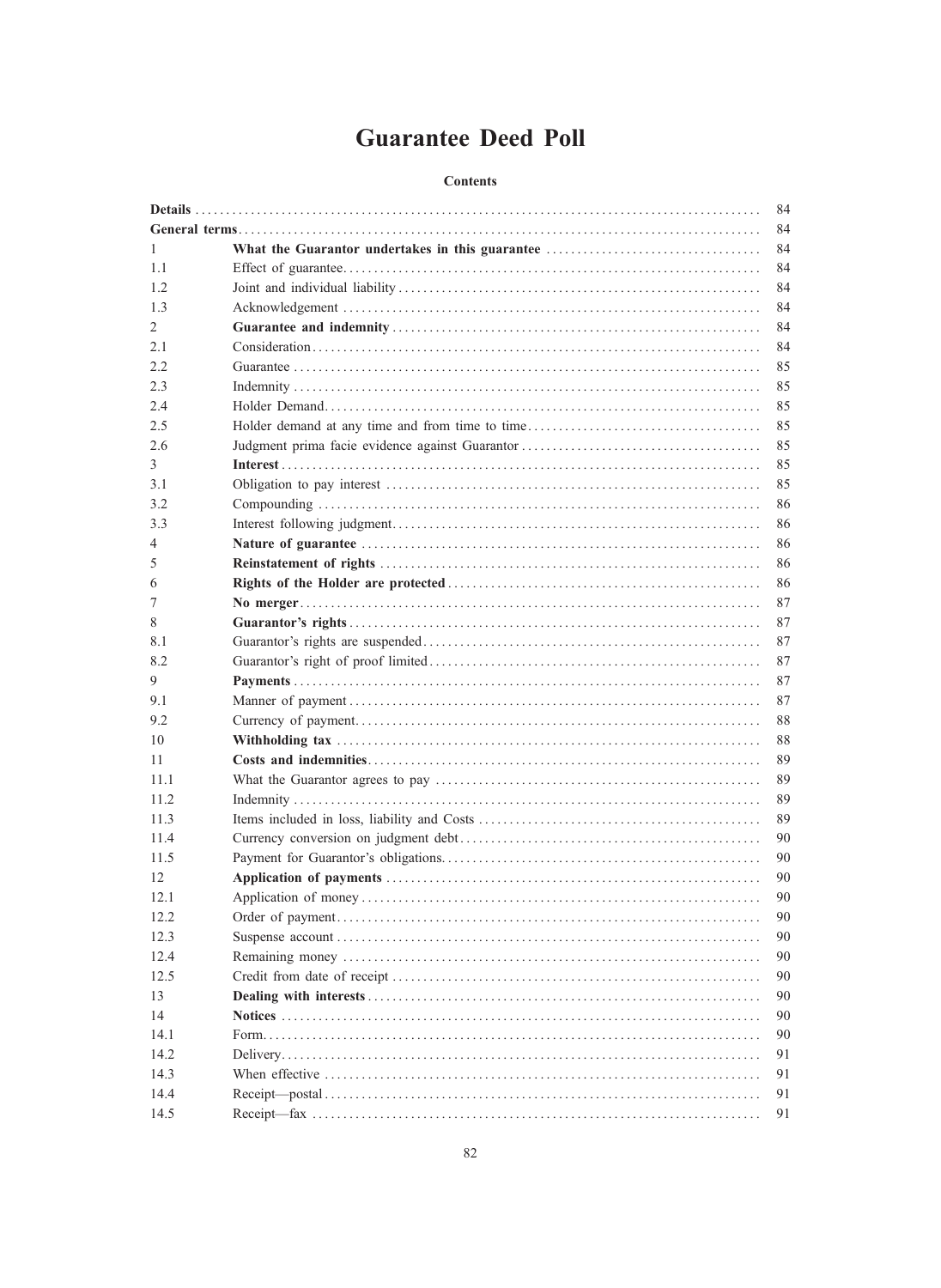# **Guarantee Deed Poll**

# **Contents**

|      | 84 |
|------|----|
|      | 84 |
| 1    | 84 |
| 1.1  | 84 |
| 1.2  | 84 |
| 1.3  | 84 |
| 2    | 84 |
| 2.1  | 84 |
| 2.2  | 85 |
| 2.3  | 85 |
| 2.4  | 85 |
| 2.5  | 85 |
| 2.6  | 85 |
| 3    | 85 |
| 3.1  | 85 |
| 3.2  | 86 |
| 3.3  | 86 |
| 4    | 86 |
| 5    | 86 |
| 6    | 86 |
| 7    | 87 |
| 8    | 87 |
| 8.1  | 87 |
| 8.2  | 87 |
| 9    | 87 |
| 9.1  | 87 |
| 9.2  | 88 |
| 10   | 88 |
| 11   | 89 |
| 11.1 | 89 |
| 11.2 | 89 |
| 11.3 | 89 |
| 11.4 | 90 |
| 11.5 | 90 |
| 12   | 90 |
| 12.1 | 90 |
| 12.2 | 90 |
| 12.3 | 90 |
| 12.4 | 90 |
|      | 90 |
| 12.5 | 90 |
| 13   |    |
| 14   | 90 |
| 14.1 | 90 |
| 14.2 | 91 |
| 14.3 | 91 |
| 14.4 | 91 |
| 14.5 | 91 |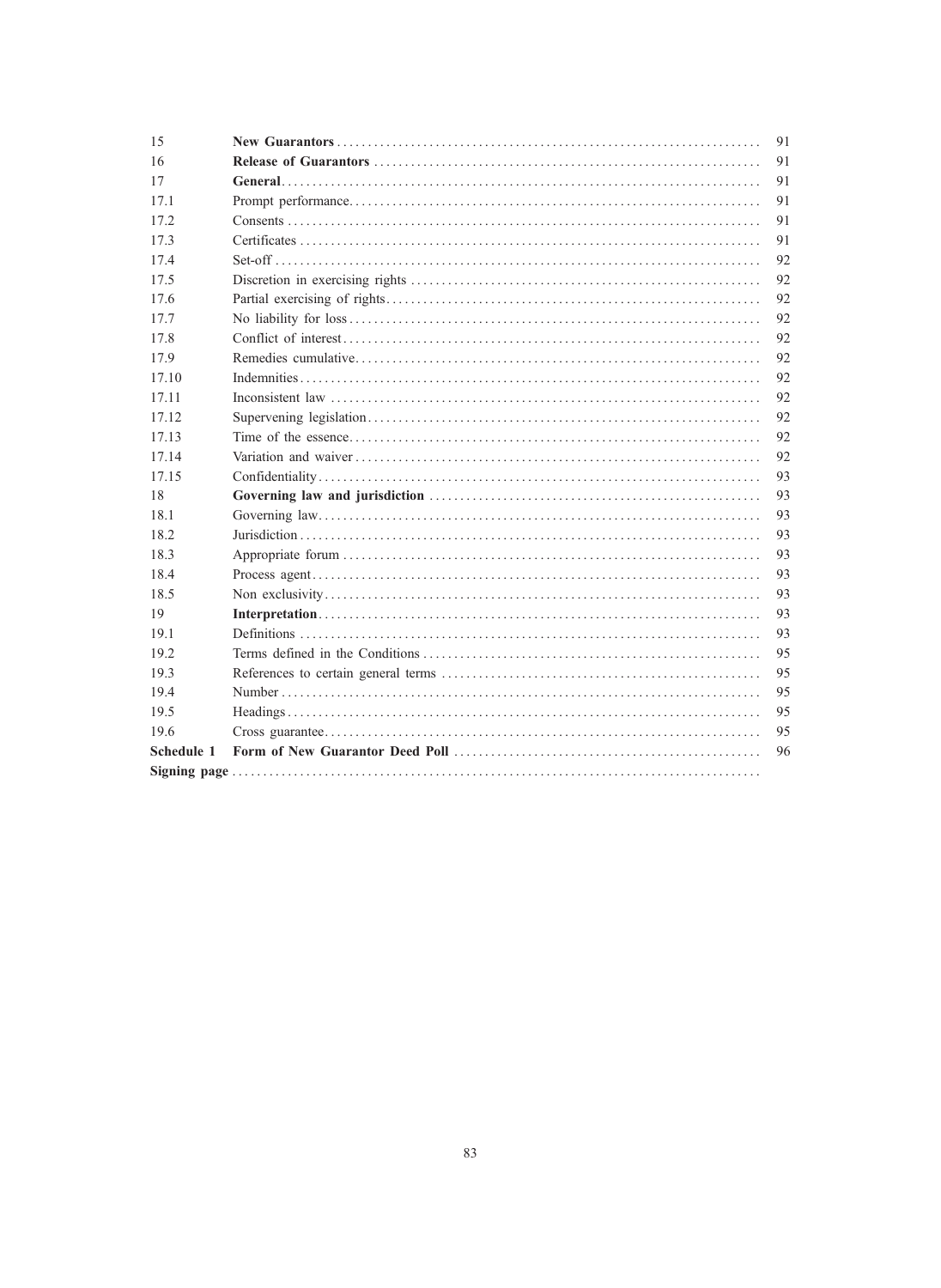| 15         | 91 |
|------------|----|
| 16         | 91 |
| 17         | 91 |
| 17.1       | 91 |
| 17.2       | 91 |
| 17.3       | 91 |
| 17.4       | 92 |
| 17.5       | 92 |
| 17.6       | 92 |
| 17.7       | 92 |
| 17.8       | 92 |
| 17.9       | 92 |
| 17.10      | 92 |
| 17.11      | 92 |
| 17.12      | 92 |
| 17.13      | 92 |
| 17.14      | 92 |
| 17.15      | 93 |
| 18         | 93 |
| 18.1       | 93 |
| 18.2       | 93 |
| 18.3       | 93 |
| 18.4       | 93 |
| 18.5       | 93 |
| 19         | 93 |
| 19.1       | 93 |
| 19.2       | 95 |
| 19.3       | 95 |
| 19.4       | 95 |
| 19.5       | 95 |
| 19.6       | 95 |
| Schedule 1 | 96 |
|            |    |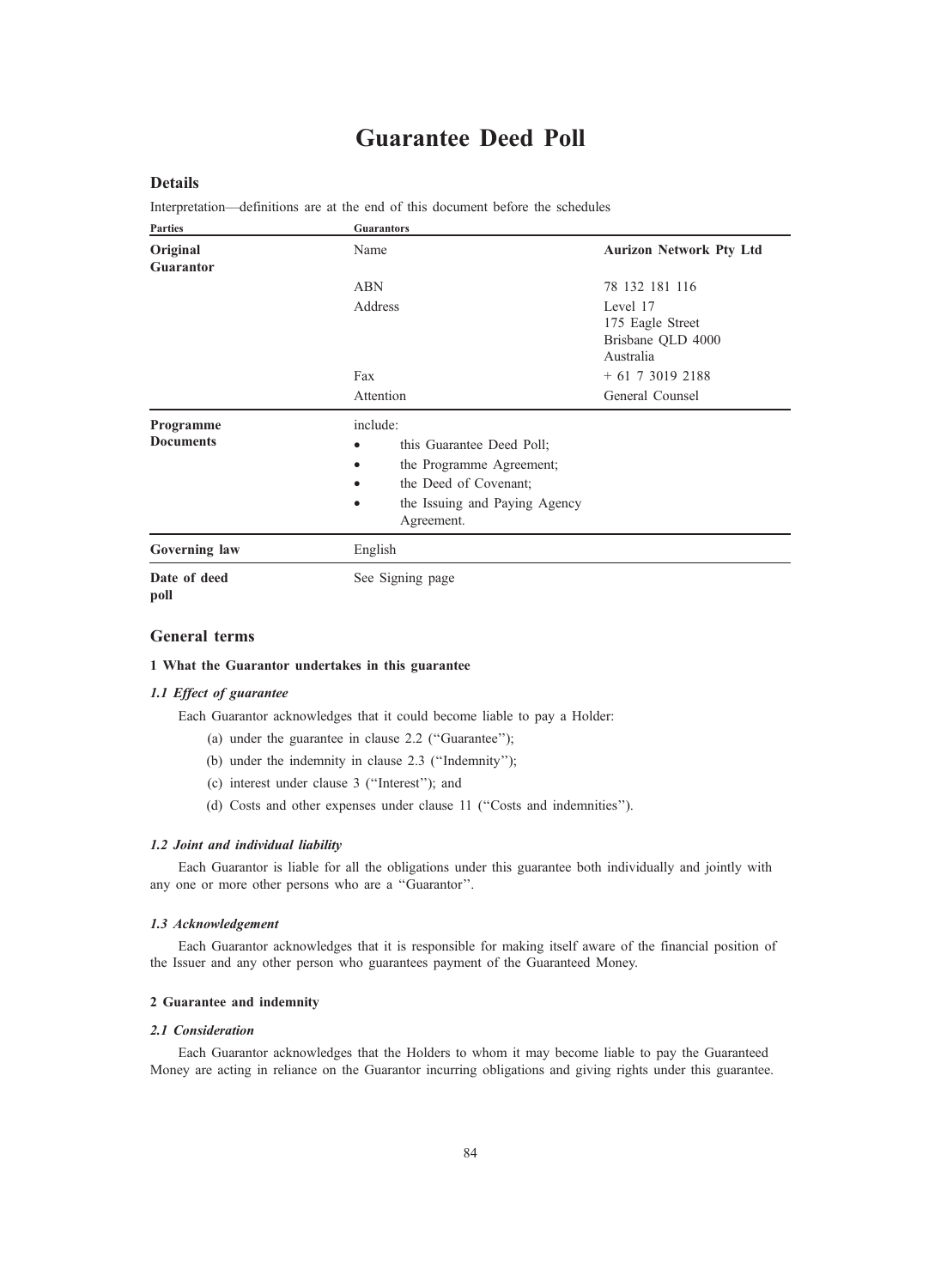# Guarantee Deed Poll

# Details

Interpretation—definitions are at the end of this document before the schedules

| <b>Parties</b>                | <b>Guarantors</b>                                                                                                                                                                |                                                                     |
|-------------------------------|----------------------------------------------------------------------------------------------------------------------------------------------------------------------------------|---------------------------------------------------------------------|
| Original<br>Guarantor         | Name                                                                                                                                                                             | <b>Aurizon Network Pty Ltd</b>                                      |
|                               | <b>ABN</b><br>Address                                                                                                                                                            | 78 132 181 116<br>Level 17<br>175 Eagle Street<br>Brisbane QLD 4000 |
|                               | Fax<br>Attention                                                                                                                                                                 | Australia<br>$+ 61 7 3019 2188$<br>General Counsel                  |
| Programme<br><b>Documents</b> | include:<br>this Guarantee Deed Poll;<br>$\bullet$<br>the Programme Agreement;<br>$\bullet$<br>the Deed of Covenant;<br>the Issuing and Paying Agency<br>$\bullet$<br>Agreement. |                                                                     |
| Governing law                 | English                                                                                                                                                                          |                                                                     |
| Date of deed<br>poll          | See Signing page                                                                                                                                                                 |                                                                     |

## General terms

#### 1 What the Guarantor undertakes in this guarantee

#### 1.1 Effect of guarantee

Each Guarantor acknowledges that it could become liable to pay a Holder:

- (a) under the guarantee in clause 2.2 (''Guarantee'');
- (b) under the indemnity in clause 2.3 (''Indemnity'');
- (c) interest under clause 3 (''Interest''); and
- (d) Costs and other expenses under clause 11 (''Costs and indemnities'').

#### 1.2 Joint and individual liability

Each Guarantor is liable for all the obligations under this guarantee both individually and jointly with any one or more other persons who are a ''Guarantor''.

#### 1.3 Acknowledgement

Each Guarantor acknowledges that it is responsible for making itself aware of the financial position of the Issuer and any other person who guarantees payment of the Guaranteed Money.

# 2 Guarantee and indemnity

#### 2.1 Consideration

Each Guarantor acknowledges that the Holders to whom it may become liable to pay the Guaranteed Money are acting in reliance on the Guarantor incurring obligations and giving rights under this guarantee.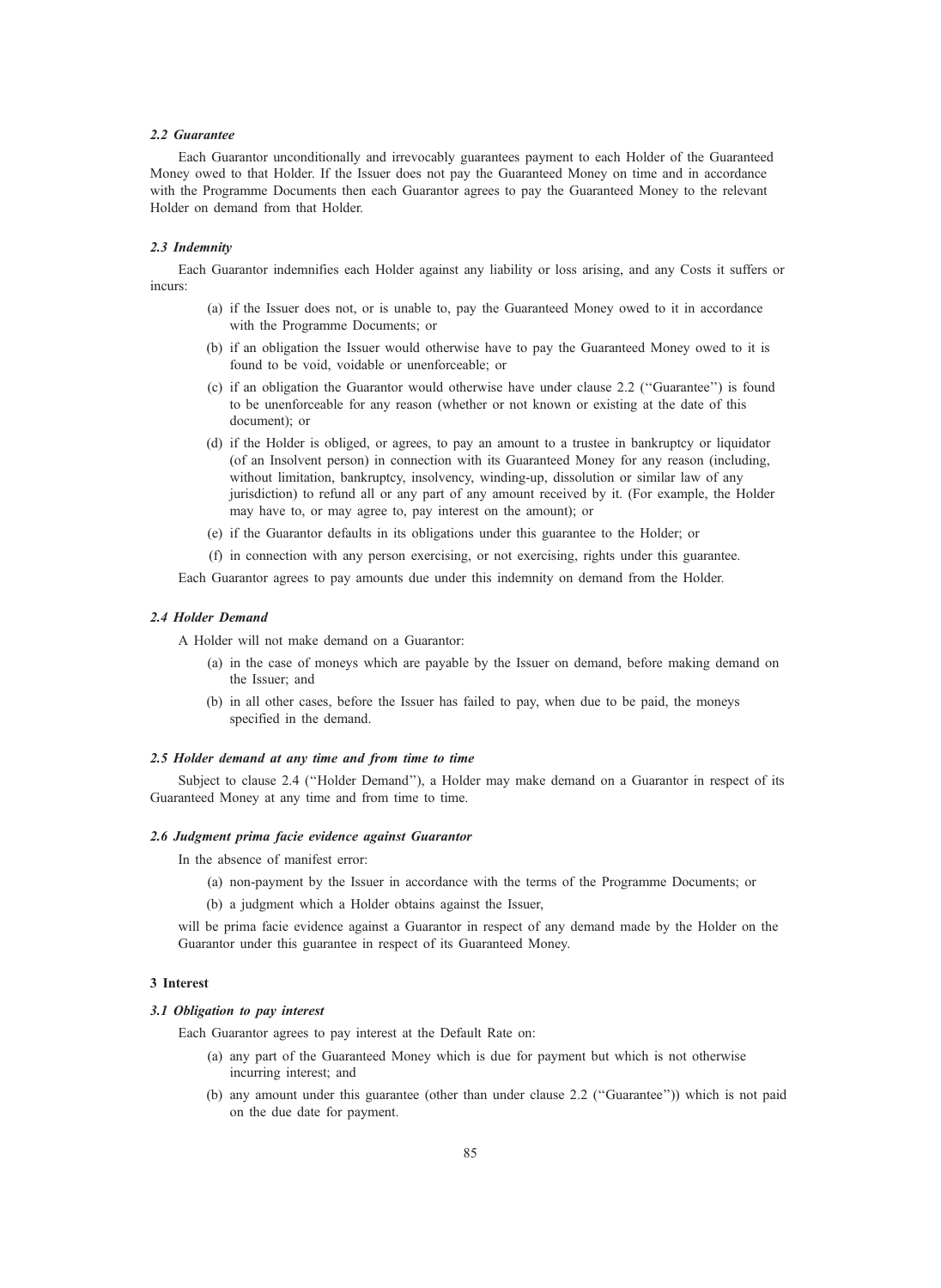## 2.2 Guarantee

Each Guarantor unconditionally and irrevocably guarantees payment to each Holder of the Guaranteed Money owed to that Holder. If the Issuer does not pay the Guaranteed Money on time and in accordance with the Programme Documents then each Guarantor agrees to pay the Guaranteed Money to the relevant Holder on demand from that Holder.

#### 2.3 Indemnity

Each Guarantor indemnifies each Holder against any liability or loss arising, and any Costs it suffers or incurs:

- (a) if the Issuer does not, or is unable to, pay the Guaranteed Money owed to it in accordance with the Programme Documents; or
- (b) if an obligation the Issuer would otherwise have to pay the Guaranteed Money owed to it is found to be void, voidable or unenforceable; or
- (c) if an obligation the Guarantor would otherwise have under clause 2.2 (''Guarantee'') is found to be unenforceable for any reason (whether or not known or existing at the date of this document); or
- (d) if the Holder is obliged, or agrees, to pay an amount to a trustee in bankruptcy or liquidator (of an Insolvent person) in connection with its Guaranteed Money for any reason (including, without limitation, bankruptcy, insolvency, winding-up, dissolution or similar law of any jurisdiction) to refund all or any part of any amount received by it. (For example, the Holder may have to, or may agree to, pay interest on the amount); or
- (e) if the Guarantor defaults in its obligations under this guarantee to the Holder; or
- (f) in connection with any person exercising, or not exercising, rights under this guarantee.

Each Guarantor agrees to pay amounts due under this indemnity on demand from the Holder.

#### 2.4 Holder Demand

A Holder will not make demand on a Guarantor:

- (a) in the case of moneys which are payable by the Issuer on demand, before making demand on the Issuer; and
- (b) in all other cases, before the Issuer has failed to pay, when due to be paid, the moneys specified in the demand.

#### 2.5 Holder demand at any time and from time to time

Subject to clause 2.4 (''Holder Demand''), a Holder may make demand on a Guarantor in respect of its Guaranteed Money at any time and from time to time.

#### 2.6 Judgment prima facie evidence against Guarantor

In the absence of manifest error:

- (a) non-payment by the Issuer in accordance with the terms of the Programme Documents; or
- (b) a judgment which a Holder obtains against the Issuer,

will be prima facie evidence against a Guarantor in respect of any demand made by the Holder on the Guarantor under this guarantee in respect of its Guaranteed Money.

#### 3 Interest

#### 3.1 Obligation to pay interest

Each Guarantor agrees to pay interest at the Default Rate on:

- (a) any part of the Guaranteed Money which is due for payment but which is not otherwise incurring interest; and
- (b) any amount under this guarantee (other than under clause 2.2 (''Guarantee'')) which is not paid on the due date for payment.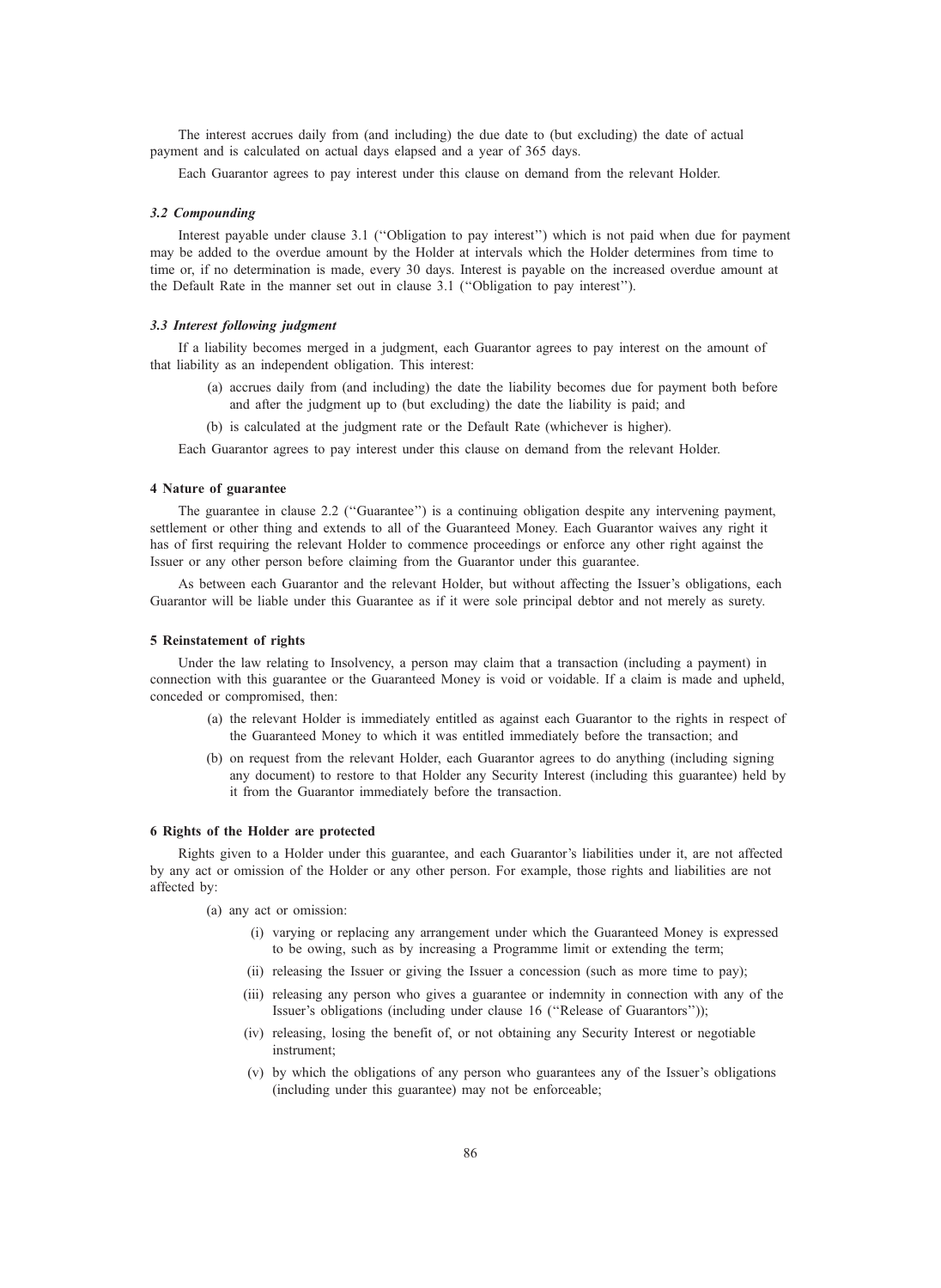The interest accrues daily from (and including) the due date to (but excluding) the date of actual payment and is calculated on actual days elapsed and a year of 365 days.

Each Guarantor agrees to pay interest under this clause on demand from the relevant Holder.

#### 3.2 Compounding

Interest payable under clause 3.1 (''Obligation to pay interest'') which is not paid when due for payment may be added to the overdue amount by the Holder at intervals which the Holder determines from time to time or, if no determination is made, every 30 days. Interest is payable on the increased overdue amount at the Default Rate in the manner set out in clause 3.1 (''Obligation to pay interest'').

#### 3.3 Interest following judgment

If a liability becomes merged in a judgment, each Guarantor agrees to pay interest on the amount of that liability as an independent obligation. This interest:

- (a) accrues daily from (and including) the date the liability becomes due for payment both before and after the judgment up to (but excluding) the date the liability is paid; and
- (b) is calculated at the judgment rate or the Default Rate (whichever is higher).

Each Guarantor agrees to pay interest under this clause on demand from the relevant Holder.

#### 4 Nature of guarantee

The guarantee in clause 2.2 (''Guarantee'') is a continuing obligation despite any intervening payment, settlement or other thing and extends to all of the Guaranteed Money. Each Guarantor waives any right it has of first requiring the relevant Holder to commence proceedings or enforce any other right against the Issuer or any other person before claiming from the Guarantor under this guarantee.

As between each Guarantor and the relevant Holder, but without affecting the Issuer's obligations, each Guarantor will be liable under this Guarantee as if it were sole principal debtor and not merely as surety.

#### 5 Reinstatement of rights

Under the law relating to Insolvency, a person may claim that a transaction (including a payment) in connection with this guarantee or the Guaranteed Money is void or voidable. If a claim is made and upheld, conceded or compromised, then:

- (a) the relevant Holder is immediately entitled as against each Guarantor to the rights in respect of the Guaranteed Money to which it was entitled immediately before the transaction; and
- (b) on request from the relevant Holder, each Guarantor agrees to do anything (including signing any document) to restore to that Holder any Security Interest (including this guarantee) held by it from the Guarantor immediately before the transaction.

#### 6 Rights of the Holder are protected

Rights given to a Holder under this guarantee, and each Guarantor's liabilities under it, are not affected by any act or omission of the Holder or any other person. For example, those rights and liabilities are not affected by:

(a) any act or omission:

- (i) varying or replacing any arrangement under which the Guaranteed Money is expressed to be owing, such as by increasing a Programme limit or extending the term;
- (ii) releasing the Issuer or giving the Issuer a concession (such as more time to pay);
- (iii) releasing any person who gives a guarantee or indemnity in connection with any of the Issuer's obligations (including under clause 16 (''Release of Guarantors''));
- (iv) releasing, losing the benefit of, or not obtaining any Security Interest or negotiable instrument;
- (v) by which the obligations of any person who guarantees any of the Issuer's obligations (including under this guarantee) may not be enforceable;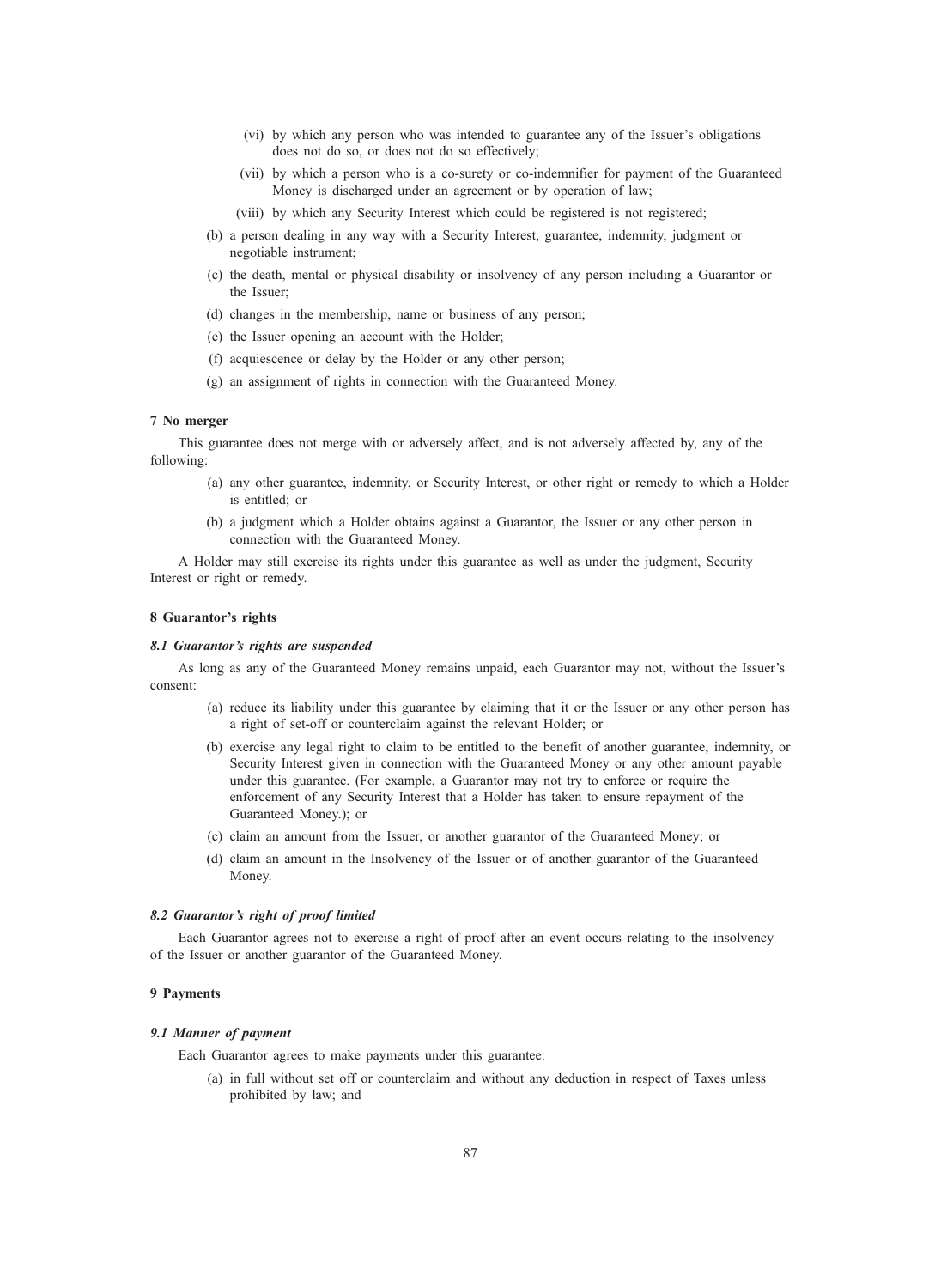- (vi) by which any person who was intended to guarantee any of the Issuer's obligations does not do so, or does not do so effectively;
- (vii) by which a person who is a co-surety or co-indemnifier for payment of the Guaranteed Money is discharged under an agreement or by operation of law;
- (viii) by which any Security Interest which could be registered is not registered;
- (b) a person dealing in any way with a Security Interest, guarantee, indemnity, judgment or negotiable instrument;
- (c) the death, mental or physical disability or insolvency of any person including a Guarantor or the Issuer;
- (d) changes in the membership, name or business of any person;
- (e) the Issuer opening an account with the Holder;
- (f) acquiescence or delay by the Holder or any other person;
- (g) an assignment of rights in connection with the Guaranteed Money.

#### 7 No merger

This guarantee does not merge with or adversely affect, and is not adversely affected by, any of the following:

- (a) any other guarantee, indemnity, or Security Interest, or other right or remedy to which a Holder is entitled; or
- (b) a judgment which a Holder obtains against a Guarantor, the Issuer or any other person in connection with the Guaranteed Money.

A Holder may still exercise its rights under this guarantee as well as under the judgment, Security Interest or right or remedy.

#### 8 Guarantor's rights

#### 8.1 Guarantor's rights are suspended

As long as any of the Guaranteed Money remains unpaid, each Guarantor may not, without the Issuer's consent:

- (a) reduce its liability under this guarantee by claiming that it or the Issuer or any other person has a right of set-off or counterclaim against the relevant Holder; or
- (b) exercise any legal right to claim to be entitled to the benefit of another guarantee, indemnity, or Security Interest given in connection with the Guaranteed Money or any other amount payable under this guarantee. (For example, a Guarantor may not try to enforce or require the enforcement of any Security Interest that a Holder has taken to ensure repayment of the Guaranteed Money.); or
- (c) claim an amount from the Issuer, or another guarantor of the Guaranteed Money; or
- (d) claim an amount in the Insolvency of the Issuer or of another guarantor of the Guaranteed Money.

#### 8.2 Guarantor's right of proof limited

Each Guarantor agrees not to exercise a right of proof after an event occurs relating to the insolvency of the Issuer or another guarantor of the Guaranteed Money.

#### 9 Payments

#### 9.1 Manner of payment

Each Guarantor agrees to make payments under this guarantee:

(a) in full without set off or counterclaim and without any deduction in respect of Taxes unless prohibited by law; and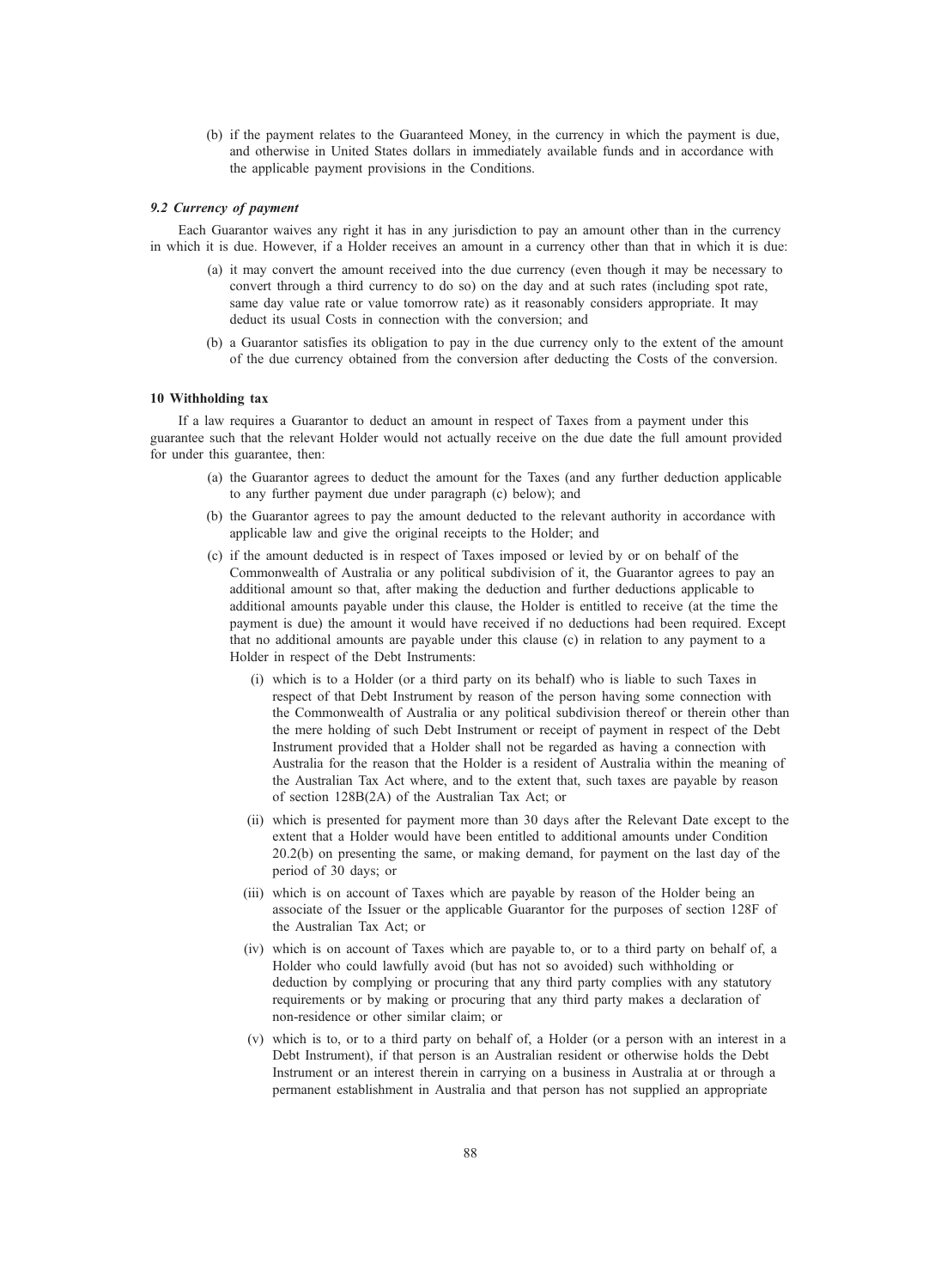(b) if the payment relates to the Guaranteed Money, in the currency in which the payment is due, and otherwise in United States dollars in immediately available funds and in accordance with the applicable payment provisions in the Conditions.

#### 9.2 Currency of payment

Each Guarantor waives any right it has in any jurisdiction to pay an amount other than in the currency in which it is due. However, if a Holder receives an amount in a currency other than that in which it is due:

- (a) it may convert the amount received into the due currency (even though it may be necessary to convert through a third currency to do so) on the day and at such rates (including spot rate, same day value rate or value tomorrow rate) as it reasonably considers appropriate. It may deduct its usual Costs in connection with the conversion; and
- (b) a Guarantor satisfies its obligation to pay in the due currency only to the extent of the amount of the due currency obtained from the conversion after deducting the Costs of the conversion.

#### 10 Withholding tax

If a law requires a Guarantor to deduct an amount in respect of Taxes from a payment under this guarantee such that the relevant Holder would not actually receive on the due date the full amount provided for under this guarantee, then:

- (a) the Guarantor agrees to deduct the amount for the Taxes (and any further deduction applicable to any further payment due under paragraph (c) below); and
- (b) the Guarantor agrees to pay the amount deducted to the relevant authority in accordance with applicable law and give the original receipts to the Holder; and
- (c) if the amount deducted is in respect of Taxes imposed or levied by or on behalf of the Commonwealth of Australia or any political subdivision of it, the Guarantor agrees to pay an additional amount so that, after making the deduction and further deductions applicable to additional amounts payable under this clause, the Holder is entitled to receive (at the time the payment is due) the amount it would have received if no deductions had been required. Except that no additional amounts are payable under this clause (c) in relation to any payment to a Holder in respect of the Debt Instruments:
	- (i) which is to a Holder (or a third party on its behalf) who is liable to such Taxes in respect of that Debt Instrument by reason of the person having some connection with the Commonwealth of Australia or any political subdivision thereof or therein other than the mere holding of such Debt Instrument or receipt of payment in respect of the Debt Instrument provided that a Holder shall not be regarded as having a connection with Australia for the reason that the Holder is a resident of Australia within the meaning of the Australian Tax Act where, and to the extent that, such taxes are payable by reason of section 128B(2A) of the Australian Tax Act; or
	- (ii) which is presented for payment more than 30 days after the Relevant Date except to the extent that a Holder would have been entitled to additional amounts under Condition 20.2(b) on presenting the same, or making demand, for payment on the last day of the period of 30 days; or
	- (iii) which is on account of Taxes which are payable by reason of the Holder being an associate of the Issuer or the applicable Guarantor for the purposes of section 128F of the Australian Tax Act; or
	- (iv) which is on account of Taxes which are payable to, or to a third party on behalf of, a Holder who could lawfully avoid (but has not so avoided) such withholding or deduction by complying or procuring that any third party complies with any statutory requirements or by making or procuring that any third party makes a declaration of non-residence or other similar claim; or
	- (v) which is to, or to a third party on behalf of, a Holder (or a person with an interest in a Debt Instrument), if that person is an Australian resident or otherwise holds the Debt Instrument or an interest therein in carrying on a business in Australia at or through a permanent establishment in Australia and that person has not supplied an appropriate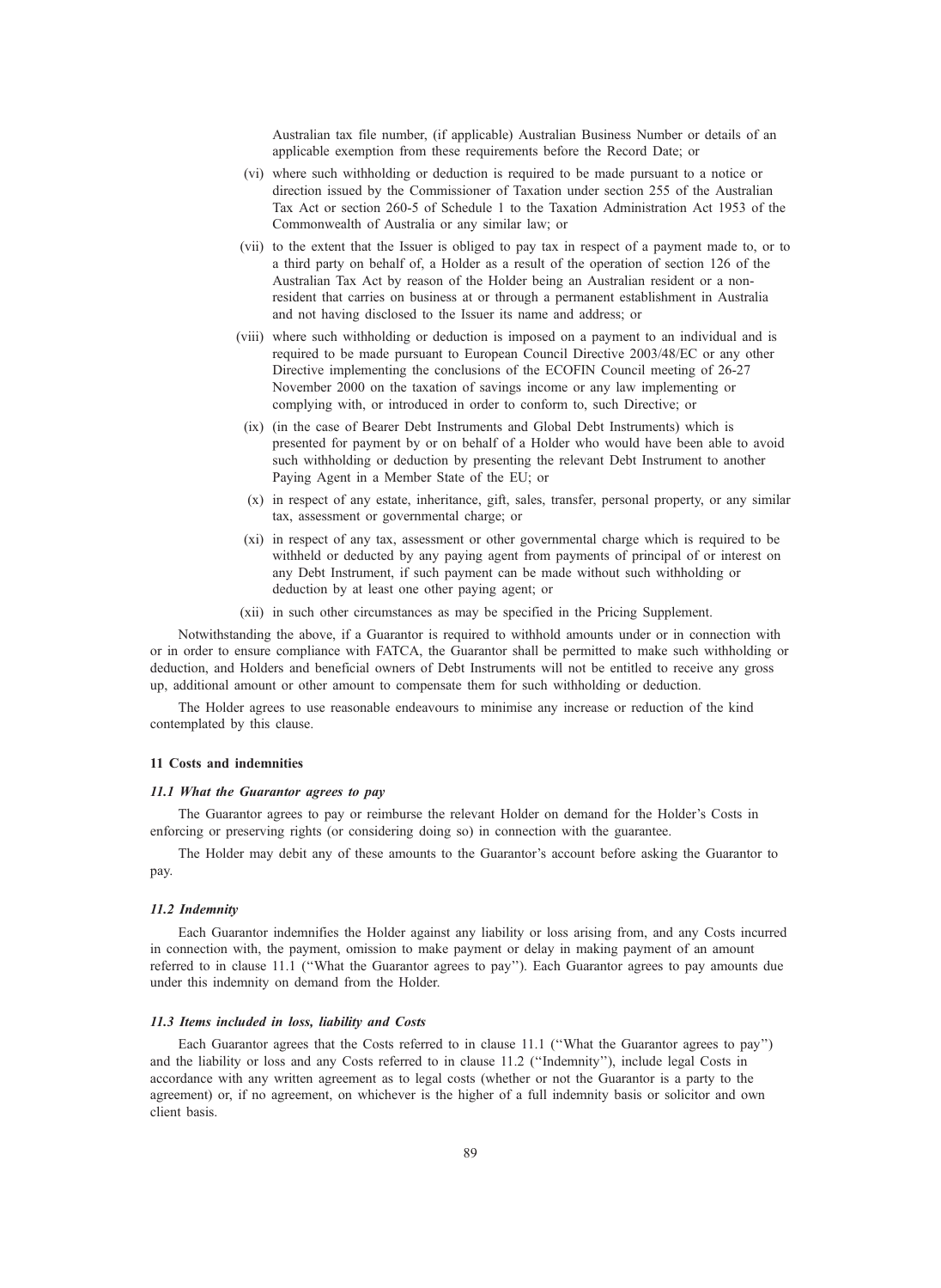Australian tax file number, (if applicable) Australian Business Number or details of an applicable exemption from these requirements before the Record Date; or

- (vi) where such withholding or deduction is required to be made pursuant to a notice or direction issued by the Commissioner of Taxation under section 255 of the Australian Tax Act or section 260-5 of Schedule 1 to the Taxation Administration Act 1953 of the Commonwealth of Australia or any similar law; or
- (vii) to the extent that the Issuer is obliged to pay tax in respect of a payment made to, or to a third party on behalf of, a Holder as a result of the operation of section 126 of the Australian Tax Act by reason of the Holder being an Australian resident or a nonresident that carries on business at or through a permanent establishment in Australia and not having disclosed to the Issuer its name and address; or
- (viii) where such withholding or deduction is imposed on a payment to an individual and is required to be made pursuant to European Council Directive 2003/48/EC or any other Directive implementing the conclusions of the ECOFIN Council meeting of 26-27 November 2000 on the taxation of savings income or any law implementing or complying with, or introduced in order to conform to, such Directive; or
- (ix) (in the case of Bearer Debt Instruments and Global Debt Instruments) which is presented for payment by or on behalf of a Holder who would have been able to avoid such withholding or deduction by presenting the relevant Debt Instrument to another Paying Agent in a Member State of the EU; or
- (x) in respect of any estate, inheritance, gift, sales, transfer, personal property, or any similar tax, assessment or governmental charge; or
- (xi) in respect of any tax, assessment or other governmental charge which is required to be withheld or deducted by any paying agent from payments of principal of or interest on any Debt Instrument, if such payment can be made without such withholding or deduction by at least one other paying agent; or
- (xii) in such other circumstances as may be specified in the Pricing Supplement.

Notwithstanding the above, if a Guarantor is required to withhold amounts under or in connection with or in order to ensure compliance with FATCA, the Guarantor shall be permitted to make such withholding or deduction, and Holders and beneficial owners of Debt Instruments will not be entitled to receive any gross up, additional amount or other amount to compensate them for such withholding or deduction.

The Holder agrees to use reasonable endeavours to minimise any increase or reduction of the kind contemplated by this clause.

#### 11 Costs and indemnities

#### 11.1 What the Guarantor agrees to pay

The Guarantor agrees to pay or reimburse the relevant Holder on demand for the Holder's Costs in enforcing or preserving rights (or considering doing so) in connection with the guarantee.

The Holder may debit any of these amounts to the Guarantor's account before asking the Guarantor to pay.

#### 11.2 Indemnity

Each Guarantor indemnifies the Holder against any liability or loss arising from, and any Costs incurred in connection with, the payment, omission to make payment or delay in making payment of an amount referred to in clause 11.1 (''What the Guarantor agrees to pay''). Each Guarantor agrees to pay amounts due under this indemnity on demand from the Holder.

#### 11.3 Items included in loss, liability and Costs

Each Guarantor agrees that the Costs referred to in clause 11.1 (''What the Guarantor agrees to pay'') and the liability or loss and any Costs referred to in clause 11.2 (''Indemnity''), include legal Costs in accordance with any written agreement as to legal costs (whether or not the Guarantor is a party to the agreement) or, if no agreement, on whichever is the higher of a full indemnity basis or solicitor and own client basis.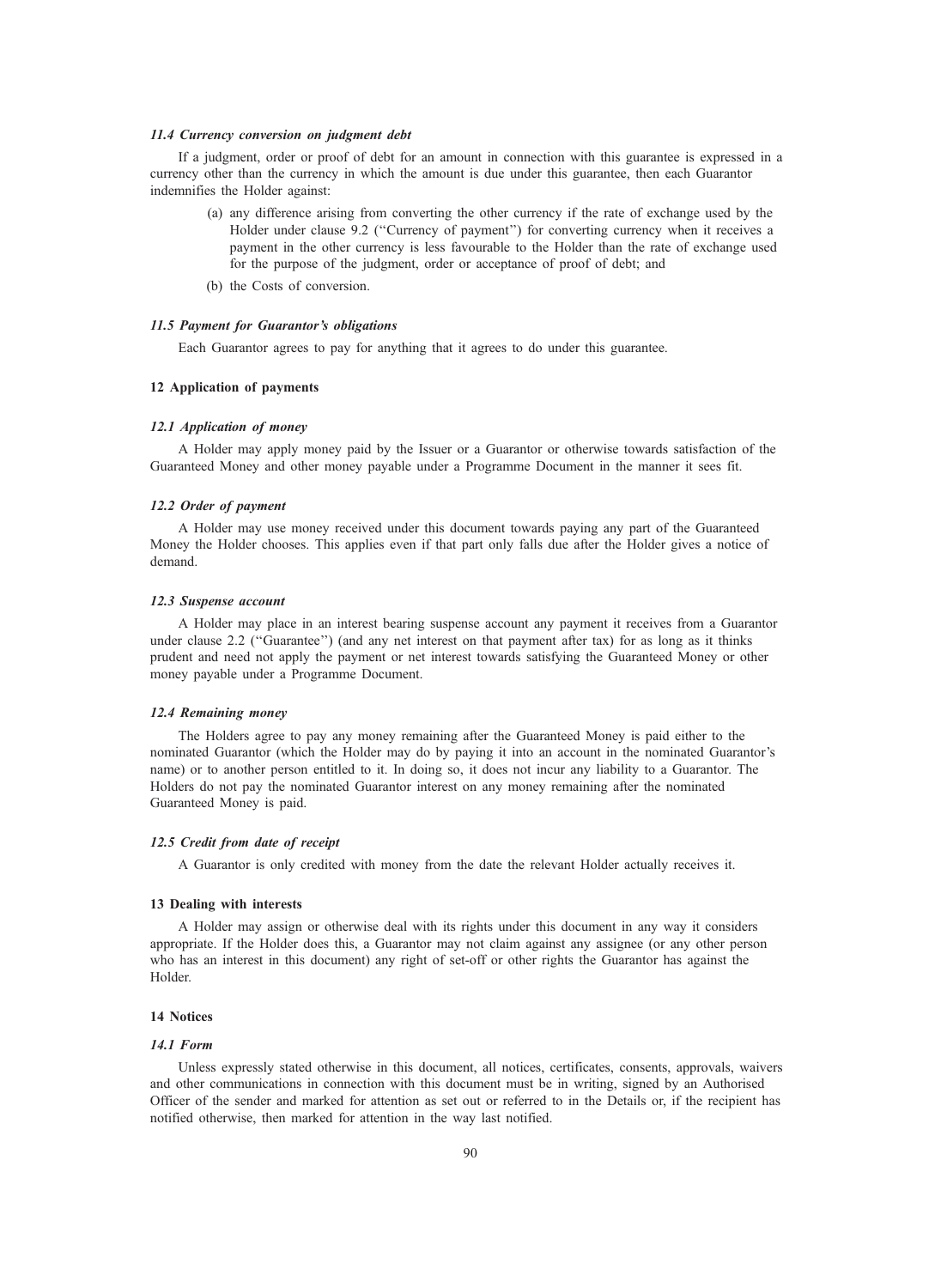#### 11.4 Currency conversion on judgment debt

If a judgment, order or proof of debt for an amount in connection with this guarantee is expressed in a currency other than the currency in which the amount is due under this guarantee, then each Guarantor indemnifies the Holder against:

- (a) any difference arising from converting the other currency if the rate of exchange used by the Holder under clause 9.2 (''Currency of payment'') for converting currency when it receives a payment in the other currency is less favourable to the Holder than the rate of exchange used for the purpose of the judgment, order or acceptance of proof of debt; and
- (b) the Costs of conversion.

### 11.5 Payment for Guarantor's obligations

Each Guarantor agrees to pay for anything that it agrees to do under this guarantee.

## 12 Application of payments

#### 12.1 Application of money

A Holder may apply money paid by the Issuer or a Guarantor or otherwise towards satisfaction of the Guaranteed Money and other money payable under a Programme Document in the manner it sees fit.

#### 12.2 Order of payment

A Holder may use money received under this document towards paying any part of the Guaranteed Money the Holder chooses. This applies even if that part only falls due after the Holder gives a notice of demand.

#### 12.3 Suspense account

A Holder may place in an interest bearing suspense account any payment it receives from a Guarantor under clause 2.2 ("Guarantee") (and any net interest on that payment after tax) for as long as it thinks prudent and need not apply the payment or net interest towards satisfying the Guaranteed Money or other money payable under a Programme Document.

#### 12.4 Remaining money

The Holders agree to pay any money remaining after the Guaranteed Money is paid either to the nominated Guarantor (which the Holder may do by paying it into an account in the nominated Guarantor's name) or to another person entitled to it. In doing so, it does not incur any liability to a Guarantor. The Holders do not pay the nominated Guarantor interest on any money remaining after the nominated Guaranteed Money is paid.

#### 12.5 Credit from date of receipt

A Guarantor is only credited with money from the date the relevant Holder actually receives it.

#### 13 Dealing with interests

A Holder may assign or otherwise deal with its rights under this document in any way it considers appropriate. If the Holder does this, a Guarantor may not claim against any assignee (or any other person who has an interest in this document) any right of set-off or other rights the Guarantor has against the Holder.

#### 14 Notices

## 14.1 Form

Unless expressly stated otherwise in this document, all notices, certificates, consents, approvals, waivers and other communications in connection with this document must be in writing, signed by an Authorised Officer of the sender and marked for attention as set out or referred to in the Details or, if the recipient has notified otherwise, then marked for attention in the way last notified.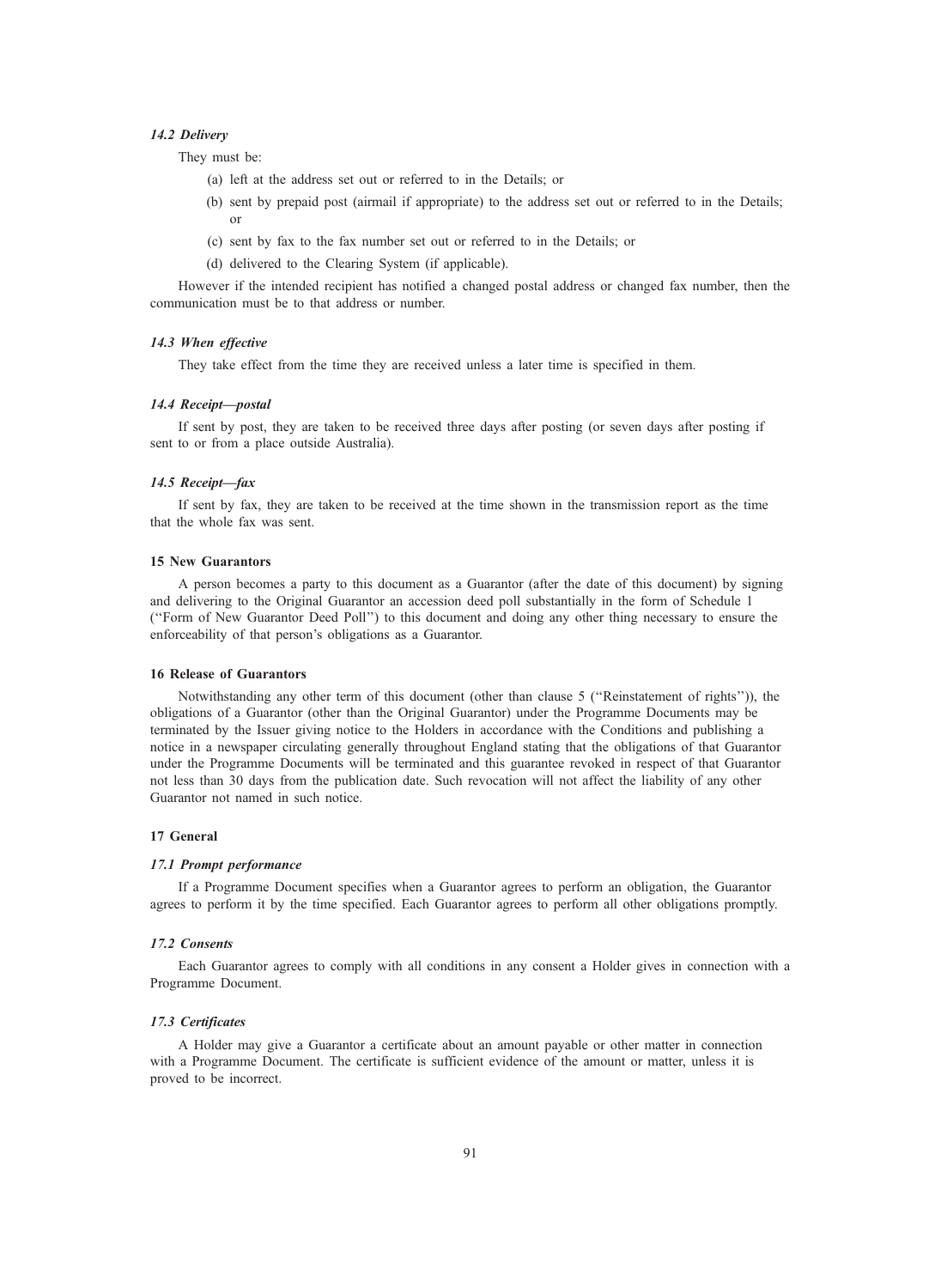#### 14.2 Delivery

They must be:

- (a) left at the address set out or referred to in the Details; or
- (b) sent by prepaid post (airmail if appropriate) to the address set out or referred to in the Details; or
- (c) sent by fax to the fax number set out or referred to in the Details; or
- (d) delivered to the Clearing System (if applicable).

However if the intended recipient has notified a changed postal address or changed fax number, then the communication must be to that address or number.

## 14.3 When effective

They take effect from the time they are received unless a later time is specified in them.

#### 14.4 Receipt—postal

If sent by post, they are taken to be received three days after posting (or seven days after posting if sent to or from a place outside Australia).

#### 14.5 Receipt—fax

If sent by fax, they are taken to be received at the time shown in the transmission report as the time that the whole fax was sent.

#### 15 New Guarantors

A person becomes a party to this document as a Guarantor (after the date of this document) by signing and delivering to the Original Guarantor an accession deed poll substantially in the form of Schedule 1 (''Form of New Guarantor Deed Poll'') to this document and doing any other thing necessary to ensure the enforceability of that person's obligations as a Guarantor.

#### 16 Release of Guarantors

Notwithstanding any other term of this document (other than clause 5 (''Reinstatement of rights'')), the obligations of a Guarantor (other than the Original Guarantor) under the Programme Documents may be terminated by the Issuer giving notice to the Holders in accordance with the Conditions and publishing a notice in a newspaper circulating generally throughout England stating that the obligations of that Guarantor under the Programme Documents will be terminated and this guarantee revoked in respect of that Guarantor not less than 30 days from the publication date. Such revocation will not affect the liability of any other Guarantor not named in such notice.

#### 17 General

#### 17.1 Prompt performance

If a Programme Document specifies when a Guarantor agrees to perform an obligation, the Guarantor agrees to perform it by the time specified. Each Guarantor agrees to perform all other obligations promptly.

#### 17.2 Consents

Each Guarantor agrees to comply with all conditions in any consent a Holder gives in connection with a Programme Document.

#### 17.3 Certificates

A Holder may give a Guarantor a certificate about an amount payable or other matter in connection with a Programme Document. The certificate is sufficient evidence of the amount or matter, unless it is proved to be incorrect.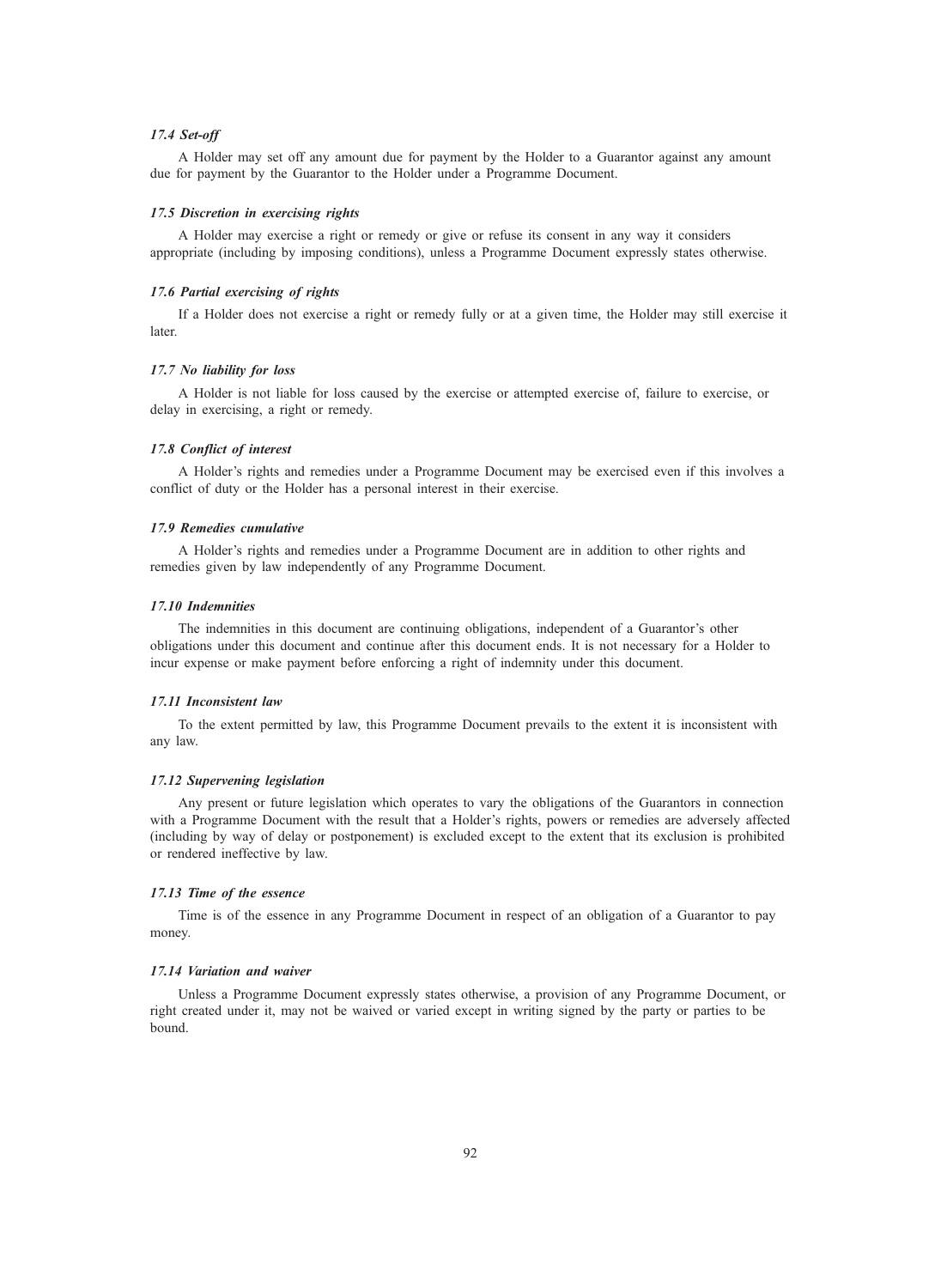#### 17.4 Set-off

A Holder may set off any amount due for payment by the Holder to a Guarantor against any amount due for payment by the Guarantor to the Holder under a Programme Document.

#### 17.5 Discretion in exercising rights

A Holder may exercise a right or remedy or give or refuse its consent in any way it considers appropriate (including by imposing conditions), unless a Programme Document expressly states otherwise.

#### 17.6 Partial exercising of rights

If a Holder does not exercise a right or remedy fully or at a given time, the Holder may still exercise it later.

# 17.7 No liability for loss

A Holder is not liable for loss caused by the exercise or attempted exercise of, failure to exercise, or delay in exercising, a right or remedy.

#### 17.8 Conflict of interest

A Holder's rights and remedies under a Programme Document may be exercised even if this involves a conflict of duty or the Holder has a personal interest in their exercise.

#### 17.9 Remedies cumulative

A Holder's rights and remedies under a Programme Document are in addition to other rights and remedies given by law independently of any Programme Document.

#### 17.10 Indemnities

The indemnities in this document are continuing obligations, independent of a Guarantor's other obligations under this document and continue after this document ends. It is not necessary for a Holder to incur expense or make payment before enforcing a right of indemnity under this document.

#### 17.11 Inconsistent law

To the extent permitted by law, this Programme Document prevails to the extent it is inconsistent with any law.

#### 17.12 Supervening legislation

Any present or future legislation which operates to vary the obligations of the Guarantors in connection with a Programme Document with the result that a Holder's rights, powers or remedies are adversely affected (including by way of delay or postponement) is excluded except to the extent that its exclusion is prohibited or rendered ineffective by law.

#### 17.13 Time of the essence

Time is of the essence in any Programme Document in respect of an obligation of a Guarantor to pay money.

#### 17.14 Variation and waiver

Unless a Programme Document expressly states otherwise, a provision of any Programme Document, or right created under it, may not be waived or varied except in writing signed by the party or parties to be bound.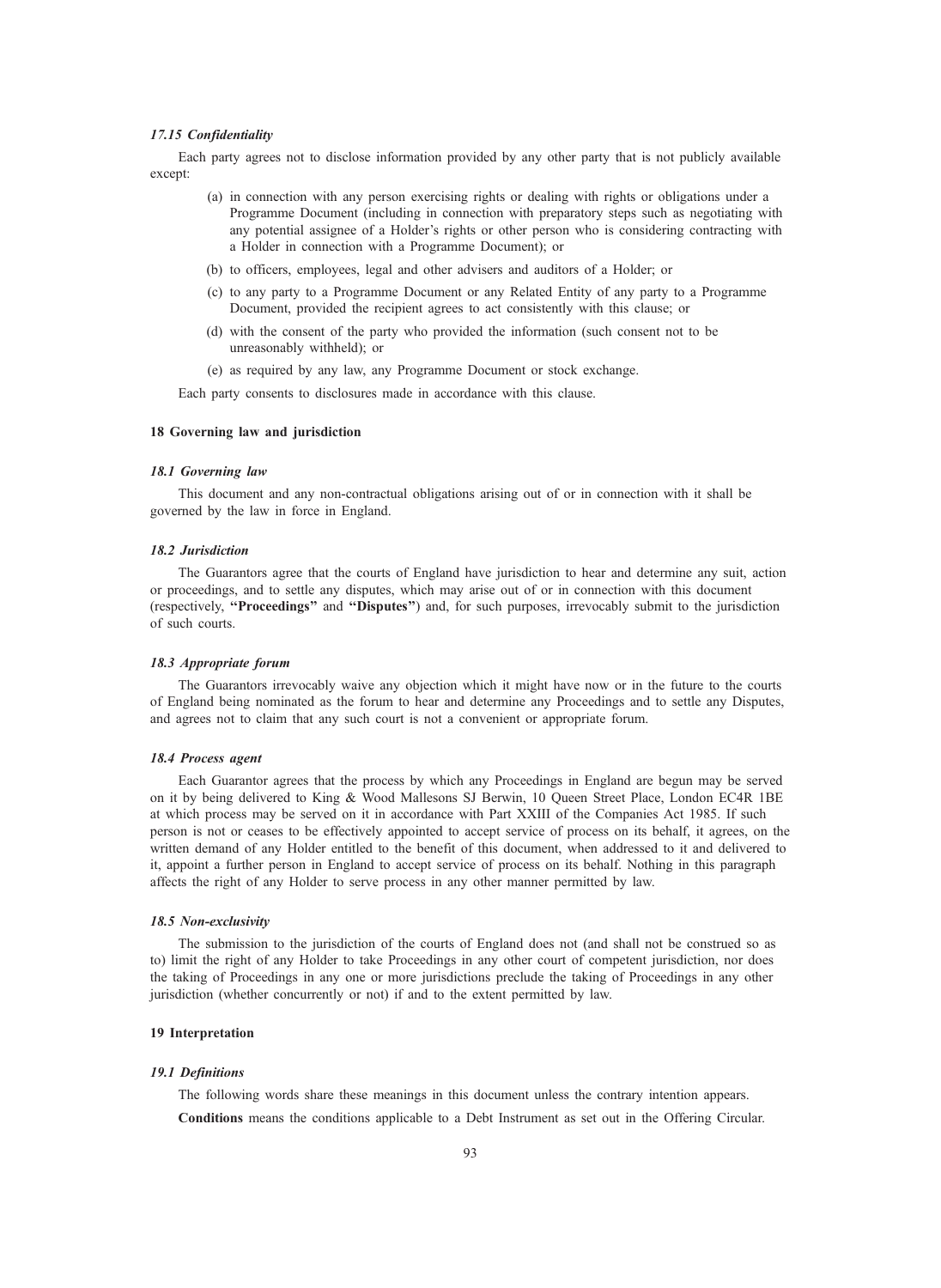#### 17.15 Confidentiality

Each party agrees not to disclose information provided by any other party that is not publicly available except:

- (a) in connection with any person exercising rights or dealing with rights or obligations under a Programme Document (including in connection with preparatory steps such as negotiating with any potential assignee of a Holder's rights or other person who is considering contracting with a Holder in connection with a Programme Document); or
- (b) to officers, employees, legal and other advisers and auditors of a Holder; or
- (c) to any party to a Programme Document or any Related Entity of any party to a Programme Document, provided the recipient agrees to act consistently with this clause; or
- (d) with the consent of the party who provided the information (such consent not to be unreasonably withheld); or
- (e) as required by any law, any Programme Document or stock exchange.

Each party consents to disclosures made in accordance with this clause.

#### 18 Governing law and jurisdiction

#### 18.1 Governing law

This document and any non-contractual obligations arising out of or in connection with it shall be governed by the law in force in England.

#### 18.2 Jurisdiction

The Guarantors agree that the courts of England have jurisdiction to hear and determine any suit, action or proceedings, and to settle any disputes, which may arise out of or in connection with this document (respectively, ''Proceedings'' and ''Disputes'') and, for such purposes, irrevocably submit to the jurisdiction of such courts.

#### 18.3 Appropriate forum

The Guarantors irrevocably waive any objection which it might have now or in the future to the courts of England being nominated as the forum to hear and determine any Proceedings and to settle any Disputes, and agrees not to claim that any such court is not a convenient or appropriate forum.

#### 18.4 Process agent

Each Guarantor agrees that the process by which any Proceedings in England are begun may be served on it by being delivered to King & Wood Mallesons SJ Berwin, 10 Queen Street Place, London EC4R 1BE at which process may be served on it in accordance with Part XXIII of the Companies Act 1985. If such person is not or ceases to be effectively appointed to accept service of process on its behalf, it agrees, on the written demand of any Holder entitled to the benefit of this document, when addressed to it and delivered to it, appoint a further person in England to accept service of process on its behalf. Nothing in this paragraph affects the right of any Holder to serve process in any other manner permitted by law.

#### 18.5 Non-exclusivity

The submission to the jurisdiction of the courts of England does not (and shall not be construed so as to) limit the right of any Holder to take Proceedings in any other court of competent jurisdiction, nor does the taking of Proceedings in any one or more jurisdictions preclude the taking of Proceedings in any other jurisdiction (whether concurrently or not) if and to the extent permitted by law.

#### 19 Interpretation

#### 19.1 Definitions

The following words share these meanings in this document unless the contrary intention appears. Conditions means the conditions applicable to a Debt Instrument as set out in the Offering Circular.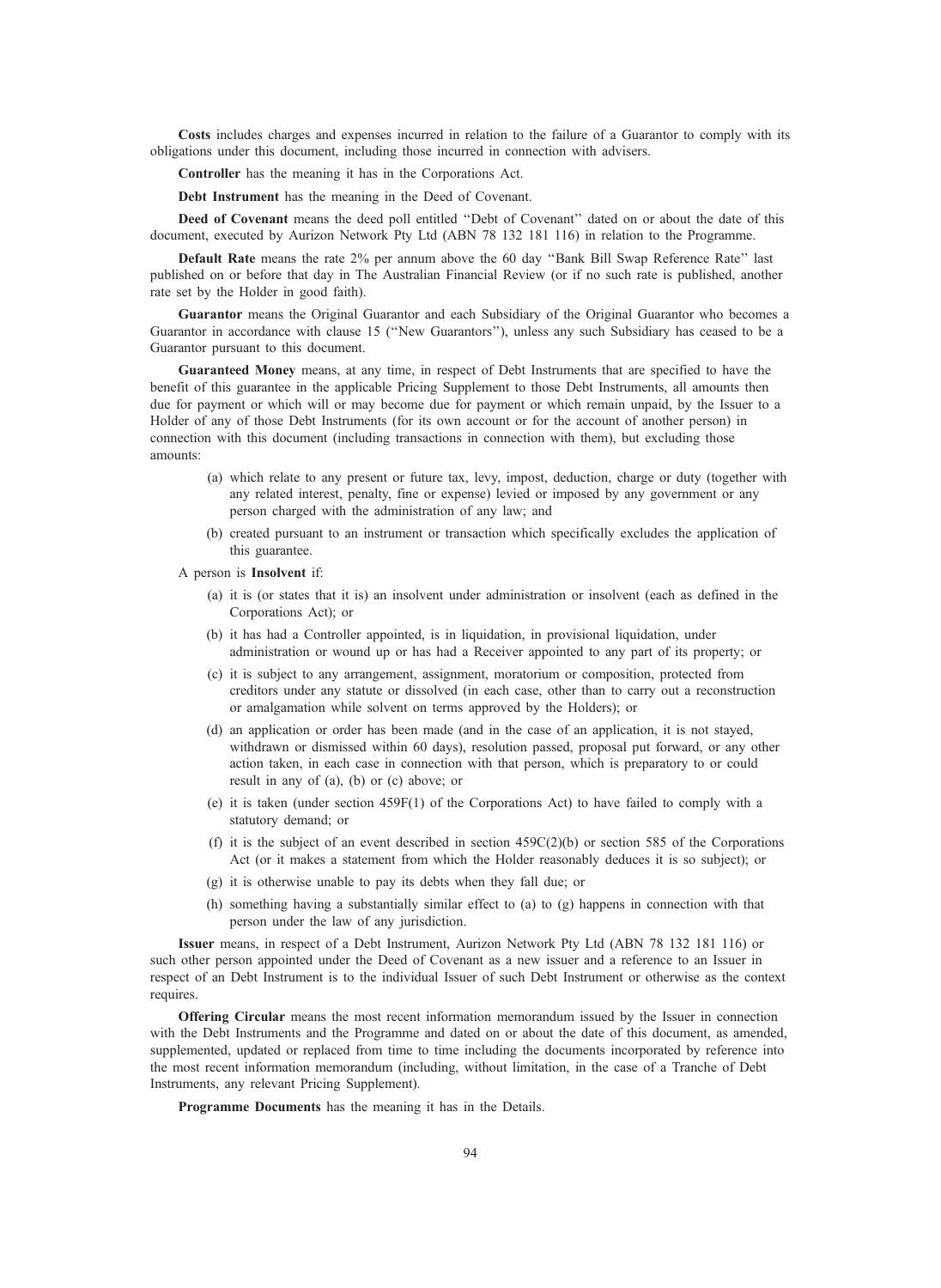Costs includes charges and expenses incurred in relation to the failure of a Guarantor to comply with its obligations under this document, including those incurred in connection with advisers.

Controller has the meaning it has in the Corporations Act.

Debt Instrument has the meaning in the Deed of Covenant.

Deed of Covenant means the deed poll entitled "Debt of Covenant" dated on or about the date of this document, executed by Aurizon Network Pty Ltd (ABN 78 132 181 116) in relation to the Programme.

Default Rate means the rate 2% per annum above the 60 day ''Bank Bill Swap Reference Rate'' last published on or before that day in The Australian Financial Review (or if no such rate is published, another rate set by the Holder in good faith).

Guarantor means the Original Guarantor and each Subsidiary of the Original Guarantor who becomes a Guarantor in accordance with clause 15 (''New Guarantors''), unless any such Subsidiary has ceased to be a Guarantor pursuant to this document.

Guaranteed Money means, at any time, in respect of Debt Instruments that are specified to have the benefit of this guarantee in the applicable Pricing Supplement to those Debt Instruments, all amounts then due for payment or which will or may become due for payment or which remain unpaid, by the Issuer to a Holder of any of those Debt Instruments (for its own account or for the account of another person) in connection with this document (including transactions in connection with them), but excluding those amounts:

- (a) which relate to any present or future tax, levy, impost, deduction, charge or duty (together with any related interest, penalty, fine or expense) levied or imposed by any government or any person charged with the administration of any law; and
- (b) created pursuant to an instrument or transaction which specifically excludes the application of this guarantee.

A person is Insolvent if:

- (a) it is (or states that it is) an insolvent under administration or insolvent (each as defined in the Corporations Act); or
- (b) it has had a Controller appointed, is in liquidation, in provisional liquidation, under administration or wound up or has had a Receiver appointed to any part of its property; or
- (c) it is subject to any arrangement, assignment, moratorium or composition, protected from creditors under any statute or dissolved (in each case, other than to carry out a reconstruction or amalgamation while solvent on terms approved by the Holders); or
- (d) an application or order has been made (and in the case of an application, it is not stayed, withdrawn or dismissed within 60 days), resolution passed, proposal put forward, or any other action taken, in each case in connection with that person, which is preparatory to or could result in any of (a), (b) or (c) above; or
- (e) it is taken (under section 459F(1) of the Corporations Act) to have failed to comply with a statutory demand; or
- (f) it is the subject of an event described in section  $459C(2)(b)$  or section 585 of the Corporations Act (or it makes a statement from which the Holder reasonably deduces it is so subject); or
- (g) it is otherwise unable to pay its debts when they fall due; or
- (h) something having a substantially similar effect to (a) to (g) happens in connection with that person under the law of any jurisdiction.

Issuer means, in respect of a Debt Instrument, Aurizon Network Pty Ltd (ABN 78 132 181 116) or such other person appointed under the Deed of Covenant as a new issuer and a reference to an Issuer in respect of an Debt Instrument is to the individual Issuer of such Debt Instrument or otherwise as the context requires.

Offering Circular means the most recent information memorandum issued by the Issuer in connection with the Debt Instruments and the Programme and dated on or about the date of this document, as amended, supplemented, updated or replaced from time to time including the documents incorporated by reference into the most recent information memorandum (including, without limitation, in the case of a Tranche of Debt Instruments, any relevant Pricing Supplement).

Programme Documents has the meaning it has in the Details.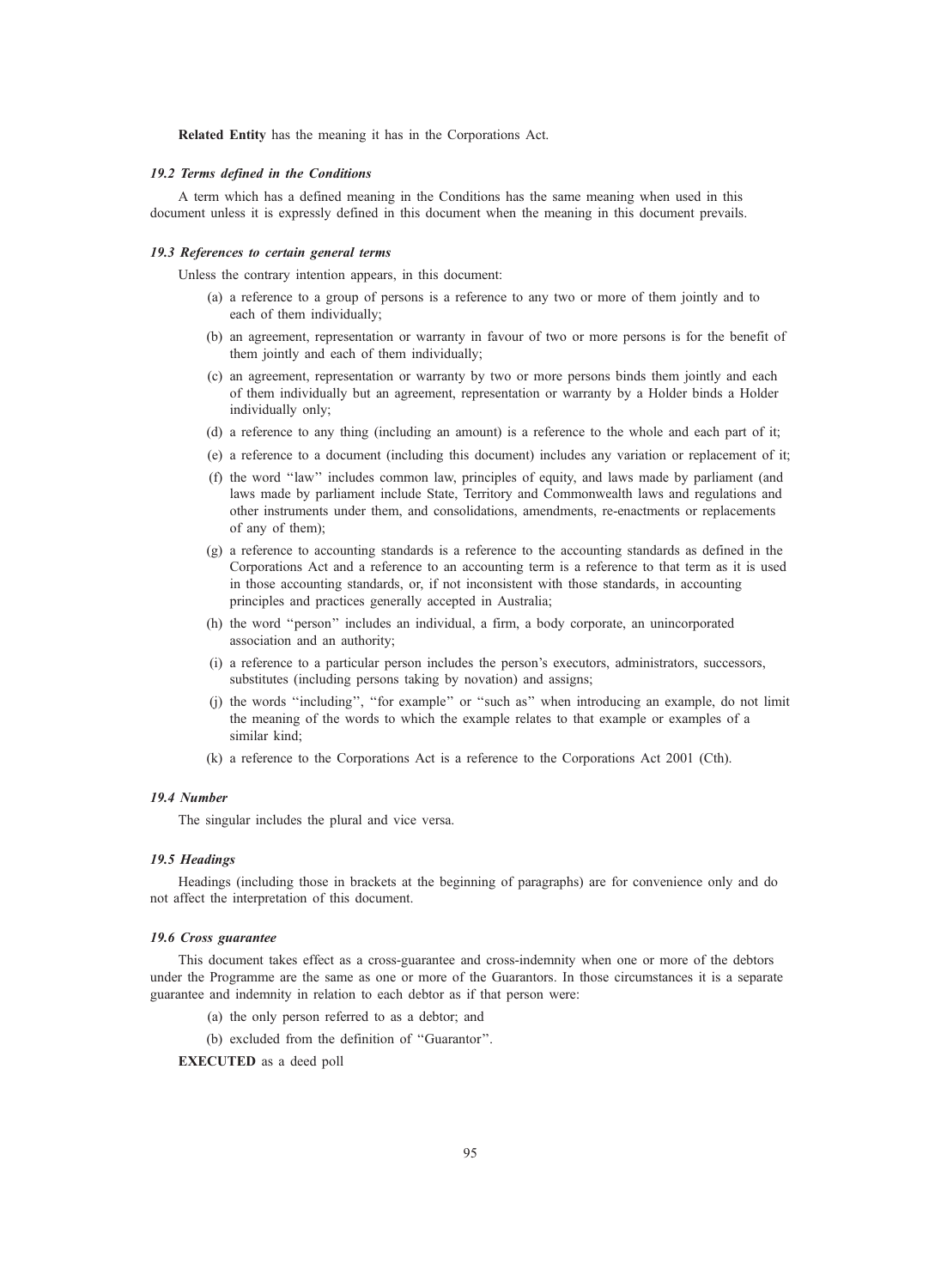Related Entity has the meaning it has in the Corporations Act.

#### 19.2 Terms defined in the Conditions

A term which has a defined meaning in the Conditions has the same meaning when used in this document unless it is expressly defined in this document when the meaning in this document prevails.

#### 19.3 References to certain general terms

Unless the contrary intention appears, in this document:

- (a) a reference to a group of persons is a reference to any two or more of them jointly and to each of them individually;
- (b) an agreement, representation or warranty in favour of two or more persons is for the benefit of them jointly and each of them individually;
- (c) an agreement, representation or warranty by two or more persons binds them jointly and each of them individually but an agreement, representation or warranty by a Holder binds a Holder individually only;
- (d) a reference to any thing (including an amount) is a reference to the whole and each part of it;
- (e) a reference to a document (including this document) includes any variation or replacement of it;
- (f) the word ''law'' includes common law, principles of equity, and laws made by parliament (and laws made by parliament include State, Territory and Commonwealth laws and regulations and other instruments under them, and consolidations, amendments, re-enactments or replacements of any of them);
- (g) a reference to accounting standards is a reference to the accounting standards as defined in the Corporations Act and a reference to an accounting term is a reference to that term as it is used in those accounting standards, or, if not inconsistent with those standards, in accounting principles and practices generally accepted in Australia;
- (h) the word ''person'' includes an individual, a firm, a body corporate, an unincorporated association and an authority;
- (i) a reference to a particular person includes the person's executors, administrators, successors, substitutes (including persons taking by novation) and assigns;
- (j) the words ''including'', ''for example'' or ''such as'' when introducing an example, do not limit the meaning of the words to which the example relates to that example or examples of a similar kind;
- (k) a reference to the Corporations Act is a reference to the Corporations Act 2001 (Cth).

#### 19.4 Number

The singular includes the plural and vice versa.

#### 19.5 Headings

Headings (including those in brackets at the beginning of paragraphs) are for convenience only and do not affect the interpretation of this document.

#### 19.6 Cross guarantee

This document takes effect as a cross-guarantee and cross-indemnity when one or more of the debtors under the Programme are the same as one or more of the Guarantors. In those circumstances it is a separate guarantee and indemnity in relation to each debtor as if that person were:

- (a) the only person referred to as a debtor; and
- (b) excluded from the definition of ''Guarantor''.

EXECUTED as a deed poll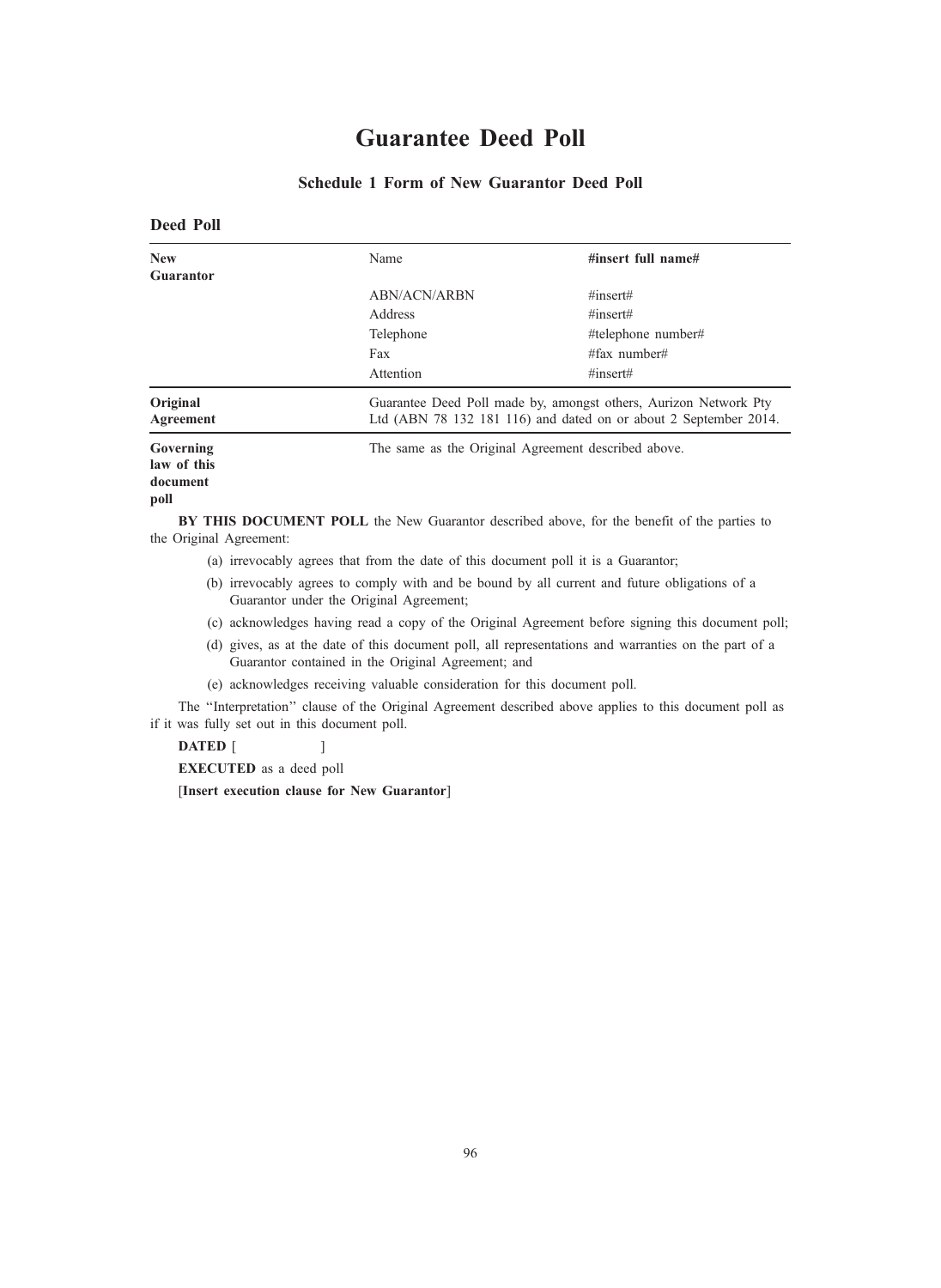# Guarantee Deed Poll

# Schedule 1 Form of New Guarantor Deed Poll

# Deed Poll New Guarantor Name  $\#$ insert full name# ABN/ACN/ARBN #insert# Address  $\ddot{t}$  #insert# Telephone #telephone number# Fax  $\text{#fax number}$

Attention #insert# **Original** Agreement Guarantee Deed Poll made by, amongst others, Aurizon Network Pty Ltd (ABN 78 132 181 116) and dated on or about 2 September 2014. Governing law of this document The same as the Original Agreement described above.

# poll

BY THIS DOCUMENT POLL the New Guarantor described above, for the benefit of the parties to the Original Agreement:

- (a) irrevocably agrees that from the date of this document poll it is a Guarantor;
- (b) irrevocably agrees to comply with and be bound by all current and future obligations of a Guarantor under the Original Agreement;
- (c) acknowledges having read a copy of the Original Agreement before signing this document poll;
- (d) gives, as at the date of this document poll, all representations and warranties on the part of a Guarantor contained in the Original Agreement; and
- (e) acknowledges receiving valuable consideration for this document poll.

The ''Interpretation'' clause of the Original Agreement described above applies to this document poll as if it was fully set out in this document poll.

DATED [

EXECUTED as a deed poll

[Insert execution clause for New Guarantor]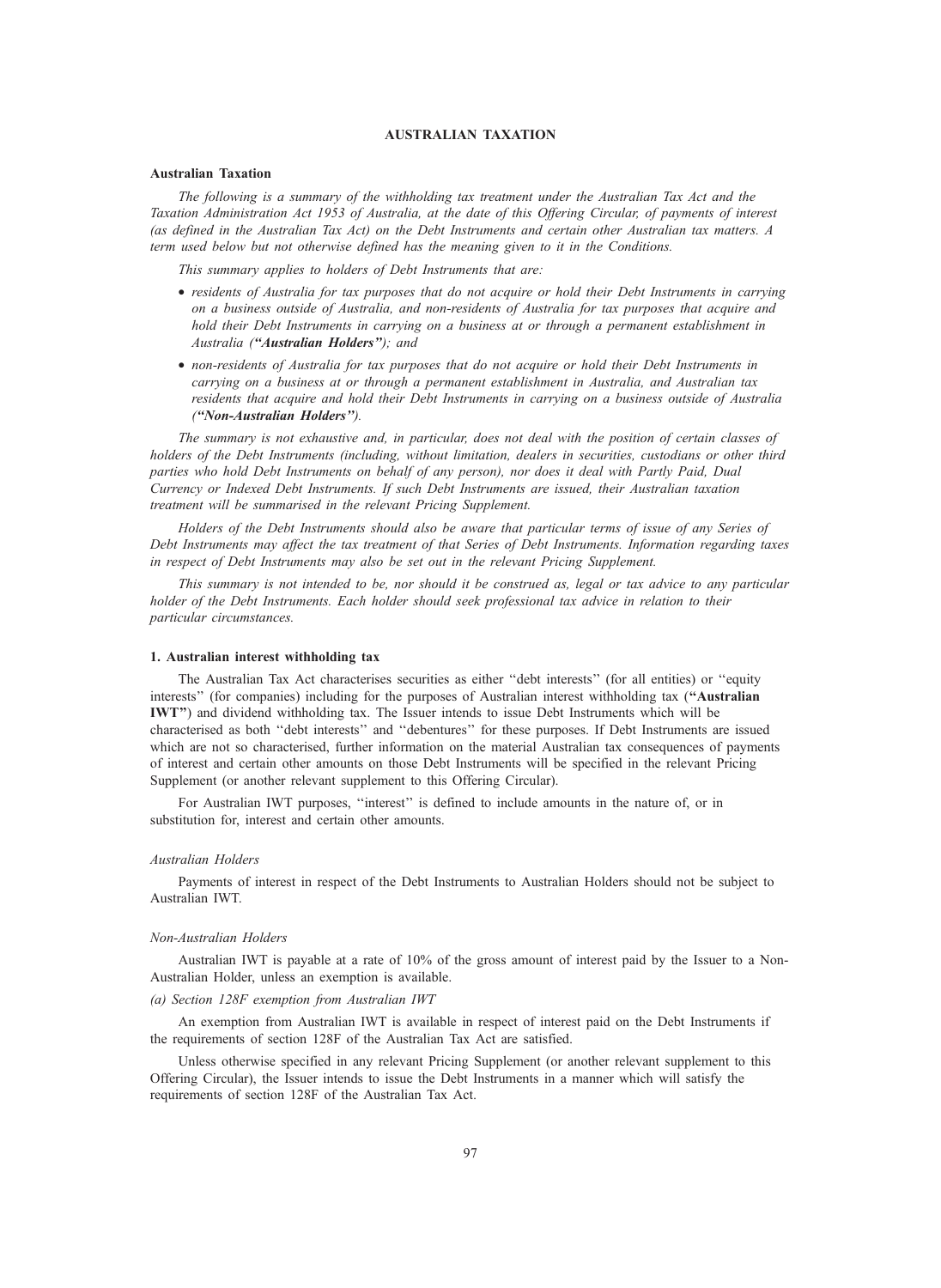# AUSTRALIAN TAXATION

#### Australian Taxation

The following is a summary of the withholding tax treatment under the Australian Tax Act and the Taxation Administration Act 1953 of Australia, at the date of this Offering Circular, of payments of interest (as defined in the Australian Tax Act) on the Debt Instruments and certain other Australian tax matters. A term used below but not otherwise defined has the meaning given to it in the Conditions.

This summary applies to holders of Debt Instruments that are:

- residents of Australia for tax purposes that do not acquire or hold their Debt Instruments in carrying on a business outside of Australia, and non-residents of Australia for tax purposes that acquire and hold their Debt Instruments in carrying on a business at or through a permanent establishment in Australia ("Australian Holders"); and
- non-residents of Australia for tax purposes that do not acquire or hold their Debt Instruments in carrying on a business at or through a permanent establishment in Australia, and Australian tax residents that acquire and hold their Debt Instruments in carrying on a business outside of Australia (''Non-Australian Holders'').

The summary is not exhaustive and, in particular, does not deal with the position of certain classes of holders of the Debt Instruments (including, without limitation, dealers in securities, custodians or other third parties who hold Debt Instruments on behalf of any person), nor does it deal with Partly Paid, Dual Currency or Indexed Debt Instruments. If such Debt Instruments are issued, their Australian taxation treatment will be summarised in the relevant Pricing Supplement.

Holders of the Debt Instruments should also be aware that particular terms of issue of any Series of Debt Instruments may affect the tax treatment of that Series of Debt Instruments. Information regarding taxes in respect of Debt Instruments may also be set out in the relevant Pricing Supplement.

This summary is not intended to be, nor should it be construed as, legal or tax advice to any particular holder of the Debt Instruments. Each holder should seek professional tax advice in relation to their particular circumstances.

#### 1. Australian interest withholding tax

The Australian Tax Act characterises securities as either ''debt interests'' (for all entities) or ''equity interests" (for companies) including for the purposes of Australian interest withholding tax ("Australian") IWT'') and dividend withholding tax. The Issuer intends to issue Debt Instruments which will be characterised as both ''debt interests'' and ''debentures'' for these purposes. If Debt Instruments are issued which are not so characterised, further information on the material Australian tax consequences of payments of interest and certain other amounts on those Debt Instruments will be specified in the relevant Pricing Supplement (or another relevant supplement to this Offering Circular).

For Australian IWT purposes, ''interest'' is defined to include amounts in the nature of, or in substitution for, interest and certain other amounts.

#### Australian Holders

Payments of interest in respect of the Debt Instruments to Australian Holders should not be subject to Australian IWT.

#### Non-Australian Holders

Australian IWT is payable at a rate of 10% of the gross amount of interest paid by the Issuer to a Non-Australian Holder, unless an exemption is available.

#### (a) Section 128F exemption from Australian IWT

An exemption from Australian IWT is available in respect of interest paid on the Debt Instruments if the requirements of section 128F of the Australian Tax Act are satisfied.

Unless otherwise specified in any relevant Pricing Supplement (or another relevant supplement to this Offering Circular), the Issuer intends to issue the Debt Instruments in a manner which will satisfy the requirements of section 128F of the Australian Tax Act.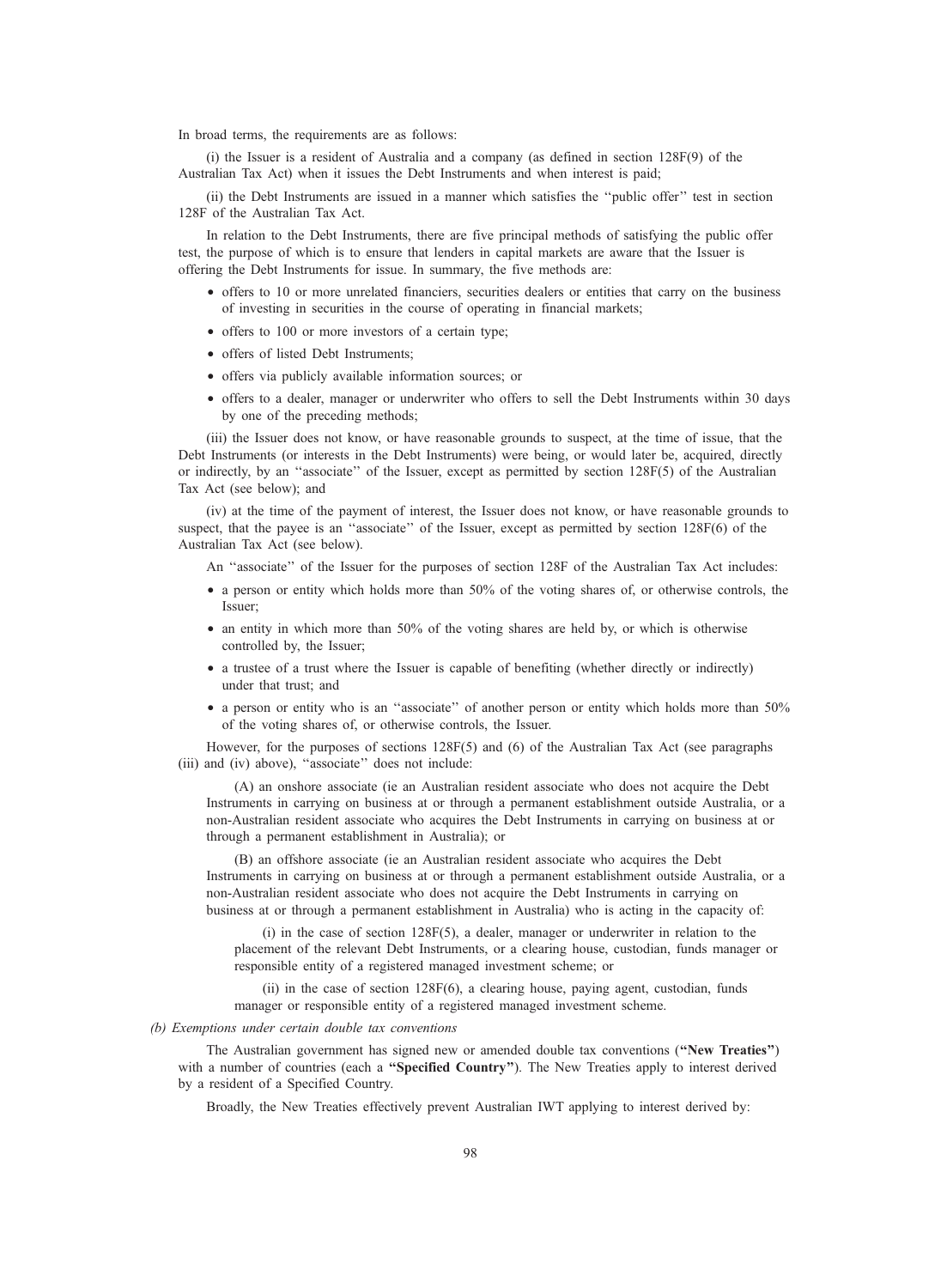In broad terms, the requirements are as follows:

(i) the Issuer is a resident of Australia and a company (as defined in section 128F(9) of the Australian Tax Act) when it issues the Debt Instruments and when interest is paid;

(ii) the Debt Instruments are issued in a manner which satisfies the ''public offer'' test in section 128F of the Australian Tax Act.

In relation to the Debt Instruments, there are five principal methods of satisfying the public offer test, the purpose of which is to ensure that lenders in capital markets are aware that the Issuer is offering the Debt Instruments for issue. In summary, the five methods are:

- offers to 10 or more unrelated financiers, securities dealers or entities that carry on the business of investing in securities in the course of operating in financial markets;
- offers to 100 or more investors of a certain type;
- offers of listed Debt Instruments;
- offers via publicly available information sources; or
- offers to a dealer, manager or underwriter who offers to sell the Debt Instruments within 30 days by one of the preceding methods;

(iii) the Issuer does not know, or have reasonable grounds to suspect, at the time of issue, that the Debt Instruments (or interests in the Debt Instruments) were being, or would later be, acquired, directly or indirectly, by an ''associate'' of the Issuer, except as permitted by section 128F(5) of the Australian Tax Act (see below); and

(iv) at the time of the payment of interest, the Issuer does not know, or have reasonable grounds to suspect, that the payee is an "associate" of the Issuer, except as permitted by section 128F(6) of the Australian Tax Act (see below).

An ''associate'' of the Issuer for the purposes of section 128F of the Australian Tax Act includes:

- a person or entity which holds more than 50% of the voting shares of, or otherwise controls, the Issuer;
- an entity in which more than 50% of the voting shares are held by, or which is otherwise controlled by, the Issuer;
- a trustee of a trust where the Issuer is capable of benefiting (whether directly or indirectly) under that trust; and
- a person or entity who is an "associate" of another person or entity which holds more than 50% of the voting shares of, or otherwise controls, the Issuer.

However, for the purposes of sections 128F(5) and (6) of the Australian Tax Act (see paragraphs (iii) and (iv) above), "associate" does not include:

(A) an onshore associate (ie an Australian resident associate who does not acquire the Debt Instruments in carrying on business at or through a permanent establishment outside Australia, or a non-Australian resident associate who acquires the Debt Instruments in carrying on business at or through a permanent establishment in Australia); or

(B) an offshore associate (ie an Australian resident associate who acquires the Debt Instruments in carrying on business at or through a permanent establishment outside Australia, or a non-Australian resident associate who does not acquire the Debt Instruments in carrying on business at or through a permanent establishment in Australia) who is acting in the capacity of:

 $(i)$  in the case of section 128F(5), a dealer, manager or underwriter in relation to the placement of the relevant Debt Instruments, or a clearing house, custodian, funds manager or responsible entity of a registered managed investment scheme; or

(ii) in the case of section 128F(6), a clearing house, paying agent, custodian, funds manager or responsible entity of a registered managed investment scheme.

#### (b) Exemptions under certain double tax conventions

The Australian government has signed new or amended double tax conventions (''New Treaties'') with a number of countries (each a "Specified Country"). The New Treaties apply to interest derived by a resident of a Specified Country.

Broadly, the New Treaties effectively prevent Australian IWT applying to interest derived by: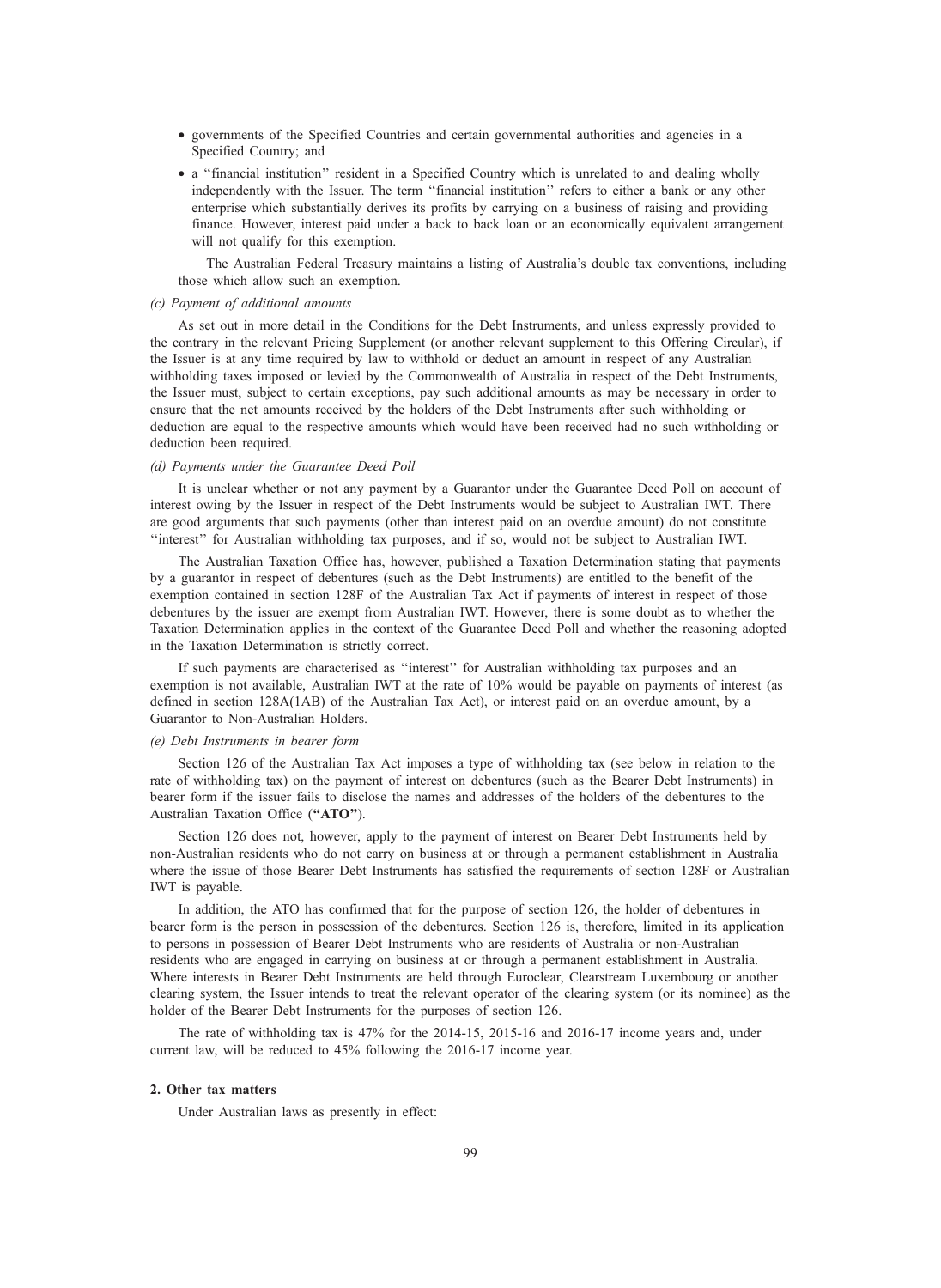- governments of the Specified Countries and certain governmental authorities and agencies in a Specified Country; and
- a ''financial institution'' resident in a Specified Country which is unrelated to and dealing wholly independently with the Issuer. The term ''financial institution'' refers to either a bank or any other enterprise which substantially derives its profits by carrying on a business of raising and providing finance. However, interest paid under a back to back loan or an economically equivalent arrangement will not qualify for this exemption.

The Australian Federal Treasury maintains a listing of Australia's double tax conventions, including those which allow such an exemption.

#### (c) Payment of additional amounts

As set out in more detail in the Conditions for the Debt Instruments, and unless expressly provided to the contrary in the relevant Pricing Supplement (or another relevant supplement to this Offering Circular), if the Issuer is at any time required by law to withhold or deduct an amount in respect of any Australian withholding taxes imposed or levied by the Commonwealth of Australia in respect of the Debt Instruments, the Issuer must, subject to certain exceptions, pay such additional amounts as may be necessary in order to ensure that the net amounts received by the holders of the Debt Instruments after such withholding or deduction are equal to the respective amounts which would have been received had no such withholding or deduction been required.

#### (d) Payments under the Guarantee Deed Poll

It is unclear whether or not any payment by a Guarantor under the Guarantee Deed Poll on account of interest owing by the Issuer in respect of the Debt Instruments would be subject to Australian IWT. There are good arguments that such payments (other than interest paid on an overdue amount) do not constitute ''interest'' for Australian withholding tax purposes, and if so, would not be subject to Australian IWT.

The Australian Taxation Office has, however, published a Taxation Determination stating that payments by a guarantor in respect of debentures (such as the Debt Instruments) are entitled to the benefit of the exemption contained in section 128F of the Australian Tax Act if payments of interest in respect of those debentures by the issuer are exempt from Australian IWT. However, there is some doubt as to whether the Taxation Determination applies in the context of the Guarantee Deed Poll and whether the reasoning adopted in the Taxation Determination is strictly correct.

If such payments are characterised as ''interest'' for Australian withholding tax purposes and an exemption is not available, Australian IWT at the rate of 10% would be payable on payments of interest (as defined in section 128A(1AB) of the Australian Tax Act), or interest paid on an overdue amount, by a Guarantor to Non-Australian Holders.

#### (e) Debt Instruments in bearer form

Section 126 of the Australian Tax Act imposes a type of withholding tax (see below in relation to the rate of withholding tax) on the payment of interest on debentures (such as the Bearer Debt Instruments) in bearer form if the issuer fails to disclose the names and addresses of the holders of the debentures to the Australian Taxation Office ("ATO").

Section 126 does not, however, apply to the payment of interest on Bearer Debt Instruments held by non-Australian residents who do not carry on business at or through a permanent establishment in Australia where the issue of those Bearer Debt Instruments has satisfied the requirements of section 128F or Australian IWT is payable.

In addition, the ATO has confirmed that for the purpose of section 126, the holder of debentures in bearer form is the person in possession of the debentures. Section 126 is, therefore, limited in its application to persons in possession of Bearer Debt Instruments who are residents of Australia or non-Australian residents who are engaged in carrying on business at or through a permanent establishment in Australia. Where interests in Bearer Debt Instruments are held through Euroclear, Clearstream Luxembourg or another clearing system, the Issuer intends to treat the relevant operator of the clearing system (or its nominee) as the holder of the Bearer Debt Instruments for the purposes of section 126.

The rate of withholding tax is 47% for the 2014-15, 2015-16 and 2016-17 income years and, under current law, will be reduced to 45% following the 2016-17 income year.

#### 2. Other tax matters

Under Australian laws as presently in effect: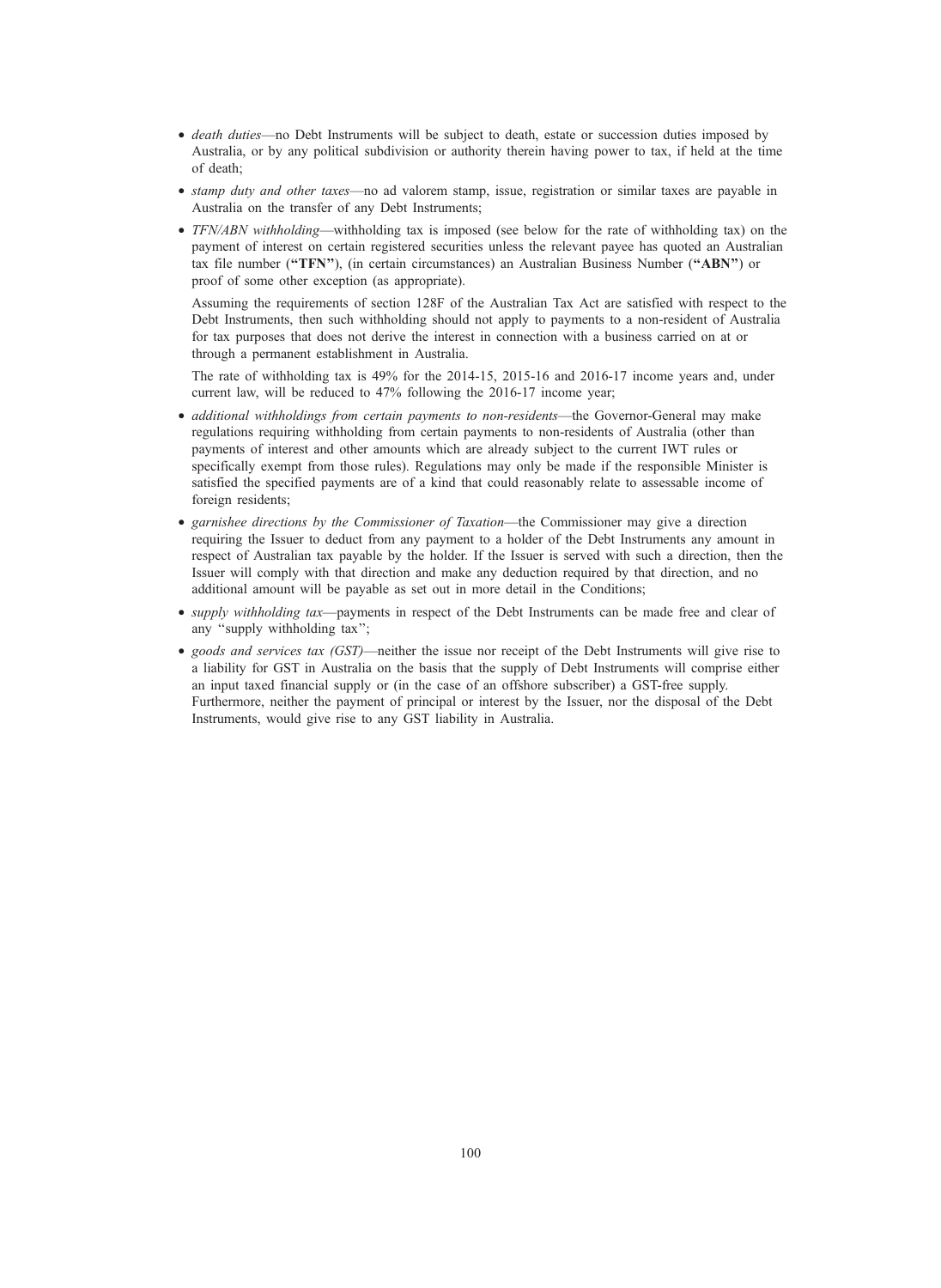- death duties—no Debt Instruments will be subject to death, estate or succession duties imposed by Australia, or by any political subdivision or authority therein having power to tax, if held at the time of death;
- stamp duty and other taxes—no ad valorem stamp, issue, registration or similar taxes are payable in Australia on the transfer of any Debt Instruments;
- *TFN/ABN withholding*—withholding tax is imposed (see below for the rate of withholding tax) on the payment of interest on certain registered securities unless the relevant payee has quoted an Australian tax file number ("TFN"), (in certain circumstances) an Australian Business Number ("ABN") or proof of some other exception (as appropriate).

Assuming the requirements of section 128F of the Australian Tax Act are satisfied with respect to the Debt Instruments, then such withholding should not apply to payments to a non-resident of Australia for tax purposes that does not derive the interest in connection with a business carried on at or through a permanent establishment in Australia.

The rate of withholding tax is 49% for the 2014-15, 2015-16 and 2016-17 income years and, under current law, will be reduced to 47% following the 2016-17 income year;

- *additional withholdings from certain payments to non-residents*—the Governor-General may make regulations requiring withholding from certain payments to non-residents of Australia (other than payments of interest and other amounts which are already subject to the current IWT rules or specifically exempt from those rules). Regulations may only be made if the responsible Minister is satisfied the specified payments are of a kind that could reasonably relate to assessable income of foreign residents;
- garnishee directions by the Commissioner of Taxation—the Commissioner may give a direction requiring the Issuer to deduct from any payment to a holder of the Debt Instruments any amount in respect of Australian tax payable by the holder. If the Issuer is served with such a direction, then the Issuer will comply with that direction and make any deduction required by that direction, and no additional amount will be payable as set out in more detail in the Conditions;
- supply withholding tax—payments in respect of the Debt Instruments can be made free and clear of any ''supply withholding tax'';
- goods and services tax (GST)—neither the issue nor receipt of the Debt Instruments will give rise to a liability for GST in Australia on the basis that the supply of Debt Instruments will comprise either an input taxed financial supply or (in the case of an offshore subscriber) a GST-free supply. Furthermore, neither the payment of principal or interest by the Issuer, nor the disposal of the Debt Instruments, would give rise to any GST liability in Australia.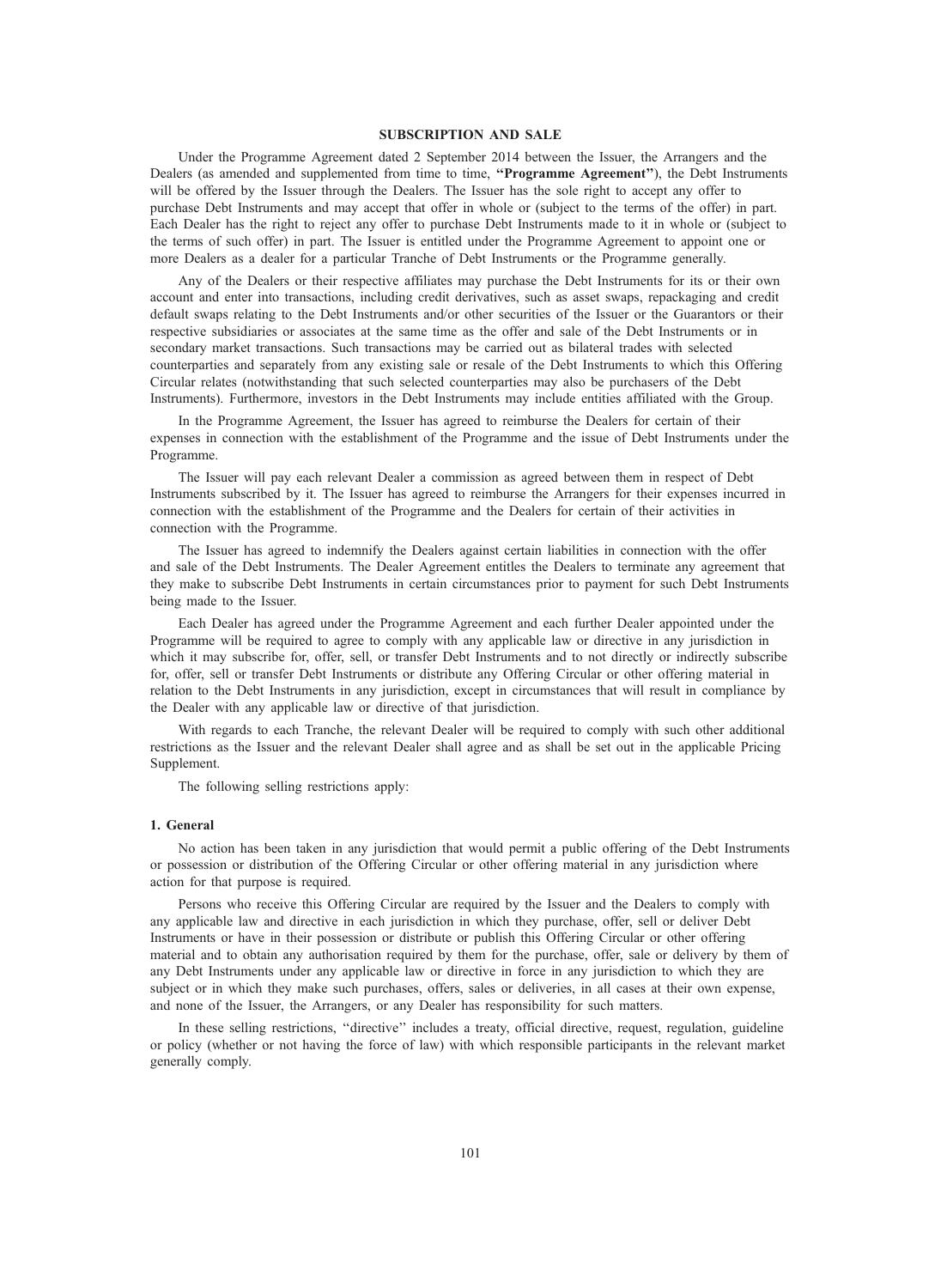# SUBSCRIPTION AND SALE

Under the Programme Agreement dated 2 September 2014 between the Issuer, the Arrangers and the Dealers (as amended and supplemented from time to time, "Programme Agreement"), the Debt Instruments will be offered by the Issuer through the Dealers. The Issuer has the sole right to accept any offer to purchase Debt Instruments and may accept that offer in whole or (subject to the terms of the offer) in part. Each Dealer has the right to reject any offer to purchase Debt Instruments made to it in whole or (subject to the terms of such offer) in part. The Issuer is entitled under the Programme Agreement to appoint one or more Dealers as a dealer for a particular Tranche of Debt Instruments or the Programme generally.

Any of the Dealers or their respective affiliates may purchase the Debt Instruments for its or their own account and enter into transactions, including credit derivatives, such as asset swaps, repackaging and credit default swaps relating to the Debt Instruments and/or other securities of the Issuer or the Guarantors or their respective subsidiaries or associates at the same time as the offer and sale of the Debt Instruments or in secondary market transactions. Such transactions may be carried out as bilateral trades with selected counterparties and separately from any existing sale or resale of the Debt Instruments to which this Offering Circular relates (notwithstanding that such selected counterparties may also be purchasers of the Debt Instruments). Furthermore, investors in the Debt Instruments may include entities affiliated with the Group.

In the Programme Agreement, the Issuer has agreed to reimburse the Dealers for certain of their expenses in connection with the establishment of the Programme and the issue of Debt Instruments under the Programme.

The Issuer will pay each relevant Dealer a commission as agreed between them in respect of Debt Instruments subscribed by it. The Issuer has agreed to reimburse the Arrangers for their expenses incurred in connection with the establishment of the Programme and the Dealers for certain of their activities in connection with the Programme.

The Issuer has agreed to indemnify the Dealers against certain liabilities in connection with the offer and sale of the Debt Instruments. The Dealer Agreement entitles the Dealers to terminate any agreement that they make to subscribe Debt Instruments in certain circumstances prior to payment for such Debt Instruments being made to the Issuer.

Each Dealer has agreed under the Programme Agreement and each further Dealer appointed under the Programme will be required to agree to comply with any applicable law or directive in any jurisdiction in which it may subscribe for, offer, sell, or transfer Debt Instruments and to not directly or indirectly subscribe for, offer, sell or transfer Debt Instruments or distribute any Offering Circular or other offering material in relation to the Debt Instruments in any jurisdiction, except in circumstances that will result in compliance by the Dealer with any applicable law or directive of that jurisdiction.

With regards to each Tranche, the relevant Dealer will be required to comply with such other additional restrictions as the Issuer and the relevant Dealer shall agree and as shall be set out in the applicable Pricing Supplement.

The following selling restrictions apply:

#### 1. General

No action has been taken in any jurisdiction that would permit a public offering of the Debt Instruments or possession or distribution of the Offering Circular or other offering material in any jurisdiction where action for that purpose is required.

Persons who receive this Offering Circular are required by the Issuer and the Dealers to comply with any applicable law and directive in each jurisdiction in which they purchase, offer, sell or deliver Debt Instruments or have in their possession or distribute or publish this Offering Circular or other offering material and to obtain any authorisation required by them for the purchase, offer, sale or delivery by them of any Debt Instruments under any applicable law or directive in force in any jurisdiction to which they are subject or in which they make such purchases, offers, sales or deliveries, in all cases at their own expense, and none of the Issuer, the Arrangers, or any Dealer has responsibility for such matters.

In these selling restrictions, ''directive'' includes a treaty, official directive, request, regulation, guideline or policy (whether or not having the force of law) with which responsible participants in the relevant market generally comply.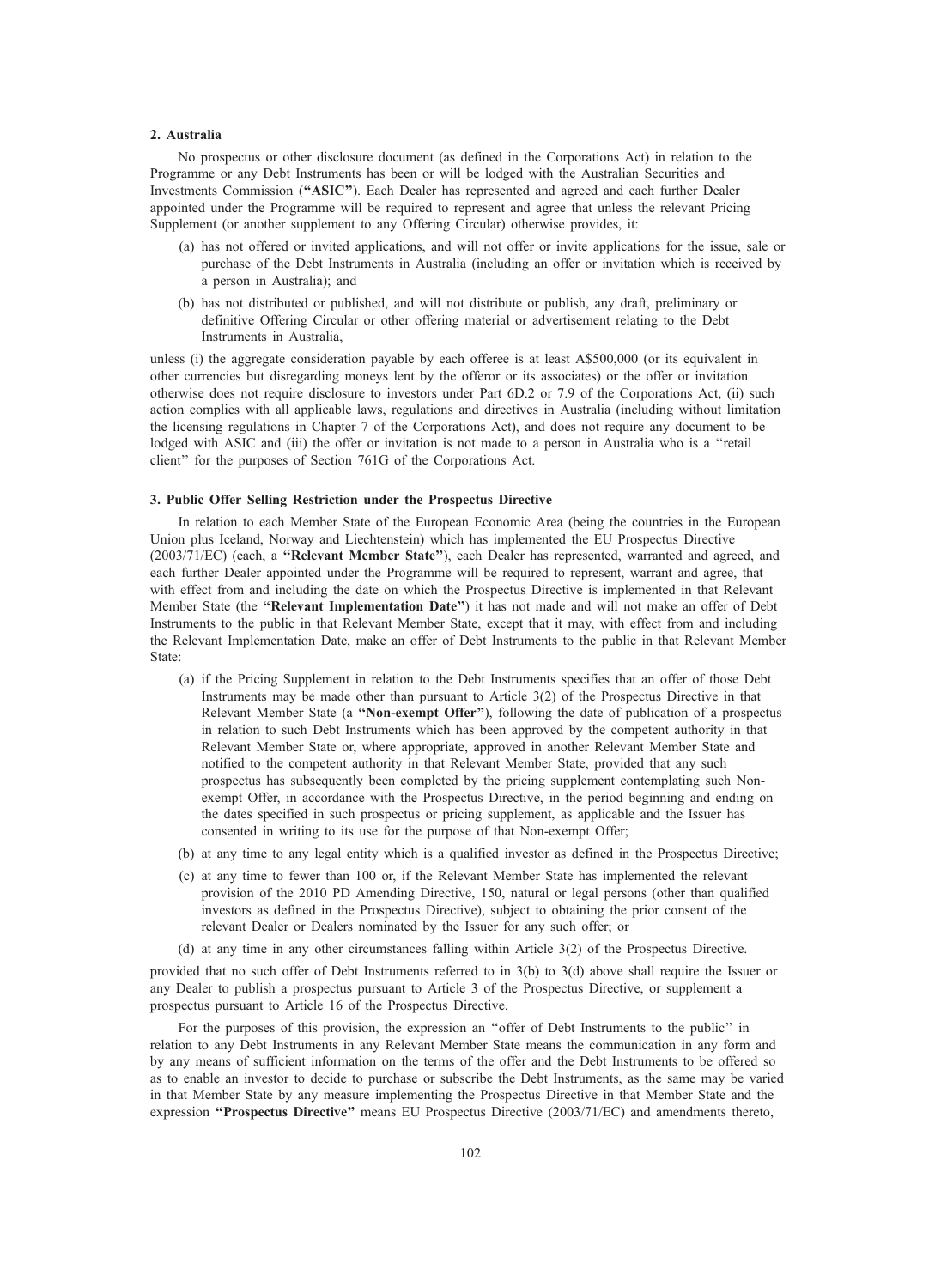#### 2. Australia

No prospectus or other disclosure document (as defined in the Corporations Act) in relation to the Programme or any Debt Instruments has been or will be lodged with the Australian Securities and Investments Commission (''ASIC''). Each Dealer has represented and agreed and each further Dealer appointed under the Programme will be required to represent and agree that unless the relevant Pricing Supplement (or another supplement to any Offering Circular) otherwise provides, it:

- (a) has not offered or invited applications, and will not offer or invite applications for the issue, sale or purchase of the Debt Instruments in Australia (including an offer or invitation which is received by a person in Australia); and
- (b) has not distributed or published, and will not distribute or publish, any draft, preliminary or definitive Offering Circular or other offering material or advertisement relating to the Debt Instruments in Australia,

unless (i) the aggregate consideration payable by each offeree is at least A\$500,000 (or its equivalent in other currencies but disregarding moneys lent by the offeror or its associates) or the offer or invitation otherwise does not require disclosure to investors under Part 6D.2 or 7.9 of the Corporations Act, (ii) such action complies with all applicable laws, regulations and directives in Australia (including without limitation the licensing regulations in Chapter 7 of the Corporations Act), and does not require any document to be lodged with ASIC and (iii) the offer or invitation is not made to a person in Australia who is a ''retail client'' for the purposes of Section 761G of the Corporations Act.

#### 3. Public Offer Selling Restriction under the Prospectus Directive

In relation to each Member State of the European Economic Area (being the countries in the European Union plus Iceland, Norway and Liechtenstein) which has implemented the EU Prospectus Directive (2003/71/EC) (each, a ''Relevant Member State''), each Dealer has represented, warranted and agreed, and each further Dealer appointed under the Programme will be required to represent, warrant and agree, that with effect from and including the date on which the Prospectus Directive is implemented in that Relevant Member State (the "Relevant Implementation Date") it has not made and will not make an offer of Debt Instruments to the public in that Relevant Member State, except that it may, with effect from and including the Relevant Implementation Date, make an offer of Debt Instruments to the public in that Relevant Member State:

- (a) if the Pricing Supplement in relation to the Debt Instruments specifies that an offer of those Debt Instruments may be made other than pursuant to Article 3(2) of the Prospectus Directive in that Relevant Member State (a "Non-exempt Offer"), following the date of publication of a prospectus in relation to such Debt Instruments which has been approved by the competent authority in that Relevant Member State or, where appropriate, approved in another Relevant Member State and notified to the competent authority in that Relevant Member State, provided that any such prospectus has subsequently been completed by the pricing supplement contemplating such Nonexempt Offer, in accordance with the Prospectus Directive, in the period beginning and ending on the dates specified in such prospectus or pricing supplement, as applicable and the Issuer has consented in writing to its use for the purpose of that Non-exempt Offer;
- (b) at any time to any legal entity which is a qualified investor as defined in the Prospectus Directive;
- (c) at any time to fewer than 100 or, if the Relevant Member State has implemented the relevant provision of the 2010 PD Amending Directive, 150, natural or legal persons (other than qualified investors as defined in the Prospectus Directive), subject to obtaining the prior consent of the relevant Dealer or Dealers nominated by the Issuer for any such offer; or
- (d) at any time in any other circumstances falling within Article 3(2) of the Prospectus Directive.

provided that no such offer of Debt Instruments referred to in 3(b) to 3(d) above shall require the Issuer or any Dealer to publish a prospectus pursuant to Article 3 of the Prospectus Directive, or supplement a prospectus pursuant to Article 16 of the Prospectus Directive.

For the purposes of this provision, the expression an ''offer of Debt Instruments to the public'' in relation to any Debt Instruments in any Relevant Member State means the communication in any form and by any means of sufficient information on the terms of the offer and the Debt Instruments to be offered so as to enable an investor to decide to purchase or subscribe the Debt Instruments, as the same may be varied in that Member State by any measure implementing the Prospectus Directive in that Member State and the expression "Prospectus Directive" means EU Prospectus Directive (2003/71/EC) and amendments thereto,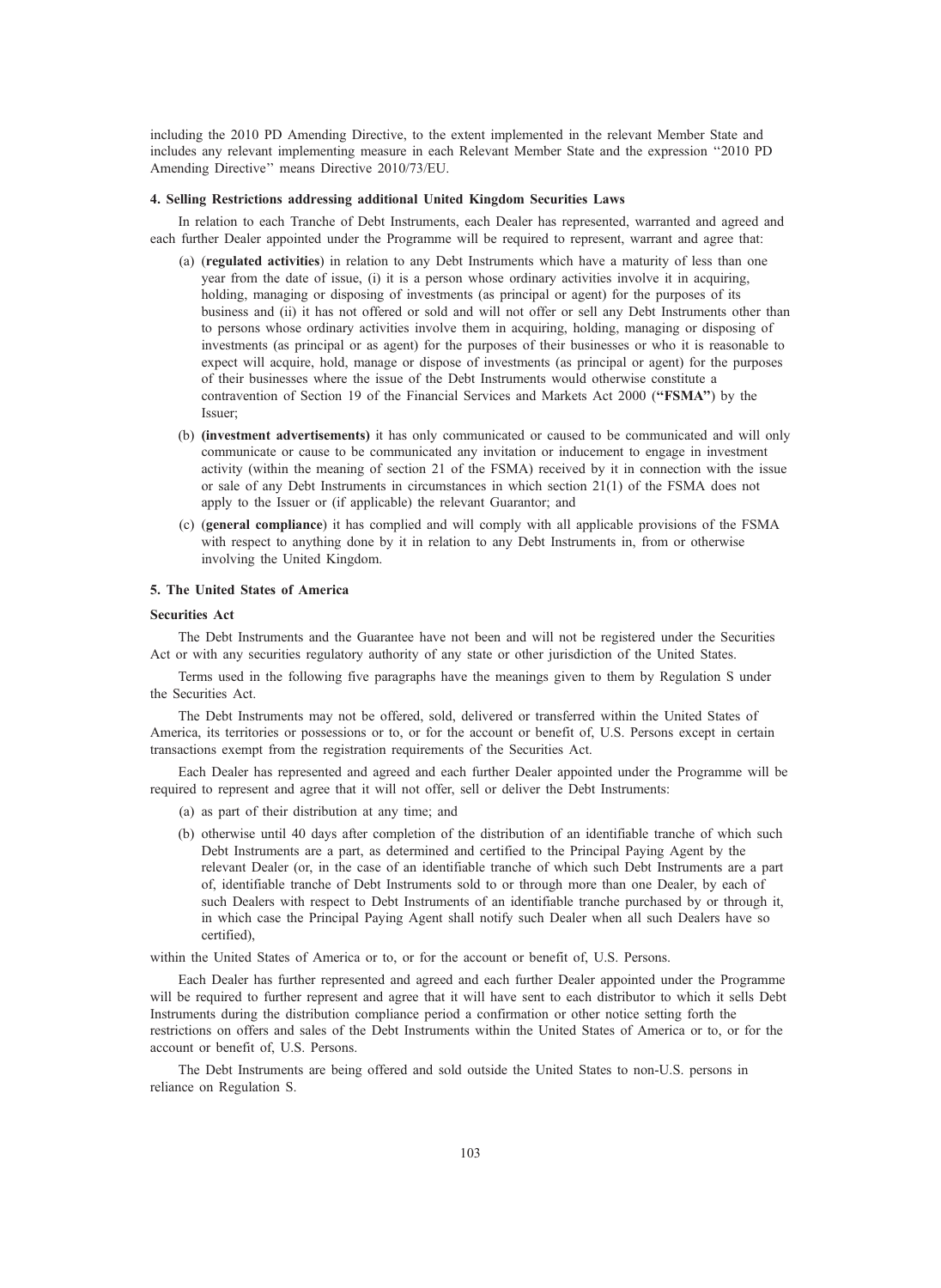including the 2010 PD Amending Directive, to the extent implemented in the relevant Member State and includes any relevant implementing measure in each Relevant Member State and the expression ''2010 PD Amending Directive'' means Directive 2010/73/EU.

#### 4. Selling Restrictions addressing additional United Kingdom Securities Laws

In relation to each Tranche of Debt Instruments, each Dealer has represented, warranted and agreed and each further Dealer appointed under the Programme will be required to represent, warrant and agree that:

- (a) (regulated activities) in relation to any Debt Instruments which have a maturity of less than one year from the date of issue, (i) it is a person whose ordinary activities involve it in acquiring, holding, managing or disposing of investments (as principal or agent) for the purposes of its business and (ii) it has not offered or sold and will not offer or sell any Debt Instruments other than to persons whose ordinary activities involve them in acquiring, holding, managing or disposing of investments (as principal or as agent) for the purposes of their businesses or who it is reasonable to expect will acquire, hold, manage or dispose of investments (as principal or agent) for the purposes of their businesses where the issue of the Debt Instruments would otherwise constitute a contravention of Section 19 of the Financial Services and Markets Act 2000 ("FSMA") by the Issuer;
- (b) (investment advertisements) it has only communicated or caused to be communicated and will only communicate or cause to be communicated any invitation or inducement to engage in investment activity (within the meaning of section 21 of the FSMA) received by it in connection with the issue or sale of any Debt Instruments in circumstances in which section 21(1) of the FSMA does not apply to the Issuer or (if applicable) the relevant Guarantor; and
- (c) (general compliance) it has complied and will comply with all applicable provisions of the FSMA with respect to anything done by it in relation to any Debt Instruments in, from or otherwise involving the United Kingdom.

#### 5. The United States of America

#### Securities Act

The Debt Instruments and the Guarantee have not been and will not be registered under the Securities Act or with any securities regulatory authority of any state or other jurisdiction of the United States.

Terms used in the following five paragraphs have the meanings given to them by Regulation S under the Securities Act.

The Debt Instruments may not be offered, sold, delivered or transferred within the United States of America, its territories or possessions or to, or for the account or benefit of, U.S. Persons except in certain transactions exempt from the registration requirements of the Securities Act.

Each Dealer has represented and agreed and each further Dealer appointed under the Programme will be required to represent and agree that it will not offer, sell or deliver the Debt Instruments:

- (a) as part of their distribution at any time; and
- (b) otherwise until 40 days after completion of the distribution of an identifiable tranche of which such Debt Instruments are a part, as determined and certified to the Principal Paying Agent by the relevant Dealer (or, in the case of an identifiable tranche of which such Debt Instruments are a part of, identifiable tranche of Debt Instruments sold to or through more than one Dealer, by each of such Dealers with respect to Debt Instruments of an identifiable tranche purchased by or through it, in which case the Principal Paying Agent shall notify such Dealer when all such Dealers have so certified),

within the United States of America or to, or for the account or benefit of, U.S. Persons.

Each Dealer has further represented and agreed and each further Dealer appointed under the Programme will be required to further represent and agree that it will have sent to each distributor to which it sells Debt Instruments during the distribution compliance period a confirmation or other notice setting forth the restrictions on offers and sales of the Debt Instruments within the United States of America or to, or for the account or benefit of, U.S. Persons.

The Debt Instruments are being offered and sold outside the United States to non-U.S. persons in reliance on Regulation S.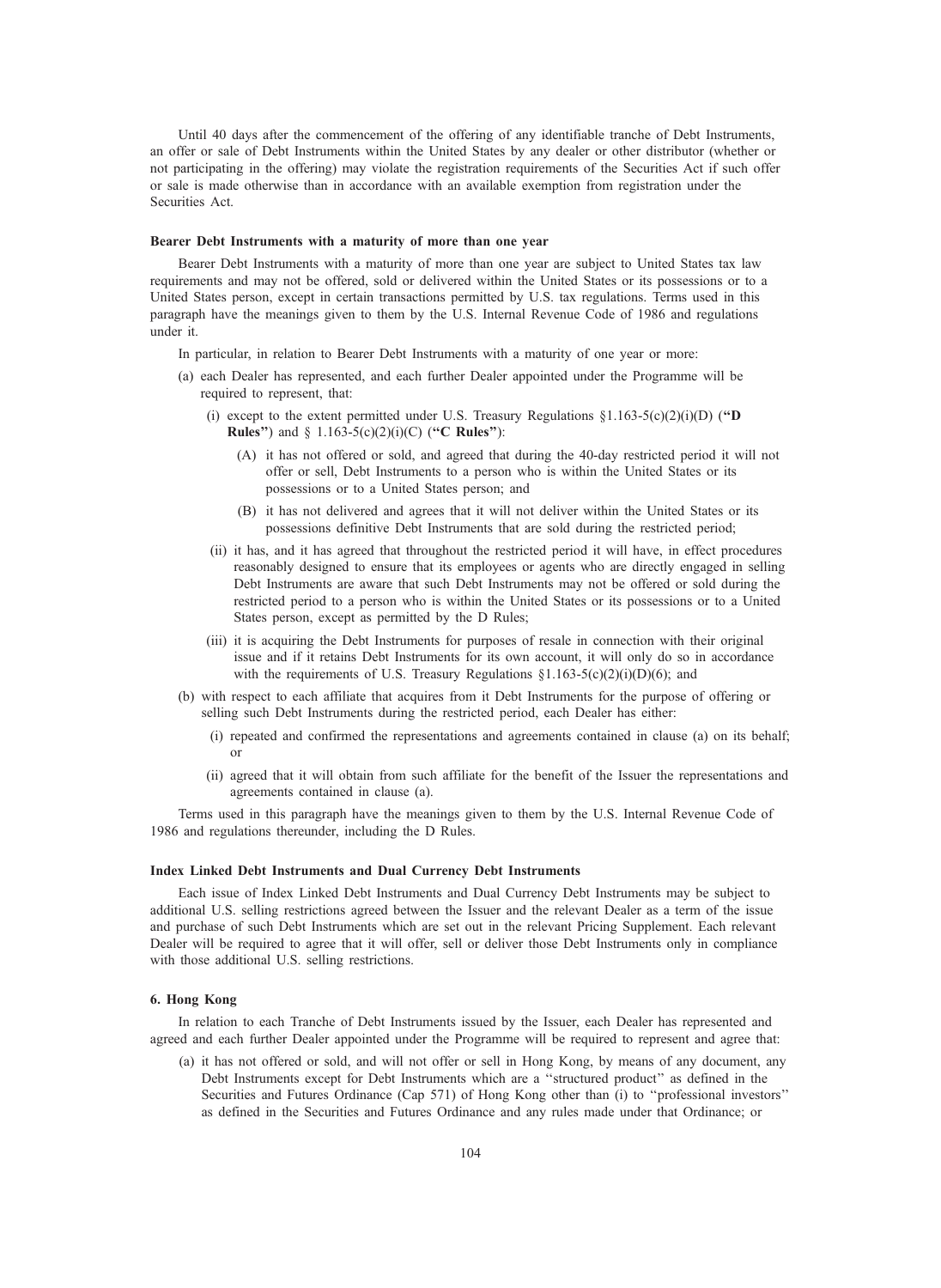Until 40 days after the commencement of the offering of any identifiable tranche of Debt Instruments, an offer or sale of Debt Instruments within the United States by any dealer or other distributor (whether or not participating in the offering) may violate the registration requirements of the Securities Act if such offer or sale is made otherwise than in accordance with an available exemption from registration under the Securities Act.

#### Bearer Debt Instruments with a maturity of more than one year

Bearer Debt Instruments with a maturity of more than one year are subject to United States tax law requirements and may not be offered, sold or delivered within the United States or its possessions or to a United States person, except in certain transactions permitted by U.S. tax regulations. Terms used in this paragraph have the meanings given to them by the U.S. Internal Revenue Code of 1986 and regulations under it.

- In particular, in relation to Bearer Debt Instruments with a maturity of one year or more:
- (a) each Dealer has represented, and each further Dealer appointed under the Programme will be required to represent, that:
	- (i) except to the extent permitted under U.S. Treasury Regulations  $\S1.163-5(c)(2)(i)(D)$  ("D **Rules**") and  $\S$  1.163-5(c)(2)(i)(C) ("**C Rules**"):
		- (A) it has not offered or sold, and agreed that during the 40-day restricted period it will not offer or sell, Debt Instruments to a person who is within the United States or its possessions or to a United States person; and
		- (B) it has not delivered and agrees that it will not deliver within the United States or its possessions definitive Debt Instruments that are sold during the restricted period;
	- (ii) it has, and it has agreed that throughout the restricted period it will have, in effect procedures reasonably designed to ensure that its employees or agents who are directly engaged in selling Debt Instruments are aware that such Debt Instruments may not be offered or sold during the restricted period to a person who is within the United States or its possessions or to a United States person, except as permitted by the D Rules;
	- (iii) it is acquiring the Debt Instruments for purposes of resale in connection with their original issue and if it retains Debt Instruments for its own account, it will only do so in accordance with the requirements of U.S. Treasury Regulations  $\S1.163-5(c)(2)(i)(D)(6)$ ; and
- (b) with respect to each affiliate that acquires from it Debt Instruments for the purpose of offering or selling such Debt Instruments during the restricted period, each Dealer has either:
	- (i) repeated and confirmed the representations and agreements contained in clause (a) on its behalf; or
	- (ii) agreed that it will obtain from such affiliate for the benefit of the Issuer the representations and agreements contained in clause (a).

Terms used in this paragraph have the meanings given to them by the U.S. Internal Revenue Code of 1986 and regulations thereunder, including the D Rules.

#### Index Linked Debt Instruments and Dual Currency Debt Instruments

Each issue of Index Linked Debt Instruments and Dual Currency Debt Instruments may be subject to additional U.S. selling restrictions agreed between the Issuer and the relevant Dealer as a term of the issue and purchase of such Debt Instruments which are set out in the relevant Pricing Supplement. Each relevant Dealer will be required to agree that it will offer, sell or deliver those Debt Instruments only in compliance with those additional U.S. selling restrictions.

#### 6. Hong Kong

In relation to each Tranche of Debt Instruments issued by the Issuer, each Dealer has represented and agreed and each further Dealer appointed under the Programme will be required to represent and agree that:

(a) it has not offered or sold, and will not offer or sell in Hong Kong, by means of any document, any Debt Instruments except for Debt Instruments which are a ''structured product'' as defined in the Securities and Futures Ordinance (Cap 571) of Hong Kong other than (i) to ''professional investors'' as defined in the Securities and Futures Ordinance and any rules made under that Ordinance; or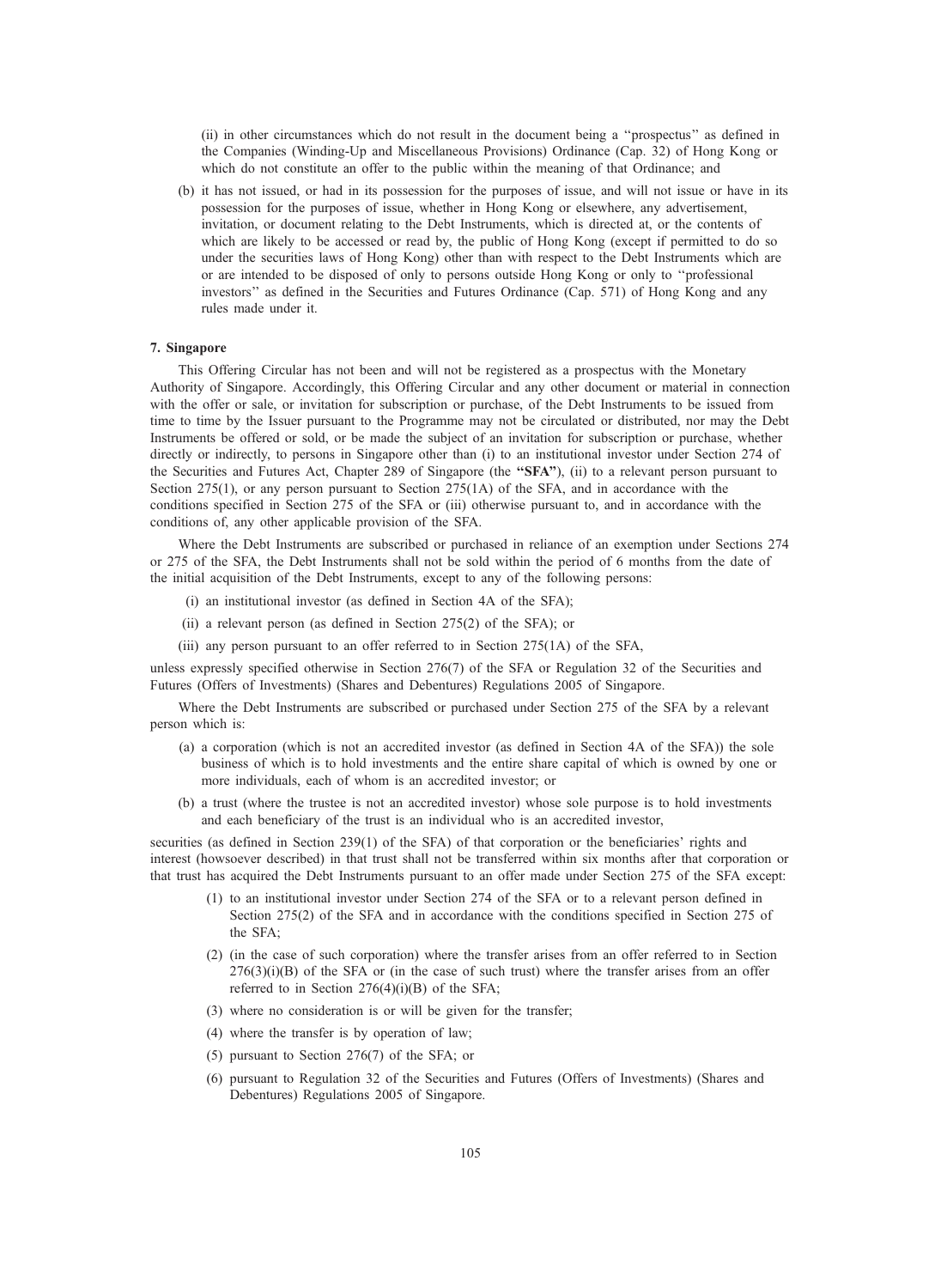(ii) in other circumstances which do not result in the document being a ''prospectus'' as defined in the Companies (Winding-Up and Miscellaneous Provisions) Ordinance (Cap. 32) of Hong Kong or which do not constitute an offer to the public within the meaning of that Ordinance; and

(b) it has not issued, or had in its possession for the purposes of issue, and will not issue or have in its possession for the purposes of issue, whether in Hong Kong or elsewhere, any advertisement, invitation, or document relating to the Debt Instruments, which is directed at, or the contents of which are likely to be accessed or read by, the public of Hong Kong (except if permitted to do so under the securities laws of Hong Kong) other than with respect to the Debt Instruments which are or are intended to be disposed of only to persons outside Hong Kong or only to ''professional investors'' as defined in the Securities and Futures Ordinance (Cap. 571) of Hong Kong and any rules made under it.

#### 7. Singapore

This Offering Circular has not been and will not be registered as a prospectus with the Monetary Authority of Singapore. Accordingly, this Offering Circular and any other document or material in connection with the offer or sale, or invitation for subscription or purchase, of the Debt Instruments to be issued from time to time by the Issuer pursuant to the Programme may not be circulated or distributed, nor may the Debt Instruments be offered or sold, or be made the subject of an invitation for subscription or purchase, whether directly or indirectly, to persons in Singapore other than (i) to an institutional investor under Section 274 of the Securities and Futures Act, Chapter 289 of Singapore (the "SFA"), (ii) to a relevant person pursuant to Section 275(1), or any person pursuant to Section 275(1A) of the SFA, and in accordance with the conditions specified in Section 275 of the SFA or (iii) otherwise pursuant to, and in accordance with the conditions of, any other applicable provision of the SFA.

Where the Debt Instruments are subscribed or purchased in reliance of an exemption under Sections 274 or 275 of the SFA, the Debt Instruments shall not be sold within the period of 6 months from the date of the initial acquisition of the Debt Instruments, except to any of the following persons:

- (i) an institutional investor (as defined in Section 4A of the SFA);
- (ii) a relevant person (as defined in Section 275(2) of the SFA); or
- (iii) any person pursuant to an offer referred to in Section 275(1A) of the SFA,

unless expressly specified otherwise in Section 276(7) of the SFA or Regulation 32 of the Securities and Futures (Offers of Investments) (Shares and Debentures) Regulations 2005 of Singapore.

Where the Debt Instruments are subscribed or purchased under Section 275 of the SFA by a relevant person which is:

- (a) a corporation (which is not an accredited investor (as defined in Section 4A of the SFA)) the sole business of which is to hold investments and the entire share capital of which is owned by one or more individuals, each of whom is an accredited investor; or
- (b) a trust (where the trustee is not an accredited investor) whose sole purpose is to hold investments and each beneficiary of the trust is an individual who is an accredited investor,

securities (as defined in Section 239(1) of the SFA) of that corporation or the beneficiaries' rights and interest (howsoever described) in that trust shall not be transferred within six months after that corporation or that trust has acquired the Debt Instruments pursuant to an offer made under Section 275 of the SFA except:

- (1) to an institutional investor under Section 274 of the SFA or to a relevant person defined in Section 275(2) of the SFA and in accordance with the conditions specified in Section 275 of the SFA;
- (2) (in the case of such corporation) where the transfer arises from an offer referred to in Section  $276(3)(i)(B)$  of the SFA or (in the case of such trust) where the transfer arises from an offer referred to in Section 276(4)(i)(B) of the SFA;
- (3) where no consideration is or will be given for the transfer;
- (4) where the transfer is by operation of law;
- (5) pursuant to Section 276(7) of the SFA; or
- (6) pursuant to Regulation 32 of the Securities and Futures (Offers of Investments) (Shares and Debentures) Regulations 2005 of Singapore.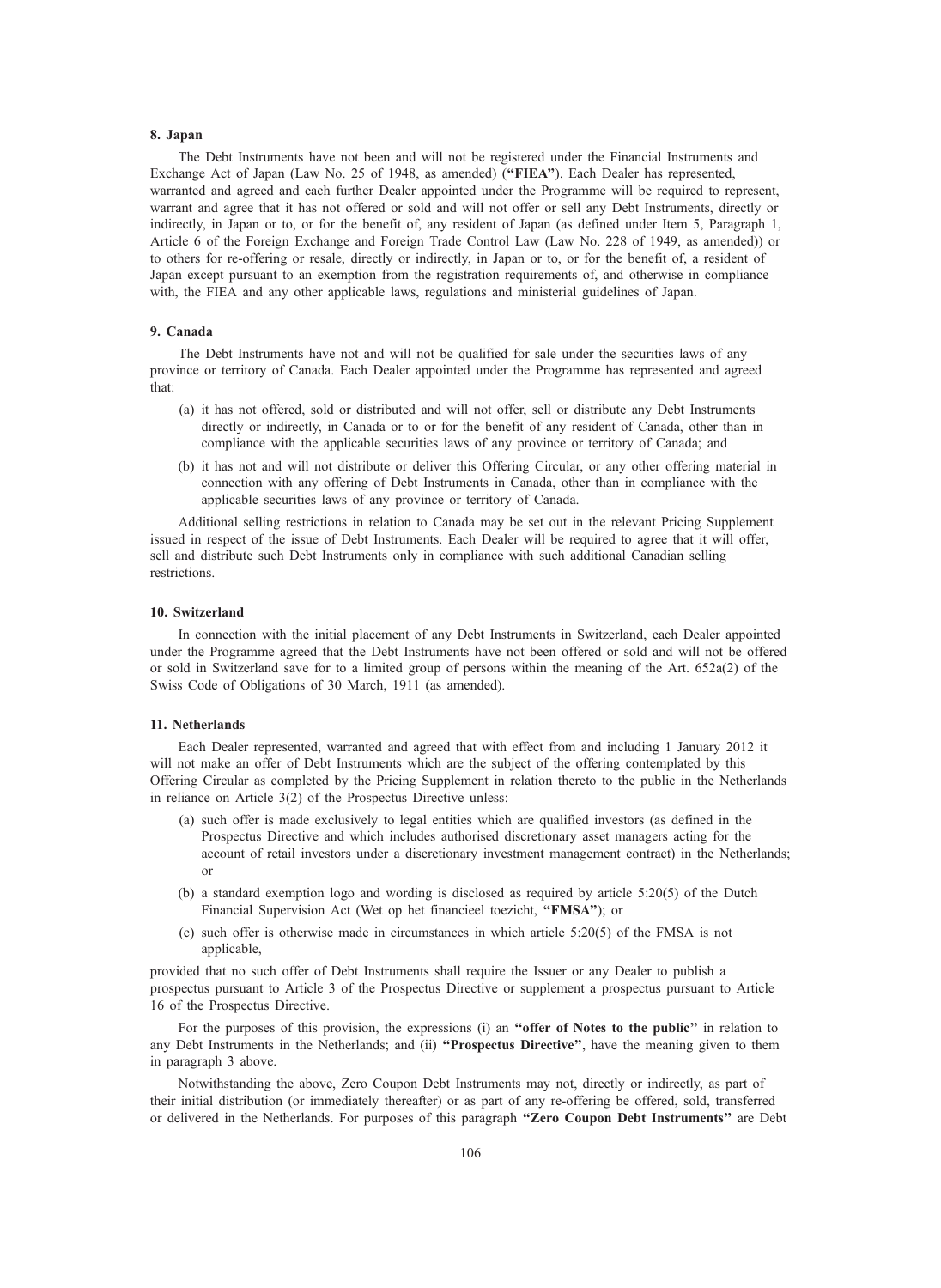#### 8. Japan

The Debt Instruments have not been and will not be registered under the Financial Instruments and Exchange Act of Japan (Law No. 25 of 1948, as amended) ("FIEA"). Each Dealer has represented, warranted and agreed and each further Dealer appointed under the Programme will be required to represent, warrant and agree that it has not offered or sold and will not offer or sell any Debt Instruments, directly or indirectly, in Japan or to, or for the benefit of, any resident of Japan (as defined under Item 5, Paragraph 1, Article 6 of the Foreign Exchange and Foreign Trade Control Law (Law No. 228 of 1949, as amended)) or to others for re-offering or resale, directly or indirectly, in Japan or to, or for the benefit of, a resident of Japan except pursuant to an exemption from the registration requirements of, and otherwise in compliance with, the FIEA and any other applicable laws, regulations and ministerial guidelines of Japan.

#### 9. Canada

The Debt Instruments have not and will not be qualified for sale under the securities laws of any province or territory of Canada. Each Dealer appointed under the Programme has represented and agreed that:

- (a) it has not offered, sold or distributed and will not offer, sell or distribute any Debt Instruments directly or indirectly, in Canada or to or for the benefit of any resident of Canada, other than in compliance with the applicable securities laws of any province or territory of Canada; and
- (b) it has not and will not distribute or deliver this Offering Circular, or any other offering material in connection with any offering of Debt Instruments in Canada, other than in compliance with the applicable securities laws of any province or territory of Canada.

Additional selling restrictions in relation to Canada may be set out in the relevant Pricing Supplement issued in respect of the issue of Debt Instruments. Each Dealer will be required to agree that it will offer, sell and distribute such Debt Instruments only in compliance with such additional Canadian selling restrictions.

#### 10. Switzerland

In connection with the initial placement of any Debt Instruments in Switzerland, each Dealer appointed under the Programme agreed that the Debt Instruments have not been offered or sold and will not be offered or sold in Switzerland save for to a limited group of persons within the meaning of the Art. 652a(2) of the Swiss Code of Obligations of 30 March, 1911 (as amended).

#### 11. Netherlands

Each Dealer represented, warranted and agreed that with effect from and including 1 January 2012 it will not make an offer of Debt Instruments which are the subject of the offering contemplated by this Offering Circular as completed by the Pricing Supplement in relation thereto to the public in the Netherlands in reliance on Article 3(2) of the Prospectus Directive unless:

- (a) such offer is made exclusively to legal entities which are qualified investors (as defined in the Prospectus Directive and which includes authorised discretionary asset managers acting for the account of retail investors under a discretionary investment management contract) in the Netherlands; or
- (b) a standard exemption logo and wording is disclosed as required by article 5:20(5) of the Dutch Financial Supervision Act (Wet op het financieel toezicht, ''FMSA''); or
- (c) such offer is otherwise made in circumstances in which article 5:20(5) of the FMSA is not applicable,

provided that no such offer of Debt Instruments shall require the Issuer or any Dealer to publish a prospectus pursuant to Article 3 of the Prospectus Directive or supplement a prospectus pursuant to Article 16 of the Prospectus Directive.

For the purposes of this provision, the expressions (i) an "offer of Notes to the public" in relation to any Debt Instruments in the Netherlands; and (ii) "Prospectus Directive", have the meaning given to them in paragraph 3 above.

Notwithstanding the above, Zero Coupon Debt Instruments may not, directly or indirectly, as part of their initial distribution (or immediately thereafter) or as part of any re-offering be offered, sold, transferred or delivered in the Netherlands. For purposes of this paragraph ''Zero Coupon Debt Instruments'' are Debt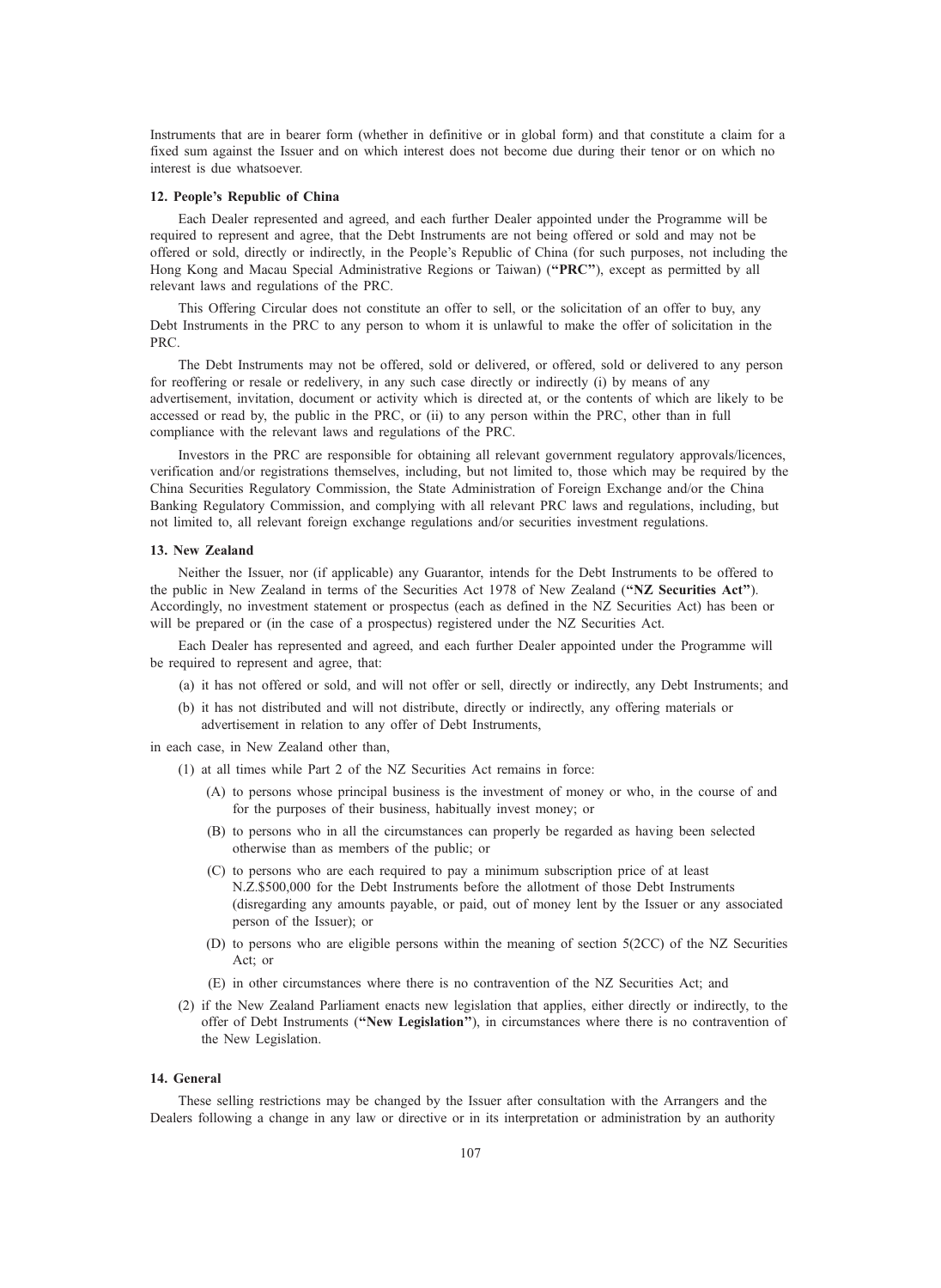Instruments that are in bearer form (whether in definitive or in global form) and that constitute a claim for a fixed sum against the Issuer and on which interest does not become due during their tenor or on which no interest is due whatsoever.

#### 12. People's Republic of China

Each Dealer represented and agreed, and each further Dealer appointed under the Programme will be required to represent and agree, that the Debt Instruments are not being offered or sold and may not be offered or sold, directly or indirectly, in the People's Republic of China (for such purposes, not including the Hong Kong and Macau Special Administrative Regions or Taiwan) ("PRC"), except as permitted by all relevant laws and regulations of the PRC.

This Offering Circular does not constitute an offer to sell, or the solicitation of an offer to buy, any Debt Instruments in the PRC to any person to whom it is unlawful to make the offer of solicitation in the PRC.

The Debt Instruments may not be offered, sold or delivered, or offered, sold or delivered to any person for reoffering or resale or redelivery, in any such case directly or indirectly (i) by means of any advertisement, invitation, document or activity which is directed at, or the contents of which are likely to be accessed or read by, the public in the PRC, or (ii) to any person within the PRC, other than in full compliance with the relevant laws and regulations of the PRC.

Investors in the PRC are responsible for obtaining all relevant government regulatory approvals/licences, verification and/or registrations themselves, including, but not limited to, those which may be required by the China Securities Regulatory Commission, the State Administration of Foreign Exchange and/or the China Banking Regulatory Commission, and complying with all relevant PRC laws and regulations, including, but not limited to, all relevant foreign exchange regulations and/or securities investment regulations.

#### 13. New Zealand

Neither the Issuer, nor (if applicable) any Guarantor, intends for the Debt Instruments to be offered to the public in New Zealand in terms of the Securities Act 1978 of New Zealand ("NZ Securities Act"). Accordingly, no investment statement or prospectus (each as defined in the NZ Securities Act) has been or will be prepared or (in the case of a prospectus) registered under the NZ Securities Act.

Each Dealer has represented and agreed, and each further Dealer appointed under the Programme will be required to represent and agree, that:

- (a) it has not offered or sold, and will not offer or sell, directly or indirectly, any Debt Instruments; and
- (b) it has not distributed and will not distribute, directly or indirectly, any offering materials or advertisement in relation to any offer of Debt Instruments,

in each case, in New Zealand other than,

- (1) at all times while Part 2 of the NZ Securities Act remains in force:
	- (A) to persons whose principal business is the investment of money or who, in the course of and for the purposes of their business, habitually invest money; or
	- (B) to persons who in all the circumstances can properly be regarded as having been selected otherwise than as members of the public; or
	- (C) to persons who are each required to pay a minimum subscription price of at least N.Z.\$500,000 for the Debt Instruments before the allotment of those Debt Instruments (disregarding any amounts payable, or paid, out of money lent by the Issuer or any associated person of the Issuer); or
	- (D) to persons who are eligible persons within the meaning of section 5(2CC) of the NZ Securities Act; or
	- (E) in other circumstances where there is no contravention of the NZ Securities Act; and
- (2) if the New Zealand Parliament enacts new legislation that applies, either directly or indirectly, to the offer of Debt Instruments ("New Legislation"), in circumstances where there is no contravention of the New Legislation.

#### 14. General

These selling restrictions may be changed by the Issuer after consultation with the Arrangers and the Dealers following a change in any law or directive or in its interpretation or administration by an authority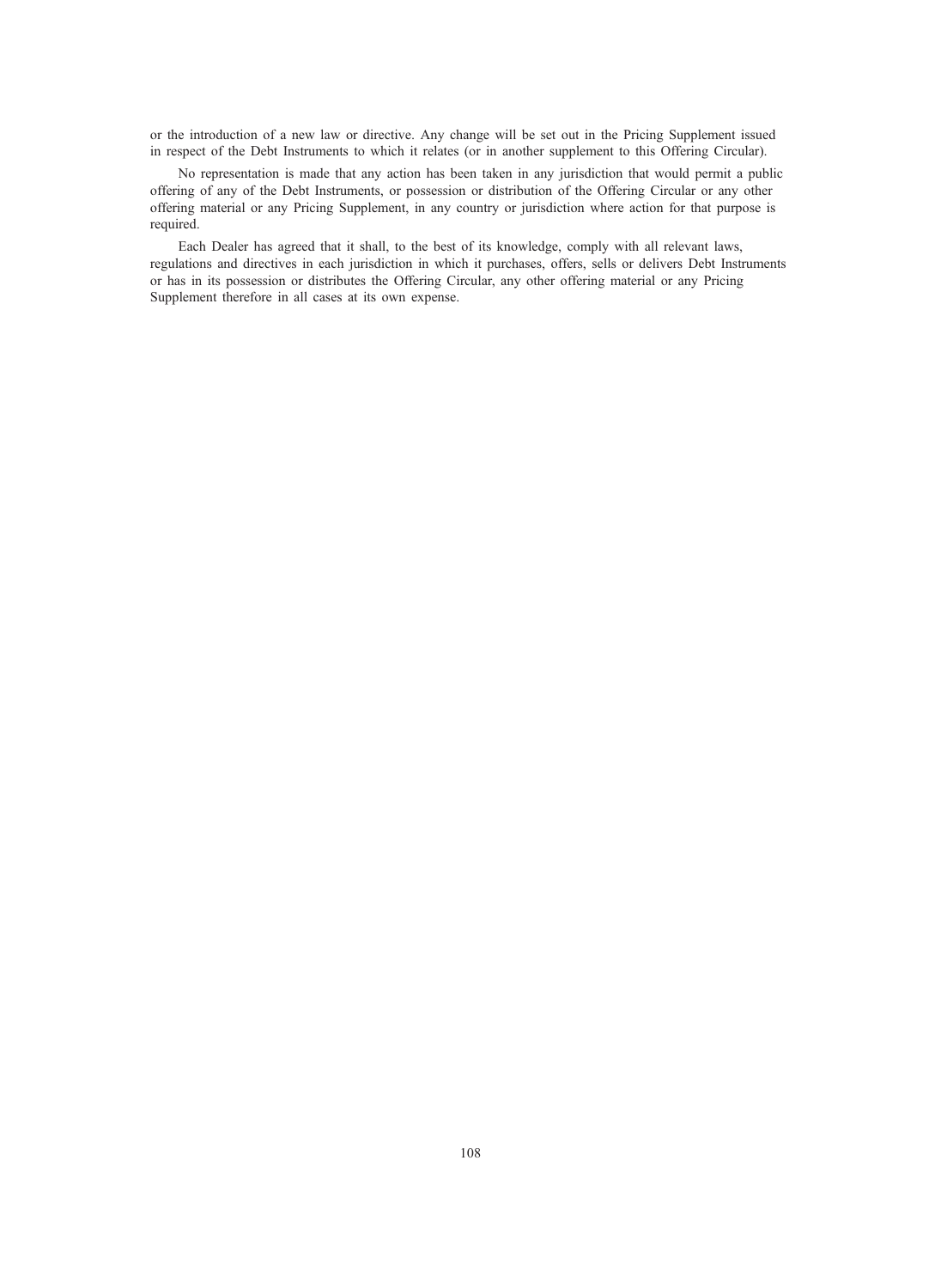or the introduction of a new law or directive. Any change will be set out in the Pricing Supplement issued in respect of the Debt Instruments to which it relates (or in another supplement to this Offering Circular).

No representation is made that any action has been taken in any jurisdiction that would permit a public offering of any of the Debt Instruments, or possession or distribution of the Offering Circular or any other offering material or any Pricing Supplement, in any country or jurisdiction where action for that purpose is required.

Each Dealer has agreed that it shall, to the best of its knowledge, comply with all relevant laws, regulations and directives in each jurisdiction in which it purchases, offers, sells or delivers Debt Instruments or has in its possession or distributes the Offering Circular, any other offering material or any Pricing Supplement therefore in all cases at its own expense.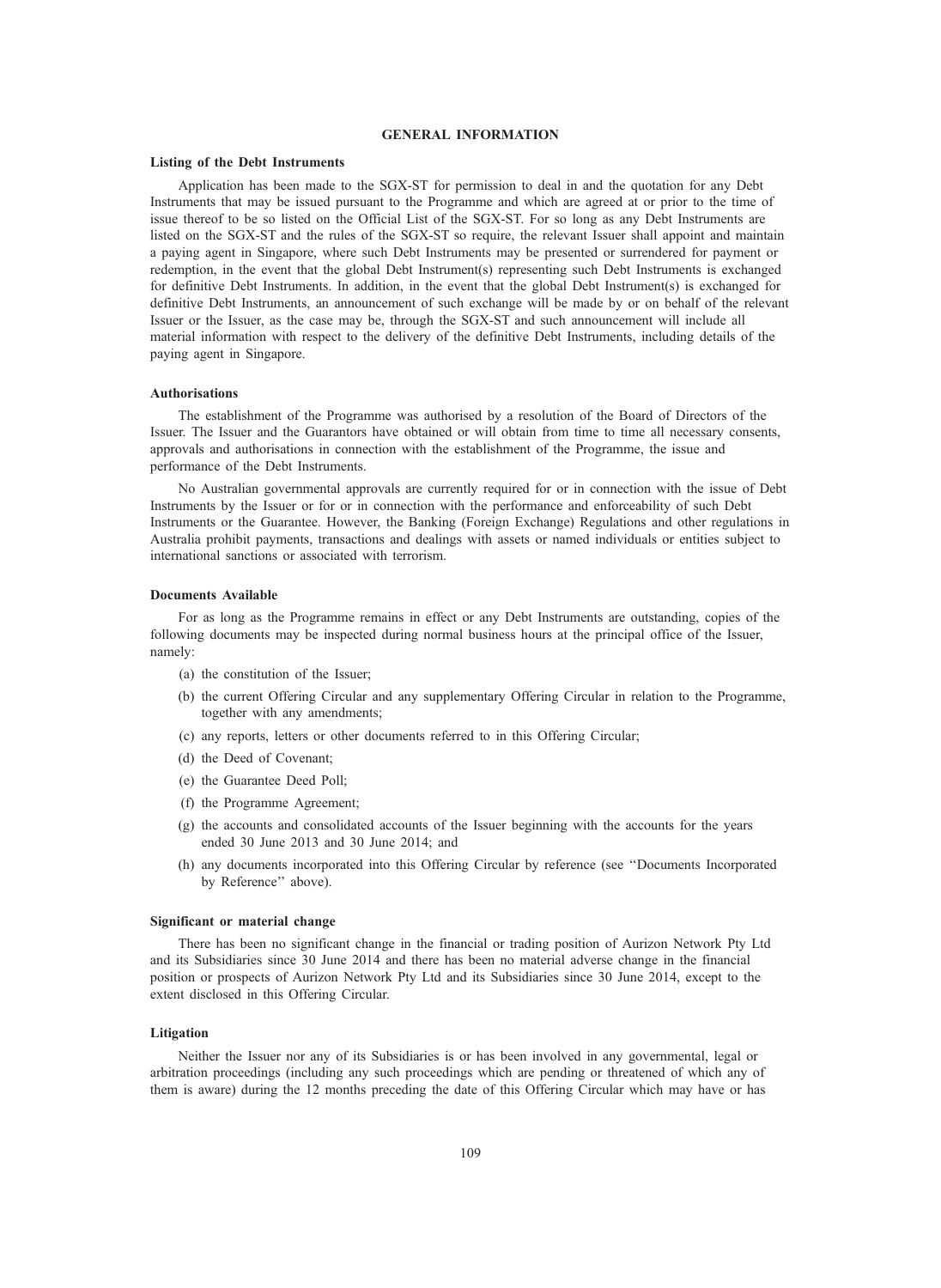## GENERAL INFORMATION

#### Listing of the Debt Instruments

Application has been made to the SGX-ST for permission to deal in and the quotation for any Debt Instruments that may be issued pursuant to the Programme and which are agreed at or prior to the time of issue thereof to be so listed on the Official List of the SGX-ST. For so long as any Debt Instruments are listed on the SGX-ST and the rules of the SGX-ST so require, the relevant Issuer shall appoint and maintain a paying agent in Singapore, where such Debt Instruments may be presented or surrendered for payment or redemption, in the event that the global Debt Instrument(s) representing such Debt Instruments is exchanged for definitive Debt Instruments. In addition, in the event that the global Debt Instrument(s) is exchanged for definitive Debt Instruments, an announcement of such exchange will be made by or on behalf of the relevant Issuer or the Issuer, as the case may be, through the SGX-ST and such announcement will include all material information with respect to the delivery of the definitive Debt Instruments, including details of the paying agent in Singapore.

### Authorisations

The establishment of the Programme was authorised by a resolution of the Board of Directors of the Issuer. The Issuer and the Guarantors have obtained or will obtain from time to time all necessary consents, approvals and authorisations in connection with the establishment of the Programme, the issue and performance of the Debt Instruments.

No Australian governmental approvals are currently required for or in connection with the issue of Debt Instruments by the Issuer or for or in connection with the performance and enforceability of such Debt Instruments or the Guarantee. However, the Banking (Foreign Exchange) Regulations and other regulations in Australia prohibit payments, transactions and dealings with assets or named individuals or entities subject to international sanctions or associated with terrorism.

#### Documents Available

For as long as the Programme remains in effect or any Debt Instruments are outstanding, copies of the following documents may be inspected during normal business hours at the principal office of the Issuer, namely:

- (a) the constitution of the Issuer;
- (b) the current Offering Circular and any supplementary Offering Circular in relation to the Programme, together with any amendments;
- (c) any reports, letters or other documents referred to in this Offering Circular;
- (d) the Deed of Covenant;
- (e) the Guarantee Deed Poll;
- (f) the Programme Agreement;
- (g) the accounts and consolidated accounts of the Issuer beginning with the accounts for the years ended 30 June 2013 and 30 June 2014; and
- (h) any documents incorporated into this Offering Circular by reference (see ''Documents Incorporated by Reference'' above).

#### Significant or material change

There has been no significant change in the financial or trading position of Aurizon Network Pty Ltd and its Subsidiaries since 30 June 2014 and there has been no material adverse change in the financial position or prospects of Aurizon Network Pty Ltd and its Subsidiaries since 30 June 2014, except to the extent disclosed in this Offering Circular.

#### Litigation

Neither the Issuer nor any of its Subsidiaries is or has been involved in any governmental, legal or arbitration proceedings (including any such proceedings which are pending or threatened of which any of them is aware) during the 12 months preceding the date of this Offering Circular which may have or has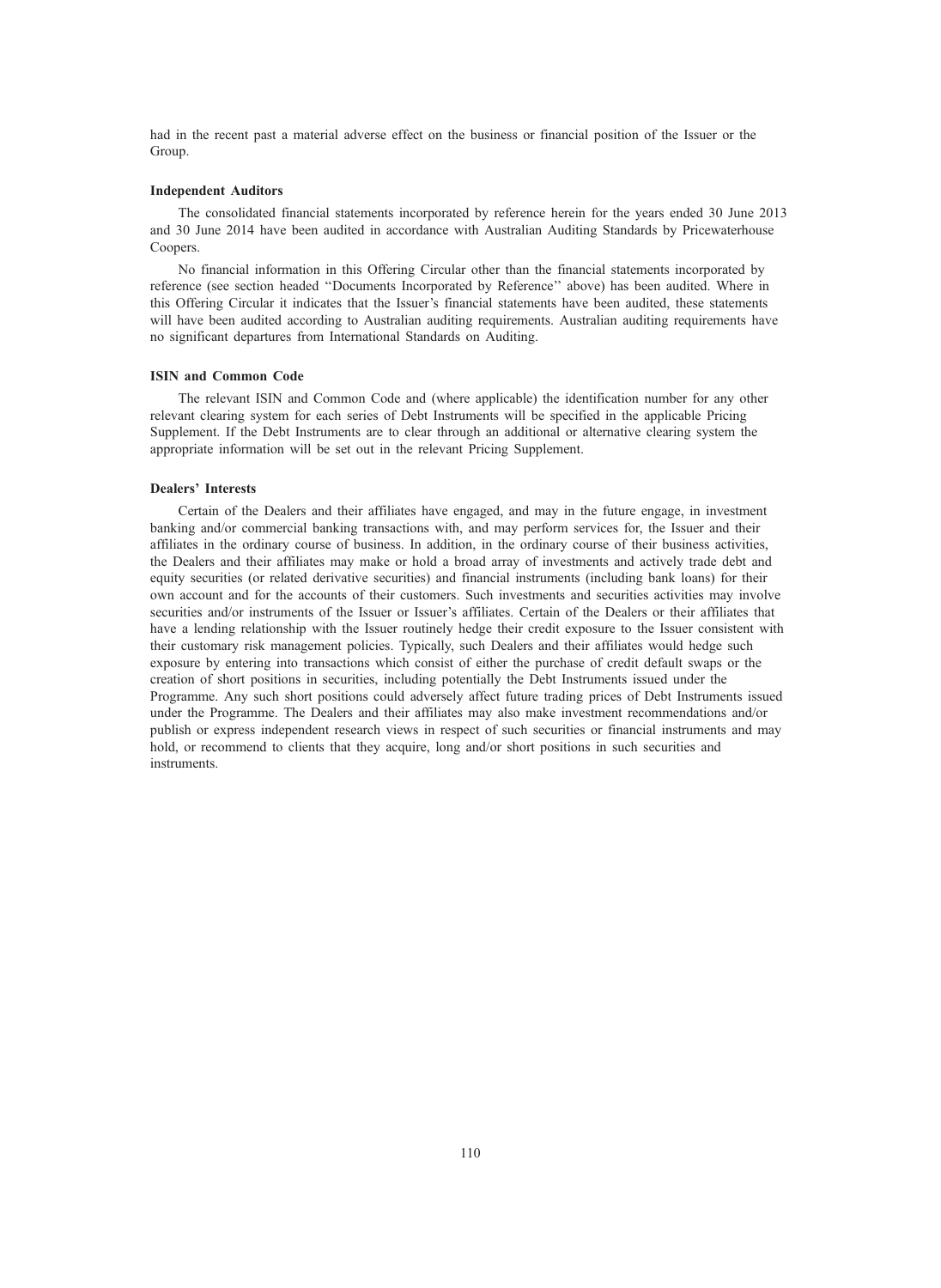had in the recent past a material adverse effect on the business or financial position of the Issuer or the Group.

#### Independent Auditors

The consolidated financial statements incorporated by reference herein for the years ended 30 June 2013 and 30 June 2014 have been audited in accordance with Australian Auditing Standards by Pricewaterhouse Coopers.

No financial information in this Offering Circular other than the financial statements incorporated by reference (see section headed ''Documents Incorporated by Reference'' above) has been audited. Where in this Offering Circular it indicates that the Issuer's financial statements have been audited, these statements will have been audited according to Australian auditing requirements. Australian auditing requirements have no significant departures from International Standards on Auditing.

### ISIN and Common Code

The relevant ISIN and Common Code and (where applicable) the identification number for any other relevant clearing system for each series of Debt Instruments will be specified in the applicable Pricing Supplement. If the Debt Instruments are to clear through an additional or alternative clearing system the appropriate information will be set out in the relevant Pricing Supplement.

#### Dealers' Interests

Certain of the Dealers and their affiliates have engaged, and may in the future engage, in investment banking and/or commercial banking transactions with, and may perform services for, the Issuer and their affiliates in the ordinary course of business. In addition, in the ordinary course of their business activities, the Dealers and their affiliates may make or hold a broad array of investments and actively trade debt and equity securities (or related derivative securities) and financial instruments (including bank loans) for their own account and for the accounts of their customers. Such investments and securities activities may involve securities and/or instruments of the Issuer or Issuer's affiliates. Certain of the Dealers or their affiliates that have a lending relationship with the Issuer routinely hedge their credit exposure to the Issuer consistent with their customary risk management policies. Typically, such Dealers and their affiliates would hedge such exposure by entering into transactions which consist of either the purchase of credit default swaps or the creation of short positions in securities, including potentially the Debt Instruments issued under the Programme. Any such short positions could adversely affect future trading prices of Debt Instruments issued under the Programme. The Dealers and their affiliates may also make investment recommendations and/or publish or express independent research views in respect of such securities or financial instruments and may hold, or recommend to clients that they acquire, long and/or short positions in such securities and instruments.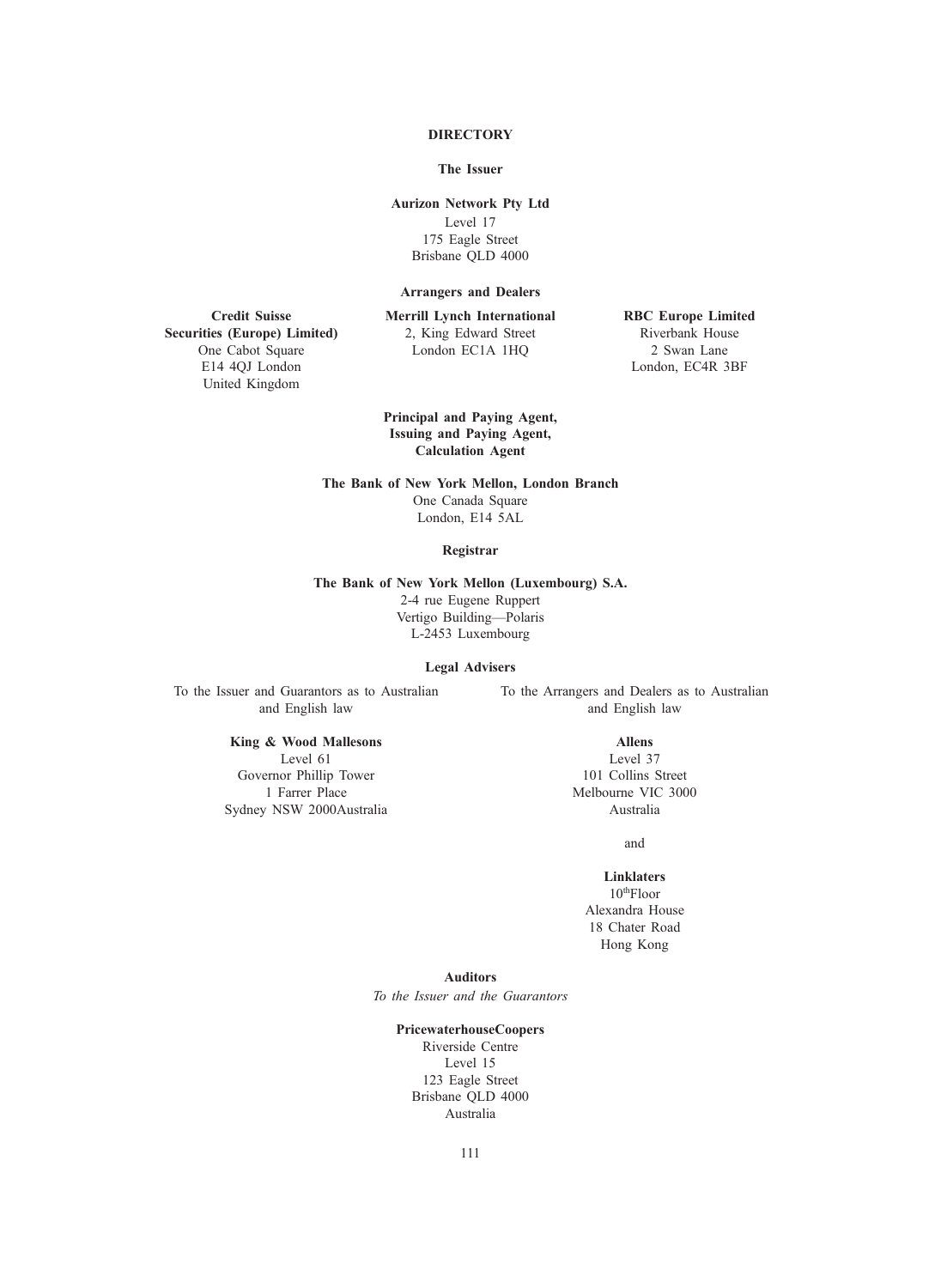# **DIRECTORY**

### The Issuer

# Aurizon Network Pty Ltd

Level 17 175 Eagle Street Brisbane QLD 4000

### Arrangers and Dealers

Merrill Lynch International 2, King Edward Street London EC1A 1HQ

RBC Europe Limited Riverbank House 2 Swan Lane London, EC4R 3BF

Securities (Europe) Limited) One Cabot Square E14 4QJ London United Kingdom

Credit Suisse

Principal and Paying Agent, Issuing and Paying Agent, Calculation Agent

The Bank of New York Mellon, London Branch One Canada Square London, E14 5AL

#### Registrar

The Bank of New York Mellon (Luxembourg) S.A. 2-4 rue Eugene Ruppert Vertigo Building—Polaris L-2453 Luxembourg

# Legal Advisers

To the Issuer and Guarantors as to Australian and English law

To the Arrangers and Dealers as to Australian and English law

# King & Wood Mallesons

Level 61 Governor Phillip Tower 1 Farrer Place Sydney NSW 2000Australia

### Allens

Level 37 101 Collins Street Melbourne VIC 3000 Australia

and

# Linklaters

10thFloor Alexandra House 18 Chater Road Hong Kong

### Auditors

To the Issuer and the Guarantors

### PricewaterhouseCoopers

Riverside Centre Level 15 123 Eagle Street Brisbane QLD 4000 Australia